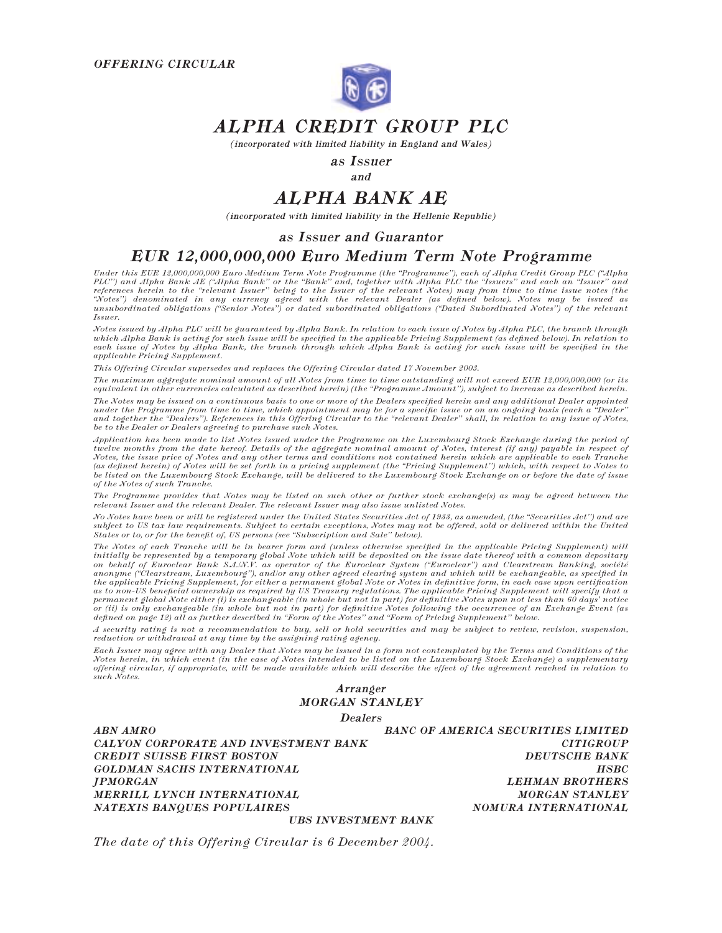

## ALPHA CREDIT GROUP PLC

(incorporated with limited liability in England and Wales)

as Issuer

and

# ALPHA BANK AE

(incorporated with limited liability in the Hellenic Republic)

## as Issuer and Guarantor

## EUR 12,000,000,000 Euro Medium Term Note Programme

Under this EUR 12,000,000,000 Euro Medium Term Note Programme (the "Programme"), each of Alpha Credit Group PLC ("Alpha<br>PLC") and Alpha Bank AE ("Alpha Bank" or the "Bank" and, together with Alpha PLC the "Issuers" and eac Issuer.

Notes issued by Alpha PLC will be guaranteed by Alpha Bank. In relation to each issue of Notes by Alpha PLC, the branch through which Alpha Bank is acting for such issue will be specified in the applicable Pricing Supplement (as defined below). In relation to<br>each issue of Notes by Alpha Bank, the branch through which Alpha Bank is acting for such applicable Pricing Supplement.

This Offering Circular supersedes and replaces the Offering Circular dated 17 November 2003.

The maximum aggregate nominal amount of all Notes from time to time outstanding will not exceed EUR 12,000,000,000 (or its equivalent in other currencies calculated as described herein) (the ''Programme Amount''), subject to increase as described herein.

The Notes may be issued on a continuous basis to one or more of the Dealers specified herein and any additional Dealer appointed under the Programme from time to time, which appointment may be for a specific issue or on an ongoing basis (each a "Dealer"<br>and together the "Dealers"). References in this Offering Circular to the "relevant Dealer" shall, be to the Dealer or Dealers agreeing to purchase such Notes.

Application has been made to list Notes issued under the Programme on the Luxembourg Stock Exchange during the period of twelve months from the date hereof. Details of the aggregate nominal amount of Notes, interest (if any) payable in respect of Notes, the issue price of Notes and any other terms and conditions not contained herein which are applicable to each Tranche (as defined herein) of Notes will be set forth in a pricing supplement (the "Pricing Supplement") which, with respect to Notes to be listed on the Luxembourg Stock Exchange, will be delivered to the Luxembourg Stock Exchange on or before the date of issue of the Notes of such Tranche.

The Programme provides that Notes may be listed on such other or further stock exchange(s) as may be agreed between the relevant Issuer and the relevant Dealer. The relevant Issuer may also issue unlisted Notes.

No Notes have been or will be registered under the United States Securities Act of 1933, as amended, (the ''Securities Act'') and are subject to US tax law requirements. Subject to certain exceptions, Notes may not be offered, sold or delivered within the United States or to, or for the benefit of, US persons (see ''Subscription and Sale'' below).

The Notes of each Tranche will be in bearer form and (unless otherwise specified in the applicable Pricing Supplement) will initially be represented by a temporary global Note which will be deposited on the issue date thereof with a common depositary<br>on behalf of Euroclear Bank S.A.W.V. as operator of the Euroclear System ("Euroclear") and Clea anonyme ("Clearstream, Luxembourg"), and/or any other agreed clearing system and which will be exchangeable, as specified in<br>the applicable Pricing Supplement, for either a permanent global Note or Notes in definitive form as to non-US beneficial ownership as required by US Treasury regulations. The applicable Pricing Supplement will specify that a permanent global Note either (i) is exchangeable (in whole but not in part) for definitive Notes upon not less than 60 days' notice<br>or (ii) is only exchangeable (in whole but not in part) for definitive Notes following the defined on page 12) all as further described in ''Form of the Notes'' and ''Form of Pricing Supplement'' below.

A security rating is not a recommendation to buy, sell or hold securities and may be subject to review, revision, suspension, reduction or withdrawal at any time by the assigning rating agency.

Each Issuer may agree with any Dealer that Notes may be issued in a form not contemplated by the Terms and Conditions of the Notes herein, in which event (in the case of Notes intended to be listed on the Luxembourg Stock Exchange) a supplementary offering circular, if appropriate, will be made available which will describe the effect of the agreement reached in relation to such Notes.

Arranger MORGAN STANLEY

Dealers

ABN AMRO BANC OF AMERICA SECURITIES LIMITED CALYON CORPORATE AND INVESTMENT BANK CITIGROUP CREDIT SUISSE FIRST BOSTON DEUTSCHE BANK GOLDMAN SACHS INTERNATIONAL HSBC JPMORGAN LEHMAN BROTHERS MERRILL LYNCH INTERNATIONAL **MORGAN STANLEY** NATEXIS BANQUES POPULAIRES NOMURA INTERNATIONAL

UBS INVESTMENT BANK

The date of this Offering Circular is 6 December 2004.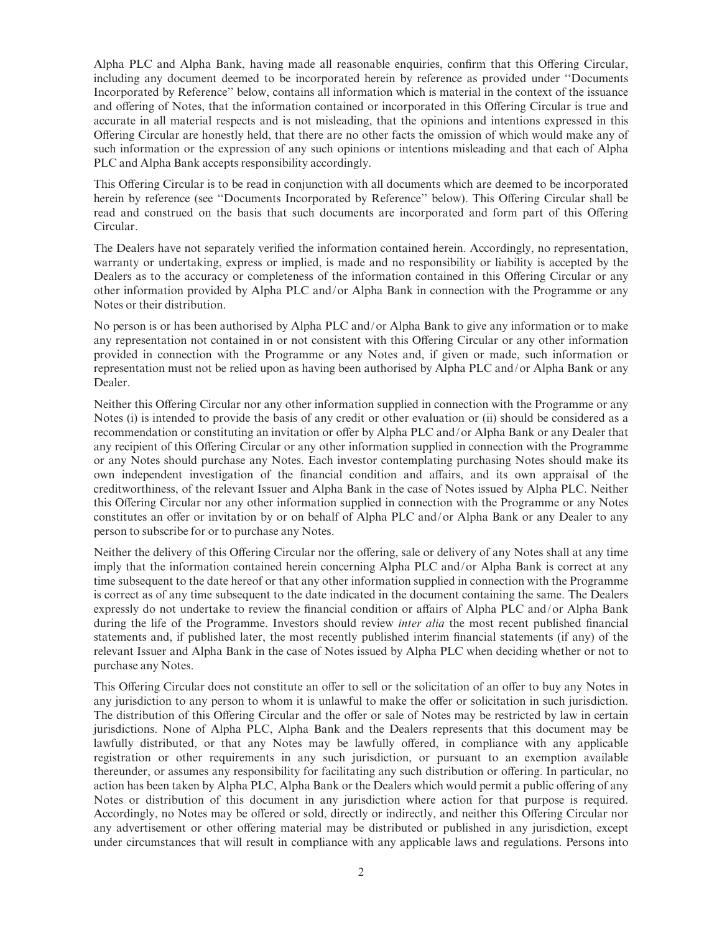Alpha PLC and Alpha Bank, having made all reasonable enquiries, confirm that this Offering Circular, including any document deemed to be incorporated herein by reference as provided under ''Documents Incorporated by Reference'' below, contains all information which is material in the context of the issuance and offering of Notes, that the information contained or incorporated in this Offering Circular is true and accurate in all material respects and is not misleading, that the opinions and intentions expressed in this Offering Circular are honestly held, that there are no other facts the omission of which would make any of such information or the expression of any such opinions or intentions misleading and that each of Alpha PLC and Alpha Bank accepts responsibility accordingly.

This Offering Circular is to be read in conjunction with all documents which are deemed to be incorporated herein by reference (see "Documents Incorporated by Reference" below). This Offering Circular shall be read and construed on the basis that such documents are incorporated and form part of this Offering Circular.

The Dealers have not separately verified the information contained herein. Accordingly, no representation, warranty or undertaking, express or implied, is made and no responsibility or liability is accepted by the Dealers as to the accuracy or completeness of the information contained in this Offering Circular or any other information provided by Alpha PLC and/or Alpha Bank in connection with the Programme or any Notes or their distribution.

No person is or has been authorised by Alpha PLC and/or Alpha Bank to give any information or to make any representation not contained in or not consistent with this Offering Circular or any other information provided in connection with the Programme or any Notes and, if given or made, such information or representation must not be relied upon as having been authorised by Alpha PLC and/or Alpha Bank or any Dealer.

Neither this Offering Circular nor any other information supplied in connection with the Programme or any Notes (i) is intended to provide the basis of any credit or other evaluation or (ii) should be considered as a recommendation or constituting an invitation or offer by Alpha PLC and/or Alpha Bank or any Dealer that any recipient of this Offering Circular or any other information supplied in connection with the Programme or any Notes should purchase any Notes. Each investor contemplating purchasing Notes should make its own independent investigation of the financial condition and affairs, and its own appraisal of the creditworthiness, of the relevant Issuer and Alpha Bank in the case of Notes issued by Alpha PLC. Neither this Offering Circular nor any other information supplied in connection with the Programme or any Notes constitutes an offer or invitation by or on behalf of Alpha PLC and/or Alpha Bank or any Dealer to any person to subscribe for or to purchase any Notes.

Neither the delivery of this Offering Circular nor the offering, sale or delivery of any Notes shall at any time imply that the information contained herein concerning Alpha PLC and/or Alpha Bank is correct at any time subsequent to the date hereof or that any other information supplied in connection with the Programme is correct as of any time subsequent to the date indicated in the document containing the same. The Dealers expressly do not undertake to review the financial condition or affairs of Alpha PLC and/or Alpha Bank during the life of the Programme. Investors should review *inter alia* the most recent published financial statements and, if published later, the most recently published interim financial statements (if any) of the relevant Issuer and Alpha Bank in the case of Notes issued by Alpha PLC when deciding whether or not to purchase any Notes.

This Offering Circular does not constitute an offer to sell or the solicitation of an offer to buy any Notes in any jurisdiction to any person to whom it is unlawful to make the offer or solicitation in such jurisdiction. The distribution of this Offering Circular and the offer or sale of Notes may be restricted by law in certain jurisdictions. None of Alpha PLC, Alpha Bank and the Dealers represents that this document may be lawfully distributed, or that any Notes may be lawfully offered, in compliance with any applicable registration or other requirements in any such jurisdiction, or pursuant to an exemption available thereunder, or assumes any responsibility for facilitating any such distribution or offering. In particular, no action has been taken by Alpha PLC, Alpha Bank or the Dealers which would permit a public offering of any Notes or distribution of this document in any jurisdiction where action for that purpose is required. Accordingly, no Notes may be offered or sold, directly or indirectly, and neither this Offering Circular nor any advertisement or other offering material may be distributed or published in any jurisdiction, except under circumstances that will result in compliance with any applicable laws and regulations. Persons into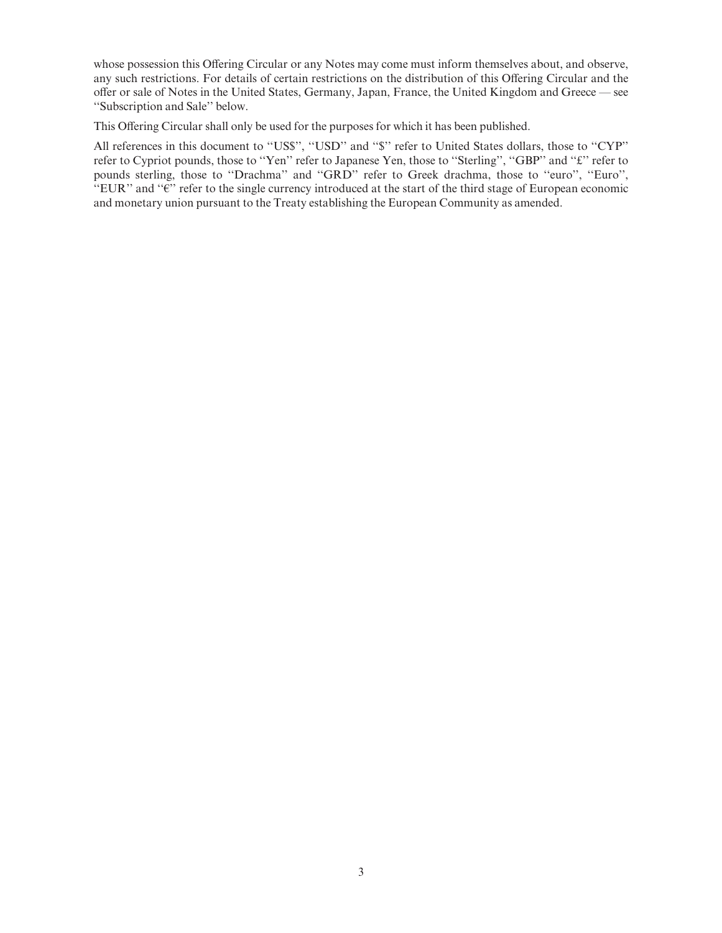whose possession this Offering Circular or any Notes may come must inform themselves about, and observe, any such restrictions. For details of certain restrictions on the distribution of this Offering Circular and the offer or sale of Notes in the United States, Germany, Japan, France, the United Kingdom and Greece — see ''Subscription and Sale'' below.

This Offering Circular shall only be used for the purposes for which it has been published.

All references in this document to "US\$", "USD" and "\$" refer to United States dollars, those to "CYP" refer to Cypriot pounds, those to "Yen" refer to Japanese Yen, those to "Sterling", "GBP" and "£" refer to pounds sterling, those to "Drachma" and "GRD" refer to Greek drachma, those to "euro", "Euro",  $EUE'$  and " $E'$ " refer to the single currency introduced at the start of the third stage of European economic and monetary union pursuant to the Treaty establishing the European Community as amended.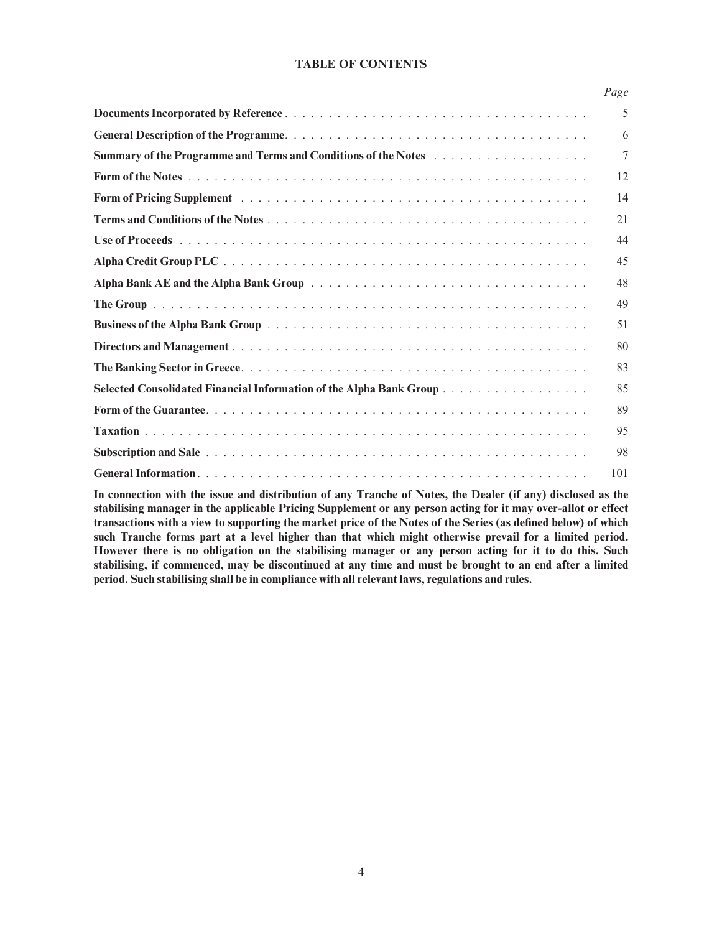### TABLE OF CONTENTS

| Page |
|------|
| 5    |
| 6    |
| 7    |
| 12   |
| 14   |
| 21   |
| 44   |
| 45   |
| 48   |
| 49   |
| 51   |
| 80   |
| 83   |
| 85   |
| 89   |
| 95   |
| 98   |
| 101  |

In connection with the issue and distribution of any Tranche of Notes, the Dealer (if any) disclosed as the stabilising manager in the applicable Pricing Supplement or any person acting for it may over-allot or effect transactions with a view to supporting the market price of the Notes of the Series (as defined below) of which such Tranche forms part at a level higher than that which might otherwise prevail for a limited period. However there is no obligation on the stabilising manager or any person acting for it to do this. Such stabilising, if commenced, may be discontinued at any time and must be brought to an end after a limited period. Such stabilising shall be in compliance with all relevant laws, regulations and rules.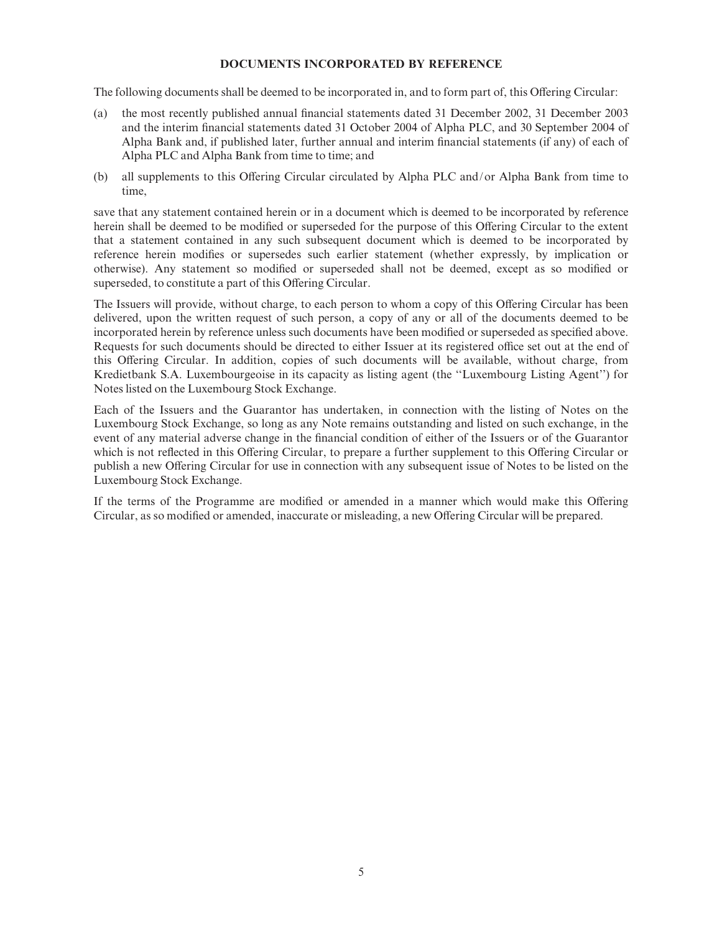#### DOCUMENTS INCORPORATED BY REFERENCE

The following documents shall be deemed to be incorporated in, and to form part of, this Offering Circular:

- (a) the most recently published annual financial statements dated 31 December 2002, 31 December 2003 and the interim financial statements dated 31 October 2004 of Alpha PLC, and 30 September 2004 of Alpha Bank and, if published later, further annual and interim financial statements (if any) of each of Alpha PLC and Alpha Bank from time to time; and
- (b) all supplements to this Offering Circular circulated by Alpha PLC and/or Alpha Bank from time to time,

save that any statement contained herein or in a document which is deemed to be incorporated by reference herein shall be deemed to be modified or superseded for the purpose of this Offering Circular to the extent that a statement contained in any such subsequent document which is deemed to be incorporated by reference herein modifies or supersedes such earlier statement (whether expressly, by implication or otherwise). Any statement so modified or superseded shall not be deemed, except as so modified or superseded, to constitute a part of this Offering Circular.

The Issuers will provide, without charge, to each person to whom a copy of this Offering Circular has been delivered, upon the written request of such person, a copy of any or all of the documents deemed to be incorporated herein by reference unless such documents have been modified or superseded as specified above. Requests for such documents should be directed to either Issuer at its registered office set out at the end of this Offering Circular. In addition, copies of such documents will be available, without charge, from Kredietbank S.A. Luxembourgeoise in its capacity as listing agent (the ''Luxembourg Listing Agent'') for Notes listed on the Luxembourg Stock Exchange.

Each of the Issuers and the Guarantor has undertaken, in connection with the listing of Notes on the Luxembourg Stock Exchange, so long as any Note remains outstanding and listed on such exchange, in the event of any material adverse change in the financial condition of either of the Issuers or of the Guarantor which is not reflected in this Offering Circular, to prepare a further supplement to this Offering Circular or publish a new Offering Circular for use in connection with any subsequent issue of Notes to be listed on the Luxembourg Stock Exchange.

If the terms of the Programme are modified or amended in a manner which would make this Offering Circular, as so modified or amended, inaccurate or misleading, a new Offering Circular will be prepared.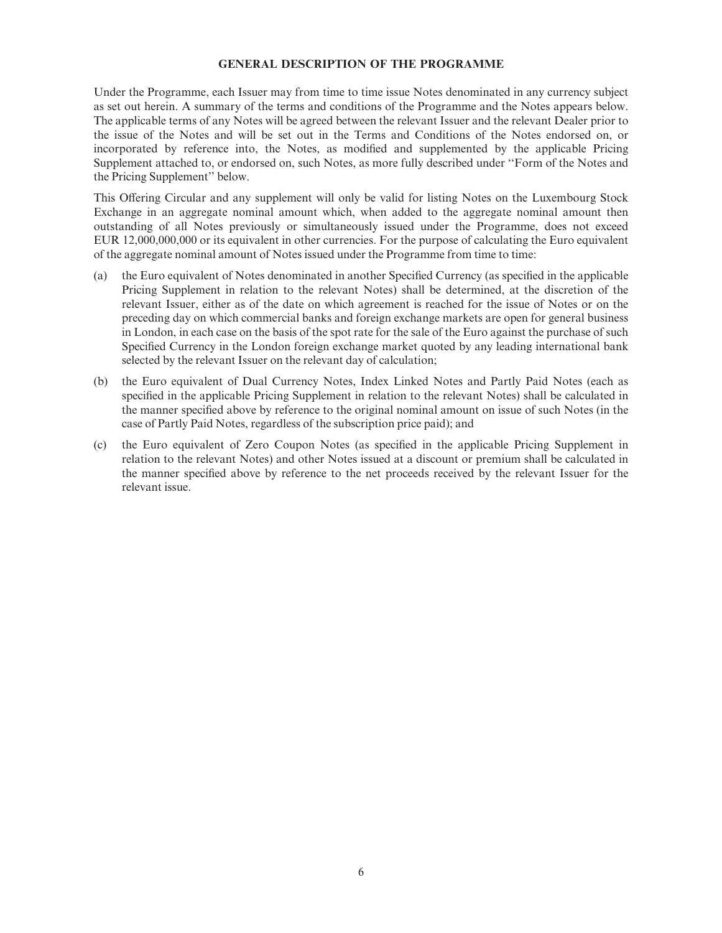#### GENERAL DESCRIPTION OF THE PROGRAMME

Under the Programme, each Issuer may from time to time issue Notes denominated in any currency subject as set out herein. A summary of the terms and conditions of the Programme and the Notes appears below. The applicable terms of any Notes will be agreed between the relevant Issuer and the relevant Dealer prior to the issue of the Notes and will be set out in the Terms and Conditions of the Notes endorsed on, or incorporated by reference into, the Notes, as modified and supplemented by the applicable Pricing Supplement attached to, or endorsed on, such Notes, as more fully described under ''Form of the Notes and the Pricing Supplement'' below.

This Offering Circular and any supplement will only be valid for listing Notes on the Luxembourg Stock Exchange in an aggregate nominal amount which, when added to the aggregate nominal amount then outstanding of all Notes previously or simultaneously issued under the Programme, does not exceed EUR 12,000,000,000 or its equivalent in other currencies. For the purpose of calculating the Euro equivalent of the aggregate nominal amount of Notes issued under the Programme from time to time:

- (a) the Euro equivalent of Notes denominated in another Specified Currency (as specified in the applicable Pricing Supplement in relation to the relevant Notes) shall be determined, at the discretion of the relevant Issuer, either as of the date on which agreement is reached for the issue of Notes or on the preceding day on which commercial banks and foreign exchange markets are open for general business in London, in each case on the basis of the spot rate for the sale of the Euro against the purchase of such Specified Currency in the London foreign exchange market quoted by any leading international bank selected by the relevant Issuer on the relevant day of calculation;
- (b) the Euro equivalent of Dual Currency Notes, Index Linked Notes and Partly Paid Notes (each as specified in the applicable Pricing Supplement in relation to the relevant Notes) shall be calculated in the manner specified above by reference to the original nominal amount on issue of such Notes (in the case of Partly Paid Notes, regardless of the subscription price paid); and
- (c) the Euro equivalent of Zero Coupon Notes (as speci¢ed in the applicable Pricing Supplement in relation to the relevant Notes) and other Notes issued at a discount or premium shall be calculated in the manner speci¢ed above by reference to the net proceeds received by the relevant Issuer for the relevant issue.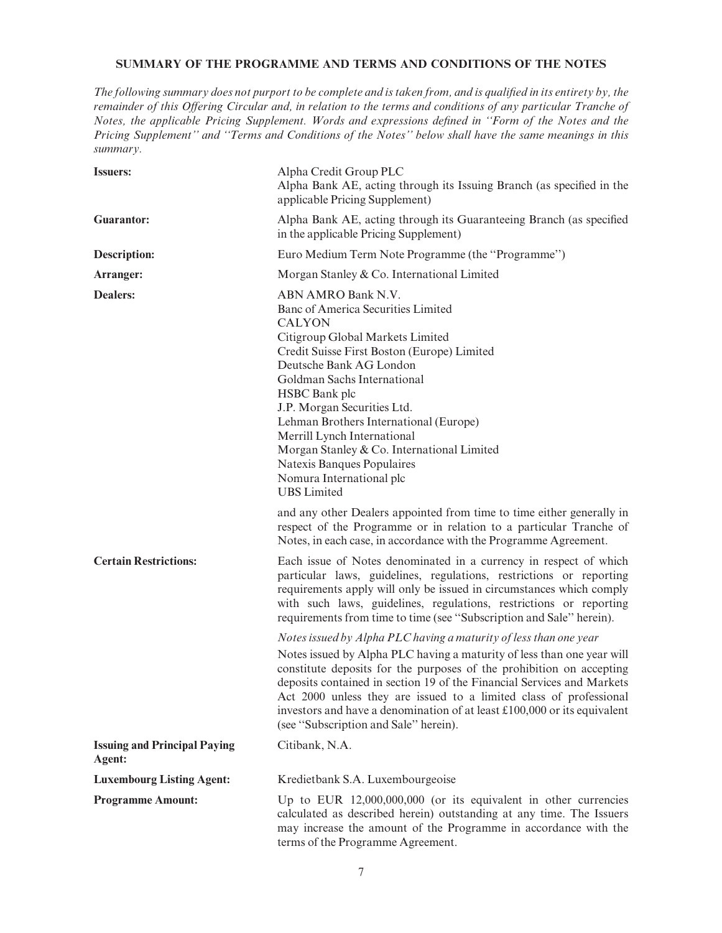## SUMMARY OF THE PROGRAMME AND TERMS AND CONDITIONS OF THE NOTES

The following summary does not purport to be complete and is taken from, and is qualified in its entirety by, the remainder of this Offering Circular and, in relation to the terms and conditions of any particular Tranche of Notes, the applicable Pricing Supplement. Words and expressions defined in "Form of the Notes and the Pricing Supplement'' and ''Terms and Conditions of the Notes'' below shall have the same meanings in this summary.

| <b>Issuers:</b>                               | Alpha Credit Group PLC<br>Alpha Bank AE, acting through its Issuing Branch (as specified in the<br>applicable Pricing Supplement)                                                                                                                                                                                                                                                                                                                                                          |
|-----------------------------------------------|--------------------------------------------------------------------------------------------------------------------------------------------------------------------------------------------------------------------------------------------------------------------------------------------------------------------------------------------------------------------------------------------------------------------------------------------------------------------------------------------|
| <b>Guarantor:</b>                             | Alpha Bank AE, acting through its Guaranteeing Branch (as specified<br>in the applicable Pricing Supplement)                                                                                                                                                                                                                                                                                                                                                                               |
| <b>Description:</b>                           | Euro Medium Term Note Programme (the "Programme")                                                                                                                                                                                                                                                                                                                                                                                                                                          |
| Arranger:                                     | Morgan Stanley & Co. International Limited                                                                                                                                                                                                                                                                                                                                                                                                                                                 |
| <b>Dealers:</b>                               | ABN AMRO Bank N.V.<br>Banc of America Securities Limited<br><b>CALYON</b><br>Citigroup Global Markets Limited<br>Credit Suisse First Boston (Europe) Limited<br>Deutsche Bank AG London<br>Goldman Sachs International<br>HSBC Bank plc<br>J.P. Morgan Securities Ltd.<br>Lehman Brothers International (Europe)<br>Merrill Lynch International<br>Morgan Stanley & Co. International Limited<br>Natexis Banques Populaires<br>Nomura International plc<br><b>UBS</b> Limited              |
|                                               | and any other Dealers appointed from time to time either generally in<br>respect of the Programme or in relation to a particular Tranche of<br>Notes, in each case, in accordance with the Programme Agreement.                                                                                                                                                                                                                                                                            |
| <b>Certain Restrictions:</b>                  | Each issue of Notes denominated in a currency in respect of which<br>particular laws, guidelines, regulations, restrictions or reporting<br>requirements apply will only be issued in circumstances which comply<br>with such laws, guidelines, regulations, restrictions or reporting<br>requirements from time to time (see "Subscription and Sale" herein).                                                                                                                             |
|                                               | Notes issued by Alpha PLC having a maturity of less than one year<br>Notes issued by Alpha PLC having a maturity of less than one year will<br>constitute deposits for the purposes of the prohibition on accepting<br>deposits contained in section 19 of the Financial Services and Markets<br>Act 2000 unless they are issued to a limited class of professional<br>investors and have a denomination of at least $£100,000$ or its equivalent<br>(see "Subscription and Sale" herein). |
| <b>Issuing and Principal Paying</b><br>Agent: | Citibank, N.A.                                                                                                                                                                                                                                                                                                                                                                                                                                                                             |
| <b>Luxembourg Listing Agent:</b>              | Kredietbank S.A. Luxembourgeoise                                                                                                                                                                                                                                                                                                                                                                                                                                                           |
| <b>Programme Amount:</b>                      | Up to EUR $12,000,000,000$ (or its equivalent in other currencies<br>calculated as described herein) outstanding at any time. The Issuers<br>may increase the amount of the Programme in accordance with the<br>terms of the Programme Agreement.                                                                                                                                                                                                                                          |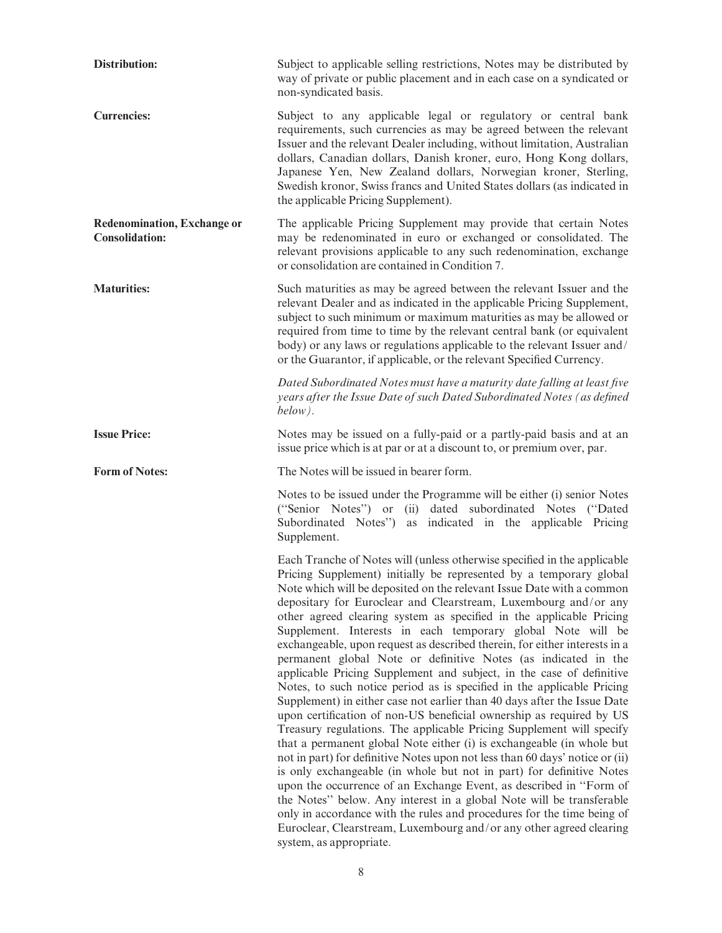| <b>Distribution:</b>                                        | Subject to applicable selling restrictions, Notes may be distributed by<br>way of private or public placement and in each case on a syndicated or<br>non-syndicated basis.                                                                                                                                                                                                                                                                                                                                                                                                                                                                                                                                                                                                                                                                                                                                                                                                                                                                                                                                                                                                                                                                                                                                                                                                                                                                                                                                               |
|-------------------------------------------------------------|--------------------------------------------------------------------------------------------------------------------------------------------------------------------------------------------------------------------------------------------------------------------------------------------------------------------------------------------------------------------------------------------------------------------------------------------------------------------------------------------------------------------------------------------------------------------------------------------------------------------------------------------------------------------------------------------------------------------------------------------------------------------------------------------------------------------------------------------------------------------------------------------------------------------------------------------------------------------------------------------------------------------------------------------------------------------------------------------------------------------------------------------------------------------------------------------------------------------------------------------------------------------------------------------------------------------------------------------------------------------------------------------------------------------------------------------------------------------------------------------------------------------------|
| <b>Currencies:</b>                                          | Subject to any applicable legal or regulatory or central bank<br>requirements, such currencies as may be agreed between the relevant<br>Issuer and the relevant Dealer including, without limitation, Australian<br>dollars, Canadian dollars, Danish kroner, euro, Hong Kong dollars,<br>Japanese Yen, New Zealand dollars, Norwegian kroner, Sterling,<br>Swedish kronor, Swiss francs and United States dollars (as indicated in<br>the applicable Pricing Supplement).                                                                                                                                                                                                                                                                                                                                                                                                                                                                                                                                                                                                                                                                                                                                                                                                                                                                                                                                                                                                                                               |
| <b>Redenomination, Exchange or</b><br><b>Consolidation:</b> | The applicable Pricing Supplement may provide that certain Notes<br>may be redenominated in euro or exchanged or consolidated. The<br>relevant provisions applicable to any such redenomination, exchange<br>or consolidation are contained in Condition 7.                                                                                                                                                                                                                                                                                                                                                                                                                                                                                                                                                                                                                                                                                                                                                                                                                                                                                                                                                                                                                                                                                                                                                                                                                                                              |
| <b>Maturities:</b>                                          | Such maturities as may be agreed between the relevant Issuer and the<br>relevant Dealer and as indicated in the applicable Pricing Supplement,<br>subject to such minimum or maximum maturities as may be allowed or<br>required from time to time by the relevant central bank (or equivalent<br>body) or any laws or regulations applicable to the relevant Issuer and/<br>or the Guarantor, if applicable, or the relevant Specified Currency.                                                                                                                                                                                                                                                                                                                                                                                                                                                                                                                                                                                                                                                                                                                                                                                                                                                                                                                                                                                                                                                                        |
|                                                             | Dated Subordinated Notes must have a maturity date falling at least five<br>years after the Issue Date of such Dated Subordinated Notes (as defined<br>below).                                                                                                                                                                                                                                                                                                                                                                                                                                                                                                                                                                                                                                                                                                                                                                                                                                                                                                                                                                                                                                                                                                                                                                                                                                                                                                                                                           |
| <b>Issue Price:</b>                                         | Notes may be issued on a fully-paid or a partly-paid basis and at an<br>issue price which is at par or at a discount to, or premium over, par.                                                                                                                                                                                                                                                                                                                                                                                                                                                                                                                                                                                                                                                                                                                                                                                                                                                                                                                                                                                                                                                                                                                                                                                                                                                                                                                                                                           |
| <b>Form of Notes:</b>                                       | The Notes will be issued in bearer form.                                                                                                                                                                                                                                                                                                                                                                                                                                                                                                                                                                                                                                                                                                                                                                                                                                                                                                                                                                                                                                                                                                                                                                                                                                                                                                                                                                                                                                                                                 |
|                                                             | Notes to be issued under the Programme will be either (i) senior Notes<br>("Senior Notes") or (ii) dated subordinated Notes ("Dated")<br>Subordinated Notes") as indicated in the applicable Pricing<br>Supplement.                                                                                                                                                                                                                                                                                                                                                                                                                                                                                                                                                                                                                                                                                                                                                                                                                                                                                                                                                                                                                                                                                                                                                                                                                                                                                                      |
|                                                             | Each Tranche of Notes will (unless otherwise specified in the applicable<br>Pricing Supplement) initially be represented by a temporary global<br>Note which will be deposited on the relevant Issue Date with a common<br>depositary for Euroclear and Clearstream, Luxembourg and/or any<br>other agreed clearing system as specified in the applicable Pricing<br>Supplement. Interests in each temporary global Note will be<br>exchangeable, upon request as described therein, for either interests in a<br>permanent global Note or definitive Notes (as indicated in the<br>applicable Pricing Supplement and subject, in the case of definitive<br>Notes, to such notice period as is specified in the applicable Pricing<br>Supplement) in either case not earlier than 40 days after the Issue Date<br>upon certification of non-US beneficial ownership as required by US<br>Treasury regulations. The applicable Pricing Supplement will specify<br>that a permanent global Note either (i) is exchangeable (in whole but<br>not in part) for definitive Notes upon not less than 60 days' notice or (ii)<br>is only exchangeable (in whole but not in part) for definitive Notes<br>upon the occurrence of an Exchange Event, as described in "Form of<br>the Notes" below. Any interest in a global Note will be transferable<br>only in accordance with the rules and procedures for the time being of<br>Euroclear, Clearstream, Luxembourg and/or any other agreed clearing<br>system, as appropriate. |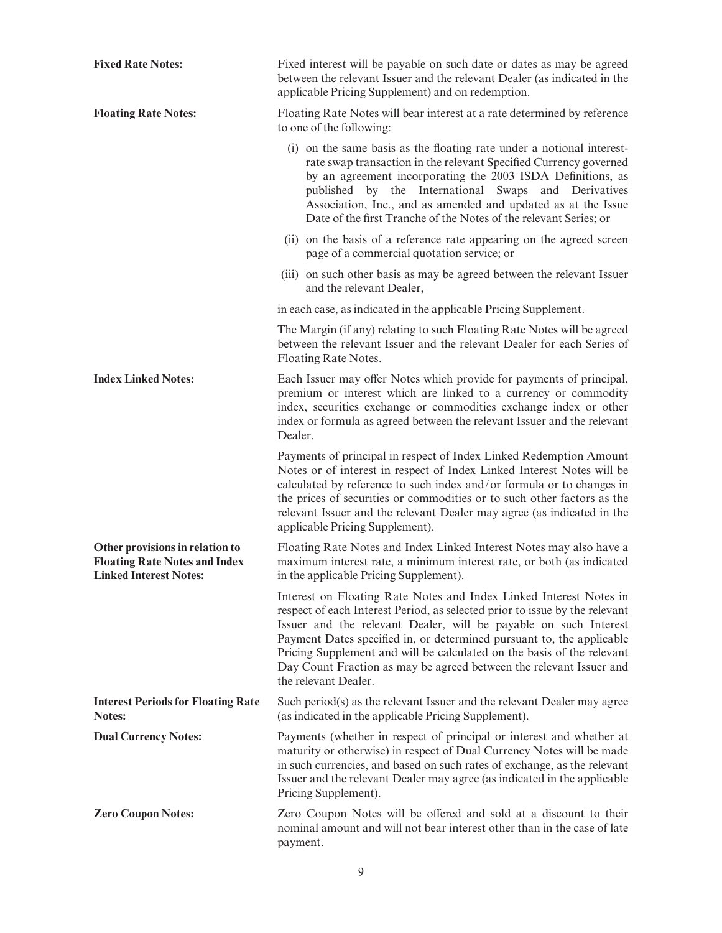| <b>Fixed Rate Notes:</b>                                                                                 | Fixed interest will be payable on such date or dates as may be agreed<br>between the relevant Issuer and the relevant Dealer (as indicated in the<br>applicable Pricing Supplement) and on redemption.                                                                                                                                                                                                                                                                  |  |  |  |  |
|----------------------------------------------------------------------------------------------------------|-------------------------------------------------------------------------------------------------------------------------------------------------------------------------------------------------------------------------------------------------------------------------------------------------------------------------------------------------------------------------------------------------------------------------------------------------------------------------|--|--|--|--|
| <b>Floating Rate Notes:</b>                                                                              | Floating Rate Notes will bear interest at a rate determined by reference<br>to one of the following:                                                                                                                                                                                                                                                                                                                                                                    |  |  |  |  |
|                                                                                                          | (i) on the same basis as the floating rate under a notional interest-<br>rate swap transaction in the relevant Specified Currency governed<br>by an agreement incorporating the 2003 ISDA Definitions, as<br>published by the International Swaps and Derivatives<br>Association, Inc., and as amended and updated as at the Issue<br>Date of the first Tranche of the Notes of the relevant Series; or                                                                 |  |  |  |  |
|                                                                                                          | (ii) on the basis of a reference rate appearing on the agreed screen<br>page of a commercial quotation service; or                                                                                                                                                                                                                                                                                                                                                      |  |  |  |  |
|                                                                                                          | (iii) on such other basis as may be agreed between the relevant Issuer<br>and the relevant Dealer,                                                                                                                                                                                                                                                                                                                                                                      |  |  |  |  |
|                                                                                                          | in each case, as indicated in the applicable Pricing Supplement.                                                                                                                                                                                                                                                                                                                                                                                                        |  |  |  |  |
|                                                                                                          | The Margin (if any) relating to such Floating Rate Notes will be agreed<br>between the relevant Issuer and the relevant Dealer for each Series of<br>Floating Rate Notes.                                                                                                                                                                                                                                                                                               |  |  |  |  |
| <b>Index Linked Notes:</b>                                                                               | Each Issuer may offer Notes which provide for payments of principal,<br>premium or interest which are linked to a currency or commodity<br>index, securities exchange or commodities exchange index or other<br>index or formula as agreed between the relevant Issuer and the relevant<br>Dealer.                                                                                                                                                                      |  |  |  |  |
|                                                                                                          | Payments of principal in respect of Index Linked Redemption Amount<br>Notes or of interest in respect of Index Linked Interest Notes will be<br>calculated by reference to such index and/or formula or to changes in<br>the prices of securities or commodities or to such other factors as the<br>relevant Issuer and the relevant Dealer may agree (as indicated in the<br>applicable Pricing Supplement).                                                           |  |  |  |  |
| Other provisions in relation to<br><b>Floating Rate Notes and Index</b><br><b>Linked Interest Notes:</b> | Floating Rate Notes and Index Linked Interest Notes may also have a<br>maximum interest rate, a minimum interest rate, or both (as indicated<br>in the applicable Pricing Supplement).                                                                                                                                                                                                                                                                                  |  |  |  |  |
|                                                                                                          | Interest on Floating Rate Notes and Index Linked Interest Notes in<br>respect of each Interest Period, as selected prior to issue by the relevant<br>Issuer and the relevant Dealer, will be payable on such Interest<br>Payment Dates specified in, or determined pursuant to, the applicable<br>Pricing Supplement and will be calculated on the basis of the relevant<br>Day Count Fraction as may be agreed between the relevant Issuer and<br>the relevant Dealer. |  |  |  |  |
| <b>Interest Periods for Floating Rate</b><br>Notes:                                                      | Such period(s) as the relevant Issuer and the relevant Dealer may agree<br>(as indicated in the applicable Pricing Supplement).                                                                                                                                                                                                                                                                                                                                         |  |  |  |  |
| <b>Dual Currency Notes:</b>                                                                              | Payments (whether in respect of principal or interest and whether at<br>maturity or otherwise) in respect of Dual Currency Notes will be made<br>in such currencies, and based on such rates of exchange, as the relevant<br>Issuer and the relevant Dealer may agree (as indicated in the applicable<br>Pricing Supplement).                                                                                                                                           |  |  |  |  |
| <b>Zero Coupon Notes:</b>                                                                                | Zero Coupon Notes will be offered and sold at a discount to their<br>nominal amount and will not bear interest other than in the case of late<br>payment.                                                                                                                                                                                                                                                                                                               |  |  |  |  |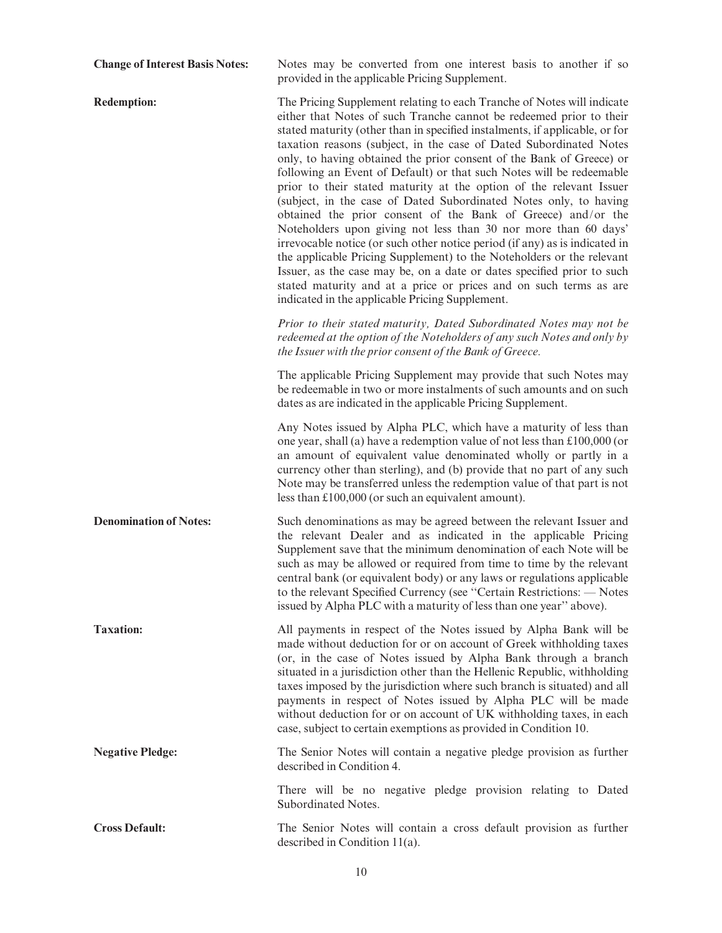| <b>Change of Interest Basis Notes:</b> | Notes may be converted from one interest basis to another if so<br>provided in the applicable Pricing Supplement.                                                                                                                                                                                                                                                                                                                                                                                                                                                                                                                                                                                                                                                                                                                                                                                                                                                                                                                                                                           |
|----------------------------------------|---------------------------------------------------------------------------------------------------------------------------------------------------------------------------------------------------------------------------------------------------------------------------------------------------------------------------------------------------------------------------------------------------------------------------------------------------------------------------------------------------------------------------------------------------------------------------------------------------------------------------------------------------------------------------------------------------------------------------------------------------------------------------------------------------------------------------------------------------------------------------------------------------------------------------------------------------------------------------------------------------------------------------------------------------------------------------------------------|
| <b>Redemption:</b>                     | The Pricing Supplement relating to each Tranche of Notes will indicate<br>either that Notes of such Tranche cannot be redeemed prior to their<br>stated maturity (other than in specified instalments, if applicable, or for<br>taxation reasons (subject, in the case of Dated Subordinated Notes<br>only, to having obtained the prior consent of the Bank of Greece) or<br>following an Event of Default) or that such Notes will be redeemable<br>prior to their stated maturity at the option of the relevant Issuer<br>(subject, in the case of Dated Subordinated Notes only, to having<br>obtained the prior consent of the Bank of Greece) and/or the<br>Noteholders upon giving not less than 30 nor more than 60 days'<br>irrevocable notice (or such other notice period (if any) as is indicated in<br>the applicable Pricing Supplement) to the Noteholders or the relevant<br>Issuer, as the case may be, on a date or dates specified prior to such<br>stated maturity and at a price or prices and on such terms as are<br>indicated in the applicable Pricing Supplement. |
|                                        | Prior to their stated maturity, Dated Subordinated Notes may not be<br>redeemed at the option of the Noteholders of any such Notes and only by<br>the Issuer with the prior consent of the Bank of Greece.                                                                                                                                                                                                                                                                                                                                                                                                                                                                                                                                                                                                                                                                                                                                                                                                                                                                                  |
|                                        | The applicable Pricing Supplement may provide that such Notes may<br>be redeemable in two or more instalments of such amounts and on such<br>dates as are indicated in the applicable Pricing Supplement.                                                                                                                                                                                                                                                                                                                                                                                                                                                                                                                                                                                                                                                                                                                                                                                                                                                                                   |
|                                        | Any Notes issued by Alpha PLC, which have a maturity of less than<br>one year, shall (a) have a redemption value of not less than £100,000 (or<br>an amount of equivalent value denominated wholly or partly in a<br>currency other than sterling), and (b) provide that no part of any such<br>Note may be transferred unless the redemption value of that part is not<br>less than $£100,000$ (or such an equivalent amount).                                                                                                                                                                                                                                                                                                                                                                                                                                                                                                                                                                                                                                                             |
| <b>Denomination of Notes:</b>          | Such denominations as may be agreed between the relevant Issuer and<br>the relevant Dealer and as indicated in the applicable Pricing<br>Supplement save that the minimum denomination of each Note will be<br>such as may be allowed or required from time to time by the relevant<br>central bank (or equivalent body) or any laws or regulations applicable<br>to the relevant Specified Currency (see "Certain Restrictions: - Notes<br>issued by Alpha PLC with a maturity of less than one year" above).                                                                                                                                                                                                                                                                                                                                                                                                                                                                                                                                                                              |
| <b>Taxation:</b>                       | All payments in respect of the Notes issued by Alpha Bank will be<br>made without deduction for or on account of Greek withholding taxes<br>(or, in the case of Notes issued by Alpha Bank through a branch<br>situated in a jurisdiction other than the Hellenic Republic, withholding<br>taxes imposed by the jurisdiction where such branch is situated) and all<br>payments in respect of Notes issued by Alpha PLC will be made<br>without deduction for or on account of UK withholding taxes, in each<br>case, subject to certain exemptions as provided in Condition 10.                                                                                                                                                                                                                                                                                                                                                                                                                                                                                                            |
| <b>Negative Pledge:</b>                | The Senior Notes will contain a negative pledge provision as further<br>described in Condition 4.                                                                                                                                                                                                                                                                                                                                                                                                                                                                                                                                                                                                                                                                                                                                                                                                                                                                                                                                                                                           |
|                                        | There will be no negative pledge provision relating to Dated<br>Subordinated Notes.                                                                                                                                                                                                                                                                                                                                                                                                                                                                                                                                                                                                                                                                                                                                                                                                                                                                                                                                                                                                         |
| <b>Cross Default:</b>                  | The Senior Notes will contain a cross default provision as further<br>described in Condition $11(a)$ .                                                                                                                                                                                                                                                                                                                                                                                                                                                                                                                                                                                                                                                                                                                                                                                                                                                                                                                                                                                      |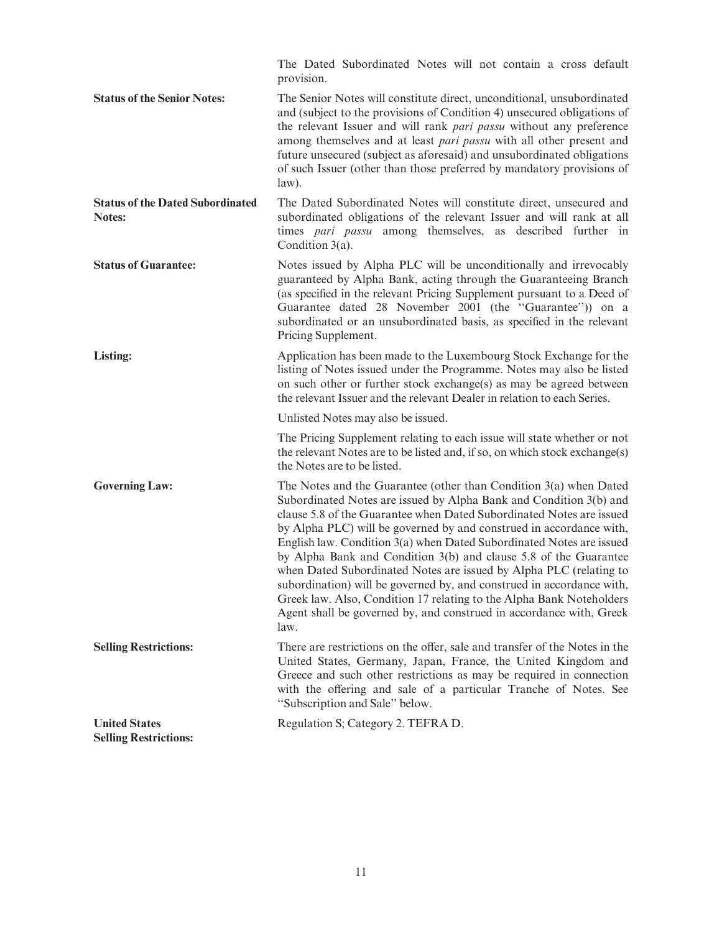|                                                      | The Dated Subordinated Notes will not contain a cross default<br>provision.                                                                                                                                                                                                                                                                                                                                                                                                                                                                                                                                                                                                                                                              |
|------------------------------------------------------|------------------------------------------------------------------------------------------------------------------------------------------------------------------------------------------------------------------------------------------------------------------------------------------------------------------------------------------------------------------------------------------------------------------------------------------------------------------------------------------------------------------------------------------------------------------------------------------------------------------------------------------------------------------------------------------------------------------------------------------|
| <b>Status of the Senior Notes:</b>                   | The Senior Notes will constitute direct, unconditional, unsubordinated<br>and (subject to the provisions of Condition 4) unsecured obligations of<br>the relevant Issuer and will rank <i>pari passu</i> without any preference<br>among themselves and at least pari passu with all other present and<br>future unsecured (subject as aforesaid) and unsubordinated obligations<br>of such Issuer (other than those preferred by mandatory provisions of<br>$law$ ).                                                                                                                                                                                                                                                                    |
| <b>Status of the Dated Subordinated</b><br>Notes:    | The Dated Subordinated Notes will constitute direct, unsecured and<br>subordinated obligations of the relevant Issuer and will rank at all<br>times pari passu among themselves, as described further in<br>Condition $3(a)$ .                                                                                                                                                                                                                                                                                                                                                                                                                                                                                                           |
| <b>Status of Guarantee:</b>                          | Notes issued by Alpha PLC will be unconditionally and irrevocably<br>guaranteed by Alpha Bank, acting through the Guaranteeing Branch<br>(as specified in the relevant Pricing Supplement pursuant to a Deed of<br>Guarantee dated 28 November 2001 (the "Guarantee")) on a<br>subordinated or an unsubordinated basis, as specified in the relevant<br>Pricing Supplement.                                                                                                                                                                                                                                                                                                                                                              |
| Listing:                                             | Application has been made to the Luxembourg Stock Exchange for the<br>listing of Notes issued under the Programme. Notes may also be listed<br>on such other or further stock exchange(s) as may be agreed between<br>the relevant Issuer and the relevant Dealer in relation to each Series.                                                                                                                                                                                                                                                                                                                                                                                                                                            |
|                                                      | Unlisted Notes may also be issued.                                                                                                                                                                                                                                                                                                                                                                                                                                                                                                                                                                                                                                                                                                       |
|                                                      | The Pricing Supplement relating to each issue will state whether or not<br>the relevant Notes are to be listed and, if so, on which stock exchange(s)<br>the Notes are to be listed.                                                                                                                                                                                                                                                                                                                                                                                                                                                                                                                                                     |
| <b>Governing Law:</b>                                | The Notes and the Guarantee (other than Condition 3(a) when Dated<br>Subordinated Notes are issued by Alpha Bank and Condition 3(b) and<br>clause 5.8 of the Guarantee when Dated Subordinated Notes are issued<br>by Alpha PLC) will be governed by and construed in accordance with,<br>English law. Condition 3(a) when Dated Subordinated Notes are issued<br>by Alpha Bank and Condition 3(b) and clause 5.8 of the Guarantee<br>when Dated Subordinated Notes are issued by Alpha PLC (relating to<br>subordination) will be governed by, and construed in accordance with,<br>Greek law. Also, Condition 17 relating to the Alpha Bank Noteholders<br>Agent shall be governed by, and construed in accordance with, Greek<br>law. |
| <b>Selling Restrictions:</b>                         | There are restrictions on the offer, sale and transfer of the Notes in the<br>United States, Germany, Japan, France, the United Kingdom and<br>Greece and such other restrictions as may be required in connection<br>with the offering and sale of a particular Tranche of Notes. See<br>"Subscription and Sale" below.                                                                                                                                                                                                                                                                                                                                                                                                                 |
| <b>United States</b><br><b>Selling Restrictions:</b> | Regulation S; Category 2. TEFRA D.                                                                                                                                                                                                                                                                                                                                                                                                                                                                                                                                                                                                                                                                                                       |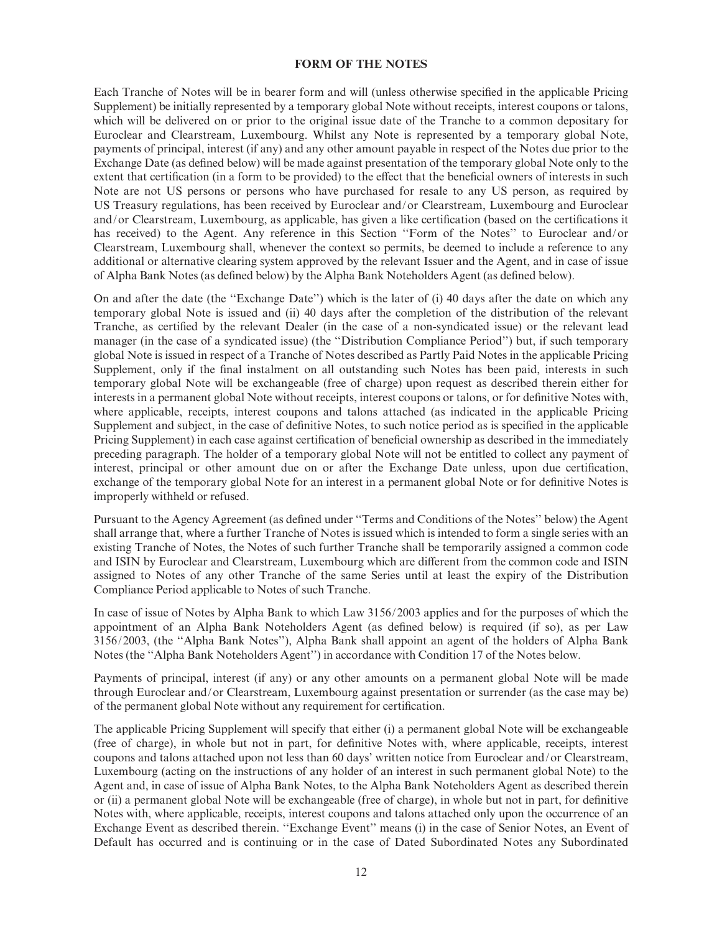#### FORM OF THE NOTES

Each Tranche of Notes will be in bearer form and will (unless otherwise specified in the applicable Pricing Supplement) be initially represented by a temporary global Note without receipts, interest coupons or talons, which will be delivered on or prior to the original issue date of the Tranche to a common depositary for Euroclear and Clearstream, Luxembourg. Whilst any Note is represented by a temporary global Note, payments of principal, interest (if any) and any other amount payable in respect of the Notes due prior to the Exchange Date (as defined below) will be made against presentation of the temporary global Note only to the extent that certification (in a form to be provided) to the effect that the beneficial owners of interests in such Note are not US persons or persons who have purchased for resale to any US person, as required by US Treasury regulations, has been received by Euroclear and/or Clearstream, Luxembourg and Euroclear and/or Clearstream, Luxembourg, as applicable, has given a like certification (based on the certifications it has received) to the Agent. Any reference in this Section ''Form of the Notes'' to Euroclear and/or Clearstream, Luxembourg shall, whenever the context so permits, be deemed to include a reference to any additional or alternative clearing system approved by the relevant Issuer and the Agent, and in case of issue of Alpha Bank Notes (as defined below) by the Alpha Bank Noteholders Agent (as defined below).

On and after the date (the ''Exchange Date'') which is the later of (i) 40 days after the date on which any temporary global Note is issued and (ii) 40 days after the completion of the distribution of the relevant Tranche, as certified by the relevant Dealer (in the case of a non-syndicated issue) or the relevant lead manager (in the case of a syndicated issue) (the ''Distribution Compliance Period'') but, if such temporary global Note is issued in respect of a Tranche of Notes described as Partly Paid Notes in the applicable Pricing Supplement, only if the final instalment on all outstanding such Notes has been paid, interests in such temporary global Note will be exchangeable (free of charge) upon request as described therein either for interests in a permanent global Note without receipts, interest coupons or talons, or for definitive Notes with, where applicable, receipts, interest coupons and talons attached (as indicated in the applicable Pricing Supplement and subject, in the case of definitive Notes, to such notice period as is specified in the applicable Pricing Supplement) in each case against certification of beneficial ownership as described in the immediately preceding paragraph. The holder of a temporary global Note will not be entitled to collect any payment of interest, principal or other amount due on or after the Exchange Date unless, upon due certification, exchange of the temporary global Note for an interest in a permanent global Note or for definitive Notes is improperly withheld or refused.

Pursuant to the Agency Agreement (as defined under "Terms and Conditions of the Notes" below) the Agent shall arrange that, where a further Tranche of Notes is issued which is intended to form a single series with an existing Tranche of Notes, the Notes of such further Tranche shall be temporarily assigned a common code and ISIN by Euroclear and Clearstream, Luxembourg which are different from the common code and ISIN assigned to Notes of any other Tranche of the same Series until at least the expiry of the Distribution Compliance Period applicable to Notes of such Tranche.

In case of issue of Notes by Alpha Bank to which Law 3156/2003 applies and for the purposes of which the appointment of an Alpha Bank Noteholders Agent (as defined below) is required (if so), as per Law 3156/2003, (the ''Alpha Bank Notes''), Alpha Bank shall appoint an agent of the holders of Alpha Bank Notes (the ''Alpha Bank Noteholders Agent'') in accordance with Condition 17 of the Notes below.

Payments of principal, interest (if any) or any other amounts on a permanent global Note will be made through Euroclear and/or Clearstream, Luxembourg against presentation or surrender (as the case may be) of the permanent global Note without any requirement for certification.

The applicable Pricing Supplement will specify that either (i) a permanent global Note will be exchangeable (free of charge), in whole but not in part, for definitive Notes with, where applicable, receipts, interest coupons and talons attached upon not less than 60 days' written notice from Euroclear and/or Clearstream, Luxembourg (acting on the instructions of any holder of an interest in such permanent global Note) to the Agent and, in case of issue of Alpha Bank Notes, to the Alpha Bank Noteholders Agent as described therein or (ii) a permanent global Note will be exchangeable (free of charge), in whole but not in part, for de¢nitive Notes with, where applicable, receipts, interest coupons and talons attached only upon the occurrence of an Exchange Event as described therein. ''Exchange Event'' means (i) in the case of Senior Notes, an Event of Default has occurred and is continuing or in the case of Dated Subordinated Notes any Subordinated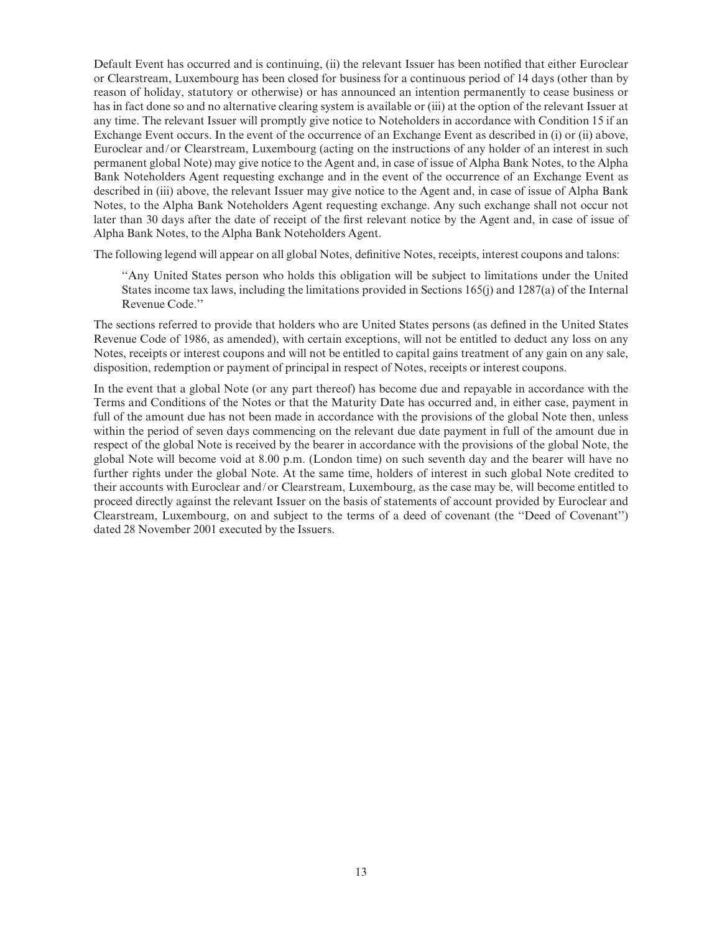Default Event has occurred and is continuing, (ii) the relevant Issuer has been notified that either Euroclear or Clearstream, Luxembourg has been closed for business for a continuous period of 14 days (other than by reason of holiday, statutory or otherwise) or has announced an intention permanently to cease business or has in fact done so and no alternative clearing system is available or (iii) at the option of the relevant Issuer at any time. The relevant Issuer will promptly give notice to Noteholders in accordance with Condition 15 if an Exchange Event occurs. In the event of the occurrence of an Exchange Event as described in (i) or (ii) above, Euroclear and/or Clearstream, Luxembourg (acting on the instructions of any holder of an interest in such permanent global Note) may give notice to the Agent and, in case of issue of Alpha Bank Notes, to the Alpha Bank Noteholders Agent requesting exchange and in the event of the occurrence of an Exchange Event as described in (iii) above, the relevant Issuer may give notice to the Agent and, in case of issue of Alpha Bank Notes, to the Alpha Bank Noteholders Agent requesting exchange. Any such exchange shall not occur not later than 30 days after the date of receipt of the first relevant notice by the Agent and, in case of issue of Alpha Bank Notes, to the Alpha Bank Noteholders Agent.

The following legend will appear on all global Notes, definitive Notes, receipts, interest coupons and talons:

''Any United States person who holds this obligation will be subject to limitations under the United States income tax laws, including the limitations provided in Sections 165(j) and 1287(a) of the Internal Revenue Code.''

The sections referred to provide that holders who are United States persons (as defined in the United States Revenue Code of 1986, as amended), with certain exceptions, will not be entitled to deduct any loss on any Notes, receipts or interest coupons and will not be entitled to capital gains treatment of any gain on any sale, disposition, redemption or payment of principal in respect of Notes, receipts or interest coupons.

In the event that a global Note (or any part thereof) has become due and repayable in accordance with the Terms and Conditions of the Notes or that the Maturity Date has occurred and, in either case, payment in full of the amount due has not been made in accordance with the provisions of the global Note then, unless within the period of seven days commencing on the relevant due date payment in full of the amount due in respect of the global Note is received by the bearer in accordance with the provisions of the global Note, the global Note will become void at 8.00 p.m. (London time) on such seventh day and the bearer will have no further rights under the global Note. At the same time, holders of interest in such global Note credited to their accounts with Euroclear and/or Clearstream, Luxembourg, as the case may be, will become entitled to proceed directly against the relevant Issuer on the basis of statements of account provided by Euroclear and Clearstream, Luxembourg, on and subject to the terms of a deed of covenant (the ''Deed of Covenant'') dated 28 November 2001 executed by the Issuers.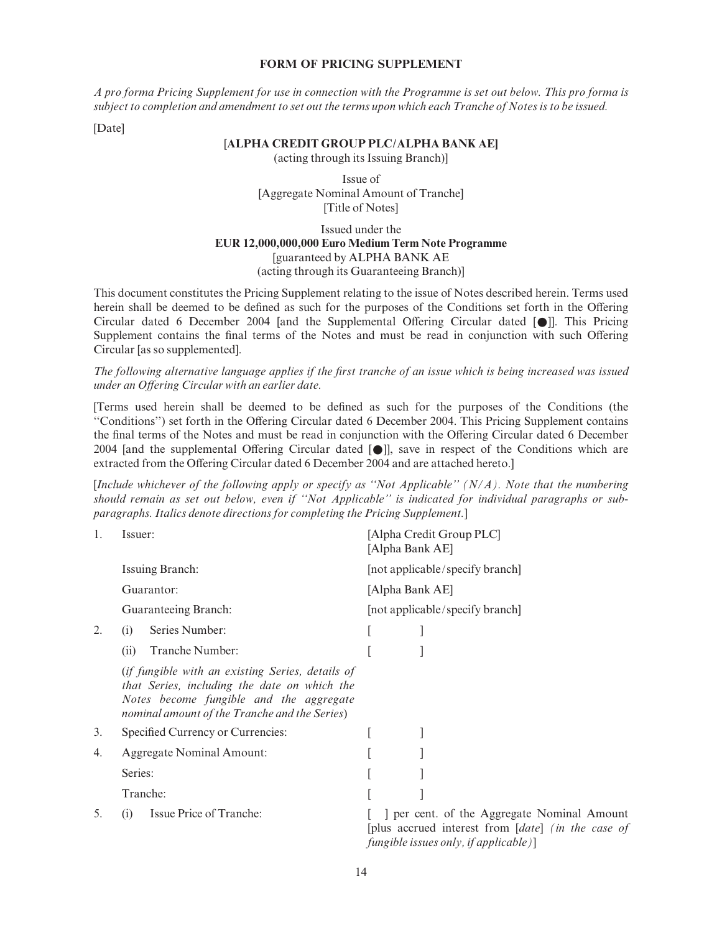#### FORM OF PRICING SUPPLEMENT

A pro forma Pricing Supplement for use in connection with the Programme is set out below. This pro forma is subject to completion and amendment to set out the terms upon which each Tranche of Notes is to be issued.

[Date]

#### [ALPHA CREDIT GROUP PLC/ALPHA BANK AE]

(acting through its Issuing Branch)]

Issue of [Aggregate Nominal Amount of Tranche] [Title of Notes]

Issued under the EUR 12,000,000,000 Euro Medium Term Note Programme [guaranteed by ALPHA BANK AE (acting through its Guaranteeing Branch)]

This document constitutes the Pricing Supplement relating to the issue of Notes described herein. Terms used herein shall be deemed to be defined as such for the purposes of the Conditions set forth in the Offering Circular dated 6 December 2004 [and the Supplemental Offering Circular dated  $\lceil \bullet \rfloor$ ]. This Pricing Supplement contains the final terms of the Notes and must be read in conjunction with such Offering Circular [as so supplemented].

The following alternative language applies if the first tranche of an issue which is being increased was issued under an Offering Circular with an earlier date.

[Terms used herein shall be deemed to be de¢ned as such for the purposes of the Conditions (the "Conditions") set forth in the Offering Circular dated 6 December 2004. This Pricing Supplement contains the final terms of the Notes and must be read in conjunction with the Offering Circular dated 6 December 2004 [and the supplemental Offering Circular dated  $[\n\bullet]$ ], save in respect of the Conditions which are extracted from the Offering Circular dated 6 December 2004 and are attached hereto.]

[Include whichever of the following apply or specify as "Not Applicable"  $(N/A)$ . Note that the numbering should remain as set out below, even if ''Not Applicable'' is indicated for individual paragraphs or subparagraphs. Italics denote directions for completing the Pricing Supplement.]

| 1. | Issuer:                                                                                                                                                                                      | [Alpha Credit Group PLC]<br>[Alpha Bank AE]<br>[not applicable/specify branch]<br>[Alpha Bank AE]<br>[not applicable/specify branch]       |  |  |  |
|----|----------------------------------------------------------------------------------------------------------------------------------------------------------------------------------------------|--------------------------------------------------------------------------------------------------------------------------------------------|--|--|--|
|    | Issuing Branch:                                                                                                                                                                              |                                                                                                                                            |  |  |  |
|    | Guarantor:                                                                                                                                                                                   |                                                                                                                                            |  |  |  |
|    | Guaranteeing Branch:                                                                                                                                                                         |                                                                                                                                            |  |  |  |
| 2. | Series Number:<br>(i)                                                                                                                                                                        |                                                                                                                                            |  |  |  |
|    | Tranche Number:<br>(ii)                                                                                                                                                                      |                                                                                                                                            |  |  |  |
|    | (if fungible with an existing Series, details of<br>that Series, including the date on which the<br>Notes become fungible and the aggregate<br>nominal amount of the Tranche and the Series) |                                                                                                                                            |  |  |  |
| 3. | Specified Currency or Currencies:                                                                                                                                                            |                                                                                                                                            |  |  |  |
| 4. | <b>Aggregate Nominal Amount:</b>                                                                                                                                                             |                                                                                                                                            |  |  |  |
|    | Series:                                                                                                                                                                                      |                                                                                                                                            |  |  |  |
|    | Tranche:                                                                                                                                                                                     |                                                                                                                                            |  |  |  |
| 5. | Issue Price of Tranche:<br>(i)                                                                                                                                                               | ] per cent. of the Aggregate Nominal Amount<br>[plus accrued interest from [date] (in the case of<br>fungible issues only, if applicable)] |  |  |  |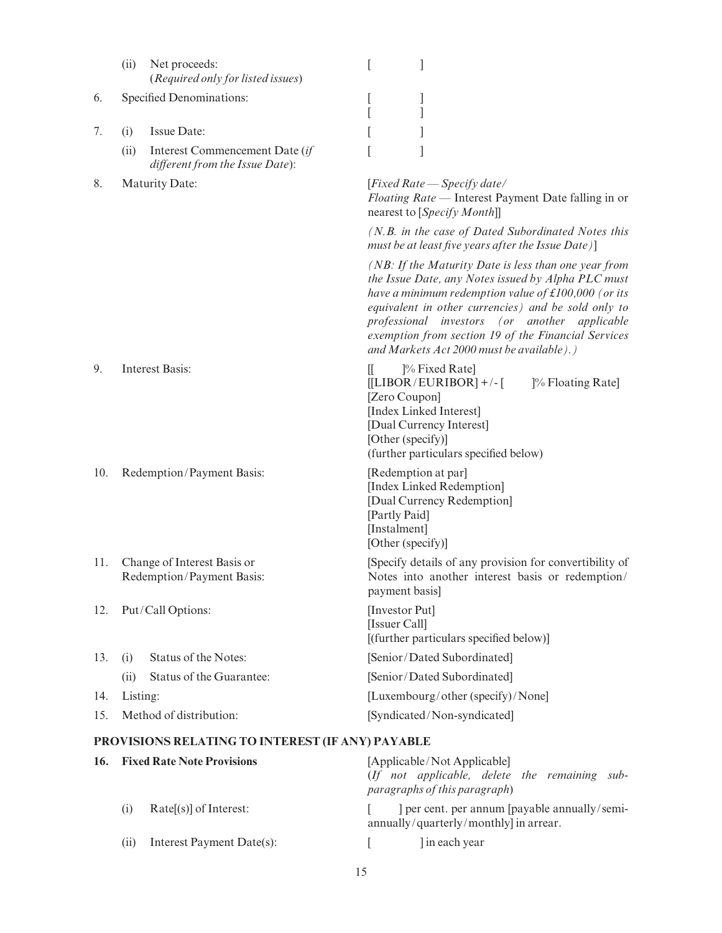|     | (ii)     | Net proceeds:<br>(Required only for listed issues)                | ſ<br>1                                                                                                                                                                                                                                                                                                                                                                                       |
|-----|----------|-------------------------------------------------------------------|----------------------------------------------------------------------------------------------------------------------------------------------------------------------------------------------------------------------------------------------------------------------------------------------------------------------------------------------------------------------------------------------|
| 6.  |          | Specified Denominations:                                          | $\lfloor$<br>J                                                                                                                                                                                                                                                                                                                                                                               |
| 7.  | (i)      | Issue Date:                                                       |                                                                                                                                                                                                                                                                                                                                                                                              |
|     | (ii)     | Interest Commencement Date (if<br>different from the Issue Date): |                                                                                                                                                                                                                                                                                                                                                                                              |
| 8.  |          | Maturity Date:                                                    | [Fixed Rate $-$ Specify date/<br>Floating Rate — Interest Payment Date falling in or<br>nearest to [Specify Month]]                                                                                                                                                                                                                                                                          |
|     |          |                                                                   | (N.B. in the case of Dated Subordinated Notes this<br>must be at least five years after the Issue Date)]                                                                                                                                                                                                                                                                                     |
|     |          |                                                                   | (NB: If the Maturity Date is less than one year from<br>the Issue Date, any Notes issued by Alpha PLC must<br>have a minimum redemption value of $\text{\pounds}100,000$ (or its<br>equivalent in other currencies) and be sold only to<br>professional investors (or another applicable<br>exemption from section 19 of the Financial Services<br>and Markets Act 2000 must be available).) |
| 9.  |          | <b>Interest Basis:</b>                                            | $\mathbb{I}$<br><sup>[%</sup> Fixed Rate]<br>$[[LIBOR/EURIBOR]$ +/- $[$<br>]% Floating Rate]<br>[Zero Coupon]<br>[Index Linked Interest]<br>[Dual Currency Interest]<br>[Other (specify)]<br>(further particulars specified below)                                                                                                                                                           |
| 10. |          | Redemption/Payment Basis:                                         | [Redemption at par]<br>[Index Linked Redemption]<br>[Dual Currency Redemption]<br>[Partly Paid]<br>[Instalment]<br>[Other (specify)]                                                                                                                                                                                                                                                         |
| 11. |          | Change of Interest Basis or<br>Redemption/Payment Basis:          | [Specify details of any provision for convertibility of<br>Notes into another interest basis or redemption/<br>payment basis]                                                                                                                                                                                                                                                                |
| 12. |          | Put/Call Options:                                                 | [Investor Put]<br>[Issuer Call]<br>[(further particulars specified below)]                                                                                                                                                                                                                                                                                                                   |
| 13. | (i)      | Status of the Notes:                                              | [Senior/Dated Subordinated]                                                                                                                                                                                                                                                                                                                                                                  |
|     | (ii)     | Status of the Guarantee:                                          | [Senior/Dated Subordinated]                                                                                                                                                                                                                                                                                                                                                                  |
| 14. | Listing: |                                                                   | [Luxembourg/other (specify)/None]                                                                                                                                                                                                                                                                                                                                                            |
| 15. |          | Method of distribution:                                           | [Syndicated/Non-syndicated]                                                                                                                                                                                                                                                                                                                                                                  |
|     |          | PROVISIONS RELATING TO INTEREST (IF ANY) PAYABLE                  |                                                                                                                                                                                                                                                                                                                                                                                              |
| 16. |          | <b>Fixed Rate Note Provisions</b>                                 | [Applicable/Not Applicable]<br>(If not applicable, delete the remaining sub-<br>paragraphs of this paragraph)                                                                                                                                                                                                                                                                                |
|     | (i)      | Rate[(s)] of Interest:                                            | ] per cent. per annum [payable annually/semi-                                                                                                                                                                                                                                                                                                                                                |

(ii) Interest Payment Date(s): [ ] in each year

annually/quarterly/monthly] in arrear.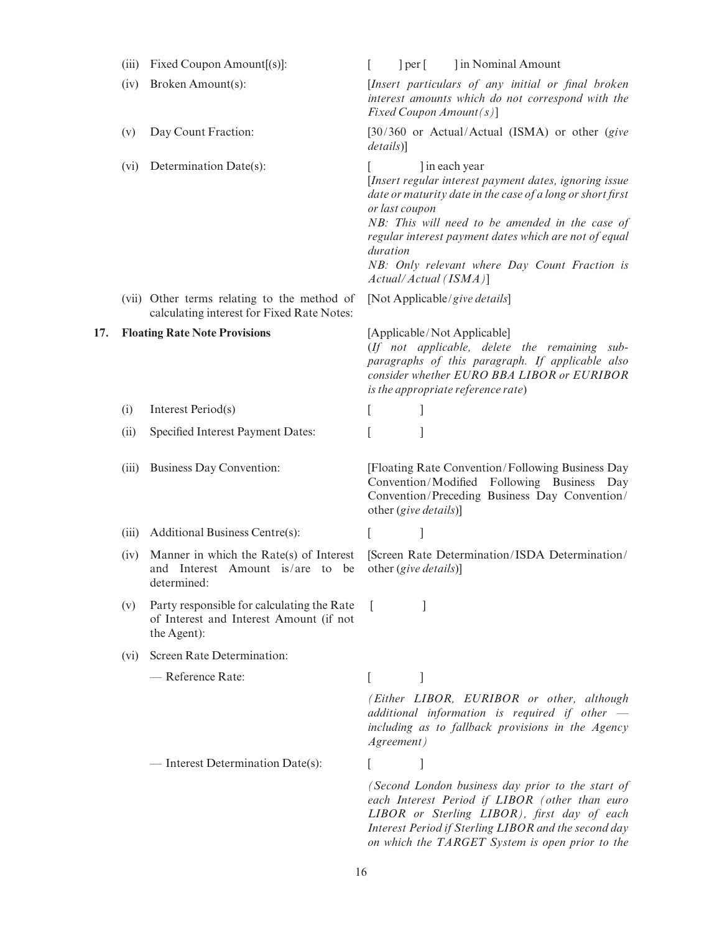|     | (iii) | Fixed Coupon Amount[(s)]:                                                                            | L                                                                                                                                                               | per |                       | In Nominal Amount                                                                                                                                                                                                                                                                                                           |
|-----|-------|------------------------------------------------------------------------------------------------------|-----------------------------------------------------------------------------------------------------------------------------------------------------------------|-----|-----------------------|-----------------------------------------------------------------------------------------------------------------------------------------------------------------------------------------------------------------------------------------------------------------------------------------------------------------------------|
|     | (iv)  | Broken Amount(s):                                                                                    |                                                                                                                                                                 |     |                       | [Insert particulars of any initial or final broken<br>interest amounts which do not correspond with the<br>Fixed Coupon $Amount(s)$ ]                                                                                                                                                                                       |
|     | (v)   | Day Count Fraction:                                                                                  | details]                                                                                                                                                        |     |                       | [30/360 or Actual/Actual (ISMA) or other (give                                                                                                                                                                                                                                                                              |
|     | (vi)  | Determination Date(s):                                                                               | or last coupon<br>duration                                                                                                                                      |     |                       | l in each year<br>[Insert regular interest payment dates, ignoring issue<br>date or maturity date in the case of a long or short first<br>NB: This will need to be amended in the case of<br>regular interest payment dates which are not of equal<br>NB: Only relevant where Day Count Fraction is<br>Actual/Actual (ISMA) |
|     |       | (vii) Other terms relating to the method of<br>calculating interest for Fixed Rate Notes:            |                                                                                                                                                                 |     |                       | [Not Applicable/give details]                                                                                                                                                                                                                                                                                               |
| 17. |       | <b>Floating Rate Note Provisions</b>                                                                 |                                                                                                                                                                 |     |                       | [Applicable/Not Applicable]<br>(If not applicable, delete the remaining sub-<br>paragraphs of this paragraph. If applicable also<br>consider whether EURO BBA LIBOR or EURIBOR<br>is the appropriate reference rate)                                                                                                        |
|     | (i)   | Interest Period(s)                                                                                   | L                                                                                                                                                               |     |                       |                                                                                                                                                                                                                                                                                                                             |
|     | (ii)  | Specified Interest Payment Dates:                                                                    | L                                                                                                                                                               |     | 1                     |                                                                                                                                                                                                                                                                                                                             |
|     | (iii) | Business Day Convention:                                                                             |                                                                                                                                                                 |     | other (give details)] | [Floating Rate Convention/Following Business Day<br>Convention/Modified Following Business Day<br>Convention/Preceding Business Day Convention/                                                                                                                                                                             |
|     |       | (iii) Additional Business Centre(s):                                                                 | L                                                                                                                                                               |     | 1                     |                                                                                                                                                                                                                                                                                                                             |
|     | (iv)  | Manner in which the Rate(s) of Interest<br>and Interest Amount is/are to be<br>determined:           |                                                                                                                                                                 |     | other (give details)] | [Screen Rate Determination/ISDA Determination/                                                                                                                                                                                                                                                                              |
|     | (v)   | Party responsible for calculating the Rate<br>of Interest and Interest Amount (if not<br>the Agent): |                                                                                                                                                                 |     |                       |                                                                                                                                                                                                                                                                                                                             |
|     | (vi)  | Screen Rate Determination:                                                                           |                                                                                                                                                                 |     |                       |                                                                                                                                                                                                                                                                                                                             |
|     |       | - Reference Rate:                                                                                    | L                                                                                                                                                               |     | 1                     |                                                                                                                                                                                                                                                                                                                             |
|     |       |                                                                                                      | (Either LIBOR, EURIBOR or other, although<br>additional information is required if other $-$<br>including as to fallback provisions in the Agency<br>Agreement) |     |                       |                                                                                                                                                                                                                                                                                                                             |
|     |       | - Interest Determination Date(s):                                                                    | L                                                                                                                                                               |     |                       |                                                                                                                                                                                                                                                                                                                             |
|     |       |                                                                                                      |                                                                                                                                                                 |     |                       | (Second London business day prior to the start of<br>each Interest Period if LIBOR (other than euro<br>LIBOR or Sterling LIBOR), first day of each<br>Interest Period if Sterling LIBOR and the second day<br>on which the TARGET System is open prior to the                                                               |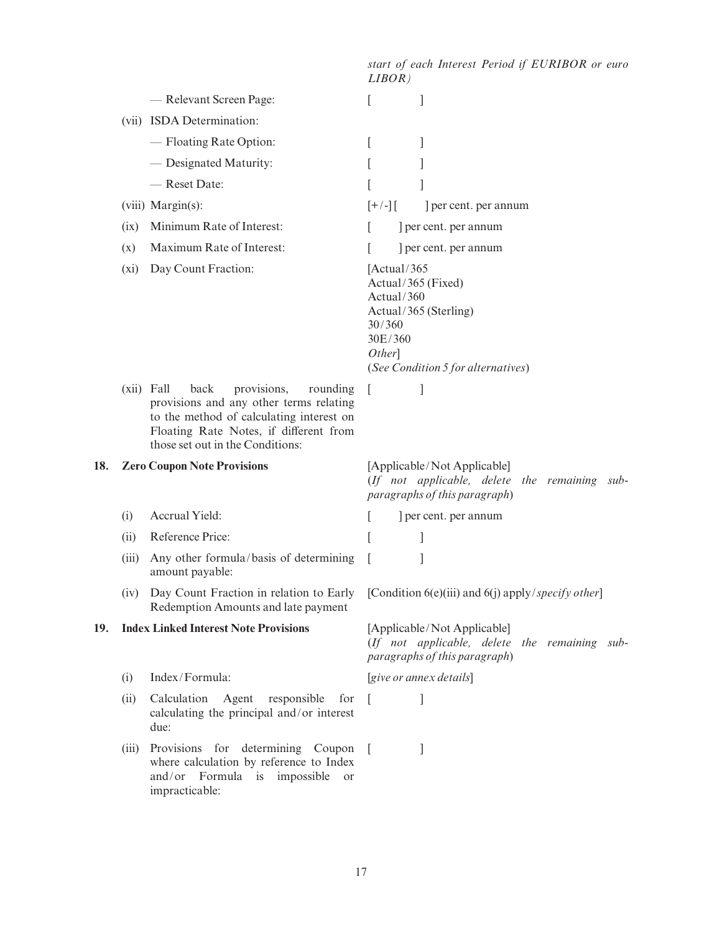start of each Interest Period if EURIBOR or euro LIBOR) example Relevant Screen Page: [ [ ] (vii) ISDA Determination: q Floating Rate Option: [ ] q Designated Maturity: [ ] exect Date: [ ] (viii) Margin(s):  $[+/]-]$  ] per cent. per annum  $(ix)$  Minimum Rate of Interest:  $[$  | per cent. per annum (x) Maximum Rate of Interest:  $\qquad \qquad$  [ ] per cent. per annum (xi) Day Count Fraction: [Actual/365 Actual/365 (Fixed) Actual/360 Actual/365 (Sterling) 30/360 30E/360 Other] (See Condition 5 for alternatives) (xii) Fall back provisions, rounding provisions and any other terms relating to the method of calculating interest on Floating Rate Notes, if different from those set out in the Conditions:  $[$   $]$ 18. Zero Coupon Note Provisions [Applicable/Not Applicable] (If not applicable, delete the remaining subparagraphs of this paragraph) (i) Accrual Yield:  $\qquad \qquad$  | per cent. per annum (ii) Reference Price:  $\begin{bmatrix} \phantom{-} \end{bmatrix}$ (iii) Any other formula/basis of determining amount payable:  $[$   $]$ (iv) Day Count Fraction in relation to Early Redemption Amounts and late payment [Condition  $6(e)$ (iii) and  $6(i)$  apply/*specify other*] 19. Index Linked Interest Note Provisions [Applicable/Not Applicable] (If not applicable, delete the remaining subparagraphs of this paragraph) (i) Index/Formula: [give or annex details] (ii) Calculation Agent responsible for calculating the principal and/or interest due:  $\lceil$   $\lceil$   $\lceil$ (iii) Provisions for determining Coupon where calculation by reference to Index and/or Formula is impossible or impracticable:  $[$   $]$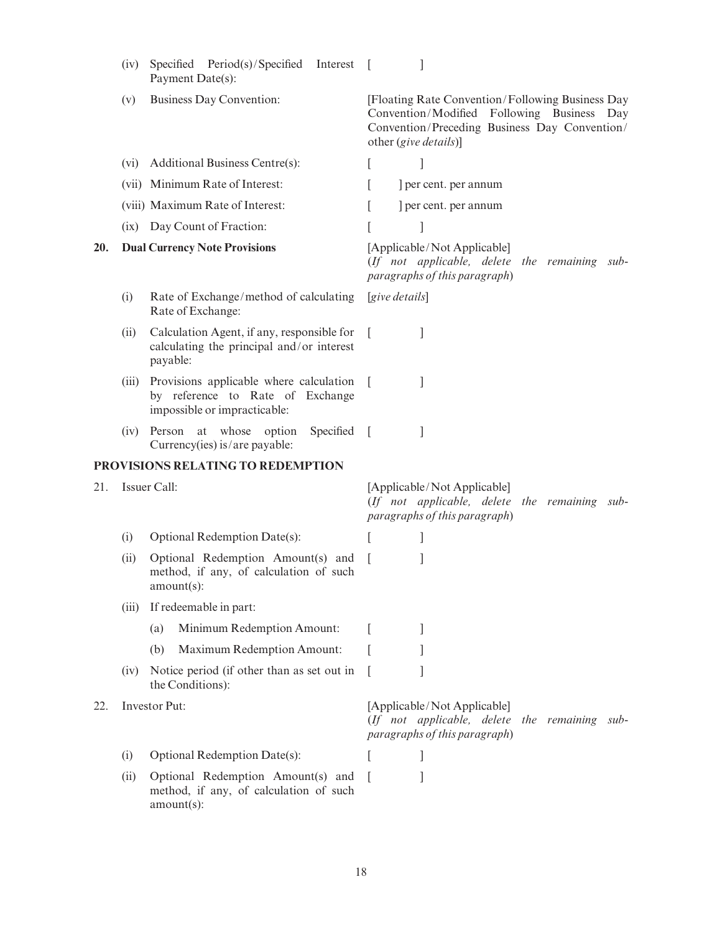|                      | (iv)  | Specified Period(s)/Specified Interest<br>Payment Date(s):                                                  | $\overline{1}$                                                                                                                                                           |
|----------------------|-------|-------------------------------------------------------------------------------------------------------------|--------------------------------------------------------------------------------------------------------------------------------------------------------------------------|
|                      | (v)   | <b>Business Day Convention:</b>                                                                             | [Floating Rate Convention/Following Business Day<br>Convention/Modified Following Business Day<br>Convention/Preceding Business Day Convention/<br>other (give details)] |
|                      | (vi)  | Additional Business Centre(s):                                                                              | $\overline{\phantom{a}}$                                                                                                                                                 |
|                      |       | (vii) Minimum Rate of Interest:                                                                             | per cent. per annum                                                                                                                                                      |
|                      |       | (viii) Maximum Rate of Interest:                                                                            | ] per cent. per annum                                                                                                                                                    |
|                      |       | (ix) Day Count of Fraction:                                                                                 | ]                                                                                                                                                                        |
| 20.                  |       | <b>Dual Currency Note Provisions</b>                                                                        | [Applicable/Not Applicable]<br>(If not applicable, delete the remaining sub-<br>paragraphs of this paragraph)                                                            |
|                      | (i)   | Rate of Exchange/method of calculating<br>Rate of Exchange:                                                 | [give details]                                                                                                                                                           |
|                      | (ii)  | Calculation Agent, if any, responsible for<br>calculating the principal and/or interest<br>payable:         | <b>I</b>                                                                                                                                                                 |
|                      | (iii) | Provisions applicable where calculation<br>by reference to Rate of Exchange<br>impossible or impracticable: | T<br>1                                                                                                                                                                   |
|                      | (iv)  | Person at whose option<br>Specified<br>Currency(ies) is/are payable:                                        | 1<br>$\mathbf{I}$                                                                                                                                                        |
|                      |       | PROVISIONS RELATING TO REDEMPTION                                                                           |                                                                                                                                                                          |
| 21.                  |       | Issuer Call:                                                                                                | [Applicable/Not Applicable]<br>(If not applicable, delete the remaining sub-<br>paragraphs of this paragraph)                                                            |
|                      | (i)   | Optional Redemption Date(s):                                                                                |                                                                                                                                                                          |
|                      | (ii)  | Optional Redemption Amount(s) and<br>method, if any, of calculation of such<br>$amount(s)$ :                |                                                                                                                                                                          |
|                      | (iii) | If redeemable in part:                                                                                      |                                                                                                                                                                          |
|                      |       | Minimum Redemption Amount:<br>(a)                                                                           | $\mathbf{I}$<br>$\overline{1}$                                                                                                                                           |
|                      |       | Maximum Redemption Amount:<br>(b)                                                                           |                                                                                                                                                                          |
|                      | (1V)  | Notice period (if other than as set out in<br>the Conditions):                                              |                                                                                                                                                                          |
| Investor Put:<br>22. |       |                                                                                                             | [Applicable/Not Applicable]<br>(If not applicable, delete the remaining sub-<br>paragraphs of this paragraph)                                                            |
|                      | (i)   | Optional Redemption Date(s):                                                                                | ı                                                                                                                                                                        |
|                      | (ii)  | Optional Redemption Amount(s) and<br>method, if any, of calculation of such<br>$amount(s)$ :                |                                                                                                                                                                          |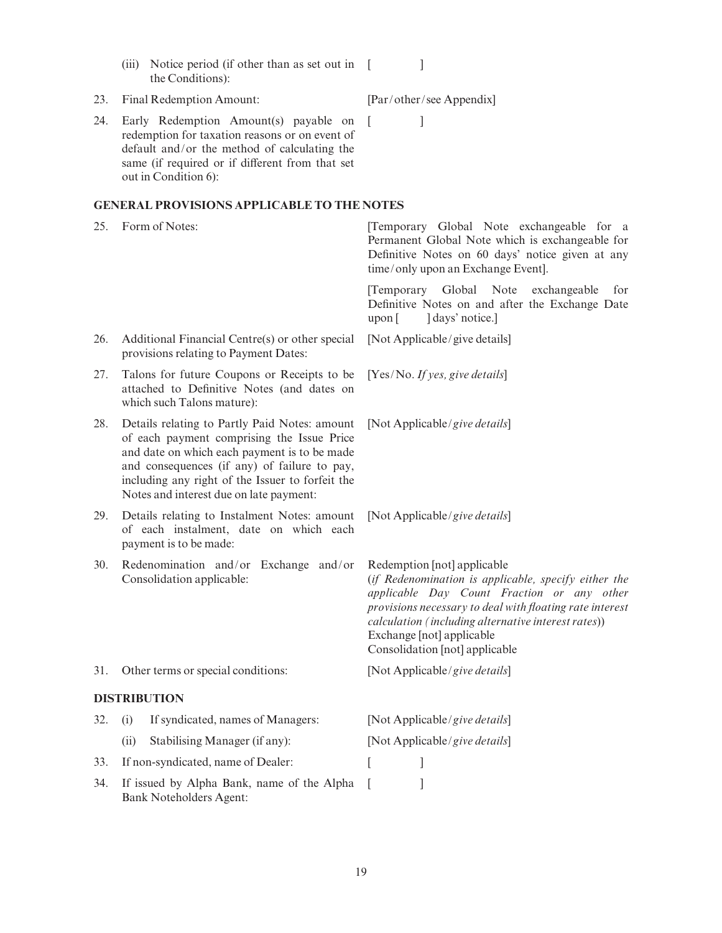redemption for taxation reasons or on event of default and/or the method of calculating the same (if required or if different from that set out in Condition 6):  $[$   $]$ GENERAL PROVISIONS APPLICABLE TO THE NOTES 25. Form of Notes: [Temporary Global Note exchangeable for a Permanent Global Note which is exchangeable for Definitive Notes on 60 days' notice given at any time/only upon an Exchange Event]. [Temporary Global Note exchangeable for Definitive Notes on and after the Exchange Date  $upon$  [  $\rceil$  days' notice.] 26. Additional Financial Centre(s) or other special provisions relating to Payment Dates: [Not Applicable/give details] 27. Talons for future Coupons or Receipts to be attached to De¢nitive Notes (and dates on which such Talons mature): [Yes/No. If yes, give details] 28. Details relating to Partly Paid Notes: amount of each payment comprising the Issue Price and date on which each payment is to be made and consequences (if any) of failure to pay, including any right of the Issuer to forfeit the Notes and interest due on late payment: [Not Applicable/give details] 29. Details relating to Instalment Notes: amount of each instalment, date on which each payment is to be made: [Not Applicable/give details] 30. Redenomination and/or Exchange and/or Consolidation applicable: Redemption [not] applicable (if Redenomination is applicable, specify either the applicable Day Count Fraction or any other provisions necessary to deal with floating rate interest calculation (including alternative interest rates)) Exchange [not] applicable Consolidation [not] applicable 31. Other terms or special conditions: [Not Applicable/give details] DISTRIBUTION 32. (i) If syndicated, names of Managers: [Not Applicable/give details] (ii) Stabilising Manager (if any): [Not Applicable/give details] 33. If non-syndicated, name of Dealer: [ 34. If issued by Alpha Bank, name of the Alpha Bank Noteholders Agent:  $\overline{\phantom{a}}$ 

 $[$   $]$ 

(iii) Notice period (if other than as set out in [

24. Early Redemption Amount(s) payable on

23. Final Redemption Amount: [Par/other/see Appendix]

the Conditions):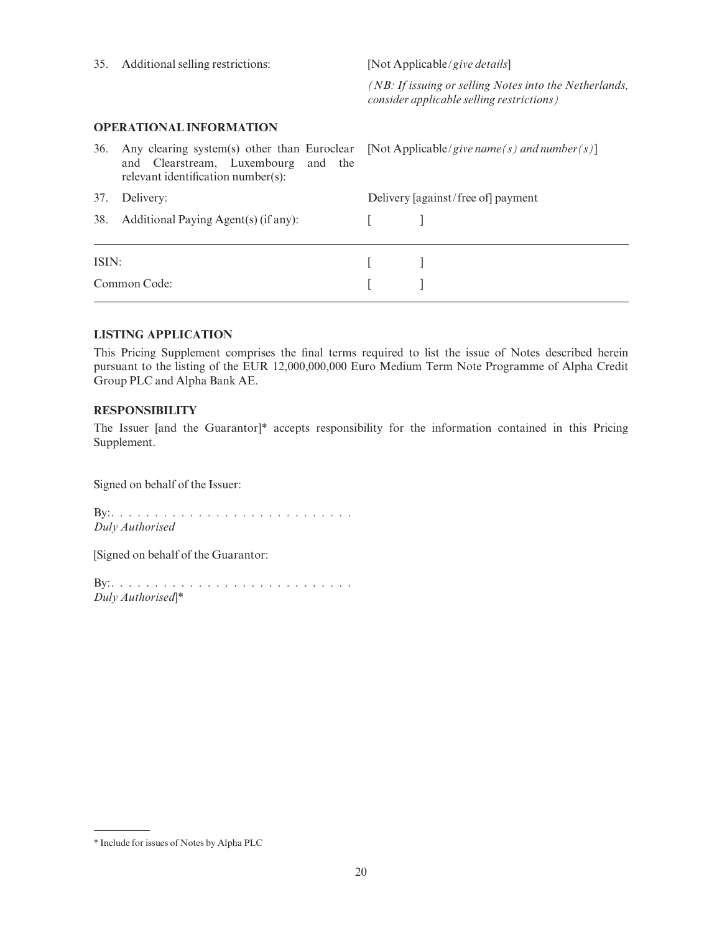| 35.   | Additional selling restrictions:                                                                                         | [Not Applicable/give details] |                                                                                                     |  |  |
|-------|--------------------------------------------------------------------------------------------------------------------------|-------------------------------|-----------------------------------------------------------------------------------------------------|--|--|
|       |                                                                                                                          |                               | (NB: If issuing or selling Notes into the Netherlands,<br>consider applicable selling restrictions) |  |  |
|       | <b>OPERATIONAL INFORMATION</b>                                                                                           |                               |                                                                                                     |  |  |
| 36.   | Any clearing system(s) other than Euroclear<br>and Clearstream, Luxembourg and the<br>relevant identification number(s): |                               | [Not Applicable/give name(s) and number(s)]                                                         |  |  |
| 37.   | Delivery:                                                                                                                |                               | Delivery [against/free of] payment                                                                  |  |  |
| 38.   | Additional Paying Agent(s) (if any):                                                                                     |                               |                                                                                                     |  |  |
| ISIN: |                                                                                                                          |                               |                                                                                                     |  |  |
|       | Common Code:                                                                                                             |                               |                                                                                                     |  |  |

## LISTING APPLICATION

This Pricing Supplement comprises the final terms required to list the issue of Notes described herein pursuant to the listing of the EUR 12,000,000,000 Euro Medium Term Note Programme of Alpha Credit Group PLC and Alpha Bank AE.

#### RESPONSIBILITY

The Issuer [and the Guarantor]\* accepts responsibility for the information contained in this Pricing Supplement.

Signed on behalf of the Issuer:

By:............................ Duly Authorised

[Signed on behalf of the Guarantor:

By:............................ Duly Authorised]\*

<sup>\*</sup> Include for issues of Notes by Alpha PLC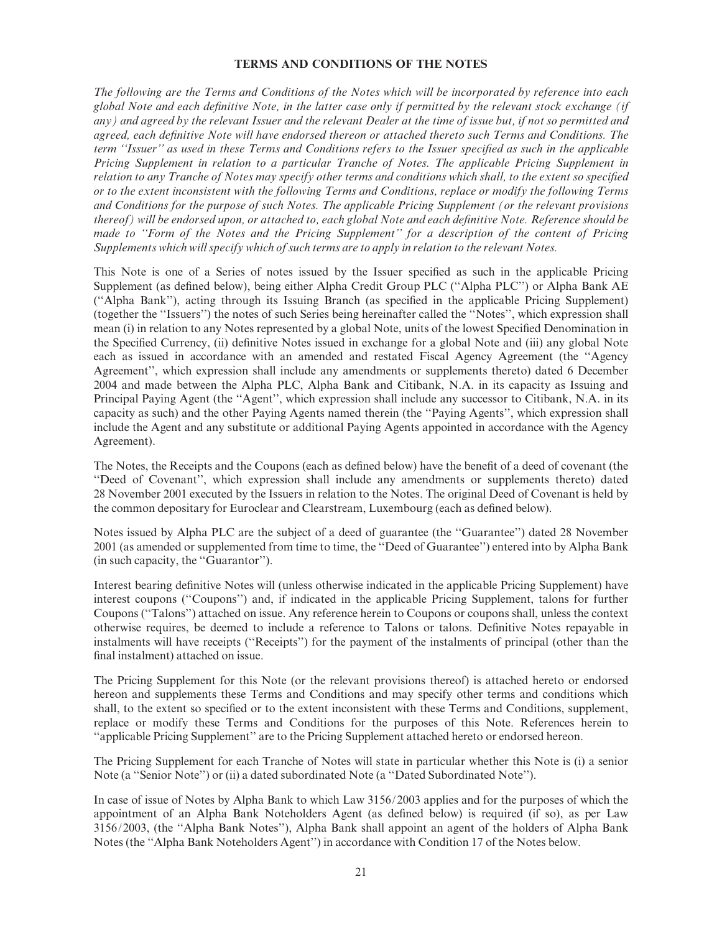#### TERMS AND CONDITIONS OF THE NOTES

The following are the Terms and Conditions of the Notes which will be incorporated by reference into each global Note and each de¢nitive Note, in the latter case only if permitted by the relevant stock exchange (if any) and agreed by the relevant Issuer and the relevant Dealer at the time of issue but, if not so permitted and agreed, each definitive Note will have endorsed thereon or attached thereto such Terms and Conditions. The term "Issuer" as used in these Terms and Conditions refers to the Issuer specified as such in the applicable Pricing Supplement in relation to a particular Tranche of Notes. The applicable Pricing Supplement in relation to any Tranche of Notes may specify other terms and conditions which shall, to the extent so specified or to the extent inconsistent with the following Terms and Conditions, replace or modify the following Terms and Conditions for the purpose of such Notes. The applicable Pricing Supplement (or the relevant provisions thereof) will be endorsed upon, or attached to, each global Note and each definitive Note. Reference should be made to ''Form of the Notes and the Pricing Supplement'' for a description of the content of Pricing Supplements which will specify which of such terms are to apply in relation to the relevant Notes.

This Note is one of a Series of notes issued by the Issuer specified as such in the applicable Pricing Supplement (as defined below), being either Alpha Credit Group PLC ("Alpha PLC") or Alpha Bank AE (''Alpha Bank''), acting through its Issuing Branch (as speci¢ed in the applicable Pricing Supplement) (together the ''Issuers'') the notes of such Series being hereinafter called the ''Notes'', which expression shall mean (i) in relation to any Notes represented by a global Note, units of the lowest Specified Denomination in the Specified Currency, (ii) definitive Notes issued in exchange for a global Note and (iii) any global Note each as issued in accordance with an amended and restated Fiscal Agency Agreement (the ''Agency Agreement'', which expression shall include any amendments or supplements thereto) dated 6 December 2004 and made between the Alpha PLC, Alpha Bank and Citibank, N.A. in its capacity as Issuing and Principal Paying Agent (the ''Agent'', which expression shall include any successor to Citibank, N.A. in its capacity as such) and the other Paying Agents named therein (the ''Paying Agents'', which expression shall include the Agent and any substitute or additional Paying Agents appointed in accordance with the Agency Agreement).

The Notes, the Receipts and the Coupons (each as defined below) have the benefit of a deed of covenant (the ''Deed of Covenant'', which expression shall include any amendments or supplements thereto) dated 28 November 2001 executed by the Issuers in relation to the Notes. The original Deed of Covenant is held by the common depositary for Euroclear and Clearstream, Luxembourg (each as defined below).

Notes issued by Alpha PLC are the subject of a deed of guarantee (the ''Guarantee'') dated 28 November 2001 (as amended or supplemented from time to time, the ''Deed of Guarantee'') entered into by Alpha Bank (in such capacity, the ''Guarantor'').

Interest bearing definitive Notes will (unless otherwise indicated in the applicable Pricing Supplement) have interest coupons (''Coupons'') and, if indicated in the applicable Pricing Supplement, talons for further Coupons (''Talons'') attached on issue. Any reference herein to Coupons or coupons shall, unless the context otherwise requires, be deemed to include a reference to Talons or talons. De¢nitive Notes repayable in instalments will have receipts (''Receipts'') for the payment of the instalments of principal (other than the final instalment) attached on issue.

The Pricing Supplement for this Note (or the relevant provisions thereof) is attached hereto or endorsed hereon and supplements these Terms and Conditions and may specify other terms and conditions which shall, to the extent so specified or to the extent inconsistent with these Terms and Conditions, supplement, replace or modify these Terms and Conditions for the purposes of this Note. References herein to ''applicable Pricing Supplement'' are to the Pricing Supplement attached hereto or endorsed hereon.

The Pricing Supplement for each Tranche of Notes will state in particular whether this Note is (i) a senior Note (a ''Senior Note'') or (ii) a dated subordinated Note (a ''Dated Subordinated Note'').

In case of issue of Notes by Alpha Bank to which Law 3156/2003 applies and for the purposes of which the appointment of an Alpha Bank Noteholders Agent (as de¢ned below) is required (if so), as per Law 3156/2003, (the ''Alpha Bank Notes''), Alpha Bank shall appoint an agent of the holders of Alpha Bank Notes (the ''Alpha Bank Noteholders Agent'') in accordance with Condition 17 of the Notes below.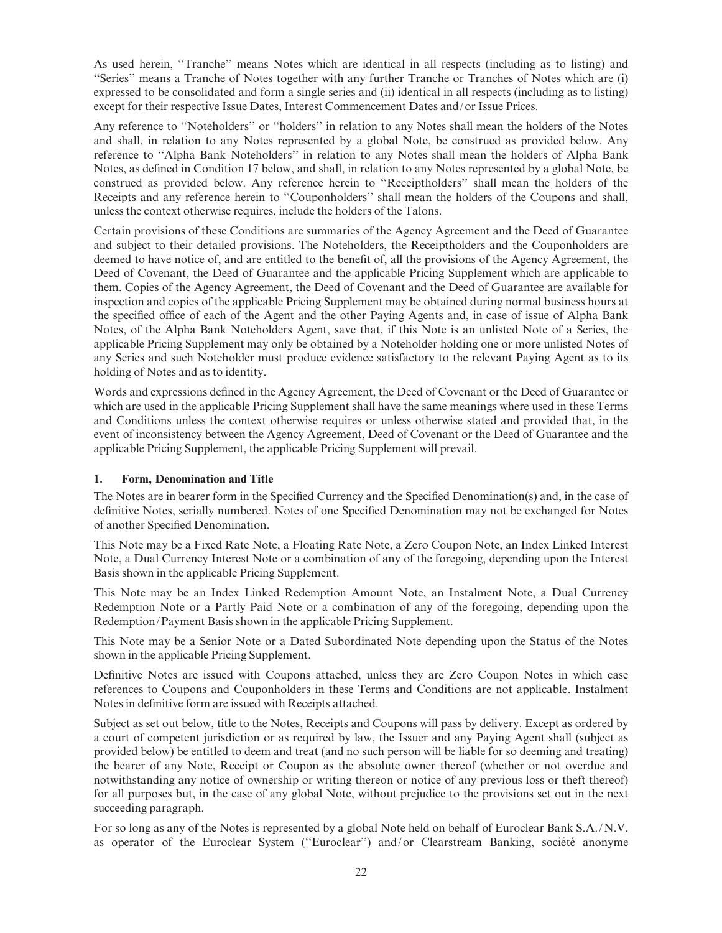As used herein, "Tranche" means Notes which are identical in all respects (including as to listing) and ''Series'' means a Tranche of Notes together with any further Tranche or Tranches of Notes which are (i) expressed to be consolidated and form a single series and (ii) identical in all respects (including as to listing) except for their respective Issue Dates, Interest Commencement Dates and/or Issue Prices.

Any reference to ''Noteholders'' or ''holders'' in relation to any Notes shall mean the holders of the Notes and shall, in relation to any Notes represented by a global Note, be construed as provided below. Any reference to ''Alpha Bank Noteholders'' in relation to any Notes shall mean the holders of Alpha Bank Notes, as defined in Condition 17 below, and shall, in relation to any Notes represented by a global Note, be construed as provided below. Any reference herein to ''Receiptholders'' shall mean the holders of the Receipts and any reference herein to ''Couponholders'' shall mean the holders of the Coupons and shall, unless the context otherwise requires, include the holders of the Talons.

Certain provisions of these Conditions are summaries of the Agency Agreement and the Deed of Guarantee and subject to their detailed provisions. The Noteholders, the Receiptholders and the Couponholders are deemed to have notice of, and are entitled to the benefit of, all the provisions of the Agency Agreement, the Deed of Covenant, the Deed of Guarantee and the applicable Pricing Supplement which are applicable to them. Copies of the Agency Agreement, the Deed of Covenant and the Deed of Guarantee are available for inspection and copies of the applicable Pricing Supplement may be obtained during normal business hours at the specified office of each of the Agent and the other Paying Agents and, in case of issue of Alpha Bank Notes, of the Alpha Bank Noteholders Agent, save that, if this Note is an unlisted Note of a Series, the applicable Pricing Supplement may only be obtained by a Noteholder holding one or more unlisted Notes of any Series and such Noteholder must produce evidence satisfactory to the relevant Paying Agent as to its holding of Notes and as to identity.

Words and expressions defined in the Agency Agreement, the Deed of Covenant or the Deed of Guarantee or which are used in the applicable Pricing Supplement shall have the same meanings where used in these Terms and Conditions unless the context otherwise requires or unless otherwise stated and provided that, in the event of inconsistency between the Agency Agreement, Deed of Covenant or the Deed of Guarantee and the applicable Pricing Supplement, the applicable Pricing Supplement will prevail.

#### 1. Form, Denomination and Title

The Notes are in bearer form in the Specified Currency and the Specified Denomination(s) and, in the case of definitive Notes, serially numbered. Notes of one Specified Denomination may not be exchanged for Notes of another Specified Denomination.

This Note may be a Fixed Rate Note, a Floating Rate Note, a Zero Coupon Note, an Index Linked Interest Note, a Dual Currency Interest Note or a combination of any of the foregoing, depending upon the Interest Basis shown in the applicable Pricing Supplement.

This Note may be an Index Linked Redemption Amount Note, an Instalment Note, a Dual Currency Redemption Note or a Partly Paid Note or a combination of any of the foregoing, depending upon the Redemption/Payment Basis shown in the applicable Pricing Supplement.

This Note may be a Senior Note or a Dated Subordinated Note depending upon the Status of the Notes shown in the applicable Pricing Supplement.

Definitive Notes are issued with Coupons attached, unless they are Zero Coupon Notes in which case references to Coupons and Couponholders in these Terms and Conditions are not applicable. Instalment Notes in definitive form are issued with Receipts attached.

Subject as set out below, title to the Notes, Receipts and Coupons will pass by delivery. Except as ordered by a court of competent jurisdiction or as required by law, the Issuer and any Paying Agent shall (subject as provided below) be entitled to deem and treat (and no such person will be liable for so deeming and treating) the bearer of any Note, Receipt or Coupon as the absolute owner thereof (whether or not overdue and notwithstanding any notice of ownership or writing thereon or notice of any previous loss or theft thereof) for all purposes but, in the case of any global Note, without prejudice to the provisions set out in the next succeeding paragraph.

For so long as any of the Notes is represented by a global Note held on behalf of Euroclear Bank S.A./N.V. as operator of the Euroclear System ("Euroclear") and/or Clearstream Banking, société anonyme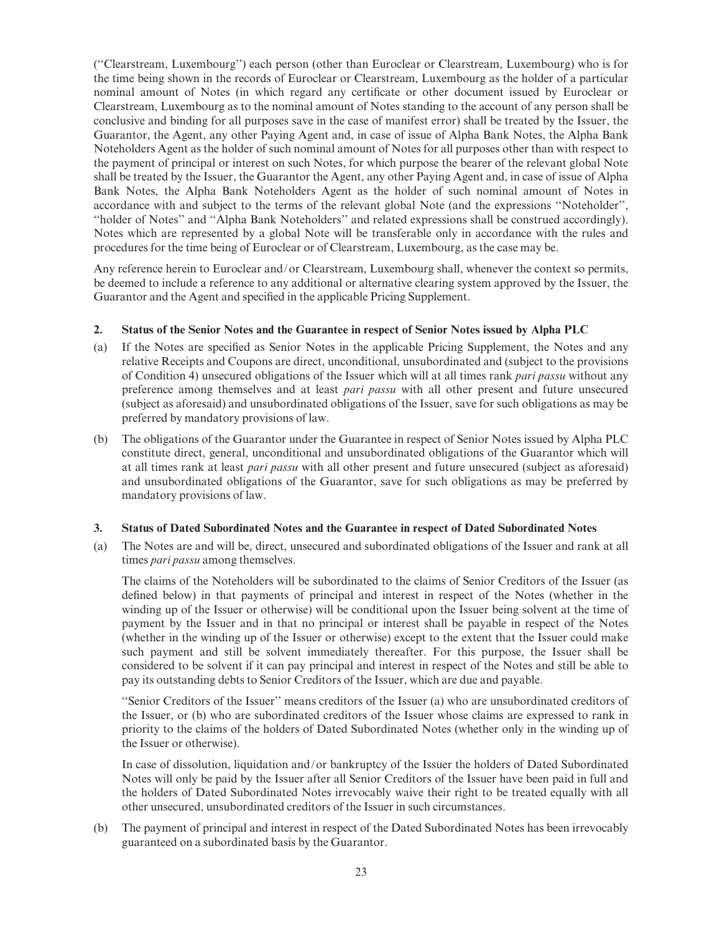(''Clearstream, Luxembourg'') each person (other than Euroclear or Clearstream, Luxembourg) who is for the time being shown in the records of Euroclear or Clearstream, Luxembourg as the holder of a particular nominal amount of Notes (in which regard any certificate or other document issued by Euroclear or Clearstream, Luxembourg as to the nominal amount of Notes standing to the account of any person shall be conclusive and binding for all purposes save in the case of manifest error) shall be treated by the Issuer, the Guarantor, the Agent, any other Paying Agent and, in case of issue of Alpha Bank Notes, the Alpha Bank Noteholders Agent as the holder of such nominal amount of Notes for all purposes other than with respect to the payment of principal or interest on such Notes, for which purpose the bearer of the relevant global Note shall be treated by the Issuer, the Guarantor the Agent, any other Paying Agent and, in case of issue of Alpha Bank Notes, the Alpha Bank Noteholders Agent as the holder of such nominal amount of Notes in accordance with and subject to the terms of the relevant global Note (and the expressions ''Noteholder'', ''holder of Notes'' and ''Alpha Bank Noteholders'' and related expressions shall be construed accordingly). Notes which are represented by a global Note will be transferable only in accordance with the rules and procedures for the time being of Euroclear or of Clearstream, Luxembourg, as the case may be.

Any reference herein to Euroclear and/or Clearstream, Luxembourg shall, whenever the context so permits, be deemed to include a reference to any additional or alternative clearing system approved by the Issuer, the Guarantor and the Agent and specified in the applicable Pricing Supplement.

#### 2. Status of the Senior Notes and the Guarantee in respect of Senior Notes issued by Alpha PLC

- (a) If the Notes are specified as Senior Notes in the applicable Pricing Supplement, the Notes and any relative Receipts and Coupons are direct, unconditional, unsubordinated and (subject to the provisions of Condition 4) unsecured obligations of the Issuer which will at all times rank pari passu without any preference among themselves and at least pari passu with all other present and future unsecured (subject as aforesaid) and unsubordinated obligations of the Issuer, save for such obligations as may be preferred by mandatory provisions of law.
- (b) The obligations of the Guarantor under the Guarantee in respect of Senior Notes issued by Alpha PLC constitute direct, general, unconditional and unsubordinated obligations of the Guarantor which will at all times rank at least pari passu with all other present and future unsecured (subject as aforesaid) and unsubordinated obligations of the Guarantor, save for such obligations as may be preferred by mandatory provisions of law.

#### 3. Status of Dated Subordinated Notes and the Guarantee in respect of Dated Subordinated Notes

(a) The Notes are and will be, direct, unsecured and subordinated obligations of the Issuer and rank at all times *pari passu* among themselves.

The claims of the Noteholders will be subordinated to the claims of Senior Creditors of the Issuer (as defined below) in that payments of principal and interest in respect of the Notes (whether in the winding up of the Issuer or otherwise) will be conditional upon the Issuer being solvent at the time of payment by the Issuer and in that no principal or interest shall be payable in respect of the Notes (whether in the winding up of the Issuer or otherwise) except to the extent that the Issuer could make such payment and still be solvent immediately thereafter. For this purpose, the Issuer shall be considered to be solvent if it can pay principal and interest in respect of the Notes and still be able to pay its outstanding debts to Senior Creditors of the Issuer, which are due and payable.

''Senior Creditors of the Issuer'' means creditors of the Issuer (a) who are unsubordinated creditors of the Issuer, or (b) who are subordinated creditors of the Issuer whose claims are expressed to rank in priority to the claims of the holders of Dated Subordinated Notes (whether only in the winding up of the Issuer or otherwise).

In case of dissolution, liquidation and/or bankruptcy of the Issuer the holders of Dated Subordinated Notes will only be paid by the Issuer after all Senior Creditors of the Issuer have been paid in full and the holders of Dated Subordinated Notes irrevocably waive their right to be treated equally with all other unsecured, unsubordinated creditors of the Issuer in such circumstances.

(b) The payment of principal and interest in respect of the Dated Subordinated Notes has been irrevocably guaranteed on a subordinated basis by the Guarantor.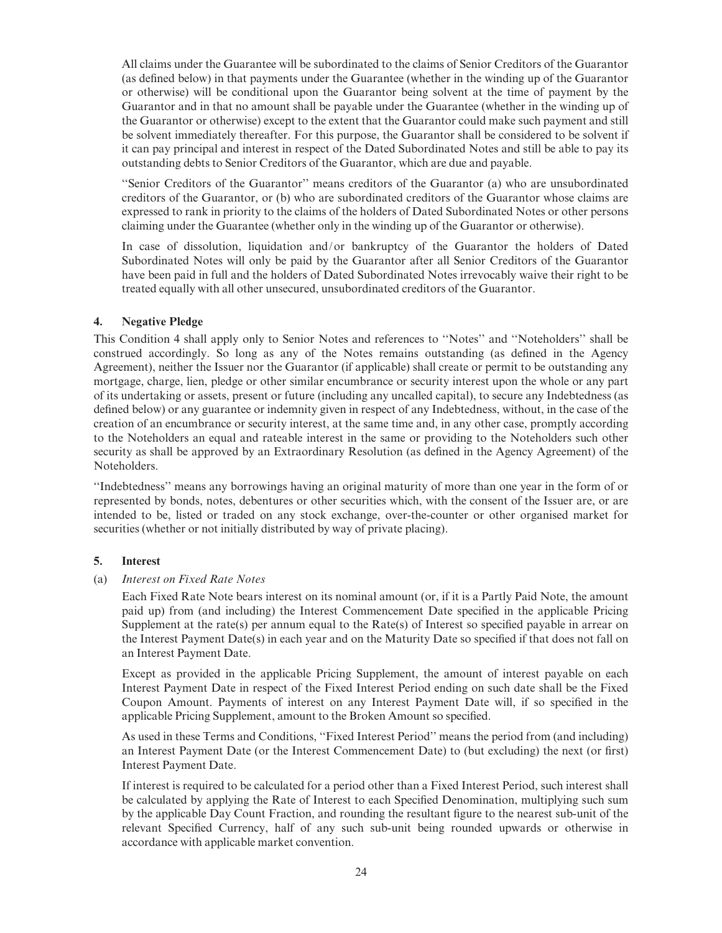All claims under the Guarantee will be subordinated to the claims of Senior Creditors of the Guarantor (as defined below) in that payments under the Guarantee (whether in the winding up of the Guarantor or otherwise) will be conditional upon the Guarantor being solvent at the time of payment by the Guarantor and in that no amount shall be payable under the Guarantee (whether in the winding up of the Guarantor or otherwise) except to the extent that the Guarantor could make such payment and still be solvent immediately thereafter. For this purpose, the Guarantor shall be considered to be solvent if it can pay principal and interest in respect of the Dated Subordinated Notes and still be able to pay its outstanding debts to Senior Creditors of the Guarantor, which are due and payable.

''Senior Creditors of the Guarantor'' means creditors of the Guarantor (a) who are unsubordinated creditors of the Guarantor, or (b) who are subordinated creditors of the Guarantor whose claims are expressed to rank in priority to the claims of the holders of Dated Subordinated Notes or other persons claiming under the Guarantee (whether only in the winding up of the Guarantor or otherwise).

In case of dissolution, liquidation and/or bankruptcy of the Guarantor the holders of Dated Subordinated Notes will only be paid by the Guarantor after all Senior Creditors of the Guarantor have been paid in full and the holders of Dated Subordinated Notes irrevocably waive their right to be treated equally with all other unsecured, unsubordinated creditors of the Guarantor.

#### 4. Negative Pledge

This Condition 4 shall apply only to Senior Notes and references to ''Notes'' and ''Noteholders'' shall be construed accordingly. So long as any of the Notes remains outstanding (as defined in the Agency Agreement), neither the Issuer nor the Guarantor (if applicable) shall create or permit to be outstanding any mortgage, charge, lien, pledge or other similar encumbrance or security interest upon the whole or any part of its undertaking or assets, present or future (including any uncalled capital), to secure any Indebtedness (as defined below) or any guarantee or indemnity given in respect of any Indebtedness, without, in the case of the creation of an encumbrance or security interest, at the same time and, in any other case, promptly according to the Noteholders an equal and rateable interest in the same or providing to the Noteholders such other security as shall be approved by an Extraordinary Resolution (as defined in the Agency Agreement) of the Noteholders.

''Indebtedness'' means any borrowings having an original maturity of more than one year in the form of or represented by bonds, notes, debentures or other securities which, with the consent of the Issuer are, or are intended to be, listed or traded on any stock exchange, over-the-counter or other organised market for securities (whether or not initially distributed by way of private placing).

#### 5. Interest

#### (a) Interest on Fixed Rate Notes

Each Fixed Rate Note bears interest on its nominal amount (or, if it is a Partly Paid Note, the amount paid up) from (and including) the Interest Commencement Date specified in the applicable Pricing Supplement at the rate(s) per annum equal to the Rate(s) of Interest so specified payable in arrear on the Interest Payment Date(s) in each year and on the Maturity Date so specified if that does not fall on an Interest Payment Date.

Except as provided in the applicable Pricing Supplement, the amount of interest payable on each Interest Payment Date in respect of the Fixed Interest Period ending on such date shall be the Fixed Coupon Amount. Payments of interest on any Interest Payment Date will, if so specified in the applicable Pricing Supplement, amount to the Broken Amount so specified.

As used in these Terms and Conditions, ''Fixed Interest Period'' means the period from (and including) an Interest Payment Date (or the Interest Commencement Date) to (but excluding) the next (or first) Interest Payment Date.

If interest is required to be calculated for a period other than a Fixed Interest Period, such interest shall be calculated by applying the Rate of Interest to each Specified Denomination, multiplying such sum by the applicable Day Count Fraction, and rounding the resultant figure to the nearest sub-unit of the relevant Specified Currency, half of any such sub-unit being rounded upwards or otherwise in accordance with applicable market convention.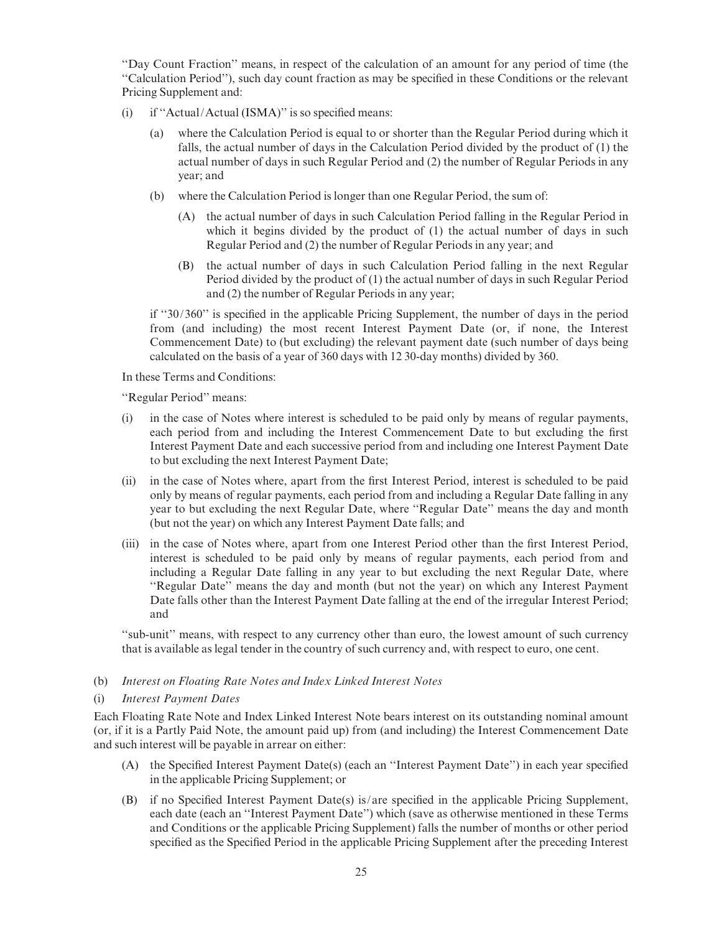''Day Count Fraction'' means, in respect of the calculation of an amount for any period of time (the ''Calculation Period''), such day count fraction as may be speci¢ed in these Conditions or the relevant Pricing Supplement and:

- (i) if "Actual/Actual (ISMA)" is so specified means:
	- (a) where the Calculation Period is equal to or shorter than the Regular Period during which it falls, the actual number of days in the Calculation Period divided by the product of (1) the actual number of days in such Regular Period and (2) the number of Regular Periods in any year; and
	- (b) where the Calculation Period is longer than one Regular Period, the sum of:
		- (A) the actual number of days in such Calculation Period falling in the Regular Period in which it begins divided by the product of (1) the actual number of days in such Regular Period and (2) the number of Regular Periods in any year; and
		- (B) the actual number of days in such Calculation Period falling in the next Regular Period divided by the product of (1) the actual number of days in such Regular Period and (2) the number of Regular Periods in any year;

if "30/360" is specified in the applicable Pricing Supplement, the number of days in the period from (and including) the most recent Interest Payment Date (or, if none, the Interest Commencement Date) to (but excluding) the relevant payment date (such number of days being calculated on the basis of a year of 360 days with 12 30-day months) divided by 360.

In these Terms and Conditions:

''Regular Period'' means:

- (i) in the case of Notes where interest is scheduled to be paid only by means of regular payments, each period from and including the Interest Commencement Date to but excluding the first Interest Payment Date and each successive period from and including one Interest Payment Date to but excluding the next Interest Payment Date;
- (ii) in the case of Notes where, apart from the ¢rst Interest Period, interest is scheduled to be paid only by means of regular payments, each period from and including a Regular Date falling in any year to but excluding the next Regular Date, where ''Regular Date'' means the day and month (but not the year) on which any Interest Payment Date falls; and
- (iii) in the case of Notes where, apart from one Interest Period other than the first Interest Period, interest is scheduled to be paid only by means of regular payments, each period from and including a Regular Date falling in any year to but excluding the next Regular Date, where ''Regular Date'' means the day and month (but not the year) on which any Interest Payment Date falls other than the Interest Payment Date falling at the end of the irregular Interest Period; and

''sub-unit'' means, with respect to any currency other than euro, the lowest amount of such currency that is available as legal tender in the country of such currency and, with respect to euro, one cent.

#### (b) Interest on Floating Rate Notes and Index Linked Interest Notes

#### (i) Interest Payment Dates

Each Floating Rate Note and Index Linked Interest Note bears interest on its outstanding nominal amount (or, if it is a Partly Paid Note, the amount paid up) from (and including) the Interest Commencement Date and such interest will be payable in arrear on either:

- (A) the Specified Interest Payment Date(s) (each an "Interest Payment Date") in each year specified in the applicable Pricing Supplement; or
- (B) if no Specified Interest Payment Date(s) is/are specified in the applicable Pricing Supplement, each date (each an ''Interest Payment Date'') which (save as otherwise mentioned in these Terms and Conditions or the applicable Pricing Supplement) falls the number of months or other period specified as the Specified Period in the applicable Pricing Supplement after the preceding Interest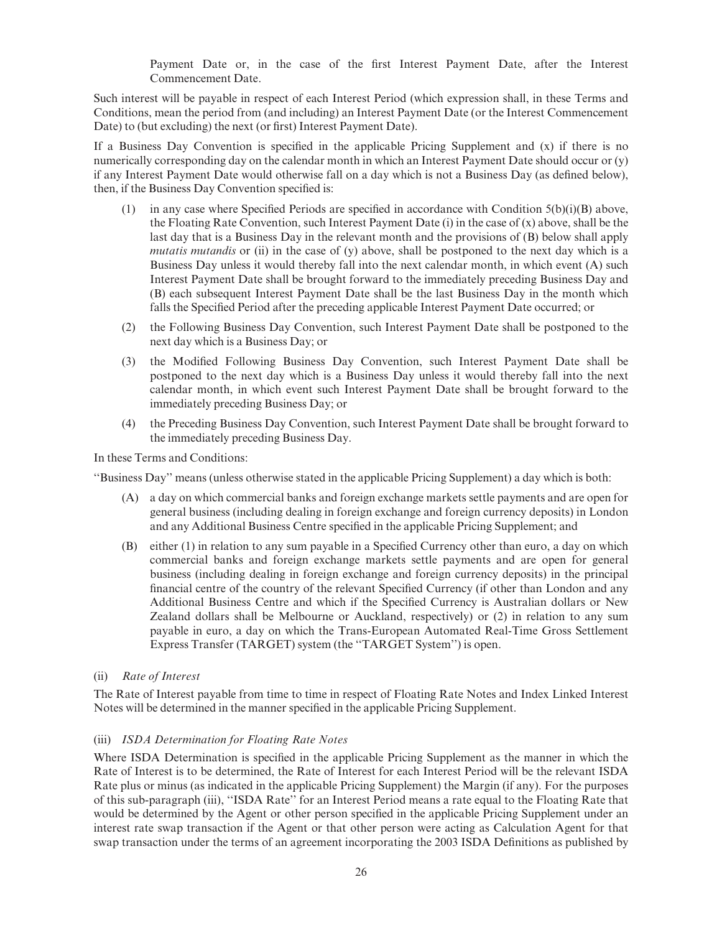Payment Date or, in the case of the first Interest Payment Date, after the Interest Commencement Date.

Such interest will be payable in respect of each Interest Period (which expression shall, in these Terms and Conditions, mean the period from (and including) an Interest Payment Date (or the Interest Commencement Date) to (but excluding) the next (or first) Interest Payment Date).

If a Business Day Convention is specified in the applicable Pricing Supplement and  $(x)$  if there is no numerically corresponding day on the calendar month in which an Interest Payment Date should occur or (y) if any Interest Payment Date would otherwise fall on a day which is not a Business Day (as defined below), then, if the Business Day Convention specified is:

- (1) in any case where Specified Periods are specified in accordance with Condition  $5(b)(i)(B)$  above, the Floating Rate Convention, such Interest Payment Date (i) in the case of (x) above, shall be the last day that is a Business Day in the relevant month and the provisions of (B) below shall apply mutatis mutandis or (ii) in the case of  $(y)$  above, shall be postponed to the next day which is a Business Day unless it would thereby fall into the next calendar month, in which event (A) such Interest Payment Date shall be brought forward to the immediately preceding Business Day and (B) each subsequent Interest Payment Date shall be the last Business Day in the month which falls the Specified Period after the preceding applicable Interest Payment Date occurred; or
- (2) the Following Business Day Convention, such Interest Payment Date shall be postponed to the next day which is a Business Day; or
- (3) the Modified Following Business Day Convention, such Interest Payment Date shall be postponed to the next day which is a Business Day unless it would thereby fall into the next calendar month, in which event such Interest Payment Date shall be brought forward to the immediately preceding Business Day; or
- (4) the Preceding Business Day Convention, such Interest Payment Date shall be brought forward to the immediately preceding Business Day.

In these Terms and Conditions:

''Business Day'' means (unless otherwise stated in the applicable Pricing Supplement) a day which is both:

- (A) a day on which commercial banks and foreign exchange markets settle payments and are open for general business (including dealing in foreign exchange and foreign currency deposits) in London and any Additional Business Centre specified in the applicable Pricing Supplement; and
- (B) either (1) in relation to any sum payable in a Specified Currency other than euro, a day on which commercial banks and foreign exchange markets settle payments and are open for general business (including dealing in foreign exchange and foreign currency deposits) in the principal financial centre of the country of the relevant Specified Currency (if other than London and any Additional Business Centre and which if the Specified Currency is Australian dollars or New Zealand dollars shall be Melbourne or Auckland, respectively) or (2) in relation to any sum payable in euro, a day on which the Trans-European Automated Real-Time Gross Settlement Express Transfer (TARGET) system (the ''TARGET System'') is open.

#### (ii) Rate of Interest

The Rate of Interest payable from time to time in respect of Floating Rate Notes and Index Linked Interest Notes will be determined in the manner specified in the applicable Pricing Supplement.

#### (iii) ISDA Determination for Floating Rate Notes

Where ISDA Determination is specified in the applicable Pricing Supplement as the manner in which the Rate of Interest is to be determined, the Rate of Interest for each Interest Period will be the relevant ISDA Rate plus or minus (as indicated in the applicable Pricing Supplement) the Margin (if any). For the purposes of this sub-paragraph (iii), ''ISDA Rate'' for an Interest Period means a rate equal to the Floating Rate that would be determined by the Agent or other person specified in the applicable Pricing Supplement under an interest rate swap transaction if the Agent or that other person were acting as Calculation Agent for that swap transaction under the terms of an agreement incorporating the 2003 ISDA Definitions as published by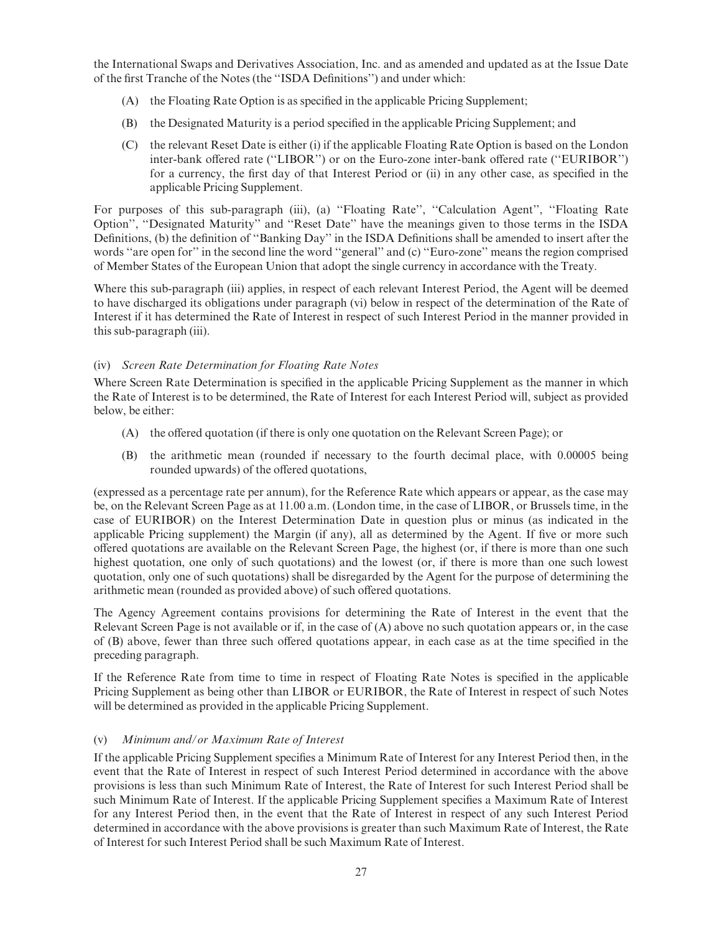the International Swaps and Derivatives Association, Inc. and as amended and updated as at the Issue Date of the first Tranche of the Notes (the "ISDA Definitions") and under which:

- $(A)$  the Floating Rate Option is as specified in the applicable Pricing Supplement;
- (B) the Designated Maturity is a period speci¢ed in the applicable Pricing Supplement; and
- (C) the relevant Reset Date is either (i) if the applicable Floating Rate Option is based on the London inter-bank offered rate ("LIBOR") or on the Euro-zone inter-bank offered rate ("EURIBOR") for a currency, the first day of that Interest Period or (ii) in any other case, as specified in the applicable Pricing Supplement.

For purposes of this sub-paragraph (iii), (a) ''Floating Rate'', ''Calculation Agent'', ''Floating Rate Option'', ''Designated Maturity'' and ''Reset Date'' have the meanings given to those terms in the ISDA Definitions, (b) the definition of "Banking Day" in the ISDA Definitions shall be amended to insert after the words "are open for" in the second line the word "general" and (c) "Euro-zone" means the region comprised of Member States of the European Union that adopt the single currency in accordance with the Treaty.

Where this sub-paragraph (iii) applies, in respect of each relevant Interest Period, the Agent will be deemed to have discharged its obligations under paragraph (vi) below in respect of the determination of the Rate of Interest if it has determined the Rate of Interest in respect of such Interest Period in the manner provided in this sub-paragraph (iii).

## (iv) Screen Rate Determination for Floating Rate Notes

Where Screen Rate Determination is specified in the applicable Pricing Supplement as the manner in which the Rate of Interest is to be determined, the Rate of Interest for each Interest Period will, subject as provided below, be either:

- (A) the offered quotation (if there is only one quotation on the Relevant Screen Page); or
- (B) the arithmetic mean (rounded if necessary to the fourth decimal place, with 0.00005 being rounded upwards) of the offered quotations,

(expressed as a percentage rate per annum), for the Reference Rate which appears or appear, as the case may be, on the Relevant Screen Page as at 11.00 a.m. (London time, in the case of LIBOR, or Brussels time, in the case of EURIBOR) on the Interest Determination Date in question plus or minus (as indicated in the applicable Pricing supplement) the Margin (if any), all as determined by the Agent. If five or more such offered quotations are available on the Relevant Screen Page, the highest (or, if there is more than one such highest quotation, one only of such quotations) and the lowest (or, if there is more than one such lowest quotation, only one of such quotations) shall be disregarded by the Agent for the purpose of determining the arithmetic mean (rounded as provided above) of such offered quotations.

The Agency Agreement contains provisions for determining the Rate of Interest in the event that the Relevant Screen Page is not available or if, in the case of (A) above no such quotation appears or, in the case of (B) above, fewer than three such offered quotations appear, in each case as at the time specified in the preceding paragraph.

If the Reference Rate from time to time in respect of Floating Rate Notes is specified in the applicable Pricing Supplement as being other than LIBOR or EURIBOR, the Rate of Interest in respect of such Notes will be determined as provided in the applicable Pricing Supplement.

## (v) Minimum and/or Maximum Rate of Interest

If the applicable Pricing Supplement specifies a Minimum Rate of Interest for any Interest Period then, in the event that the Rate of Interest in respect of such Interest Period determined in accordance with the above provisions is less than such Minimum Rate of Interest, the Rate of Interest for such Interest Period shall be such Minimum Rate of Interest. If the applicable Pricing Supplement specifies a Maximum Rate of Interest for any Interest Period then, in the event that the Rate of Interest in respect of any such Interest Period determined in accordance with the above provisions is greater than such Maximum Rate of Interest, the Rate of Interest for such Interest Period shall be such Maximum Rate of Interest.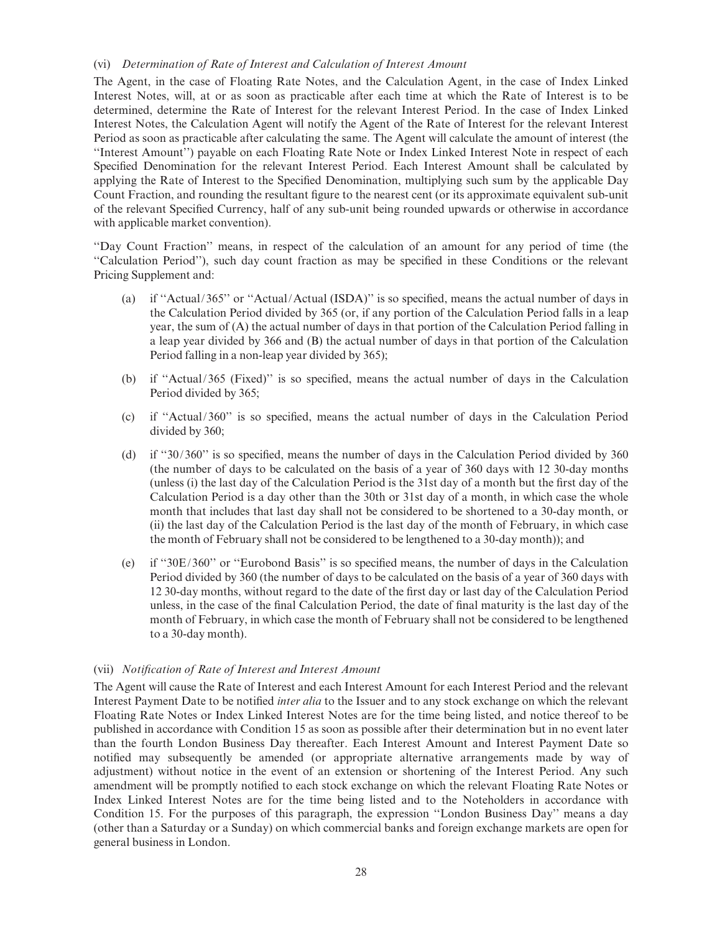#### (vi) Determination of Rate of Interest and Calculation of Interest Amount

The Agent, in the case of Floating Rate Notes, and the Calculation Agent, in the case of Index Linked Interest Notes, will, at or as soon as practicable after each time at which the Rate of Interest is to be determined, determine the Rate of Interest for the relevant Interest Period. In the case of Index Linked Interest Notes, the Calculation Agent will notify the Agent of the Rate of Interest for the relevant Interest Period as soon as practicable after calculating the same. The Agent will calculate the amount of interest (the ''Interest Amount'') payable on each Floating Rate Note or Index Linked Interest Note in respect of each Specified Denomination for the relevant Interest Period. Each Interest Amount shall be calculated by applying the Rate of Interest to the Specified Denomination, multiplying such sum by the applicable Day Count Fraction, and rounding the resultant figure to the nearest cent (or its approximate equivalent sub-unit of the relevant Specified Currency, half of any sub-unit being rounded upwards or otherwise in accordance with applicable market convention).

''Day Count Fraction'' means, in respect of the calculation of an amount for any period of time (the ''Calculation Period''), such day count fraction as may be speci¢ed in these Conditions or the relevant Pricing Supplement and:

- (a) if "Actual/365" or "Actual/Actual (ISDA)" is so specified, means the actual number of days in the Calculation Period divided by 365 (or, if any portion of the Calculation Period falls in a leap year, the sum of (A) the actual number of days in that portion of the Calculation Period falling in a leap year divided by 366 and (B) the actual number of days in that portion of the Calculation Period falling in a non-leap year divided by 365);
- (b) if "Actual/365 (Fixed)" is so specified, means the actual number of days in the Calculation Period divided by 365;
- (c) if ''Actual/360'' is so speci¢ed, means the actual number of days in the Calculation Period divided by 360;
- (d) if  $\degree$ 30/360" is so specified, means the number of days in the Calculation Period divided by 360 (the number of days to be calculated on the basis of a year of 360 days with 12 30-day months (unless (i) the last day of the Calculation Period is the 31st day of a month but the first day of the Calculation Period is a day other than the 30th or 31st day of a month, in which case the whole month that includes that last day shall not be considered to be shortened to a 30-day month, or (ii) the last day of the Calculation Period is the last day of the month of February, in which case the month of February shall not be considered to be lengthened to a 30-day month)); and
- (e) if "30E/360" or "Eurobond Basis" is so specified means, the number of days in the Calculation Period divided by 360 (the number of days to be calculated on the basis of a year of 360 days with 12 30-day months, without regard to the date of the first day or last day of the Calculation Period unless, in the case of the final Calculation Period, the date of final maturity is the last day of the month of February, in which case the month of February shall not be considered to be lengthened to a 30-day month).

#### (vii) Notification of Rate of Interest and Interest Amount

The Agent will cause the Rate of Interest and each Interest Amount for each Interest Period and the relevant Interest Payment Date to be notified *inter alia* to the Issuer and to any stock exchange on which the relevant Floating Rate Notes or Index Linked Interest Notes are for the time being listed, and notice thereof to be published in accordance with Condition 15 as soon as possible after their determination but in no event later than the fourth London Business Day thereafter. Each Interest Amount and Interest Payment Date so notified may subsequently be amended (or appropriate alternative arrangements made by way of adjustment) without notice in the event of an extension or shortening of the Interest Period. Any such amendment will be promptly notified to each stock exchange on which the relevant Floating Rate Notes or Index Linked Interest Notes are for the time being listed and to the Noteholders in accordance with Condition 15. For the purposes of this paragraph, the expression ''London Business Day'' means a day (other than a Saturday or a Sunday) on which commercial banks and foreign exchange markets are open for general business in London.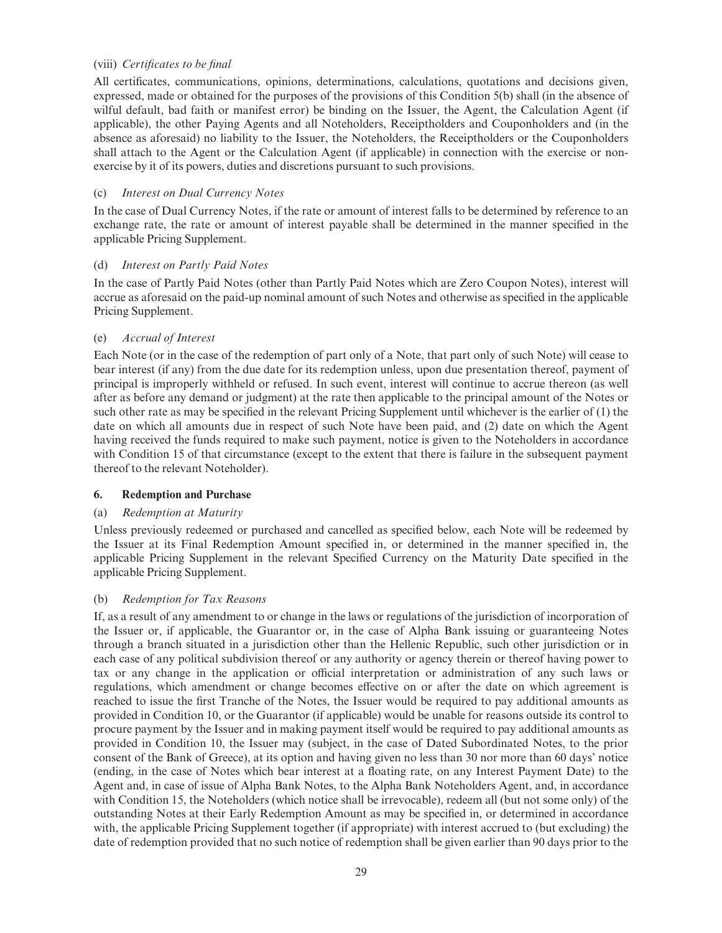### (viii) Certificates to be final

All certificates, communications, opinions, determinations, calculations, quotations and decisions given, expressed, made or obtained for the purposes of the provisions of this Condition 5(b) shall (in the absence of wilful default, bad faith or manifest error) be binding on the Issuer, the Agent, the Calculation Agent (if applicable), the other Paying Agents and all Noteholders, Receiptholders and Couponholders and (in the absence as aforesaid) no liability to the Issuer, the Noteholders, the Receiptholders or the Couponholders shall attach to the Agent or the Calculation Agent (if applicable) in connection with the exercise or nonexercise by it of its powers, duties and discretions pursuant to such provisions.

### (c) Interest on Dual Currency Notes

In the case of Dual Currency Notes, if the rate or amount of interest falls to be determined by reference to an exchange rate, the rate or amount of interest payable shall be determined in the manner specified in the applicable Pricing Supplement.

## (d) Interest on Partly Paid Notes

In the case of Partly Paid Notes (other than Partly Paid Notes which are Zero Coupon Notes), interest will accrue as aforesaid on the paid-up nominal amount of such Notes and otherwise as specified in the applicable Pricing Supplement.

## (e) Accrual of Interest

Each Note (or in the case of the redemption of part only of a Note, that part only of such Note) will cease to bear interest (if any) from the due date for its redemption unless, upon due presentation thereof, payment of principal is improperly withheld or refused. In such event, interest will continue to accrue thereon (as well after as before any demand or judgment) at the rate then applicable to the principal amount of the Notes or such other rate as may be specified in the relevant Pricing Supplement until whichever is the earlier of (1) the date on which all amounts due in respect of such Note have been paid, and (2) date on which the Agent having received the funds required to make such payment, notice is given to the Noteholders in accordance with Condition 15 of that circumstance (except to the extent that there is failure in the subsequent payment thereof to the relevant Noteholder).

#### 6. Redemption and Purchase

## (a) Redemption at Maturity

Unless previously redeemed or purchased and cancelled as specified below, each Note will be redeemed by the Issuer at its Final Redemption Amount specified in, or determined in the manner specified in, the applicable Pricing Supplement in the relevant Specified Currency on the Maturity Date specified in the applicable Pricing Supplement.

#### (b) Redemption for Tax Reasons

If, as a result of any amendment to or change in the laws or regulations of the jurisdiction of incorporation of the Issuer or, if applicable, the Guarantor or, in the case of Alpha Bank issuing or guaranteeing Notes through a branch situated in a jurisdiction other than the Hellenic Republic, such other jurisdiction or in each case of any political subdivision thereof or any authority or agency therein or thereof having power to tax or any change in the application or official interpretation or administration of any such laws or regulations, which amendment or change becomes effective on or after the date on which agreement is reached to issue the first Tranche of the Notes, the Issuer would be required to pay additional amounts as provided in Condition 10, or the Guarantor (if applicable) would be unable for reasons outside its control to procure payment by the Issuer and in making payment itself would be required to pay additional amounts as provided in Condition 10, the Issuer may (subject, in the case of Dated Subordinated Notes, to the prior consent of the Bank of Greece), at its option and having given no less than 30 nor more than 60 days' notice (ending, in the case of Notes which bear interest at a floating rate, on any Interest Payment Date) to the Agent and, in case of issue of Alpha Bank Notes, to the Alpha Bank Noteholders Agent, and, in accordance with Condition 15, the Noteholders (which notice shall be irrevocable), redeem all (but not some only) of the outstanding Notes at their Early Redemption Amount as may be specified in, or determined in accordance with, the applicable Pricing Supplement together (if appropriate) with interest accrued to (but excluding) the date of redemption provided that no such notice of redemption shall be given earlier than 90 days prior to the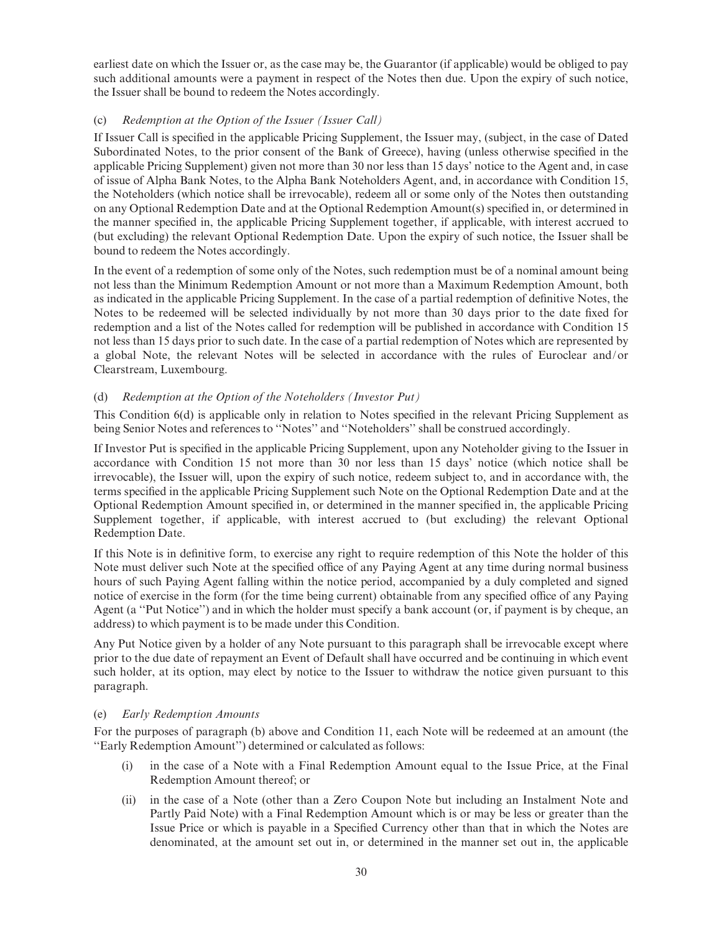earliest date on which the Issuer or, as the case may be, the Guarantor (if applicable) would be obliged to pay such additional amounts were a payment in respect of the Notes then due. Upon the expiry of such notice, the Issuer shall be bound to redeem the Notes accordingly.

## (c) Redemption at the Option of the Issuer (Issuer Call)

If Issuer Call is specified in the applicable Pricing Supplement, the Issuer may, (subject, in the case of Dated Subordinated Notes, to the prior consent of the Bank of Greece), having (unless otherwise specified in the applicable Pricing Supplement) given not more than 30 nor less than 15 days' notice to the Agent and, in case of issue of Alpha Bank Notes, to the Alpha Bank Noteholders Agent, and, in accordance with Condition 15, the Noteholders (which notice shall be irrevocable), redeem all or some only of the Notes then outstanding on any Optional Redemption Date and at the Optional Redemption Amount(s) specified in, or determined in the manner specified in, the applicable Pricing Supplement together, if applicable, with interest accrued to (but excluding) the relevant Optional Redemption Date. Upon the expiry of such notice, the Issuer shall be bound to redeem the Notes accordingly.

In the event of a redemption of some only of the Notes, such redemption must be of a nominal amount being not less than the Minimum Redemption Amount or not more than a Maximum Redemption Amount, both as indicated in the applicable Pricing Supplement. In the case of a partial redemption of definitive Notes, the Notes to be redeemed will be selected individually by not more than 30 days prior to the date fixed for redemption and a list of the Notes called for redemption will be published in accordance with Condition 15 not less than 15 days prior to such date. In the case of a partial redemption of Notes which are represented by a global Note, the relevant Notes will be selected in accordance with the rules of Euroclear and/or Clearstream, Luxembourg.

## (d) Redemption at the Option of the Noteholders (Investor Put)

This Condition 6(d) is applicable only in relation to Notes specified in the relevant Pricing Supplement as being Senior Notes and references to ''Notes'' and ''Noteholders'' shall be construed accordingly.

If Investor Put is specified in the applicable Pricing Supplement, upon any Noteholder giving to the Issuer in accordance with Condition 15 not more than 30 nor less than 15 days' notice (which notice shall be irrevocable), the Issuer will, upon the expiry of such notice, redeem subject to, and in accordance with, the terms specified in the applicable Pricing Supplement such Note on the Optional Redemption Date and at the Optional Redemption Amount specified in, or determined in the manner specified in, the applicable Pricing Supplement together, if applicable, with interest accrued to (but excluding) the relevant Optional Redemption Date.

If this Note is in definitive form, to exercise any right to require redemption of this Note the holder of this Note must deliver such Note at the specified office of any Paying Agent at any time during normal business hours of such Paying Agent falling within the notice period, accompanied by a duly completed and signed notice of exercise in the form (for the time being current) obtainable from any specified office of any Paying Agent (a ''Put Notice'') and in which the holder must specify a bank account (or, if payment is by cheque, an address) to which payment is to be made under this Condition.

Any Put Notice given by a holder of any Note pursuant to this paragraph shall be irrevocable except where prior to the due date of repayment an Event of Default shall have occurred and be continuing in which event such holder, at its option, may elect by notice to the Issuer to withdraw the notice given pursuant to this paragraph.

#### (e) Early Redemption Amounts

For the purposes of paragraph (b) above and Condition 11, each Note will be redeemed at an amount (the ''Early Redemption Amount'') determined or calculated as follows:

- (i) in the case of a Note with a Final Redemption Amount equal to the Issue Price, at the Final Redemption Amount thereof; or
- (ii) in the case of a Note (other than a Zero Coupon Note but including an Instalment Note and Partly Paid Note) with a Final Redemption Amount which is or may be less or greater than the Issue Price or which is payable in a Speci¢ed Currency other than that in which the Notes are denominated, at the amount set out in, or determined in the manner set out in, the applicable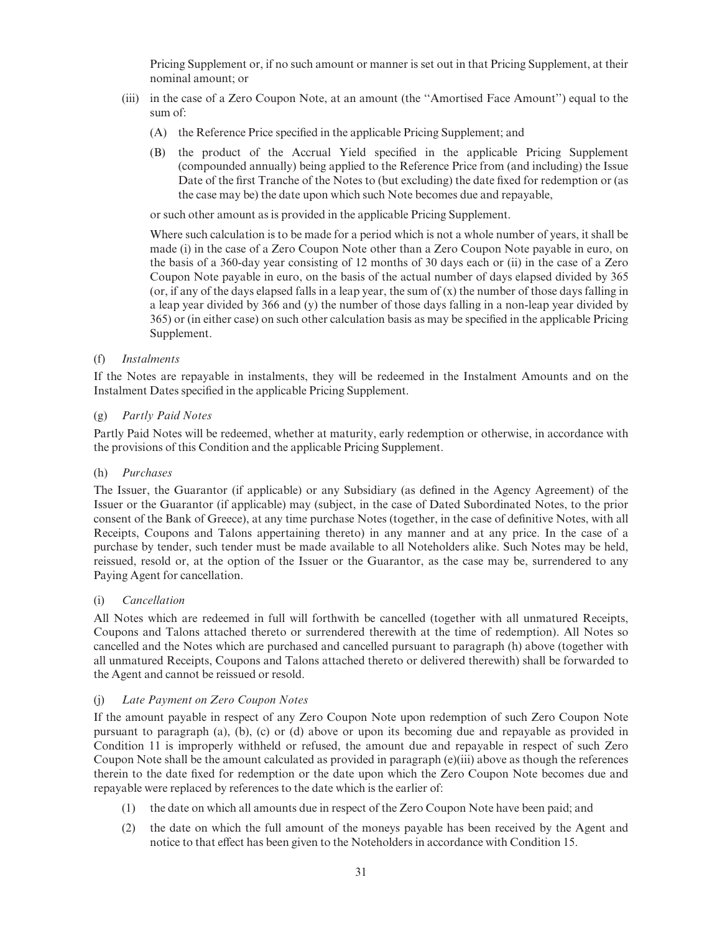Pricing Supplement or, if no such amount or manner is set out in that Pricing Supplement, at their nominal amount; or

- (iii) in the case of a Zero Coupon Note, at an amount (the ''Amortised Face Amount'') equal to the sum of:
	- (A) the Reference Price specified in the applicable Pricing Supplement; and
	- (B) the product of the Accrual Yield specified in the applicable Pricing Supplement (compounded annually) being applied to the Reference Price from (and including) the Issue Date of the first Tranche of the Notes to (but excluding) the date fixed for redemption or (as the case may be) the date upon which such Note becomes due and repayable,

or such other amount as is provided in the applicable Pricing Supplement.

Where such calculation is to be made for a period which is not a whole number of years, it shall be made (i) in the case of a Zero Coupon Note other than a Zero Coupon Note payable in euro, on the basis of a 360-day year consisting of 12 months of 30 days each or (ii) in the case of a Zero Coupon Note payable in euro, on the basis of the actual number of days elapsed divided by 365 (or, if any of the days elapsed falls in a leap year, the sum of  $(x)$ ) the number of those days falling in a leap year divided by 366 and (y) the number of those days falling in a non-leap year divided by 365) or (in either case) on such other calculation basis as may be specified in the applicable Pricing Supplement.

#### (f) Instalments

If the Notes are repayable in instalments, they will be redeemed in the Instalment Amounts and on the Instalment Dates specified in the applicable Pricing Supplement.

#### (g) Partly Paid Notes

Partly Paid Notes will be redeemed, whether at maturity, early redemption or otherwise, in accordance with the provisions of this Condition and the applicable Pricing Supplement.

#### (h) Purchases

The Issuer, the Guarantor (if applicable) or any Subsidiary (as defined in the Agency Agreement) of the Issuer or the Guarantor (if applicable) may (subject, in the case of Dated Subordinated Notes, to the prior consent of the Bank of Greece), at any time purchase Notes (together, in the case of definitive Notes, with all Receipts, Coupons and Talons appertaining thereto) in any manner and at any price. In the case of a purchase by tender, such tender must be made available to all Noteholders alike. Such Notes may be held, reissued, resold or, at the option of the Issuer or the Guarantor, as the case may be, surrendered to any Paying Agent for cancellation.

#### (i) Cancellation

All Notes which are redeemed in full will forthwith be cancelled (together with all unmatured Receipts, Coupons and Talons attached thereto or surrendered therewith at the time of redemption). All Notes so cancelled and the Notes which are purchased and cancelled pursuant to paragraph (h) above (together with all unmatured Receipts, Coupons and Talons attached thereto or delivered therewith) shall be forwarded to the Agent and cannot be reissued or resold.

#### (j) Late Payment on Zero Coupon Notes

If the amount payable in respect of any Zero Coupon Note upon redemption of such Zero Coupon Note pursuant to paragraph (a), (b), (c) or (d) above or upon its becoming due and repayable as provided in Condition 11 is improperly withheld or refused, the amount due and repayable in respect of such Zero Coupon Note shall be the amount calculated as provided in paragraph (e)(iii) above as though the references therein to the date fixed for redemption or the date upon which the Zero Coupon Note becomes due and repayable were replaced by references to the date which is the earlier of:

- (1) the date on which all amounts due in respect of the Zero Coupon Note have been paid; and
- (2) the date on which the full amount of the moneys payable has been received by the Agent and notice to that effect has been given to the Noteholders in accordance with Condition 15.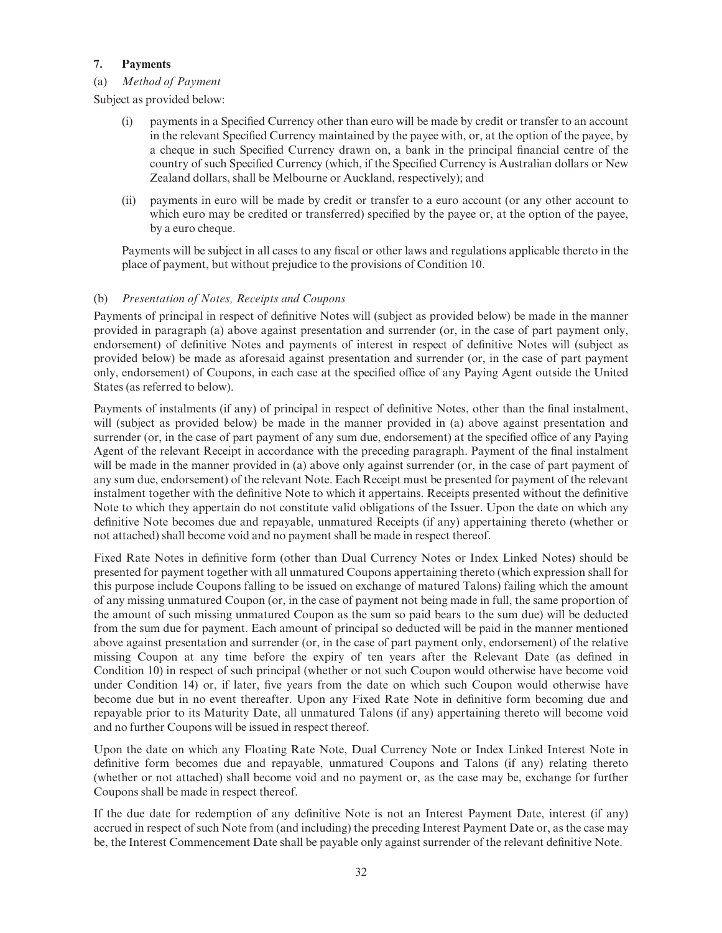## 7. Payments

## (a) Method of Payment

Subject as provided below:

- (i) payments in a Specified Currency other than euro will be made by credit or transfer to an account in the relevant Specified Currency maintained by the payee with, or, at the option of the payee, by a cheque in such Specified Currency drawn on, a bank in the principal financial centre of the country of such Specified Currency (which, if the Specified Currency is Australian dollars or New Zealand dollars, shall be Melbourne or Auckland, respectively); and
- (ii) payments in euro will be made by credit or transfer to a euro account (or any other account to which euro may be credited or transferred) specified by the payee or, at the option of the payee, by a euro cheque.

Payments will be subject in all cases to any fiscal or other laws and regulations applicable thereto in the place of payment, but without prejudice to the provisions of Condition 10.

## (b) Presentation of Notes, Receipts and Coupons

Payments of principal in respect of definitive Notes will (subject as provided below) be made in the manner provided in paragraph (a) above against presentation and surrender (or, in the case of part payment only, endorsement) of definitive Notes and payments of interest in respect of definitive Notes will (subject as provided below) be made as aforesaid against presentation and surrender (or, in the case of part payment only, endorsement) of Coupons, in each case at the specified office of any Paying Agent outside the United States (as referred to below).

Payments of instalments (if any) of principal in respect of definitive Notes, other than the final instalment, will (subject as provided below) be made in the manner provided in (a) above against presentation and surrender (or, in the case of part payment of any sum due, endorsement) at the specified office of any Paying Agent of the relevant Receipt in accordance with the preceding paragraph. Payment of the final instalment will be made in the manner provided in (a) above only against surrender (or, in the case of part payment of any sum due, endorsement) of the relevant Note. Each Receipt must be presented for payment of the relevant instalment together with the definitive Note to which it appertains. Receipts presented without the definitive Note to which they appertain do not constitute valid obligations of the Issuer. Upon the date on which any definitive Note becomes due and repayable, unmatured Receipts (if any) appertaining thereto (whether or not attached) shall become void and no payment shall be made in respect thereof.

Fixed Rate Notes in definitive form (other than Dual Currency Notes or Index Linked Notes) should be presented for payment together with all unmatured Coupons appertaining thereto (which expression shall for this purpose include Coupons falling to be issued on exchange of matured Talons) failing which the amount of any missing unmatured Coupon (or, in the case of payment not being made in full, the same proportion of the amount of such missing unmatured Coupon as the sum so paid bears to the sum due) will be deducted from the sum due for payment. Each amount of principal so deducted will be paid in the manner mentioned above against presentation and surrender (or, in the case of part payment only, endorsement) of the relative missing Coupon at any time before the expiry of ten years after the Relevant Date (as defined in Condition 10) in respect of such principal (whether or not such Coupon would otherwise have become void under Condition 14) or, if later, five years from the date on which such Coupon would otherwise have become due but in no event thereafter. Upon any Fixed Rate Note in definitive form becoming due and repayable prior to its Maturity Date, all unmatured Talons (if any) appertaining thereto will become void and no further Coupons will be issued in respect thereof.

Upon the date on which any Floating Rate Note, Dual Currency Note or Index Linked Interest Note in definitive form becomes due and repayable, unmatured Coupons and Talons (if any) relating thereto (whether or not attached) shall become void and no payment or, as the case may be, exchange for further Coupons shall be made in respect thereof.

If the due date for redemption of any definitive Note is not an Interest Payment Date, interest (if any) accrued in respect of such Note from (and including) the preceding Interest Payment Date or, as the case may be, the Interest Commencement Date shall be payable only against surrender of the relevant definitive Note.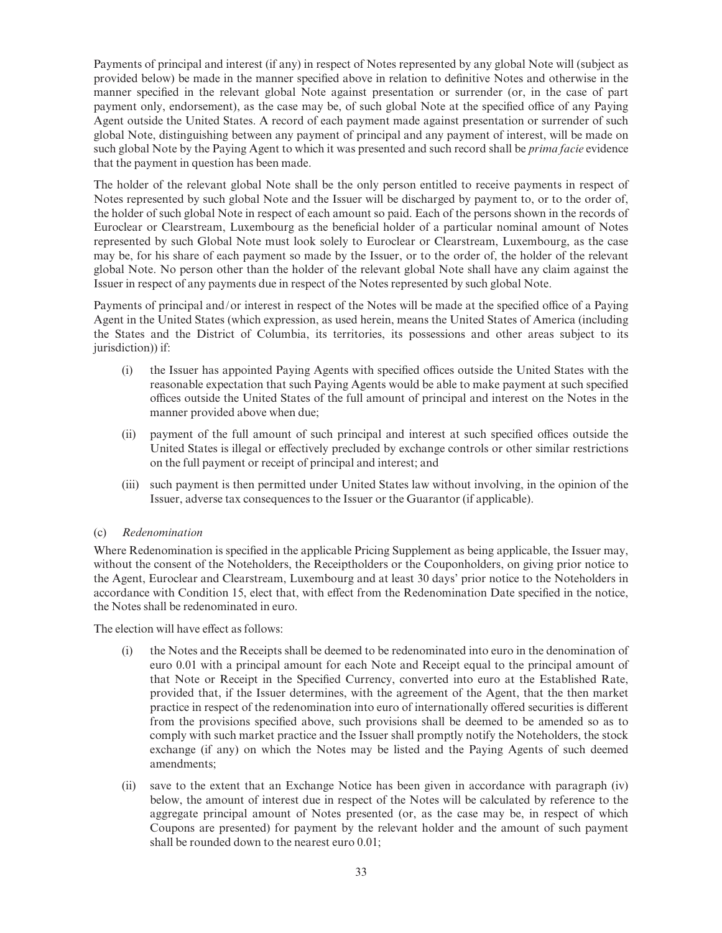Payments of principal and interest (if any) in respect of Notes represented by any global Note will (subject as provided below) be made in the manner speci¢ed above in relation to de¢nitive Notes and otherwise in the manner specified in the relevant global Note against presentation or surrender (or, in the case of part payment only, endorsement), as the case may be, of such global Note at the specified office of any Paying Agent outside the United States. A record of each payment made against presentation or surrender of such global Note, distinguishing between any payment of principal and any payment of interest, will be made on such global Note by the Paying Agent to which it was presented and such record shall be *prima facie* evidence that the payment in question has been made.

The holder of the relevant global Note shall be the only person entitled to receive payments in respect of Notes represented by such global Note and the Issuer will be discharged by payment to, or to the order of, the holder of such global Note in respect of each amount so paid. Each of the persons shown in the records of Euroclear or Clearstream, Luxembourg as the beneficial holder of a particular nominal amount of Notes represented by such Global Note must look solely to Euroclear or Clearstream, Luxembourg, as the case may be, for his share of each payment so made by the Issuer, or to the order of, the holder of the relevant global Note. No person other than the holder of the relevant global Note shall have any claim against the Issuer in respect of any payments due in respect of the Notes represented by such global Note.

Payments of principal and/or interest in respect of the Notes will be made at the specified office of a Paying Agent in the United States (which expression, as used herein, means the United States of America (including the States and the District of Columbia, its territories, its possessions and other areas subject to its jurisdiction)) if:

- (i) the Issuer has appointed Paying Agents with specified offices outside the United States with the reasonable expectation that such Paying Agents would be able to make payment at such specified offices outside the United States of the full amount of principal and interest on the Notes in the manner provided above when due;
- (ii) payment of the full amount of such principal and interest at such specified offices outside the United States is illegal or effectively precluded by exchange controls or other similar restrictions on the full payment or receipt of principal and interest; and
- (iii) such payment is then permitted under United States law without involving, in the opinion of the Issuer, adverse tax consequences to the Issuer or the Guarantor (if applicable).

#### (c) Redenomination

Where Redenomination is specified in the applicable Pricing Supplement as being applicable, the Issuer may, without the consent of the Noteholders, the Receiptholders or the Couponholders, on giving prior notice to the Agent, Euroclear and Clearstream, Luxembourg and at least 30 days' prior notice to the Noteholders in accordance with Condition 15, elect that, with effect from the Redenomination Date specified in the notice, the Notes shall be redenominated in euro.

The election will have effect as follows:

- (i) the Notes and the Receipts shall be deemed to be redenominated into euro in the denomination of euro 0.01 with a principal amount for each Note and Receipt equal to the principal amount of that Note or Receipt in the Specified Currency, converted into euro at the Established Rate, provided that, if the Issuer determines, with the agreement of the Agent, that the then market practice in respect of the redenomination into euro of internationally offered securities is different from the provisions specified above, such provisions shall be deemed to be amended so as to comply with such market practice and the Issuer shall promptly notify the Noteholders, the stock exchange (if any) on which the Notes may be listed and the Paying Agents of such deemed amendments;
- (ii) save to the extent that an Exchange Notice has been given in accordance with paragraph (iv) below, the amount of interest due in respect of the Notes will be calculated by reference to the aggregate principal amount of Notes presented (or, as the case may be, in respect of which Coupons are presented) for payment by the relevant holder and the amount of such payment shall be rounded down to the nearest euro 0.01;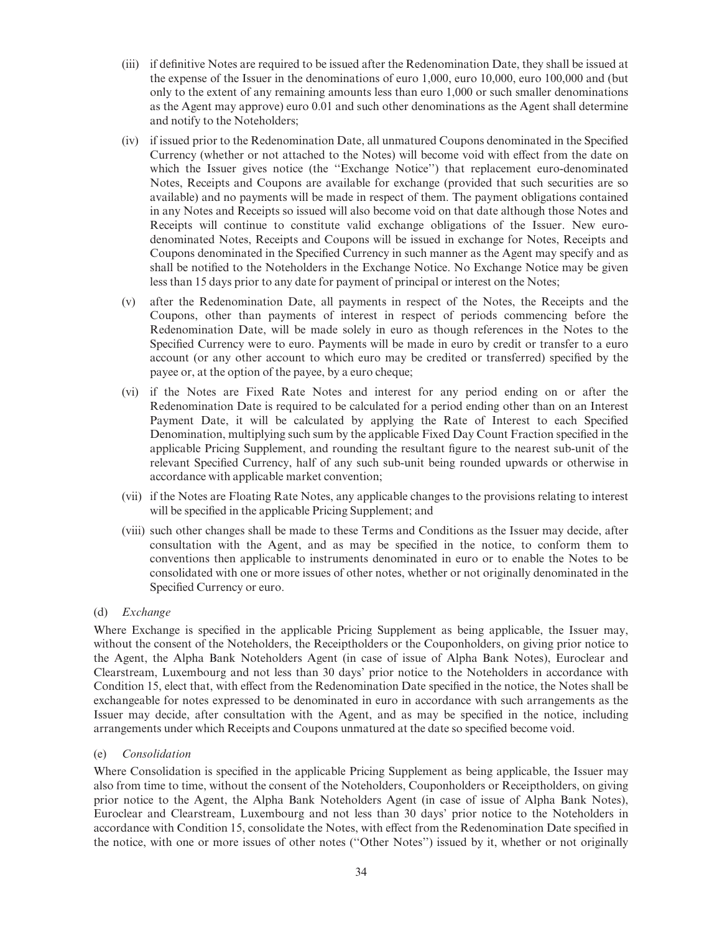- (iii) if definitive Notes are required to be issued after the Redenomination Date, they shall be issued at the expense of the Issuer in the denominations of euro 1,000, euro 10,000, euro 100,000 and (but only to the extent of any remaining amounts less than euro 1,000 or such smaller denominations as the Agent may approve) euro 0.01 and such other denominations as the Agent shall determine and notify to the Noteholders;
- $(iv)$  if issued prior to the Redenomination Date, all unmatured Coupons denominated in the Specified Currency (whether or not attached to the Notes) will become void with effect from the date on which the Issuer gives notice (the ''Exchange Notice'') that replacement euro-denominated Notes, Receipts and Coupons are available for exchange (provided that such securities are so available) and no payments will be made in respect of them. The payment obligations contained in any Notes and Receipts so issued will also become void on that date although those Notes and Receipts will continue to constitute valid exchange obligations of the Issuer. New eurodenominated Notes, Receipts and Coupons will be issued in exchange for Notes, Receipts and Coupons denominated in the Specified Currency in such manner as the Agent may specify and as shall be notified to the Noteholders in the Exchange Notice. No Exchange Notice may be given less than 15 days prior to any date for payment of principal or interest on the Notes;
- (v) after the Redenomination Date, all payments in respect of the Notes, the Receipts and the Coupons, other than payments of interest in respect of periods commencing before the Redenomination Date, will be made solely in euro as though references in the Notes to the Specified Currency were to euro. Payments will be made in euro by credit or transfer to a euro account (or any other account to which euro may be credited or transferred) specified by the payee or, at the option of the payee, by a euro cheque;
- (vi) if the Notes are Fixed Rate Notes and interest for any period ending on or after the Redenomination Date is required to be calculated for a period ending other than on an Interest Payment Date, it will be calculated by applying the Rate of Interest to each Specified Denomination, multiplying such sum by the applicable Fixed Day Count Fraction specified in the applicable Pricing Supplement, and rounding the resultant figure to the nearest sub-unit of the relevant Specified Currency, half of any such sub-unit being rounded upwards or otherwise in accordance with applicable market convention;
- (vii) if the Notes are Floating Rate Notes, any applicable changes to the provisions relating to interest will be specified in the applicable Pricing Supplement; and
- (viii) such other changes shall be made to these Terms and Conditions as the Issuer may decide, after consultation with the Agent, and as may be specified in the notice, to conform them to conventions then applicable to instruments denominated in euro or to enable the Notes to be consolidated with one or more issues of other notes, whether or not originally denominated in the Specified Currency or euro.

#### (d) Exchange

Where Exchange is specified in the applicable Pricing Supplement as being applicable, the Issuer may, without the consent of the Noteholders, the Receiptholders or the Couponholders, on giving prior notice to the Agent, the Alpha Bank Noteholders Agent (in case of issue of Alpha Bank Notes), Euroclear and Clearstream, Luxembourg and not less than 30 days' prior notice to the Noteholders in accordance with Condition 15, elect that, with effect from the Redenomination Date specified in the notice, the Notes shall be exchangeable for notes expressed to be denominated in euro in accordance with such arrangements as the Issuer may decide, after consultation with the Agent, and as may be specified in the notice, including arrangements under which Receipts and Coupons unmatured at the date so specified become void.

#### (e) Consolidation

Where Consolidation is specified in the applicable Pricing Supplement as being applicable, the Issuer may also from time to time, without the consent of the Noteholders, Couponholders or Receiptholders, on giving prior notice to the Agent, the Alpha Bank Noteholders Agent (in case of issue of Alpha Bank Notes), Euroclear and Clearstream, Luxembourg and not less than 30 days' prior notice to the Noteholders in accordance with Condition 15, consolidate the Notes, with effect from the Redenomination Date specified in the notice, with one or more issues of other notes (''Other Notes'') issued by it, whether or not originally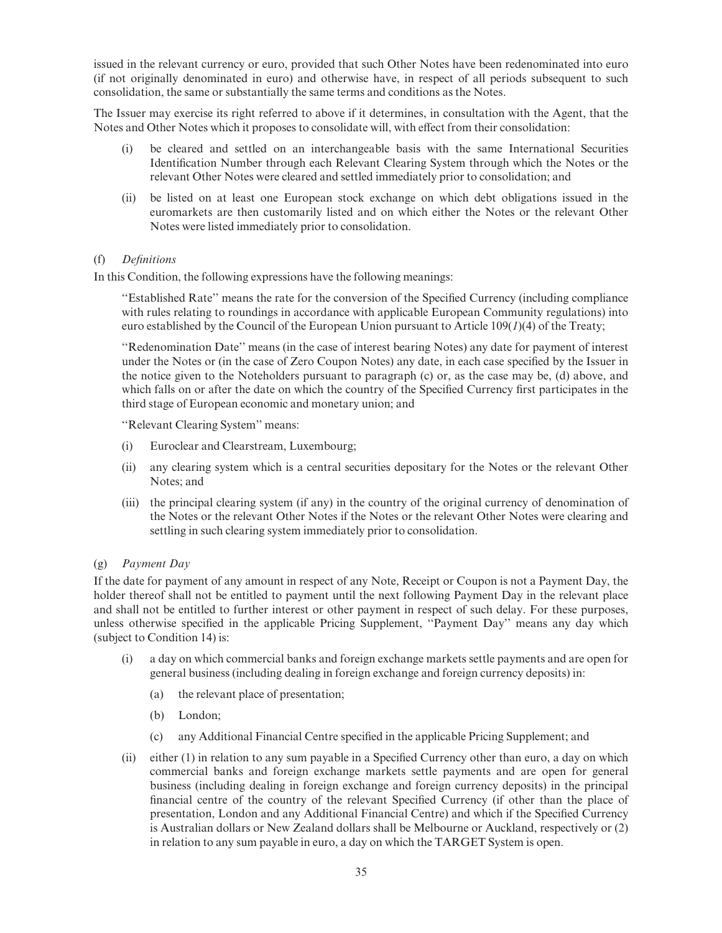issued in the relevant currency or euro, provided that such Other Notes have been redenominated into euro (if not originally denominated in euro) and otherwise have, in respect of all periods subsequent to such consolidation, the same or substantially the same terms and conditions as the Notes.

The Issuer may exercise its right referred to above if it determines, in consultation with the Agent, that the Notes and Other Notes which it proposes to consolidate will, with effect from their consolidation:

- (i) be cleared and settled on an interchangeable basis with the same International Securities Identification Number through each Relevant Clearing System through which the Notes or the relevant Other Notes were cleared and settled immediately prior to consolidation; and
- (ii) be listed on at least one European stock exchange on which debt obligations issued in the euromarkets are then customarily listed and on which either the Notes or the relevant Other Notes were listed immediately prior to consolidation.

#### (f) De¢nitions

In this Condition, the following expressions have the following meanings:

''Established Rate'' means the rate for the conversion of the Speci¢ed Currency (including compliance with rules relating to roundings in accordance with applicable European Community regulations) into euro established by the Council of the European Union pursuant to Article  $109(1)(4)$  of the Treaty;

''Redenomination Date'' means (in the case of interest bearing Notes) any date for payment of interest under the Notes or (in the case of Zero Coupon Notes) any date, in each case specified by the Issuer in the notice given to the Noteholders pursuant to paragraph (c) or, as the case may be, (d) above, and which falls on or after the date on which the country of the Specified Currency first participates in the third stage of European economic and monetary union; and

''Relevant Clearing System'' means:

- (i) Euroclear and Clearstream, Luxembourg;
- (ii) any clearing system which is a central securities depositary for the Notes or the relevant Other Notes; and
- (iii) the principal clearing system (if any) in the country of the original currency of denomination of the Notes or the relevant Other Notes if the Notes or the relevant Other Notes were clearing and settling in such clearing system immediately prior to consolidation.

#### (g) Payment Day

If the date for payment of any amount in respect of any Note, Receipt or Coupon is not a Payment Day, the holder thereof shall not be entitled to payment until the next following Payment Day in the relevant place and shall not be entitled to further interest or other payment in respect of such delay. For these purposes, unless otherwise specified in the applicable Pricing Supplement, "Payment Day" means any day which (subject to Condition 14) is:

- (i) a day on which commercial banks and foreign exchange markets settle payments and are open for general business (including dealing in foreign exchange and foreign currency deposits) in:
	- (a) the relevant place of presentation;
	- (b) London;
	- (c) any Additional Financial Centre speci¢ed in the applicable Pricing Supplement; and
- (ii) either  $(1)$  in relation to any sum payable in a Specified Currency other than euro, a day on which commercial banks and foreign exchange markets settle payments and are open for general business (including dealing in foreign exchange and foreign currency deposits) in the principal financial centre of the country of the relevant Specified Currency (if other than the place of presentation, London and any Additional Financial Centre) and which if the Specified Currency is Australian dollars or New Zealand dollars shall be Melbourne or Auckland, respectively or (2) in relation to any sum payable in euro, a day on which the TARGET System is open.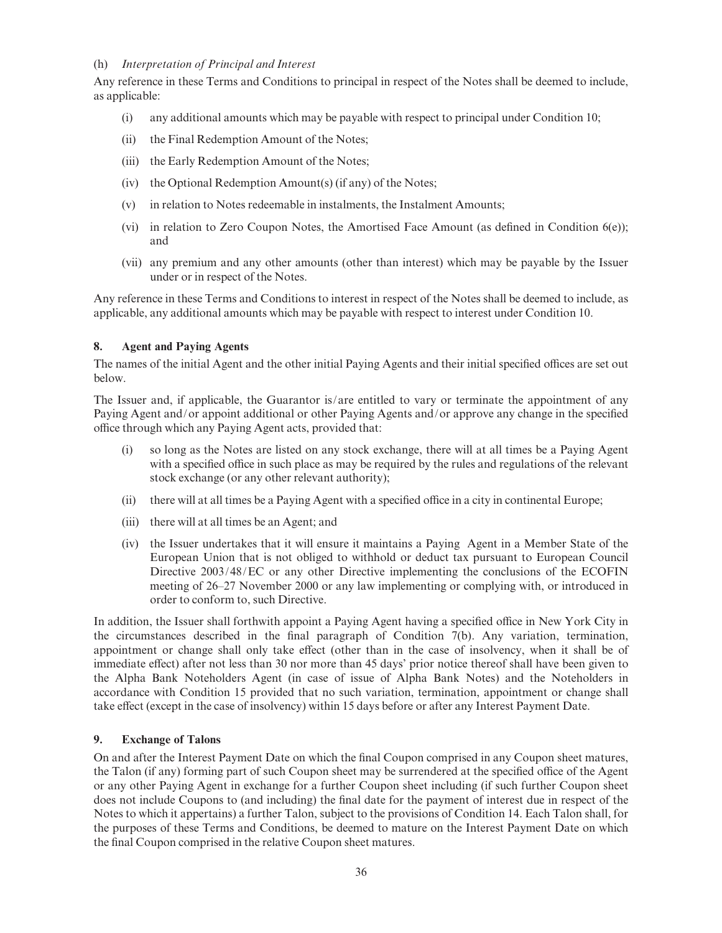#### (h) Interpretation of Principal and Interest

Any reference in these Terms and Conditions to principal in respect of the Notes shall be deemed to include, as applicable:

- (i) any additional amounts which may be payable with respect to principal under Condition 10;
- (ii) the Final Redemption Amount of the Notes;
- (iii) the Early Redemption Amount of the Notes;
- (iv) the Optional Redemption Amount(s) (if any) of the Notes;
- (v) in relation to Notes redeemable in instalments, the Instalment Amounts;
- (vi) in relation to Zero Coupon Notes, the Amortised Face Amount (as defined in Condition  $6(e)$ ); and
- (vii) any premium and any other amounts (other than interest) which may be payable by the Issuer under or in respect of the Notes.

Any reference in these Terms and Conditions to interest in respect of the Notes shall be deemed to include, as applicable, any additional amounts which may be payable with respect to interest under Condition 10.

## 8. Agent and Paying Agents

The names of the initial Agent and the other initial Paying Agents and their initial specified offices are set out below.

The Issuer and, if applicable, the Guarantor is/are entitled to vary or terminate the appointment of any Paying Agent and/or appoint additional or other Paying Agents and/or approve any change in the specified office through which any Paying Agent acts, provided that:

- (i) so long as the Notes are listed on any stock exchange, there will at all times be a Paying Agent with a specified office in such place as may be required by the rules and regulations of the relevant stock exchange (or any other relevant authority);
- (ii) there will at all times be a Paying Agent with a specified office in a city in continental Europe;
- (iii) there will at all times be an Agent; and
- (iv) the Issuer undertakes that it will ensure it maintains a Paying Agent in a Member State of the European Union that is not obliged to withhold or deduct tax pursuant to European Council Directive 2003/48/EC or any other Directive implementing the conclusions of the ECOFIN meeting of 26–27 November 2000 or any law implementing or complying with, or introduced in order to conform to, such Directive.

In addition, the Issuer shall forthwith appoint a Paying Agent having a specified office in New York City in the circumstances described in the final paragraph of Condition 7(b). Any variation, termination, appointment or change shall only take effect (other than in the case of insolvency, when it shall be of immediate effect) after not less than 30 nor more than 45 days' prior notice thereof shall have been given to the Alpha Bank Noteholders Agent (in case of issue of Alpha Bank Notes) and the Noteholders in accordance with Condition 15 provided that no such variation, termination, appointment or change shall take effect (except in the case of insolvency) within 15 days before or after any Interest Payment Date.

#### 9. Exchange of Talons

On and after the Interest Payment Date on which the final Coupon comprised in any Coupon sheet matures, the Talon (if any) forming part of such Coupon sheet may be surrendered at the specified office of the Agent or any other Paying Agent in exchange for a further Coupon sheet including (if such further Coupon sheet does not include Coupons to (and including) the final date for the payment of interest due in respect of the Notes to which it appertains) a further Talon, subject to the provisions of Condition 14. Each Talon shall, for the purposes of these Terms and Conditions, be deemed to mature on the Interest Payment Date on which the final Coupon comprised in the relative Coupon sheet matures.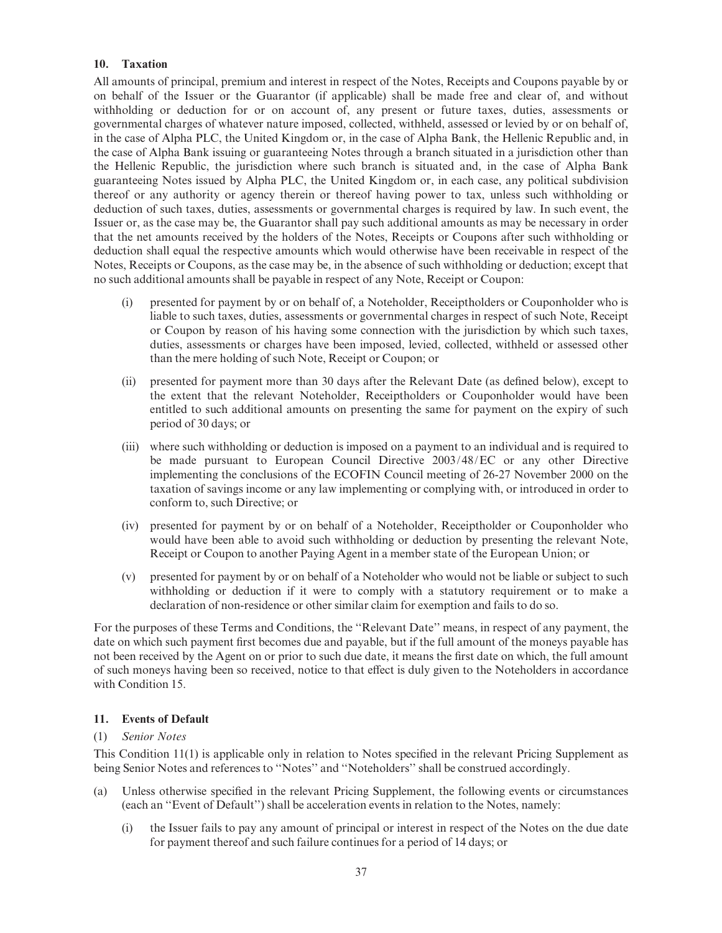# 10. Taxation

All amounts of principal, premium and interest in respect of the Notes, Receipts and Coupons payable by or on behalf of the Issuer or the Guarantor (if applicable) shall be made free and clear of, and without withholding or deduction for or on account of, any present or future taxes, duties, assessments or governmental charges of whatever nature imposed, collected, withheld, assessed or levied by or on behalf of, in the case of Alpha PLC, the United Kingdom or, in the case of Alpha Bank, the Hellenic Republic and, in the case of Alpha Bank issuing or guaranteeing Notes through a branch situated in a jurisdiction other than the Hellenic Republic, the jurisdiction where such branch is situated and, in the case of Alpha Bank guaranteeing Notes issued by Alpha PLC, the United Kingdom or, in each case, any political subdivision thereof or any authority or agency therein or thereof having power to tax, unless such withholding or deduction of such taxes, duties, assessments or governmental charges is required by law. In such event, the Issuer or, as the case may be, the Guarantor shall pay such additional amounts as may be necessary in order that the net amounts received by the holders of the Notes, Receipts or Coupons after such withholding or deduction shall equal the respective amounts which would otherwise have been receivable in respect of the Notes, Receipts or Coupons, as the case may be, in the absence of such withholding or deduction; except that no such additional amounts shall be payable in respect of any Note, Receipt or Coupon:

- (i) presented for payment by or on behalf of, a Noteholder, Receiptholders or Couponholder who is liable to such taxes, duties, assessments or governmental charges in respect of such Note, Receipt or Coupon by reason of his having some connection with the jurisdiction by which such taxes, duties, assessments or charges have been imposed, levied, collected, withheld or assessed other than the mere holding of such Note, Receipt or Coupon; or
- (ii) presented for payment more than 30 days after the Relevant Date (as de¢ned below), except to the extent that the relevant Noteholder, Receiptholders or Couponholder would have been entitled to such additional amounts on presenting the same for payment on the expiry of such period of 30 days; or
- (iii) where such withholding or deduction is imposed on a payment to an individual and is required to be made pursuant to European Council Directive 2003/48/EC or any other Directive implementing the conclusions of the ECOFIN Council meeting of 26-27 November 2000 on the taxation of savings income or any law implementing or complying with, or introduced in order to conform to, such Directive; or
- (iv) presented for payment by or on behalf of a Noteholder, Receiptholder or Couponholder who would have been able to avoid such withholding or deduction by presenting the relevant Note, Receipt or Coupon to another Paying Agent in a member state of the European Union; or
- (v) presented for payment by or on behalf of a Noteholder who would not be liable or subject to such withholding or deduction if it were to comply with a statutory requirement or to make a declaration of non-residence or other similar claim for exemption and fails to do so.

For the purposes of these Terms and Conditions, the ''Relevant Date'' means, in respect of any payment, the date on which such payment first becomes due and payable, but if the full amount of the moneys payable has not been received by the Agent on or prior to such due date, it means the first date on which, the full amount of such moneys having been so received, notice to that effect is duly given to the Noteholders in accordance with Condition 15.

# 11. Events of Default

# (1) Senior Notes

This Condition 11(1) is applicable only in relation to Notes specified in the relevant Pricing Supplement as being Senior Notes and references to ''Notes'' and ''Noteholders'' shall be construed accordingly.

- (a) Unless otherwise speci¢ed in the relevant Pricing Supplement, the following events or circumstances (each an ''Event of Default'') shall be acceleration events in relation to the Notes, namely:
	- (i) the Issuer fails to pay any amount of principal or interest in respect of the Notes on the due date for payment thereof and such failure continues for a period of 14 days; or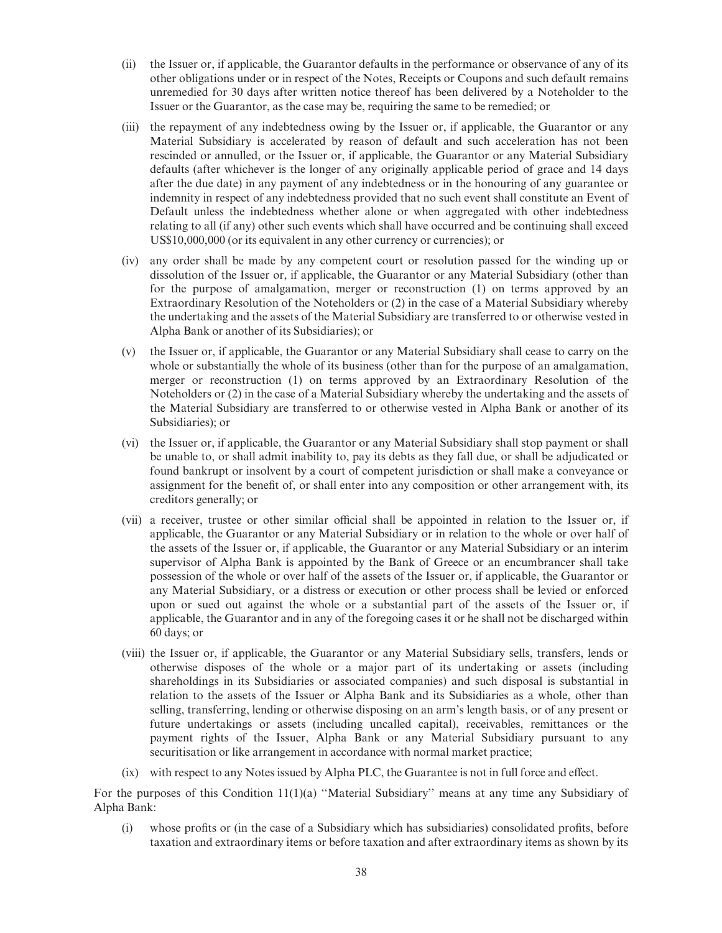- (ii) the Issuer or, if applicable, the Guarantor defaults in the performance or observance of any of its other obligations under or in respect of the Notes, Receipts or Coupons and such default remains unremedied for 30 days after written notice thereof has been delivered by a Noteholder to the Issuer or the Guarantor, as the case may be, requiring the same to be remedied; or
- (iii) the repayment of any indebtedness owing by the Issuer or, if applicable, the Guarantor or any Material Subsidiary is accelerated by reason of default and such acceleration has not been rescinded or annulled, or the Issuer or, if applicable, the Guarantor or any Material Subsidiary defaults (after whichever is the longer of any originally applicable period of grace and 14 days after the due date) in any payment of any indebtedness or in the honouring of any guarantee or indemnity in respect of any indebtedness provided that no such event shall constitute an Event of Default unless the indebtedness whether alone or when aggregated with other indebtedness relating to all (if any) other such events which shall have occurred and be continuing shall exceed US\$10,000,000 (or its equivalent in any other currency or currencies); or
- (iv) any order shall be made by any competent court or resolution passed for the winding up or dissolution of the Issuer or, if applicable, the Guarantor or any Material Subsidiary (other than for the purpose of amalgamation, merger or reconstruction (1) on terms approved by an Extraordinary Resolution of the Noteholders or (2) in the case of a Material Subsidiary whereby the undertaking and the assets of the Material Subsidiary are transferred to or otherwise vested in Alpha Bank or another of its Subsidiaries); or
- (v) the Issuer or, if applicable, the Guarantor or any Material Subsidiary shall cease to carry on the whole or substantially the whole of its business (other than for the purpose of an amalgamation, merger or reconstruction (1) on terms approved by an Extraordinary Resolution of the Noteholders or (2) in the case of a Material Subsidiary whereby the undertaking and the assets of the Material Subsidiary are transferred to or otherwise vested in Alpha Bank or another of its Subsidiaries); or
- (vi) the Issuer or, if applicable, the Guarantor or any Material Subsidiary shall stop payment or shall be unable to, or shall admit inability to, pay its debts as they fall due, or shall be adjudicated or found bankrupt or insolvent by a court of competent jurisdiction or shall make a conveyance or assignment for the benefit of, or shall enter into any composition or other arrangement with, its creditors generally; or
- (vii) a receiver, trustee or other similar official shall be appointed in relation to the Issuer or, if applicable, the Guarantor or any Material Subsidiary or in relation to the whole or over half of the assets of the Issuer or, if applicable, the Guarantor or any Material Subsidiary or an interim supervisor of Alpha Bank is appointed by the Bank of Greece or an encumbrancer shall take possession of the whole or over half of the assets of the Issuer or, if applicable, the Guarantor or any Material Subsidiary, or a distress or execution or other process shall be levied or enforced upon or sued out against the whole or a substantial part of the assets of the Issuer or, if applicable, the Guarantor and in any of the foregoing cases it or he shall not be discharged within 60 days; or
- (viii) the Issuer or, if applicable, the Guarantor or any Material Subsidiary sells, transfers, lends or otherwise disposes of the whole or a major part of its undertaking or assets (including shareholdings in its Subsidiaries or associated companies) and such disposal is substantial in relation to the assets of the Issuer or Alpha Bank and its Subsidiaries as a whole, other than selling, transferring, lending or otherwise disposing on an arm's length basis, or of any present or future undertakings or assets (including uncalled capital), receivables, remittances or the payment rights of the Issuer, Alpha Bank or any Material Subsidiary pursuant to any securitisation or like arrangement in accordance with normal market practice;
- $(ix)$  with respect to any Notes issued by Alpha PLC, the Guarantee is not in full force and effect.

For the purposes of this Condition 11(1)(a) ''Material Subsidiary'' means at any time any Subsidiary of Alpha Bank:

(i) whose pro¢ts or (in the case of a Subsidiary which has subsidiaries) consolidated pro¢ts, before taxation and extraordinary items or before taxation and after extraordinary items as shown by its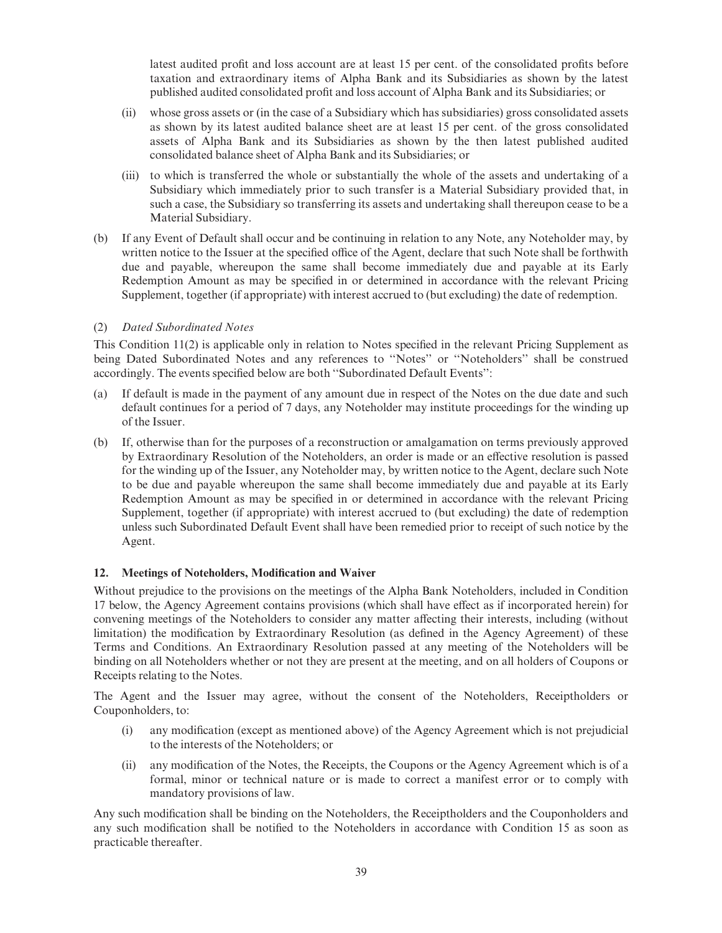latest audited profit and loss account are at least 15 per cent. of the consolidated profits before taxation and extraordinary items of Alpha Bank and its Subsidiaries as shown by the latest published audited consolidated pro¢t and loss account of Alpha Bank and its Subsidiaries; or

- (ii) whose gross assets or (in the case of a Subsidiary which has subsidiaries) gross consolidated assets as shown by its latest audited balance sheet are at least 15 per cent. of the gross consolidated assets of Alpha Bank and its Subsidiaries as shown by the then latest published audited consolidated balance sheet of Alpha Bank and its Subsidiaries; or
- (iii) to which is transferred the whole or substantially the whole of the assets and undertaking of a Subsidiary which immediately prior to such transfer is a Material Subsidiary provided that, in such a case, the Subsidiary so transferring its assets and undertaking shall thereupon cease to be a Material Subsidiary.
- (b) If any Event of Default shall occur and be continuing in relation to any Note, any Noteholder may, by written notice to the Issuer at the specified office of the Agent, declare that such Note shall be forthwith due and payable, whereupon the same shall become immediately due and payable at its Early Redemption Amount as may be specified in or determined in accordance with the relevant Pricing Supplement, together (if appropriate) with interest accrued to (but excluding) the date of redemption.

# (2) Dated Subordinated Notes

This Condition 11(2) is applicable only in relation to Notes specified in the relevant Pricing Supplement as being Dated Subordinated Notes and any references to ''Notes'' or ''Noteholders'' shall be construed accordingly. The events specified below are both "Subordinated Default Events":

- (a) If default is made in the payment of any amount due in respect of the Notes on the due date and such default continues for a period of 7 days, any Noteholder may institute proceedings for the winding up of the Issuer.
- (b) If, otherwise than for the purposes of a reconstruction or amalgamation on terms previously approved by Extraordinary Resolution of the Noteholders, an order is made or an effective resolution is passed for the winding up of the Issuer, any Noteholder may, by written notice to the Agent, declare such Note to be due and payable whereupon the same shall become immediately due and payable at its Early Redemption Amount as may be specified in or determined in accordance with the relevant Pricing Supplement, together (if appropriate) with interest accrued to (but excluding) the date of redemption unless such Subordinated Default Event shall have been remedied prior to receipt of such notice by the Agent.

### 12. Meetings of Noteholders, Modification and Waiver

Without prejudice to the provisions on the meetings of the Alpha Bank Noteholders, included in Condition 17 below, the Agency Agreement contains provisions (which shall have effect as if incorporated herein) for convening meetings of the Noteholders to consider any matter affecting their interests, including (without limitation) the modification by Extraordinary Resolution (as defined in the Agency Agreement) of these Terms and Conditions. An Extraordinary Resolution passed at any meeting of the Noteholders will be binding on all Noteholders whether or not they are present at the meeting, and on all holders of Coupons or Receipts relating to the Notes.

The Agent and the Issuer may agree, without the consent of the Noteholders, Receiptholders or Couponholders, to:

- (i) any modi¢cation (except as mentioned above) of the Agency Agreement which is not prejudicial to the interests of the Noteholders; or
- (ii) any modification of the Notes, the Receipts, the Coupons or the Agency Agreement which is of a formal, minor or technical nature or is made to correct a manifest error or to comply with mandatory provisions of law.

Any such modification shall be binding on the Noteholders, the Receiptholders and the Couponholders and any such modification shall be notified to the Noteholders in accordance with Condition 15 as soon as practicable thereafter.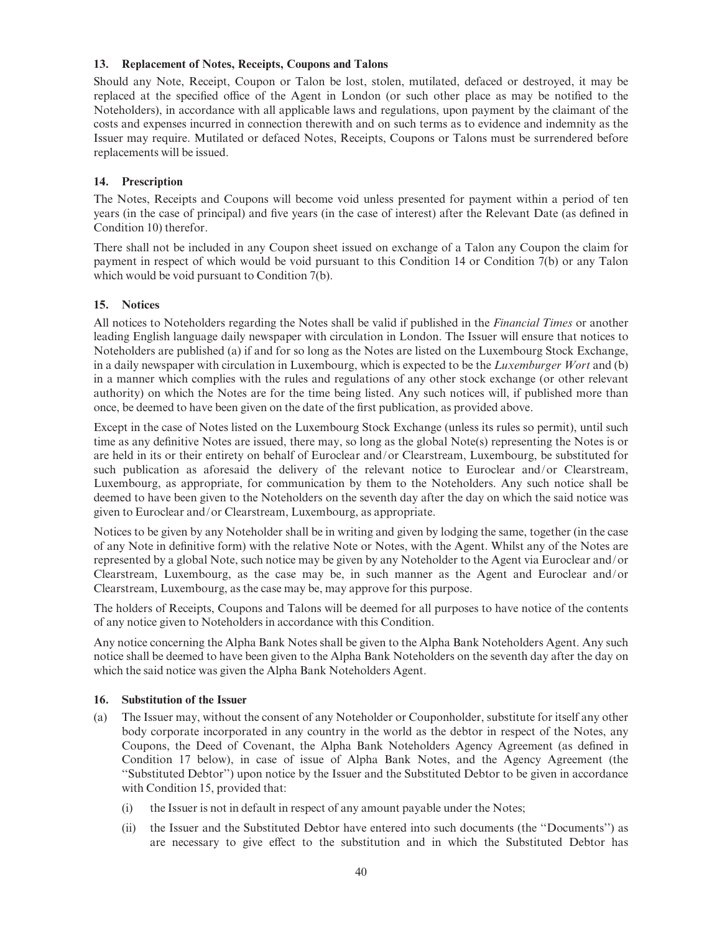### 13. Replacement of Notes, Receipts, Coupons and Talons

Should any Note, Receipt, Coupon or Talon be lost, stolen, mutilated, defaced or destroyed, it may be replaced at the specified office of the Agent in London (or such other place as may be notified to the Noteholders), in accordance with all applicable laws and regulations, upon payment by the claimant of the costs and expenses incurred in connection therewith and on such terms as to evidence and indemnity as the Issuer may require. Mutilated or defaced Notes, Receipts, Coupons or Talons must be surrendered before replacements will be issued.

### 14. Prescription

The Notes, Receipts and Coupons will become void unless presented for payment within a period of ten years (in the case of principal) and five years (in the case of interest) after the Relevant Date (as defined in Condition 10) therefor.

There shall not be included in any Coupon sheet issued on exchange of a Talon any Coupon the claim for payment in respect of which would be void pursuant to this Condition 14 or Condition 7(b) or any Talon which would be void pursuant to Condition 7(b).

# 15. Notices

All notices to Noteholders regarding the Notes shall be valid if published in the *Financial Times* or another leading English language daily newspaper with circulation in London. The Issuer will ensure that notices to Noteholders are published (a) if and for so long as the Notes are listed on the Luxembourg Stock Exchange, in a daily newspaper with circulation in Luxembourg, which is expected to be the *Luxemburger Wort* and (b) in a manner which complies with the rules and regulations of any other stock exchange (or other relevant authority) on which the Notes are for the time being listed. Any such notices will, if published more than once, be deemed to have been given on the date of the first publication, as provided above.

Except in the case of Notes listed on the Luxembourg Stock Exchange (unless its rules so permit), until such time as any definitive Notes are issued, there may, so long as the global Note(s) representing the Notes is or are held in its or their entirety on behalf of Euroclear and/or Clearstream, Luxembourg, be substituted for such publication as aforesaid the delivery of the relevant notice to Euroclear and/or Clearstream, Luxembourg, as appropriate, for communication by them to the Noteholders. Any such notice shall be deemed to have been given to the Noteholders on the seventh day after the day on which the said notice was given to Euroclear and/or Clearstream, Luxembourg, as appropriate.

Notices to be given by any Noteholder shall be in writing and given by lodging the same, together (in the case of any Note in definitive form) with the relative Note or Notes, with the Agent. Whilst any of the Notes are represented by a global Note, such notice may be given by any Noteholder to the Agent via Euroclear and/or Clearstream, Luxembourg, as the case may be, in such manner as the Agent and Euroclear and/or Clearstream, Luxembourg, as the case may be, may approve for this purpose.

The holders of Receipts, Coupons and Talons will be deemed for all purposes to have notice of the contents of any notice given to Noteholders in accordance with this Condition.

Any notice concerning the Alpha Bank Notes shall be given to the Alpha Bank Noteholders Agent. Any such notice shall be deemed to have been given to the Alpha Bank Noteholders on the seventh day after the day on which the said notice was given the Alpha Bank Noteholders Agent.

### 16. Substitution of the Issuer

- (a) The Issuer may, without the consent of any Noteholder or Couponholder, substitute for itself any other body corporate incorporated in any country in the world as the debtor in respect of the Notes, any Coupons, the Deed of Covenant, the Alpha Bank Noteholders Agency Agreement (as defined in Condition 17 below), in case of issue of Alpha Bank Notes, and the Agency Agreement (the ''Substituted Debtor'') upon notice by the Issuer and the Substituted Debtor to be given in accordance with Condition 15, provided that:
	- (i) the Issuer is not in default in respect of any amount payable under the Notes;
	- (ii) the Issuer and the Substituted Debtor have entered into such documents (the ''Documents'') as are necessary to give effect to the substitution and in which the Substituted Debtor has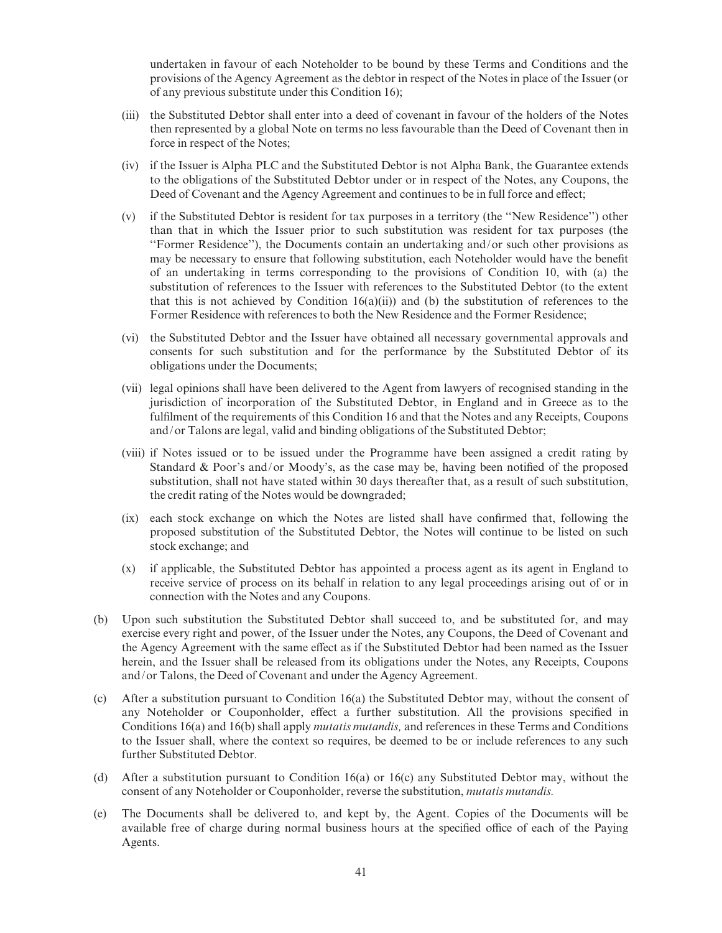undertaken in favour of each Noteholder to be bound by these Terms and Conditions and the provisions of the Agency Agreement as the debtor in respect of the Notes in place of the Issuer (or of any previous substitute under this Condition 16);

- (iii) the Substituted Debtor shall enter into a deed of covenant in favour of the holders of the Notes then represented by a global Note on terms no less favourable than the Deed of Covenant then in force in respect of the Notes;
- (iv) if the Issuer is Alpha PLC and the Substituted Debtor is not Alpha Bank, the Guarantee extends to the obligations of the Substituted Debtor under or in respect of the Notes, any Coupons, the Deed of Covenant and the Agency Agreement and continues to be in full force and effect;
- (v) if the Substituted Debtor is resident for tax purposes in a territory (the ''New Residence'') other than that in which the Issuer prior to such substitution was resident for tax purposes (the ''Former Residence''), the Documents contain an undertaking and/or such other provisions as may be necessary to ensure that following substitution, each Noteholder would have the benefit of an undertaking in terms corresponding to the provisions of Condition 10, with (a) the substitution of references to the Issuer with references to the Substituted Debtor (to the extent that this is not achieved by Condition  $16(a)(ii)$  and (b) the substitution of references to the Former Residence with references to both the New Residence and the Former Residence;
- (vi) the Substituted Debtor and the Issuer have obtained all necessary governmental approvals and consents for such substitution and for the performance by the Substituted Debtor of its obligations under the Documents;
- (vii) legal opinions shall have been delivered to the Agent from lawyers of recognised standing in the jurisdiction of incorporation of the Substituted Debtor, in England and in Greece as to the fulfilment of the requirements of this Condition 16 and that the Notes and any Receipts, Coupons and/or Talons are legal, valid and binding obligations of the Substituted Debtor;
- (viii) if Notes issued or to be issued under the Programme have been assigned a credit rating by Standard & Poor's and/or Moody's, as the case may be, having been notified of the proposed substitution, shall not have stated within 30 days thereafter that, as a result of such substitution, the credit rating of the Notes would be downgraded;
- (ix) each stock exchange on which the Notes are listed shall have confirmed that, following the proposed substitution of the Substituted Debtor, the Notes will continue to be listed on such stock exchange; and
- (x) if applicable, the Substituted Debtor has appointed a process agent as its agent in England to receive service of process on its behalf in relation to any legal proceedings arising out of or in connection with the Notes and any Coupons.
- (b) Upon such substitution the Substituted Debtor shall succeed to, and be substituted for, and may exercise every right and power, of the Issuer under the Notes, any Coupons, the Deed of Covenant and the Agency Agreement with the same effect as if the Substituted Debtor had been named as the Issuer herein, and the Issuer shall be released from its obligations under the Notes, any Receipts, Coupons and/or Talons, the Deed of Covenant and under the Agency Agreement.
- (c) After a substitution pursuant to Condition 16(a) the Substituted Debtor may, without the consent of any Noteholder or Couponholder, effect a further substitution. All the provisions specified in Conditions 16(a) and 16(b) shall apply mutatis mutandis, and references in these Terms and Conditions to the Issuer shall, where the context so requires, be deemed to be or include references to any such further Substituted Debtor.
- (d) After a substitution pursuant to Condition 16(a) or 16(c) any Substituted Debtor may, without the consent of any Noteholder or Couponholder, reverse the substitution, mutatis mutandis.
- (e) The Documents shall be delivered to, and kept by, the Agent. Copies of the Documents will be available free of charge during normal business hours at the specified office of each of the Paying Agents.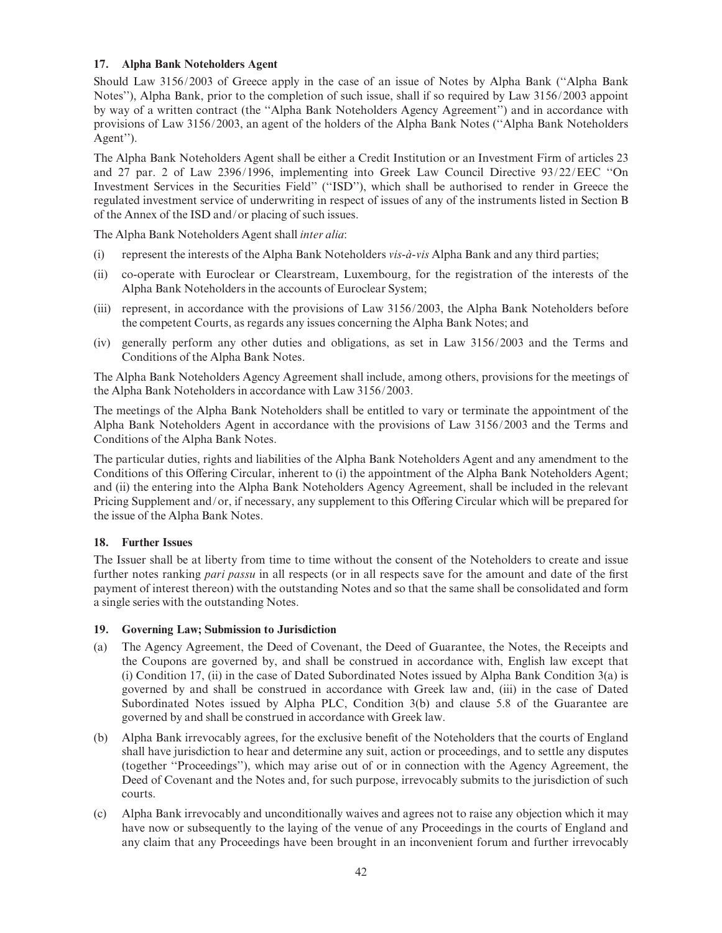# 17. Alpha Bank Noteholders Agent

Should Law 3156/2003 of Greece apply in the case of an issue of Notes by Alpha Bank (''Alpha Bank Notes''), Alpha Bank, prior to the completion of such issue, shall if so required by Law 3156/2003 appoint by way of a written contract (the ''Alpha Bank Noteholders Agency Agreement'') and in accordance with provisions of Law 3156/2003, an agent of the holders of the Alpha Bank Notes (''Alpha Bank Noteholders Agent'').

The Alpha Bank Noteholders Agent shall be either a Credit Institution or an Investment Firm of articles 23 and 27 par. 2 of Law 2396/1996, implementing into Greek Law Council Directive 93/22/EEC ''On Investment Services in the Securities Field'' (''ISD''), which shall be authorised to render in Greece the regulated investment service of underwriting in respect of issues of any of the instruments listed in Section B of the Annex of the ISD and/or placing of such issues.

The Alpha Bank Noteholders Agent shall inter alia:

- (i) represent the interests of the Alpha Bank Noteholders *vis-a-vis* Alpha Bank and any third parties;
- (ii) co-operate with Euroclear or Clearstream, Luxembourg, for the registration of the interests of the Alpha Bank Noteholders in the accounts of Euroclear System;
- (iii) represent, in accordance with the provisions of Law 3156/2003, the Alpha Bank Noteholders before the competent Courts, as regards any issues concerning the Alpha Bank Notes; and
- (iv) generally perform any other duties and obligations, as set in Law 3156/2003 and the Terms and Conditions of the Alpha Bank Notes.

The Alpha Bank Noteholders Agency Agreement shall include, among others, provisions for the meetings of the Alpha Bank Noteholders in accordance with Law 3156/2003.

The meetings of the Alpha Bank Noteholders shall be entitled to vary or terminate the appointment of the Alpha Bank Noteholders Agent in accordance with the provisions of Law 3156/2003 and the Terms and Conditions of the Alpha Bank Notes.

The particular duties, rights and liabilities of the Alpha Bank Noteholders Agent and any amendment to the Conditions of this Offering Circular, inherent to (i) the appointment of the Alpha Bank Noteholders Agent; and (ii) the entering into the Alpha Bank Noteholders Agency Agreement, shall be included in the relevant Pricing Supplement and/or, if necessary, any supplement to this Offering Circular which will be prepared for the issue of the Alpha Bank Notes.

# 18. Further Issues

The Issuer shall be at liberty from time to time without the consent of the Noteholders to create and issue further notes ranking *pari passu* in all respects (or in all respects save for the amount and date of the first payment of interest thereon) with the outstanding Notes and so that the same shall be consolidated and form a single series with the outstanding Notes.

### 19. Governing Law; Submission to Jurisdiction

- (a) The Agency Agreement, the Deed of Covenant, the Deed of Guarantee, the Notes, the Receipts and the Coupons are governed by, and shall be construed in accordance with, English law except that (i) Condition 17, (ii) in the case of Dated Subordinated Notes issued by Alpha Bank Condition 3(a) is governed by and shall be construed in accordance with Greek law and, (iii) in the case of Dated Subordinated Notes issued by Alpha PLC, Condition 3(b) and clause 5.8 of the Guarantee are governed by and shall be construed in accordance with Greek law.
- (b) Alpha Bank irrevocably agrees, for the exclusive bene¢t of the Noteholders that the courts of England shall have jurisdiction to hear and determine any suit, action or proceedings, and to settle any disputes (together ''Proceedings''), which may arise out of or in connection with the Agency Agreement, the Deed of Covenant and the Notes and, for such purpose, irrevocably submits to the jurisdiction of such courts.
- (c) Alpha Bank irrevocably and unconditionally waives and agrees not to raise any objection which it may have now or subsequently to the laying of the venue of any Proceedings in the courts of England and any claim that any Proceedings have been brought in an inconvenient forum and further irrevocably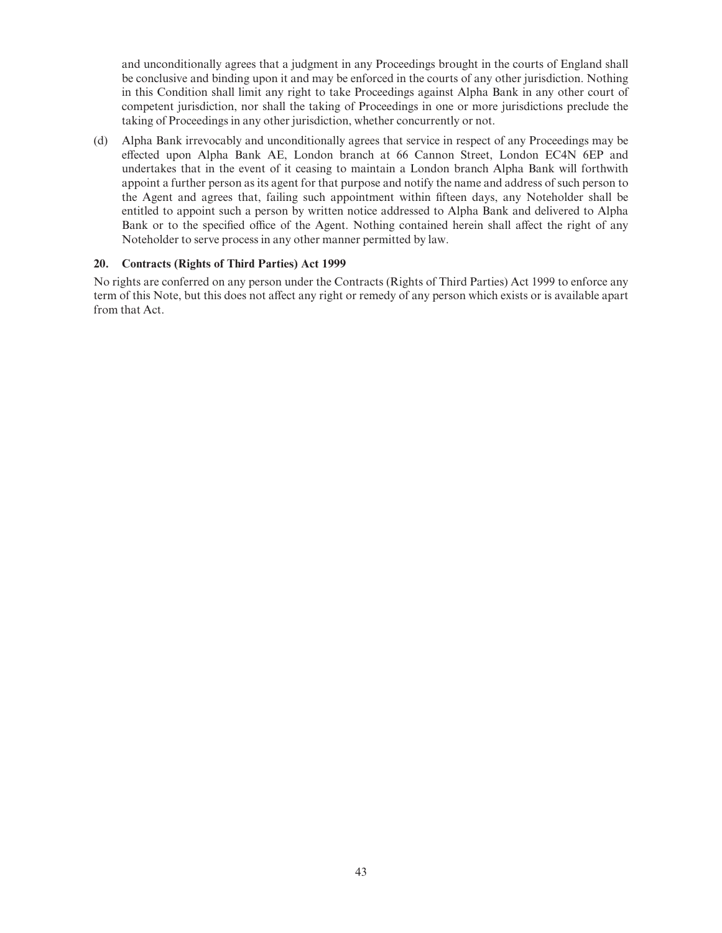and unconditionally agrees that a judgment in any Proceedings brought in the courts of England shall be conclusive and binding upon it and may be enforced in the courts of any other jurisdiction. Nothing in this Condition shall limit any right to take Proceedings against Alpha Bank in any other court of competent jurisdiction, nor shall the taking of Proceedings in one or more jurisdictions preclude the taking of Proceedings in any other jurisdiction, whether concurrently or not.

(d) Alpha Bank irrevocably and unconditionally agrees that service in respect of any Proceedings may be effected upon Alpha Bank AE, London branch at 66 Cannon Street, London EC4N 6EP and undertakes that in the event of it ceasing to maintain a London branch Alpha Bank will forthwith appoint a further person as its agent for that purpose and notify the name and address of such person to the Agent and agrees that, failing such appointment within ¢fteen days, any Noteholder shall be entitled to appoint such a person by written notice addressed to Alpha Bank and delivered to Alpha Bank or to the specified office of the Agent. Nothing contained herein shall affect the right of any Noteholder to serve process in any other manner permitted by law.

#### 20. Contracts (Rights of Third Parties) Act 1999

No rights are conferred on any person under the Contracts (Rights of Third Parties) Act 1999 to enforce any term of this Note, but this does not affect any right or remedy of any person which exists or is available apart from that Act.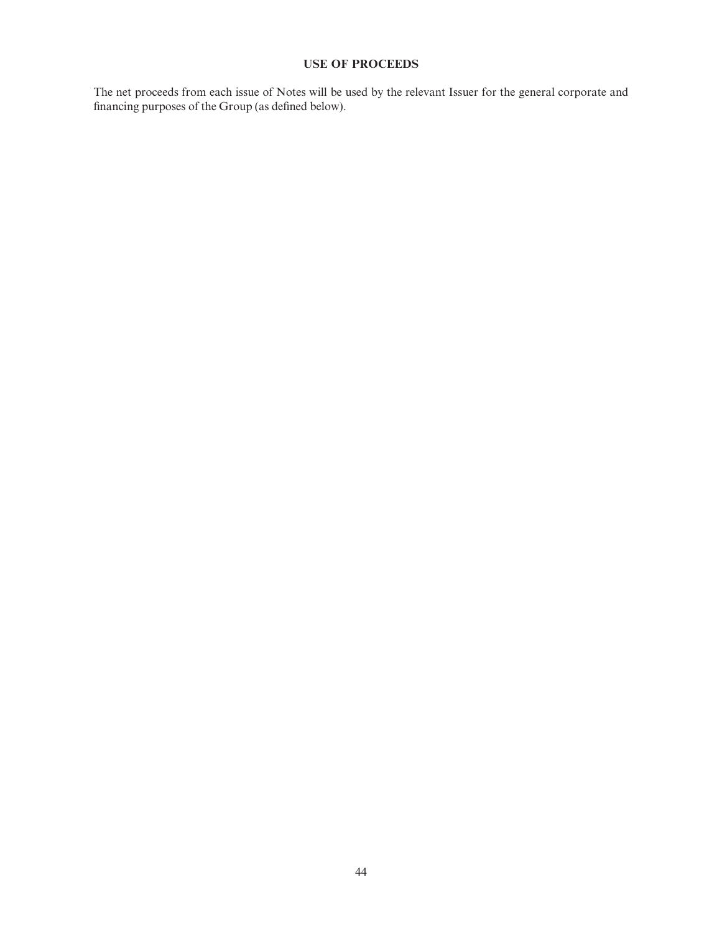# USE OF PROCEEDS

The net proceeds from each issue of Notes will be used by the relevant Issuer for the general corporate and financing purposes of the Group (as defined below).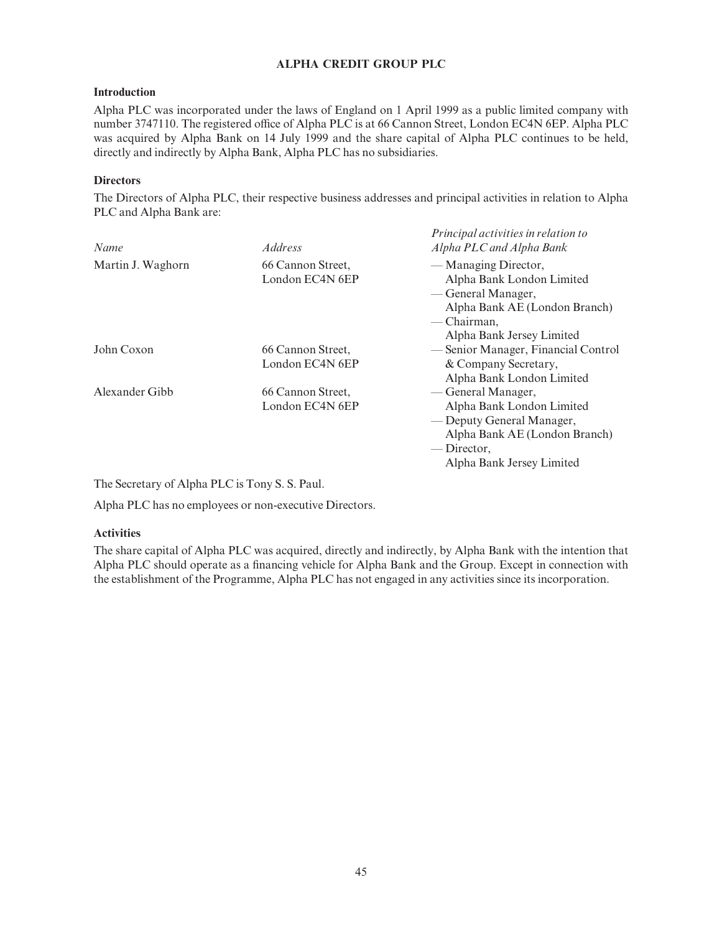# ALPHA CREDIT GROUP PLC

### Introduction

Alpha PLC was incorporated under the laws of England on 1 April 1999 as a public limited company with number 3747110. The registered office of Alpha PLC is at 66 Cannon Street, London EC4N 6EP. Alpha PLC was acquired by Alpha Bank on 14 July 1999 and the share capital of Alpha PLC continues to be held, directly and indirectly by Alpha Bank, Alpha PLC has no subsidiaries.

## **Directors**

The Directors of Alpha PLC, their respective business addresses and principal activities in relation to Alpha PLC and Alpha Bank are:

| Name              | <i>Address</i>    | Principal activities in relation to<br>Alpha PLC and Alpha Bank |
|-------------------|-------------------|-----------------------------------------------------------------|
| Martin J. Waghorn | 66 Cannon Street, | — Managing Director,                                            |
|                   | London EC4N 6EP   | Alpha Bank London Limited                                       |
|                   |                   | — General Manager,                                              |
|                   |                   | Alpha Bank AE (London Branch)                                   |
|                   |                   | — Chairman,                                                     |
|                   |                   | Alpha Bank Jersey Limited                                       |
| John Coxon        | 66 Cannon Street, | — Senior Manager, Financial Control                             |
|                   | London EC4N 6EP   | & Company Secretary,                                            |
|                   |                   | Alpha Bank London Limited                                       |
| Alexander Gibb    | 66 Cannon Street, | — General Manager,                                              |
|                   | London EC4N 6EP   | Alpha Bank London Limited                                       |
|                   |                   | — Deputy General Manager,                                       |
|                   |                   | Alpha Bank AE (London Branch)                                   |
|                   |                   | — Director,                                                     |
|                   |                   | Alpha Bank Jersey Limited                                       |

The Secretary of Alpha PLC is Tony S. S. Paul.

Alpha PLC has no employees or non-executive Directors.

### Activities

The share capital of Alpha PLC was acquired, directly and indirectly, by Alpha Bank with the intention that Alpha PLC should operate as a financing vehicle for Alpha Bank and the Group. Except in connection with the establishment of the Programme, Alpha PLC has not engaged in any activities since its incorporation.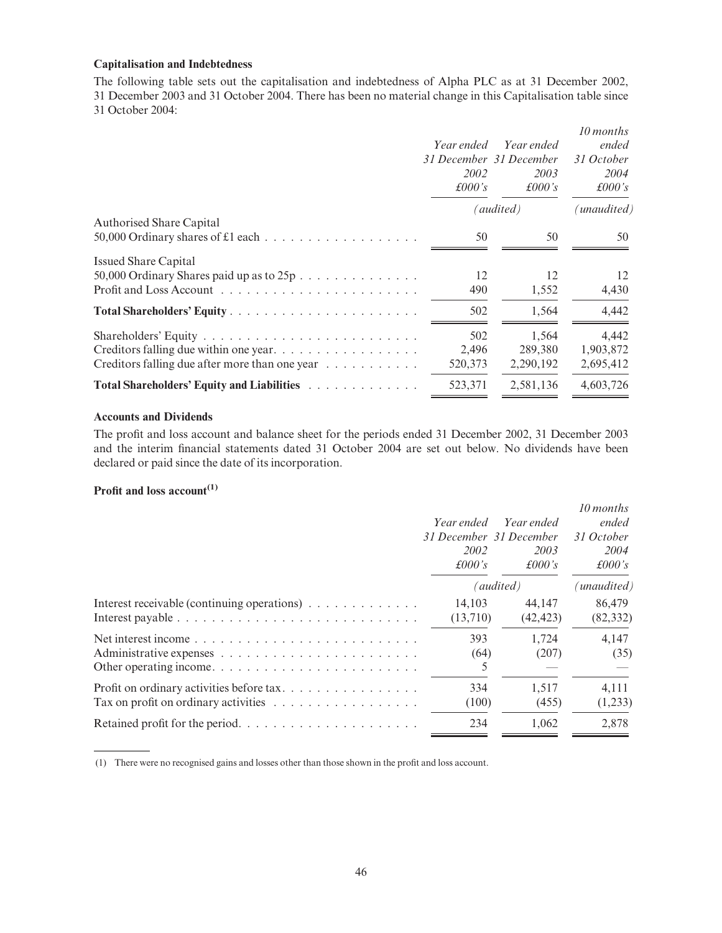# Capitalisation and Indebtedness

The following table sets out the capitalisation and indebtedness of Alpha PLC as at 31 December 2002, 31 December 2003 and 31 October 2004. There has been no material change in this Capitalisation table since 31 October 2004:

|                                                | Year ended<br>31 December 31 December<br>2002<br>£000's | Year ended<br>2003<br>$\pounds 000$ 's | 10 months<br>ended<br>31 October<br>2004<br>£000's |
|------------------------------------------------|---------------------------------------------------------|----------------------------------------|----------------------------------------------------|
|                                                |                                                         | (audited)                              | (unaudited)                                        |
| <b>Authorised Share Capital</b>                |                                                         |                                        |                                                    |
|                                                | 50                                                      | 50                                     | 50                                                 |
| <b>Issued Share Capital</b>                    |                                                         |                                        |                                                    |
| 50,000 Ordinary Shares paid up as to $25p$     | 12                                                      | 12                                     | 12                                                 |
|                                                | 490                                                     | 1,552                                  | 4,430                                              |
|                                                | 502                                                     | 1,564                                  | 4,442                                              |
|                                                | 502                                                     | 1,564                                  | 4,442                                              |
| Creditors falling due within one year.         | 2,496                                                   | 289,380                                | 1,903,872                                          |
| Creditors falling due after more than one year | 520,373                                                 | 2,290,192                              | 2,695,412                                          |
| Total Shareholders' Equity and Liabilities     | 523,371                                                 | 2,581,136                              | 4,603,726                                          |

#### Accounts and Dividends

The profit and loss account and balance sheet for the periods ended 31 December 2002, 31 December 2003 and the interim financial statements dated 31 October 2004 are set out below. No dividends have been declared or paid since the date of its incorporation.

# Profit and loss  $account<sup>(1)</sup>$

|                                             | Year ended<br>31 December 31 December<br>2002<br>$\pounds$ 000's | Year ended<br>2003<br>£000's | 10 months<br>ended<br>31 October<br>2004<br>$\pounds 000$ 's |
|---------------------------------------------|------------------------------------------------------------------|------------------------------|--------------------------------------------------------------|
|                                             |                                                                  | (audited)                    | (unaudited)                                                  |
| Interest receivable (continuing operations) | 14.103<br>(13,710)                                               | 44,147<br>(42, 423)          | 86,479<br>(82, 332)                                          |
|                                             | 393<br>(64)                                                      | 1,724<br>(207)               | 4,147<br>(35)                                                |
| Profit on ordinary activities before tax    | 334<br>(100)                                                     | 1.517<br>(455)               | 4,111<br>(1,233)                                             |
|                                             | 234                                                              | 1.062                        | 2.878                                                        |

<sup>(1)</sup> There were no recognised gains and losses other than those shown in the profit and loss account.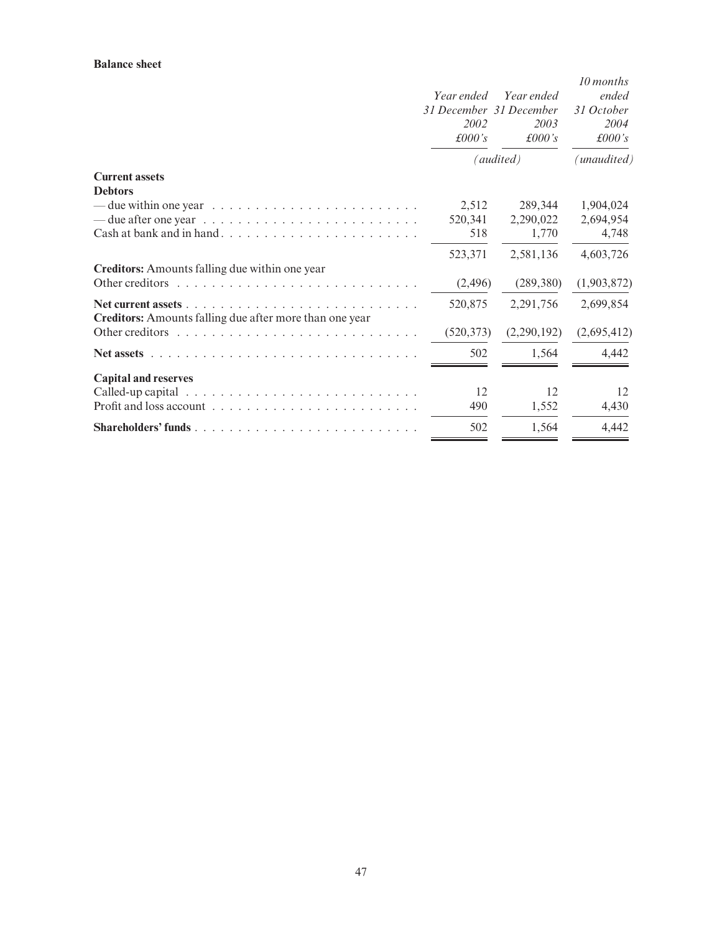#### Balance sheet

|                                                                                                                                                                                | Year ended<br>31 December 31 December<br>2002<br>£000's | Year ended<br>2003<br>£000's | 10 months<br>ended<br>31 October<br>2004<br>£000's |
|--------------------------------------------------------------------------------------------------------------------------------------------------------------------------------|---------------------------------------------------------|------------------------------|----------------------------------------------------|
|                                                                                                                                                                                |                                                         | (audited)                    | (unaudited)                                        |
| <b>Current assets</b><br><b>Debtors</b>                                                                                                                                        |                                                         |                              |                                                    |
| — due within one year $\ldots \ldots \ldots \ldots \ldots \ldots \ldots \ldots$                                                                                                | 2,512                                                   | 289,344                      | 1,904,024                                          |
| — due after one year $\ldots \ldots \ldots \ldots \ldots \ldots \ldots \ldots$                                                                                                 | 520,341                                                 | 2,290,022                    | 2,694,954                                          |
|                                                                                                                                                                                | 518                                                     | 1,770                        | 4,748                                              |
|                                                                                                                                                                                | 523,371                                                 | 2,581,136                    | 4,603,726                                          |
| Creditors: Amounts falling due within one year                                                                                                                                 |                                                         |                              |                                                    |
|                                                                                                                                                                                | (2, 496)                                                | (289, 380)                   | (1,903,872)                                        |
| Net current assets $\ldots$ , $\ldots$ , $\ldots$ , $\ldots$ , $\ldots$ , $\ldots$ , $\ldots$ , $\ldots$ , $\ldots$<br>Creditors: Amounts falling due after more than one year | 520,875                                                 | 2,291,756                    | 2,699,854                                          |
|                                                                                                                                                                                | (520, 373)                                              | (2,290,192)                  | (2,695,412)                                        |
| Net assets $\ldots$ $\ldots$                                                                                                                                                   | 502                                                     | 1,564                        | 4,442                                              |
| <b>Capital and reserves</b>                                                                                                                                                    |                                                         |                              |                                                    |
|                                                                                                                                                                                | 12                                                      | 12                           | 12                                                 |
|                                                                                                                                                                                | 490                                                     | 1,552                        | 4,430                                              |
|                                                                                                                                                                                | 502                                                     | 1,564                        | 4,442                                              |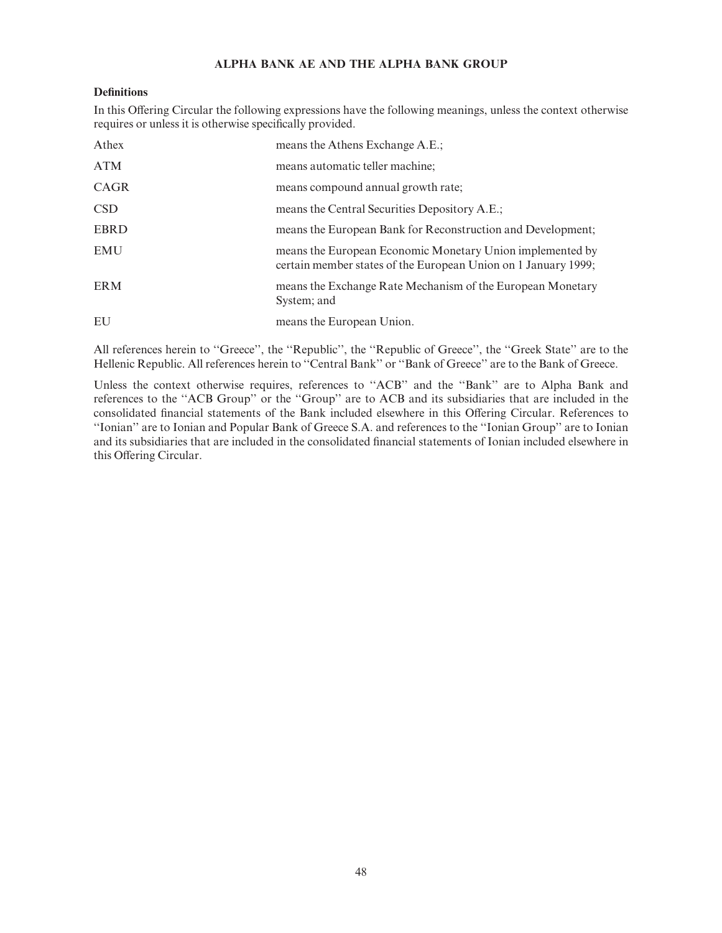# ALPHA BANK AE AND THE ALPHA BANK GROUP

# **Definitions**

In this Offering Circular the following expressions have the following meanings, unless the context otherwise requires or unless it is otherwise specifically provided.

| Athex       | means the Athens Exchange A.E.;                                                                                             |
|-------------|-----------------------------------------------------------------------------------------------------------------------------|
| <b>ATM</b>  | means automatic teller machine;                                                                                             |
| CAGR        | means compound annual growth rate;                                                                                          |
| <b>CSD</b>  | means the Central Securities Depository A.E.;                                                                               |
| <b>EBRD</b> | means the European Bank for Reconstruction and Development;                                                                 |
| <b>EMU</b>  | means the European Economic Monetary Union implemented by<br>certain member states of the European Union on 1 January 1999; |
| <b>ERM</b>  | means the Exchange Rate Mechanism of the European Monetary<br>System; and                                                   |
| EU          | means the European Union.                                                                                                   |

All references herein to "Greece", the "Republic", the "Republic of Greece", the "Greek State" are to the Hellenic Republic. All references herein to ''Central Bank'' or ''Bank of Greece'' are to the Bank of Greece.

Unless the context otherwise requires, references to ''ACB'' and the ''Bank'' are to Alpha Bank and references to the ''ACB Group'' or the ''Group'' are to ACB and its subsidiaries that are included in the consolidated financial statements of the Bank included elsewhere in this Offering Circular. References to ''Ionian'' are to Ionian and Popular Bank of Greece S.A. and references to the ''Ionian Group'' are to Ionian and its subsidiaries that are included in the consolidated financial statements of Ionian included elsewhere in this Offering Circular.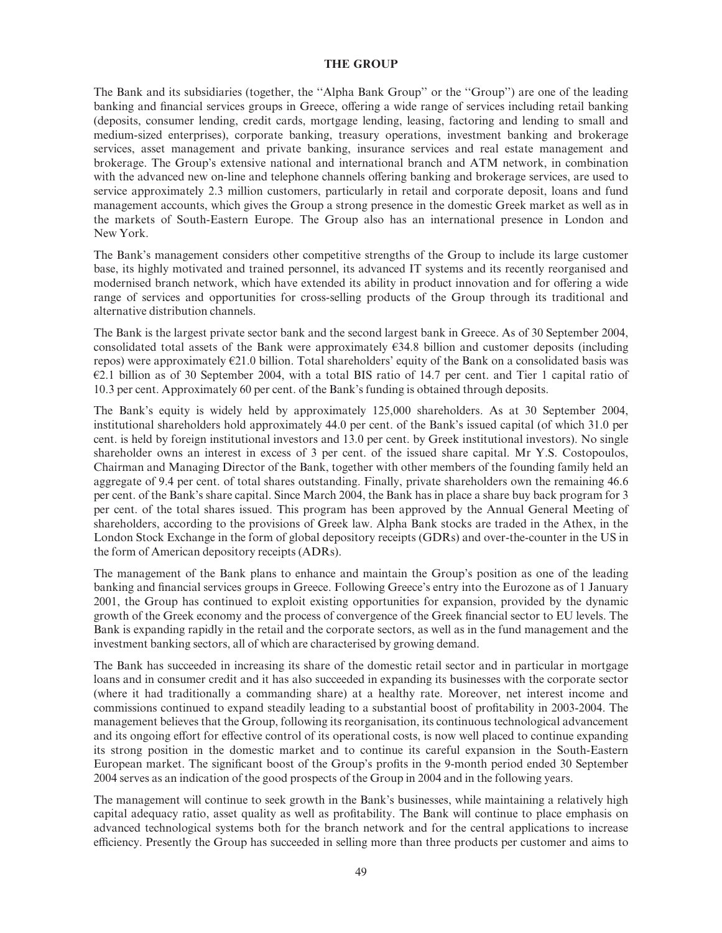#### THE GROUP

The Bank and its subsidiaries (together, the ''Alpha Bank Group'' or the ''Group'') are one of the leading banking and financial services groups in Greece, offering a wide range of services including retail banking (deposits, consumer lending, credit cards, mortgage lending, leasing, factoring and lending to small and medium-sized enterprises), corporate banking, treasury operations, investment banking and brokerage services, asset management and private banking, insurance services and real estate management and brokerage. The Group's extensive national and international branch and ATM network, in combination with the advanced new on-line and telephone channels offering banking and brokerage services, are used to service approximately 2.3 million customers, particularly in retail and corporate deposit, loans and fund management accounts, which gives the Group a strong presence in the domestic Greek market as well as in the markets of South-Eastern Europe. The Group also has an international presence in London and New York.

The Bank's management considers other competitive strengths of the Group to include its large customer base, its highly motivated and trained personnel, its advanced IT systems and its recently reorganised and modernised branch network, which have extended its ability in product innovation and for offering a wide range of services and opportunities for cross-selling products of the Group through its traditional and alternative distribution channels.

The Bank is the largest private sector bank and the second largest bank in Greece. As of 30 September 2004, consolidated total assets of the Bank were approximately  $E34.8$  billion and customer deposits (including repos) were approximately  $E21.0$  billion. Total shareholders' equity of the Bank on a consolidated basis was  $E2.1$  billion as of 30 September 2004, with a total BIS ratio of 14.7 per cent. and Tier 1 capital ratio of 10.3 per cent. Approximately 60 per cent. of the Bank's funding is obtained through deposits.

The Bank's equity is widely held by approximately 125,000 shareholders. As at 30 September 2004, institutional shareholders hold approximately 44.0 per cent. of the Bank's issued capital (of which 31.0 per cent. is held by foreign institutional investors and 13.0 per cent. by Greek institutional investors). No single shareholder owns an interest in excess of 3 per cent. of the issued share capital. Mr Y.S. Costopoulos, Chairman and Managing Director of the Bank, together with other members of the founding family held an aggregate of 9.4 per cent. of total shares outstanding. Finally, private shareholders own the remaining 46.6 per cent. of the Bank's share capital. Since March 2004, the Bank has in place a share buy back program for 3 per cent. of the total shares issued. This program has been approved by the Annual General Meeting of shareholders, according to the provisions of Greek law. Alpha Bank stocks are traded in the Athex, in the London Stock Exchange in the form of global depository receipts (GDRs) and over-the-counter in the US in the form of American depository receipts (ADRs).

The management of the Bank plans to enhance and maintain the Group's position as one of the leading banking and financial services groups in Greece. Following Greece's entry into the Eurozone as of 1 January 2001, the Group has continued to exploit existing opportunities for expansion, provided by the dynamic growth of the Greek economy and the process of convergence of the Greek financial sector to EU levels. The Bank is expanding rapidly in the retail and the corporate sectors, as well as in the fund management and the investment banking sectors, all of which are characterised by growing demand.

The Bank has succeeded in increasing its share of the domestic retail sector and in particular in mortgage loans and in consumer credit and it has also succeeded in expanding its businesses with the corporate sector (where it had traditionally a commanding share) at a healthy rate. Moreover, net interest income and commissions continued to expand steadily leading to a substantial boost of profitability in 2003-2004. The management believes that the Group, following its reorganisation, its continuous technological advancement and its ongoing effort for effective control of its operational costs, is now well placed to continue expanding its strong position in the domestic market and to continue its careful expansion in the South-Eastern European market. The significant boost of the Group's profits in the 9-month period ended 30 September 2004 serves as an indication of the good prospects of the Group in 2004 and in the following years.

The management will continue to seek growth in the Bank's businesses, while maintaining a relatively high capital adequacy ratio, asset quality as well as profitability. The Bank will continue to place emphasis on advanced technological systems both for the branch network and for the central applications to increase efficiency. Presently the Group has succeeded in selling more than three products per customer and aims to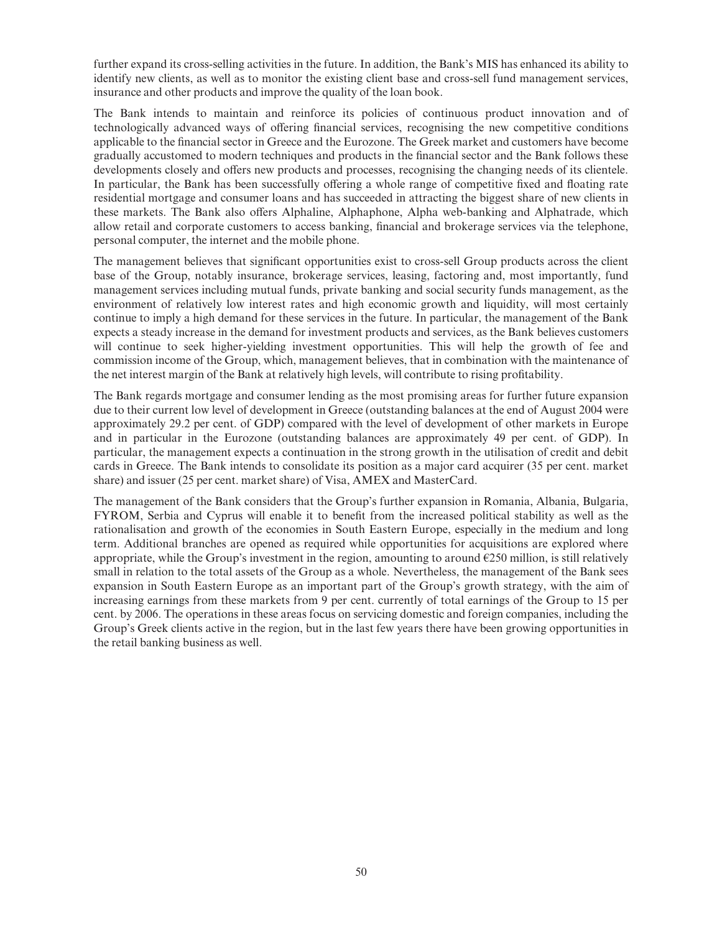further expand its cross-selling activities in the future. In addition, the Bank's MIS has enhanced its ability to identify new clients, as well as to monitor the existing client base and cross-sell fund management services, insurance and other products and improve the quality of the loan book.

The Bank intends to maintain and reinforce its policies of continuous product innovation and of technologically advanced ways of offering financial services, recognising the new competitive conditions applicable to the financial sector in Greece and the Eurozone. The Greek market and customers have become gradually accustomed to modern techniques and products in the financial sector and the Bank follows these developments closely and offers new products and processes, recognising the changing needs of its clientele. In particular, the Bank has been successfully offering a whole range of competitive fixed and floating rate residential mortgage and consumer loans and has succeeded in attracting the biggest share of new clients in these markets. The Bank also offers Alphaline, Alphaphone, Alpha web-banking and Alphatrade, which allow retail and corporate customers to access banking, financial and brokerage services via the telephone, personal computer, the internet and the mobile phone.

The management believes that significant opportunities exist to cross-sell Group products across the client base of the Group, notably insurance, brokerage services, leasing, factoring and, most importantly, fund management services including mutual funds, private banking and social security funds management, as the environment of relatively low interest rates and high economic growth and liquidity, will most certainly continue to imply a high demand for these services in the future. In particular, the management of the Bank expects a steady increase in the demand for investment products and services, as the Bank believes customers will continue to seek higher-yielding investment opportunities. This will help the growth of fee and commission income of the Group, which, management believes, that in combination with the maintenance of the net interest margin of the Bank at relatively high levels, will contribute to rising profitability.

The Bank regards mortgage and consumer lending as the most promising areas for further future expansion due to their current low level of development in Greece (outstanding balances at the end of August 2004 were approximately 29.2 per cent. of GDP) compared with the level of development of other markets in Europe and in particular in the Eurozone (outstanding balances are approximately 49 per cent. of GDP). In particular, the management expects a continuation in the strong growth in the utilisation of credit and debit cards in Greece. The Bank intends to consolidate its position as a major card acquirer (35 per cent. market share) and issuer (25 per cent. market share) of Visa, AMEX and MasterCard.

The management of the Bank considers that the Group's further expansion in Romania, Albania, Bulgaria, FYROM, Serbia and Cyprus will enable it to benefit from the increased political stability as well as the rationalisation and growth of the economies in South Eastern Europe, especially in the medium and long term. Additional branches are opened as required while opportunities for acquisitions are explored where appropriate, while the Group's investment in the region, amounting to around  $E$ 250 million, is still relatively small in relation to the total assets of the Group as a whole. Nevertheless, the management of the Bank sees expansion in South Eastern Europe as an important part of the Group's growth strategy, with the aim of increasing earnings from these markets from 9 per cent. currently of total earnings of the Group to 15 per cent. by 2006. The operations in these areas focus on servicing domestic and foreign companies, including the Group's Greek clients active in the region, but in the last few years there have been growing opportunities in the retail banking business as well.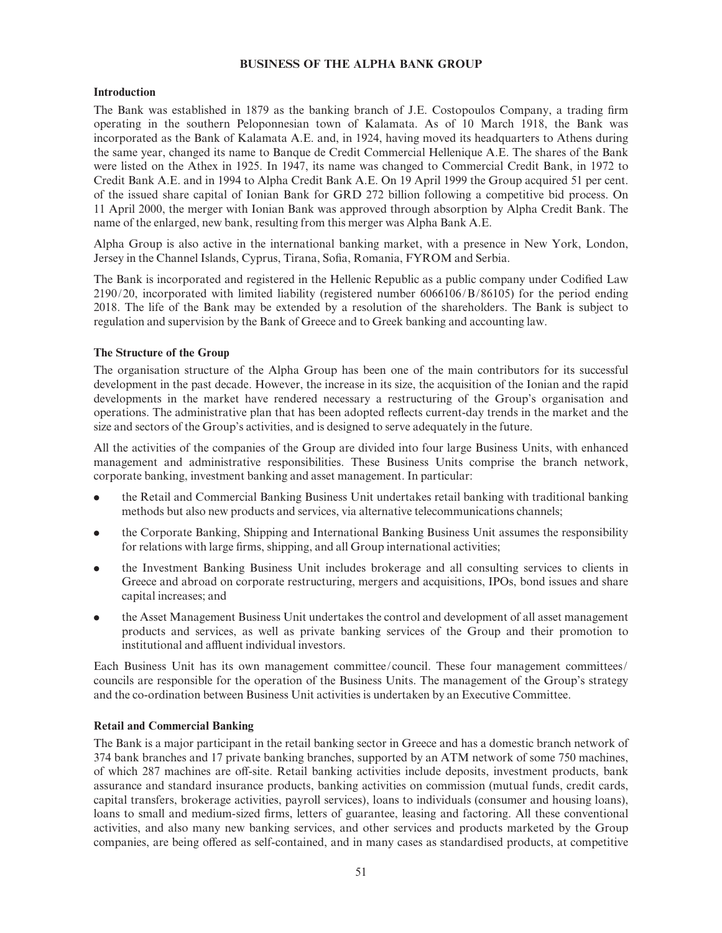### BUSINESS OF THE ALPHA BANK GROUP

#### Introduction

The Bank was established in 1879 as the banking branch of J.E. Costopoulos Company, a trading firm operating in the southern Peloponnesian town of Kalamata. As of 10 March 1918, the Bank was incorporated as the Bank of Kalamata A.E. and, in 1924, having moved its headquarters to Athens during the same year, changed its name to Banque de Credit Commercial Hellenique A.E. The shares of the Bank were listed on the Athex in 1925. In 1947, its name was changed to Commercial Credit Bank, in 1972 to Credit Bank A.E. and in 1994 to Alpha Credit Bank A.E. On 19 April 1999 the Group acquired 51 per cent. of the issued share capital of Ionian Bank for GRD 272 billion following a competitive bid process. On 11 April 2000, the merger with Ionian Bank was approved through absorption by Alpha Credit Bank. The name of the enlarged, new bank, resulting from this merger was Alpha Bank A.E.

Alpha Group is also active in the international banking market, with a presence in New York, London, Jersey in the Channel Islands, Cyprus, Tirana, Sofia, Romania, FYROM and Serbia.

The Bank is incorporated and registered in the Hellenic Republic as a public company under Codified Law 2190/20, incorporated with limited liability (registered number 6066106/B/86105) for the period ending 2018. The life of the Bank may be extended by a resolution of the shareholders. The Bank is subject to regulation and supervision by the Bank of Greece and to Greek banking and accounting law.

#### The Structure of the Group

The organisation structure of the Alpha Group has been one of the main contributors for its successful development in the past decade. However, the increase in its size, the acquisition of the Ionian and the rapid developments in the market have rendered necessary a restructuring of the Group's organisation and operations. The administrative plan that has been adopted re£ects current-day trends in the market and the size and sectors of the Group's activities, and is designed to serve adequately in the future.

All the activities of the companies of the Group are divided into four large Business Units, with enhanced management and administrative responsibilities. These Business Units comprise the branch network, corporate banking, investment banking and asset management. In particular:

- . the Retail and Commercial Banking Business Unit undertakes retail banking with traditional banking methods but also new products and services, via alternative telecommunications channels;
- . the Corporate Banking, Shipping and International Banking Business Unit assumes the responsibility for relations with large firms, shipping, and all Group international activities;
- . the Investment Banking Business Unit includes brokerage and all consulting services to clients in Greece and abroad on corporate restructuring, mergers and acquisitions, IPOs, bond issues and share capital increases; and
- . the Asset Management Business Unit undertakes the control and development of all asset management products and services, as well as private banking services of the Group and their promotion to institutional and affluent individual investors.

Each Business Unit has its own management committee/council. These four management committees/ councils are responsible for the operation of the Business Units. The management of the Group's strategy and the co-ordination between Business Unit activities is undertaken by an Executive Committee.

### Retail and Commercial Banking

The Bank is a major participant in the retail banking sector in Greece and has a domestic branch network of 374 bank branches and 17 private banking branches, supported by an ATM network of some 750 machines, of which 287 machines are off-site. Retail banking activities include deposits, investment products, bank assurance and standard insurance products, banking activities on commission (mutual funds, credit cards, capital transfers, brokerage activities, payroll services), loans to individuals (consumer and housing loans), loans to small and medium-sized firms, letters of guarantee, leasing and factoring. All these conventional activities, and also many new banking services, and other services and products marketed by the Group companies, are being offered as self-contained, and in many cases as standardised products, at competitive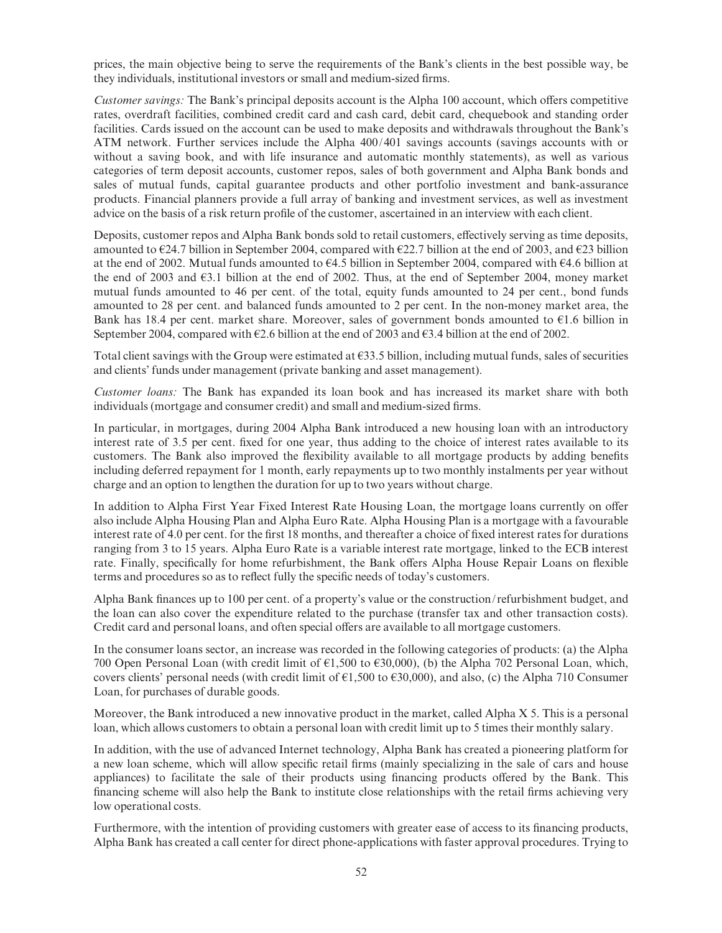prices, the main objective being to serve the requirements of the Bank's clients in the best possible way, be they individuals, institutional investors or small and medium-sized firms.

Customer savings: The Bank's principal deposits account is the Alpha 100 account, which offers competitive rates, overdraft facilities, combined credit card and cash card, debit card, chequebook and standing order facilities. Cards issued on the account can be used to make deposits and withdrawals throughout the Bank's ATM network. Further services include the Alpha 400/401 savings accounts (savings accounts with or without a saving book, and with life insurance and automatic monthly statements), as well as various categories of term deposit accounts, customer repos, sales of both government and Alpha Bank bonds and sales of mutual funds, capital guarantee products and other portfolio investment and bank-assurance products. Financial planners provide a full array of banking and investment services, as well as investment advice on the basis of a risk return profile of the customer, ascertained in an interview with each client.

Deposits, customer repos and Alpha Bank bonds sold to retail customers, effectively serving as time deposits, amounted to  $\epsilon$ 24.7 billion in September 2004, compared with  $\epsilon$ 22.7 billion at the end of 2003, and  $\epsilon$ 23 billion at the end of 2002. Mutual funds amounted to  $64.5$  billion in September 2004, compared with  $64.6$  billion at the end of 2003 and  $\epsilon$ 3.1 billion at the end of 2002. Thus, at the end of September 2004, money market mutual funds amounted to 46 per cent. of the total, equity funds amounted to 24 per cent., bond funds amounted to 28 per cent. and balanced funds amounted to 2 per cent. In the non-money market area, the Bank has 18.4 per cent. market share. Moreover, sales of government bonds amounted to  $\epsilon$ 1.6 billion in September 2004, compared with  $E2.6$  billion at the end of 2003 and  $E3.4$  billion at the end of 2002.

Total client savings with the Group were estimated at  $\epsilon$ 33.5 billion, including mutual funds, sales of securities and clients' funds under management (private banking and asset management).

Customer loans: The Bank has expanded its loan book and has increased its market share with both individuals (mortgage and consumer credit) and small and medium-sized firms.

In particular, in mortgages, during 2004 Alpha Bank introduced a new housing loan with an introductory interest rate of 3.5 per cent. fixed for one year, thus adding to the choice of interest rates available to its customers. The Bank also improved the flexibility available to all mortgage products by adding benefits including deferred repayment for 1 month, early repayments up to two monthly instalments per year without charge and an option to lengthen the duration for up to two years without charge.

In addition to Alpha First Year Fixed Interest Rate Housing Loan, the mortgage loans currently on offer also include Alpha Housing Plan and Alpha Euro Rate. Alpha Housing Plan is a mortgage with a favourable interest rate of 4.0 per cent. for the first 18 months, and thereafter a choice of fixed interest rates for durations ranging from 3 to 15 years. Alpha Euro Rate is a variable interest rate mortgage, linked to the ECB interest rate. Finally, specifically for home refurbishment, the Bank offers Alpha House Repair Loans on flexible terms and procedures so as to reflect fully the specific needs of today's customers.

Alpha Bank finances up to 100 per cent. of a property's value or the construction/refurbishment budget, and the loan can also cover the expenditure related to the purchase (transfer tax and other transaction costs). Credit card and personal loans, and often special offers are available to all mortgage customers.

In the consumer loans sector, an increase was recorded in the following categories of products: (a) the Alpha 700 Open Personal Loan (with credit limit of  $\epsilon$ 1,500 to  $\epsilon$ 30,000), (b) the Alpha 702 Personal Loan, which, covers clients' personal needs (with credit limit of  $\epsilon$ 1,500 to  $\epsilon$ 30,000), and also, (c) the Alpha 710 Consumer Loan, for purchases of durable goods.

Moreover, the Bank introduced a new innovative product in the market, called Alpha X 5. This is a personal loan, which allows customers to obtain a personal loan with credit limit up to 5 times their monthly salary.

In addition, with the use of advanced Internet technology, Alpha Bank has created a pioneering platform for a new loan scheme, which will allow specific retail firms (mainly specializing in the sale of cars and house appliances) to facilitate the sale of their products using financing products offered by the Bank. This financing scheme will also help the Bank to institute close relationships with the retail firms achieving very low operational costs.

Furthermore, with the intention of providing customers with greater ease of access to its financing products, Alpha Bank has created a call center for direct phone-applications with faster approval procedures. Trying to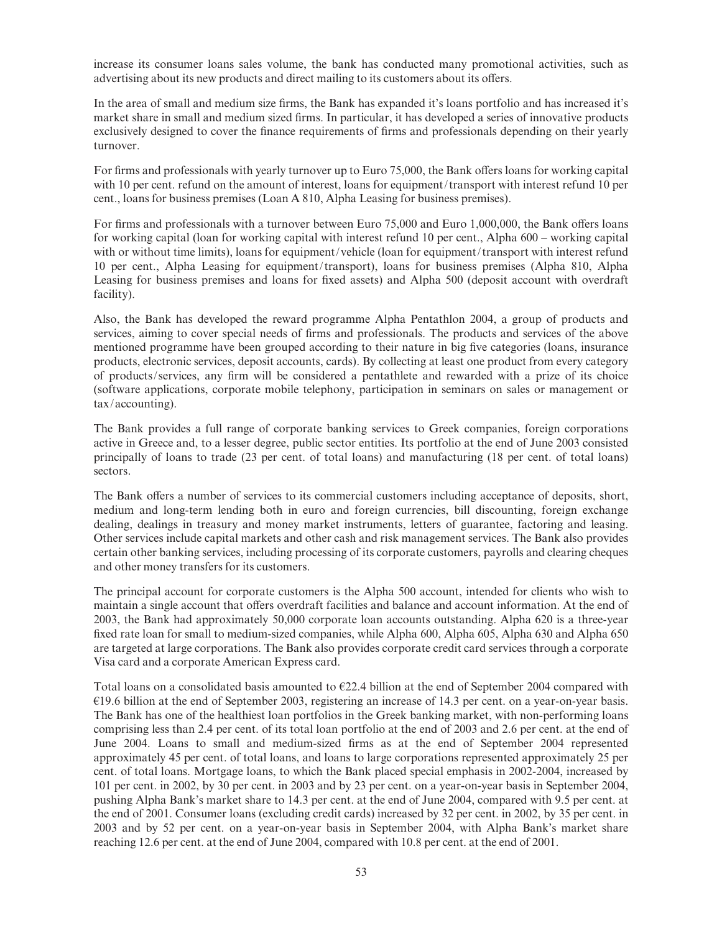increase its consumer loans sales volume, the bank has conducted many promotional activities, such as advertising about its new products and direct mailing to its customers about its offers.

In the area of small and medium size firms, the Bank has expanded it's loans portfolio and has increased it's market share in small and medium sized firms. In particular, it has developed a series of innovative products exclusively designed to cover the finance requirements of firms and professionals depending on their yearly turnover.

For firms and professionals with yearly turnover up to Euro 75,000, the Bank offers loans for working capital with 10 per cent. refund on the amount of interest, loans for equipment/transport with interest refund 10 per cent., loans for business premises (Loan A 810, Alpha Leasing for business premises).

For firms and professionals with a turnover between Euro 75,000 and Euro 1,000,000, the Bank offers loans for working capital (loan for working capital with interest refund 10 per cent., Alpha 600 – working capital with or without time limits), loans for equipment/vehicle (loan for equipment/transport with interest refund 10 per cent., Alpha Leasing for equipment/transport), loans for business premises (Alpha 810, Alpha Leasing for business premises and loans for fixed assets) and Alpha 500 (deposit account with overdraft facility).

Also, the Bank has developed the reward programme Alpha Pentathlon 2004, a group of products and services, aiming to cover special needs of firms and professionals. The products and services of the above mentioned programme have been grouped according to their nature in big five categories (loans, insurance products, electronic services, deposit accounts, cards). By collecting at least one product from every category of products/services, any ¢rm will be considered a pentathlete and rewarded with a prize of its choice (software applications, corporate mobile telephony, participation in seminars on sales or management or tax/accounting).

The Bank provides a full range of corporate banking services to Greek companies, foreign corporations active in Greece and, to a lesser degree, public sector entities. Its portfolio at the end of June 2003 consisted principally of loans to trade (23 per cent. of total loans) and manufacturing (18 per cent. of total loans) sectors.

The Bank offers a number of services to its commercial customers including acceptance of deposits, short, medium and long-term lending both in euro and foreign currencies, bill discounting, foreign exchange dealing, dealings in treasury and money market instruments, letters of guarantee, factoring and leasing. Other services include capital markets and other cash and risk management services. The Bank also provides certain other banking services, including processing of its corporate customers, payrolls and clearing cheques and other money transfers for its customers.

The principal account for corporate customers is the Alpha 500 account, intended for clients who wish to maintain a single account that offers overdraft facilities and balance and account information. At the end of 2003, the Bank had approximately 50,000 corporate loan accounts outstanding. Alpha 620 is a three-year fixed rate loan for small to medium-sized companies, while Alpha 600, Alpha 605, Alpha 630 and Alpha 650 are targeted at large corporations. The Bank also provides corporate credit card services through a corporate Visa card and a corporate American Express card.

Total loans on a consolidated basis amounted to  $E22.4$  billion at the end of September 2004 compared with  $E19.6$  billion at the end of September 2003, registering an increase of 14.3 per cent. on a year-on-year basis. The Bank has one of the healthiest loan portfolios in the Greek banking market, with non-performing loans comprising less than 2.4 per cent. of its total loan portfolio at the end of 2003 and 2.6 per cent. at the end of June 2004. Loans to small and medium-sized ¢rms as at the end of September 2004 represented approximately 45 per cent. of total loans, and loans to large corporations represented approximately 25 per cent. of total loans. Mortgage loans, to which the Bank placed special emphasis in 2002-2004, increased by 101 per cent. in 2002, by 30 per cent. in 2003 and by 23 per cent. on a year-on-year basis in September 2004, pushing Alpha Bank's market share to 14.3 per cent. at the end of June 2004, compared with 9.5 per cent. at the end of 2001. Consumer loans (excluding credit cards) increased by 32 per cent. in 2002, by 35 per cent. in 2003 and by 52 per cent. on a year-on-year basis in September 2004, with Alpha Bank's market share reaching 12.6 per cent. at the end of June 2004, compared with 10.8 per cent. at the end of 2001.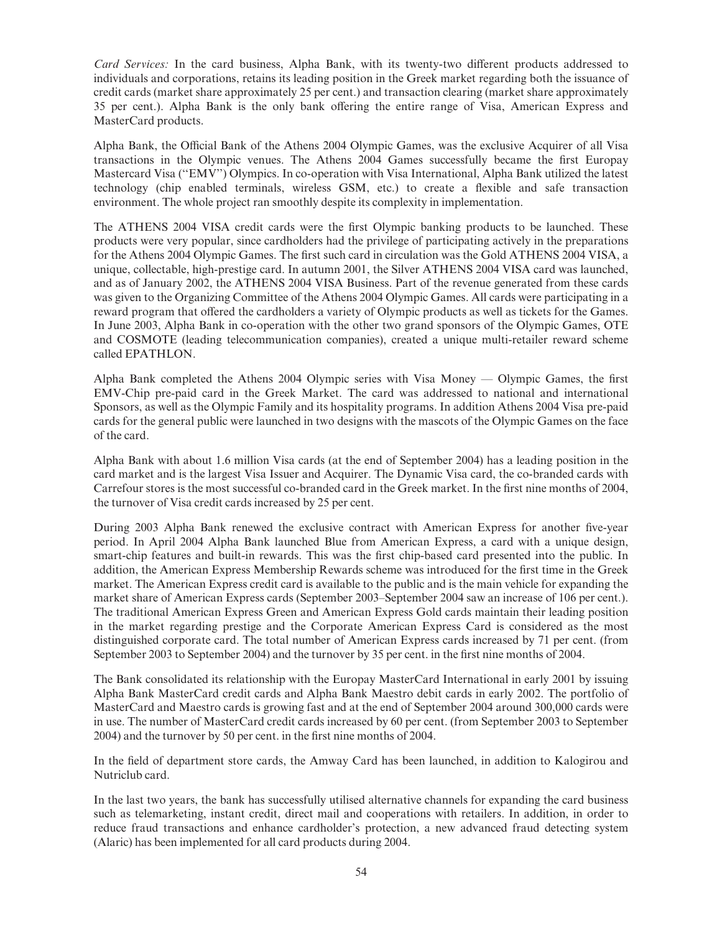Card Services: In the card business, Alpha Bank, with its twenty-two different products addressed to individuals and corporations, retains its leading position in the Greek market regarding both the issuance of credit cards (market share approximately 25 per cent.) and transaction clearing (market share approximately 35 per cent.). Alpha Bank is the only bank offering the entire range of Visa, American Express and MasterCard products.

Alpha Bank, the Official Bank of the Athens 2004 Olympic Games, was the exclusive Acquirer of all Visa transactions in the Olympic venues. The Athens 2004 Games successfully became the first Europay Mastercard Visa (''EMV'') Olympics. In co-operation with Visa International, Alpha Bank utilized the latest technology (chip enabled terminals, wireless GSM, etc.) to create a flexible and safe transaction environment. The whole project ran smoothly despite its complexity in implementation.

The ATHENS 2004 VISA credit cards were the first Olympic banking products to be launched. These products were very popular, since cardholders had the privilege of participating actively in the preparations for the Athens 2004 Olympic Games. The first such card in circulation was the Gold ATHENS 2004 VISA, a unique, collectable, high-prestige card. In autumn 2001, the Silver ATHENS 2004 VISA card was launched, and as of January 2002, the ATHENS 2004 VISA Business. Part of the revenue generated from these cards was given to the Organizing Committee of the Athens 2004 Olympic Games. All cards were participating in a reward program that offered the cardholders a variety of Olympic products as well as tickets for the Games. In June 2003, Alpha Bank in co-operation with the other two grand sponsors of the Olympic Games, OTE and COSMOTE (leading telecommunication companies), created a unique multi-retailer reward scheme called EPATHLON.

Alpha Bank completed the Athens 2004 Olympic series with Visa Money — Olympic Games, the first EMV-Chip pre-paid card in the Greek Market. The card was addressed to national and international Sponsors, as well as the Olympic Family and its hospitality programs. In addition Athens 2004 Visa pre-paid cards for the general public were launched in two designs with the mascots of the Olympic Games on the face of the card.

Alpha Bank with about 1.6 million Visa cards (at the end of September 2004) has a leading position in the card market and is the largest Visa Issuer and Acquirer. The Dynamic Visa card, the co-branded cards with Carrefour stores is the most successful co-branded card in the Greek market. In the first nine months of 2004, the turnover of Visa credit cards increased by 25 per cent.

During 2003 Alpha Bank renewed the exclusive contract with American Express for another five-year period. In April 2004 Alpha Bank launched Blue from American Express, a card with a unique design, smart-chip features and built-in rewards. This was the first chip-based card presented into the public. In addition, the American Express Membership Rewards scheme was introduced for the first time in the Greek market. The American Express credit card is available to the public and is the main vehicle for expanding the market share of American Express cards (September 2003–September 2004 saw an increase of 106 per cent.). The traditional American Express Green and American Express Gold cards maintain their leading position in the market regarding prestige and the Corporate American Express Card is considered as the most distinguished corporate card. The total number of American Express cards increased by 71 per cent. (from September 2003 to September 2004) and the turnover by 35 per cent. in the first nine months of 2004.

The Bank consolidated its relationship with the Europay MasterCard International in early 2001 by issuing Alpha Bank MasterCard credit cards and Alpha Bank Maestro debit cards in early 2002. The portfolio of MasterCard and Maestro cards is growing fast and at the end of September 2004 around 300,000 cards were in use. The number of MasterCard credit cards increased by 60 per cent. (from September 2003 to September 2004) and the turnover by 50 per cent. in the first nine months of 2004.

In the field of department store cards, the Amway Card has been launched, in addition to Kalogirou and Nutriclub card.

In the last two years, the bank has successfully utilised alternative channels for expanding the card business such as telemarketing, instant credit, direct mail and cooperations with retailers. In addition, in order to reduce fraud transactions and enhance cardholder's protection, a new advanced fraud detecting system (Alaric) has been implemented for all card products during 2004.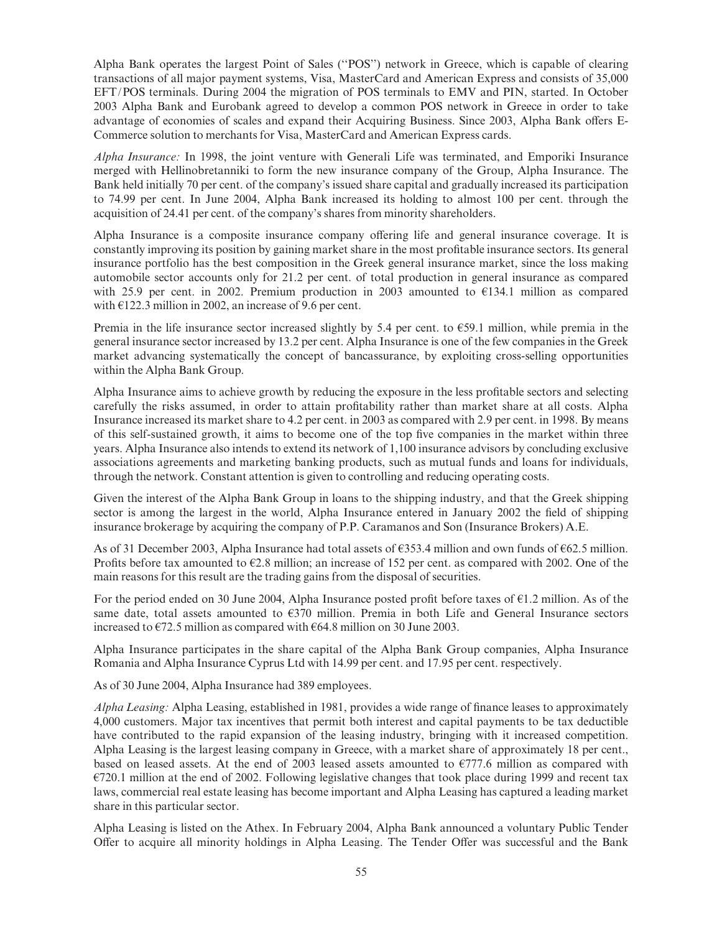Alpha Bank operates the largest Point of Sales (''POS'') network in Greece, which is capable of clearing transactions of all major payment systems, Visa, MasterCard and American Express and consists of 35,000 EFT/POS terminals. During 2004 the migration of POS terminals to EMV and PIN, started. In October 2003 Alpha Bank and Eurobank agreed to develop a common POS network in Greece in order to take advantage of economies of scales and expand their Acquiring Business. Since 2003, Alpha Bank offers E-Commerce solution to merchants for Visa, MasterCard and American Express cards.

Alpha Insurance: In 1998, the joint venture with Generali Life was terminated, and Emporiki Insurance merged with Hellinobretanniki to form the new insurance company of the Group, Alpha Insurance. The Bank held initially 70 per cent. of the company's issued share capital and gradually increased its participation to 74.99 per cent. In June 2004, Alpha Bank increased its holding to almost 100 per cent. through the acquisition of 24.41 per cent. of the company's shares from minority shareholders.

Alpha Insurance is a composite insurance company offering life and general insurance coverage. It is constantly improving its position by gaining market share in the most profitable insurance sectors. Its general insurance portfolio has the best composition in the Greek general insurance market, since the loss making automobile sector accounts only for 21.2 per cent. of total production in general insurance as compared with 25.9 per cent. in 2002. Premium production in 2003 amounted to  $E$ 134.1 million as compared with  $\epsilon$ 122.3 million in 2002, an increase of 9.6 per cent.

Premia in the life insurance sector increased slightly by  $5.4$  per cent. to  $659.1$  million, while premia in the general insurance sector increased by 13.2 per cent. Alpha Insurance is one of the few companies in the Greek market advancing systematically the concept of bancassurance, by exploiting cross-selling opportunities within the Alpha Bank Group.

Alpha Insurance aims to achieve growth by reducing the exposure in the less profitable sectors and selecting carefully the risks assumed, in order to attain profitability rather than market share at all costs. Alpha Insurance increased its market share to 4.2 per cent. in 2003 as compared with 2.9 per cent. in 1998. By means of this self-sustained growth, it aims to become one of the top five companies in the market within three years. Alpha Insurance also intends to extend its network of 1,100 insurance advisors by concluding exclusive associations agreements and marketing banking products, such as mutual funds and loans for individuals, through the network. Constant attention is given to controlling and reducing operating costs.

Given the interest of the Alpha Bank Group in loans to the shipping industry, and that the Greek shipping sector is among the largest in the world, Alpha Insurance entered in January 2002 the field of shipping insurance brokerage by acquiring the company of P.P. Caramanos and Son (Insurance Brokers) A.E.

As of 31 December 2003, Alpha Insurance had total assets of  $\epsilon$ 353.4 million and own funds of  $\epsilon$ 62.5 million. Profits before tax amounted to  $E2.8$  million; an increase of 152 per cent. as compared with 2002. One of the main reasons for this result are the trading gains from the disposal of securities.

For the period ended on 30 June 2004, Alpha Insurance posted profit before taxes of  $\epsilon$ 1.2 million. As of the same date, total assets amounted to  $\epsilon$ 370 million. Premia in both Life and General Insurance sectors increased to  $\epsilon$ 72.5 million as compared with  $\epsilon$ 64.8 million on 30 June 2003.

Alpha Insurance participates in the share capital of the Alpha Bank Group companies, Alpha Insurance Romania and Alpha Insurance Cyprus Ltd with 14.99 per cent. and 17.95 per cent. respectively.

As of 30 June 2004, Alpha Insurance had 389 employees.

Alpha Leasing: Alpha Leasing, established in 1981, provides a wide range of finance leases to approximately 4,000 customers. Major tax incentives that permit both interest and capital payments to be tax deductible have contributed to the rapid expansion of the leasing industry, bringing with it increased competition. Alpha Leasing is the largest leasing company in Greece, with a market share of approximately 18 per cent., based on leased assets. At the end of 2003 leased assets amounted to  $E$ 777.6 million as compared with  $E720.1$  million at the end of 2002. Following legislative changes that took place during 1999 and recent tax laws, commercial real estate leasing has become important and Alpha Leasing has captured a leading market share in this particular sector.

Alpha Leasing is listed on the Athex. In February 2004, Alpha Bank announced a voluntary Public Tender Offer to acquire all minority holdings in Alpha Leasing. The Tender Offer was successful and the Bank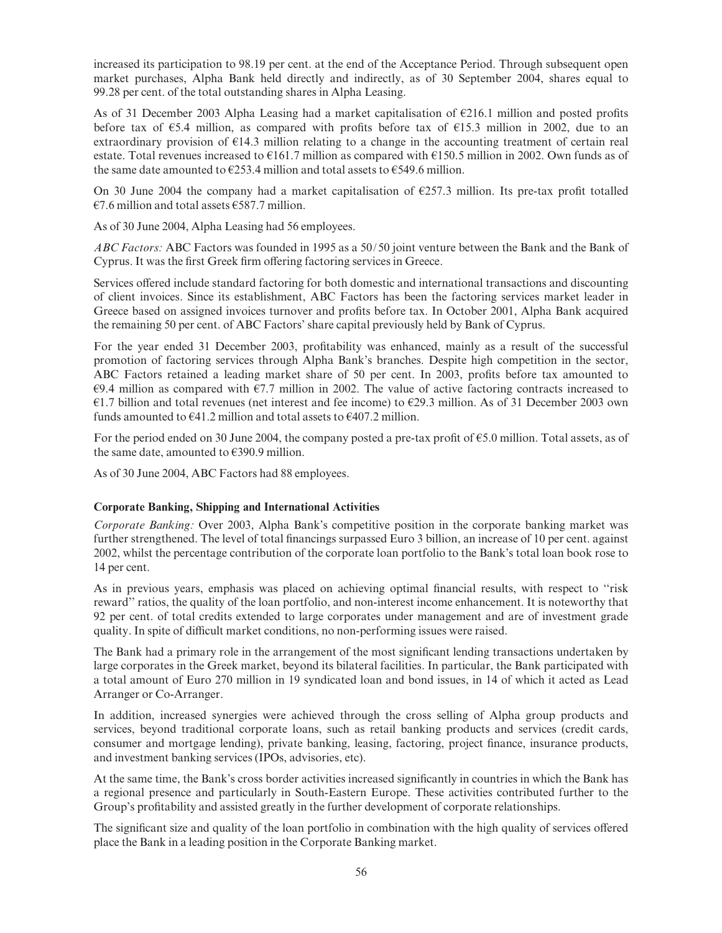increased its participation to 98.19 per cent. at the end of the Acceptance Period. Through subsequent open market purchases, Alpha Bank held directly and indirectly, as of 30 September 2004, shares equal to 99.28 per cent. of the total outstanding shares in Alpha Leasing.

As of 31 December 2003 Alpha Leasing had a market capitalisation of  $E$ 216.1 million and posted profits before tax of  $\epsilon$ 5.4 million, as compared with profits before tax of  $\epsilon$ 15.3 million in 2002, due to an extraordinary provision of  $E14.3$  million relating to a change in the accounting treatment of certain real estate. Total revenues increased to  $E161.7$  million as compared with  $E150.5$  million in 2002. Own funds as of the same date amounted to  $E$ 253.4 million and total assets to  $E$ 549.6 million.

On 30 June 2004 the company had a market capitalisation of  $E$ 257.3 million. Its pre-tax profit totalled  $E7.6$  million and total assets  $E587.7$  million.

As of 30 June 2004, Alpha Leasing had 56 employees.

ABC Factors: ABC Factors was founded in 1995 as a 50/50 joint venture between the Bank and the Bank of Cyprus. It was the first Greek firm offering factoring services in Greece.

Services offered include standard factoring for both domestic and international transactions and discounting of client invoices. Since its establishment, ABC Factors has been the factoring services market leader in Greece based on assigned invoices turnover and profits before tax. In October 2001, Alpha Bank acquired the remaining 50 per cent. of ABC Factors' share capital previously held by Bank of Cyprus.

For the year ended 31 December 2003, profitability was enhanced, mainly as a result of the successful promotion of factoring services through Alpha Bank's branches. Despite high competition in the sector, ABC Factors retained a leading market share of 50 per cent. In 2003, profits before tax amounted to  $\epsilon$ 9.4 million as compared with  $\epsilon$ 7.7 million in 2002. The value of active factoring contracts increased to  $E1.7$  billion and total revenues (net interest and fee income) to  $E29.3$  million. As of 31 December 2003 own funds amounted to  $641.2$  million and total assets to  $6407.2$  million.

For the period ended on 30 June 2004, the company posted a pre-tax profit of  $\epsilon$ 5.0 million. Total assets, as of the same date, amounted to  $\epsilon$ 390.9 million.

As of 30 June 2004, ABC Factors had 88 employees.

### Corporate Banking, Shipping and International Activities

Corporate Banking: Over 2003, Alpha Bank's competitive position in the corporate banking market was further strengthened. The level of total financings surpassed Euro 3 billion, an increase of 10 per cent. against 2002, whilst the percentage contribution of the corporate loan portfolio to the Bank's total loan book rose to 14 per cent.

As in previous years, emphasis was placed on achieving optimal financial results, with respect to "risk" reward'' ratios, the quality of the loan portfolio, and non-interest income enhancement. It is noteworthy that 92 per cent. of total credits extended to large corporates under management and are of investment grade quality. In spite of difficult market conditions, no non-performing issues were raised.

The Bank had a primary role in the arrangement of the most significant lending transactions undertaken by large corporates in the Greek market, beyond its bilateral facilities. In particular, the Bank participated with a total amount of Euro 270 million in 19 syndicated loan and bond issues, in 14 of which it acted as Lead Arranger or Co-Arranger.

In addition, increased synergies were achieved through the cross selling of Alpha group products and services, beyond traditional corporate loans, such as retail banking products and services (credit cards, consumer and mortgage lending), private banking, leasing, factoring, project finance, insurance products, and investment banking services (IPOs, advisories, etc).

At the same time, the Bank's cross border activities increased significantly in countries in which the Bank has a regional presence and particularly in South-Eastern Europe. These activities contributed further to the Group's profitability and assisted greatly in the further development of corporate relationships.

The significant size and quality of the loan portfolio in combination with the high quality of services offered place the Bank in a leading position in the Corporate Banking market.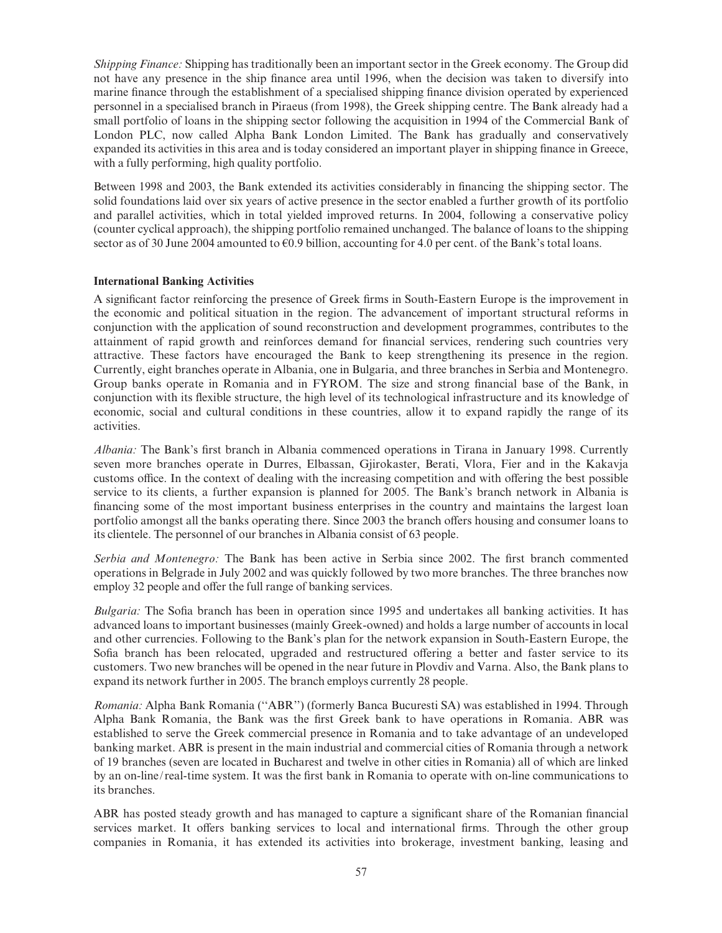Shipping Finance: Shipping has traditionally been an important sector in the Greek economy. The Group did not have any presence in the ship finance area until 1996, when the decision was taken to diversify into marine finance through the establishment of a specialised shipping finance division operated by experienced personnel in a specialised branch in Piraeus (from 1998), the Greek shipping centre. The Bank already had a small portfolio of loans in the shipping sector following the acquisition in 1994 of the Commercial Bank of London PLC, now called Alpha Bank London Limited. The Bank has gradually and conservatively expanded its activities in this area and is today considered an important player in shipping finance in Greece, with a fully performing, high quality portfolio.

Between 1998 and 2003, the Bank extended its activities considerably in financing the shipping sector. The solid foundations laid over six years of active presence in the sector enabled a further growth of its portfolio and parallel activities, which in total yielded improved returns. In 2004, following a conservative policy (counter cyclical approach), the shipping portfolio remained unchanged. The balance of loans to the shipping sector as of 30 June 2004 amounted to  $60.9$  billion, accounting for 4.0 per cent. of the Bank's total loans.

#### International Banking Activities

A significant factor reinforcing the presence of Greek firms in South-Eastern Europe is the improvement in the economic and political situation in the region. The advancement of important structural reforms in conjunction with the application of sound reconstruction and development programmes, contributes to the attainment of rapid growth and reinforces demand for financial services, rendering such countries very attractive. These factors have encouraged the Bank to keep strengthening its presence in the region. Currently, eight branches operate in Albania, one in Bulgaria, and three branches in Serbia and Montenegro. Group banks operate in Romania and in FYROM. The size and strong financial base of the Bank, in conjunction with its £exible structure, the high level of its technological infrastructure and its knowledge of economic, social and cultural conditions in these countries, allow it to expand rapidly the range of its activities.

Albania: The Bank's first branch in Albania commenced operations in Tirana in January 1998. Currently seven more branches operate in Durres, Elbassan, Gjirokaster, Berati, Vlora, Fier and in the Kakavja customs office. In the context of dealing with the increasing competition and with offering the best possible service to its clients, a further expansion is planned for 2005. The Bank's branch network in Albania is financing some of the most important business enterprises in the country and maintains the largest loan portfolio amongst all the banks operating there. Since 2003 the branch offers housing and consumer loans to its clientele. The personnel of our branches in Albania consist of 63 people.

Serbia and Montenegro: The Bank has been active in Serbia since 2002. The first branch commented operations in Belgrade in July 2002 and was quickly followed by two more branches. The three branches now employ 32 people and offer the full range of banking services.

Bulgaria: The Sofia branch has been in operation since 1995 and undertakes all banking activities. It has advanced loans to important businesses (mainly Greek-owned) and holds a large number of accounts in local and other currencies. Following to the Bank's plan for the network expansion in South-Eastern Europe, the Sofia branch has been relocated, upgraded and restructured offering a better and faster service to its customers. Two new branches will be opened in the near future in Plovdiv and Varna. Also, the Bank plans to expand its network further in 2005. The branch employs currently 28 people.

Romania: Alpha Bank Romania (''ABR'') (formerly Banca Bucuresti SA) was established in 1994. Through Alpha Bank Romania, the Bank was the first Greek bank to have operations in Romania. ABR was established to serve the Greek commercial presence in Romania and to take advantage of an undeveloped banking market. ABR is present in the main industrial and commercial cities of Romania through a network of 19 branches (seven are located in Bucharest and twelve in other cities in Romania) all of which are linked by an on-line/real-time system. It was the first bank in Romania to operate with on-line communications to its branches.

ABR has posted steady growth and has managed to capture a significant share of the Romanian financial services market. It offers banking services to local and international firms. Through the other group companies in Romania, it has extended its activities into brokerage, investment banking, leasing and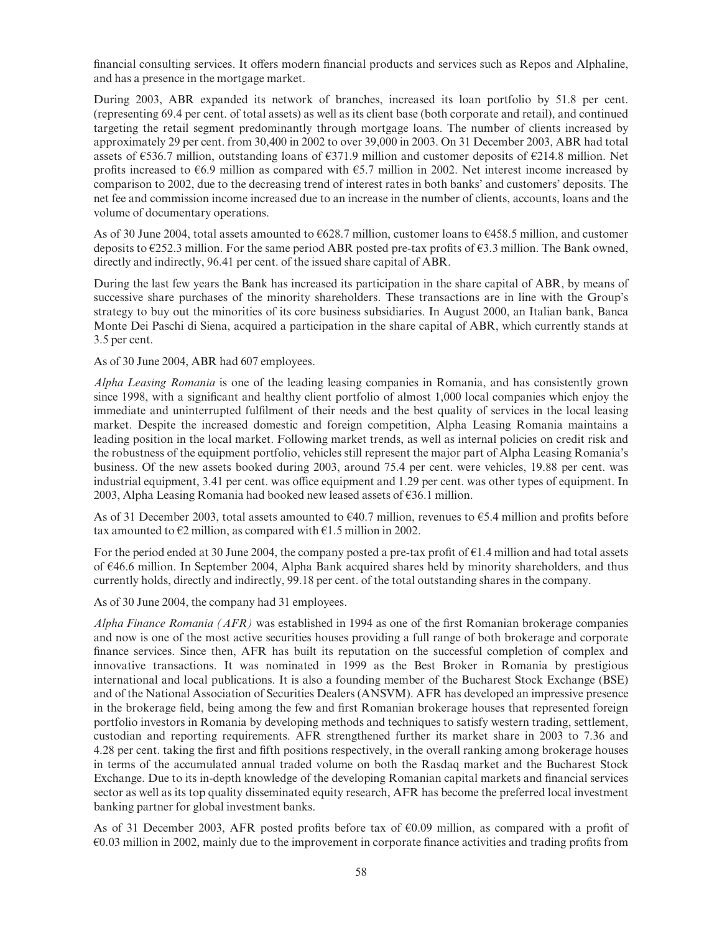financial consulting services. It offers modern financial products and services such as Repos and Alphaline, and has a presence in the mortgage market.

During 2003, ABR expanded its network of branches, increased its loan portfolio by 51.8 per cent. (representing 69.4 per cent. of total assets) as well as its client base (both corporate and retail), and continued targeting the retail segment predominantly through mortgage loans. The number of clients increased by approximately 29 per cent. from 30,400 in 2002 to over 39,000 in 2003. On 31 December 2003, ABR had total assets of  $\epsilon$ 536.7 million, outstanding loans of  $\epsilon$ 371.9 million and customer deposits of  $\epsilon$ 214.8 million. Net profits increased to  $\epsilon$ 6.9 million as compared with  $\epsilon$ 5.7 million in 2002. Net interest income increased by comparison to 2002, due to the decreasing trend of interest rates in both banks' and customers' deposits. The net fee and commission income increased due to an increase in the number of clients, accounts, loans and the volume of documentary operations.

As of 30 June 2004, total assets amounted to  $6628.7$  million, customer loans to  $6458.5$  million, and customer deposits to  $\epsilon$ 252.3 million. For the same period ABR posted pre-tax profits of  $\epsilon$ 3.3 million. The Bank owned, directly and indirectly, 96.41 per cent. of the issued share capital of ABR.

During the last few years the Bank has increased its participation in the share capital of ABR, by means of successive share purchases of the minority shareholders. These transactions are in line with the Group's strategy to buy out the minorities of its core business subsidiaries. In August 2000, an Italian bank, Banca Monte Dei Paschi di Siena, acquired a participation in the share capital of ABR, which currently stands at 3.5 per cent.

As of 30 June 2004, ABR had 607 employees.

Alpha Leasing Romania is one of the leading leasing companies in Romania, and has consistently grown since 1998, with a significant and healthy client portfolio of almost 1,000 local companies which enjoy the immediate and uninterrupted fulfilment of their needs and the best quality of services in the local leasing market. Despite the increased domestic and foreign competition, Alpha Leasing Romania maintains a leading position in the local market. Following market trends, as well as internal policies on credit risk and the robustness of the equipment portfolio, vehicles still represent the major part of Alpha Leasing Romania's business. Of the new assets booked during 2003, around 75.4 per cent. were vehicles, 19.88 per cent. was industrial equipment, 3.41 per cent. was office equipment and 1.29 per cent. was other types of equipment. In 2003, Alpha Leasing Romania had booked new leased assets of  $E$ 36.1 million.

As of 31 December 2003, total assets amounted to  $\epsilon$ 40.7 million, revenues to  $\epsilon$ 5.4 million and profits before tax amounted to  $E2$  million, as compared with  $E1.5$  million in 2002.

For the period ended at 30 June 2004, the company posted a pre-tax profit of  $\epsilon$ 1.4 million and had total assets of k46.6 million. In September 2004, Alpha Bank acquired shares held by minority shareholders, and thus currently holds, directly and indirectly, 99.18 per cent. of the total outstanding shares in the company.

As of 30 June 2004, the company had 31 employees.

Alpha Finance Romania ( $AFR$ ) was established in 1994 as one of the first Romanian brokerage companies and now is one of the most active securities houses providing a full range of both brokerage and corporate finance services. Since then, AFR has built its reputation on the successful completion of complex and innovative transactions. It was nominated in 1999 as the Best Broker in Romania by prestigious international and local publications. It is also a founding member of the Bucharest Stock Exchange (BSE) and of the National Association of Securities Dealers (ANSVM). AFR has developed an impressive presence in the brokerage field, being among the few and first Romanian brokerage houses that represented foreign portfolio investors in Romania by developing methods and techniques to satisfy western trading, settlement, custodian and reporting requirements. AFR strengthened further its market share in 2003 to 7.36 and 4.28 per cent. taking the first and fifth positions respectively, in the overall ranking among brokerage houses in terms of the accumulated annual traded volume on both the Rasdaq market and the Bucharest Stock Exchange. Due to its in-depth knowledge of the developing Romanian capital markets and financial services sector as well as its top quality disseminated equity research, AFR has become the preferred local investment banking partner for global investment banks.

As of 31 December 2003, AFR posted profits before tax of  $60.09$  million, as compared with a profit of  $\epsilon$ 0.03 million in 2002, mainly due to the improvement in corporate finance activities and trading profits from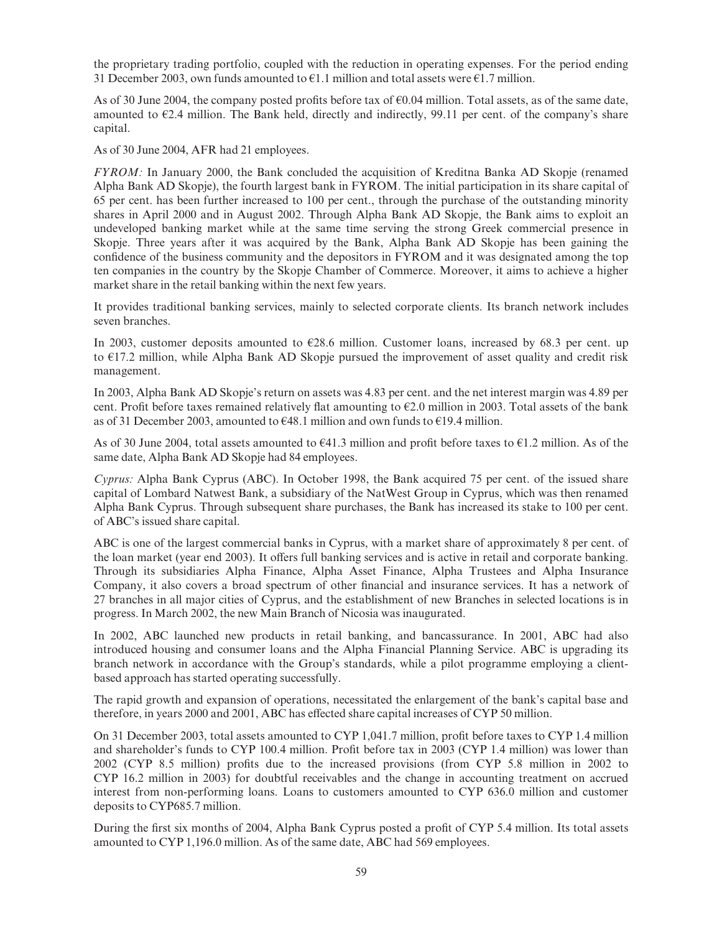the proprietary trading portfolio, coupled with the reduction in operating expenses. For the period ending 31 December 2003, own funds amounted to  $\epsilon$ 1.1 million and total assets were  $\epsilon$ 1.7 million.

As of 30 June 2004, the company posted profits before tax of  $\epsilon$ 0.04 million. Total assets, as of the same date, amounted to  $E2.4$  million. The Bank held, directly and indirectly, 99.11 per cent. of the company's share capital.

As of 30 June 2004, AFR had 21 employees.

FYROM: In January 2000, the Bank concluded the acquisition of Kreditna Banka AD Skopje (renamed Alpha Bank AD Skopje), the fourth largest bank in FYROM. The initial participation in its share capital of 65 per cent. has been further increased to 100 per cent., through the purchase of the outstanding minority shares in April 2000 and in August 2002. Through Alpha Bank AD Skopje, the Bank aims to exploit an undeveloped banking market while at the same time serving the strong Greek commercial presence in Skopje. Three years after it was acquired by the Bank, Alpha Bank AD Skopje has been gaining the confidence of the business community and the depositors in FYROM and it was designated among the top ten companies in the country by the Skopje Chamber of Commerce. Moreover, it aims to achieve a higher market share in the retail banking within the next few years.

It provides traditional banking services, mainly to selected corporate clients. Its branch network includes seven branches.

In 2003, customer deposits amounted to  $\epsilon$ 28.6 million. Customer loans, increased by 68.3 per cent. up to  $E17.2$  million, while Alpha Bank AD Skopje pursued the improvement of asset quality and credit risk management.

In 2003, Alpha Bank AD Skopje's return on assets was 4.83 per cent. and the net interest margin was 4.89 per cent. Profit before taxes remained relatively flat amounting to  $E$  million in 2003. Total assets of the bank as of 31 December 2003, amounted to  $648.1$  million and own funds to  $619.4$  million.

As of 30 June 2004, total assets amounted to  $641.3$  million and profit before taxes to  $61.2$  million. As of the same date, Alpha Bank AD Skopje had 84 employees.

Cyprus: Alpha Bank Cyprus (ABC). In October 1998, the Bank acquired 75 per cent. of the issued share capital of Lombard Natwest Bank, a subsidiary of the NatWest Group in Cyprus, which was then renamed Alpha Bank Cyprus. Through subsequent share purchases, the Bank has increased its stake to 100 per cent. of ABC's issued share capital.

ABC is one of the largest commercial banks in Cyprus, with a market share of approximately 8 per cent. of the loan market (year end 2003). It offers full banking services and is active in retail and corporate banking. Through its subsidiaries Alpha Finance, Alpha Asset Finance, Alpha Trustees and Alpha Insurance Company, it also covers a broad spectrum of other financial and insurance services. It has a network of 27 branches in all major cities of Cyprus, and the establishment of new Branches in selected locations is in progress. In March 2002, the new Main Branch of Nicosia was inaugurated.

In 2002, ABC launched new products in retail banking, and bancassurance. In 2001, ABC had also introduced housing and consumer loans and the Alpha Financial Planning Service. ABC is upgrading its branch network in accordance with the Group's standards, while a pilot programme employing a clientbased approach has started operating successfully.

The rapid growth and expansion of operations, necessitated the enlargement of the bank's capital base and therefore, in years 2000 and 2001, ABC has effected share capital increases of CYP 50 million.

On 31 December 2003, total assets amounted to CYP 1,041.7 million, profit before taxes to CYP 1.4 million and shareholder's funds to CYP 100.4 million. Profit before tax in 2003 (CYP 1.4 million) was lower than 2002 (CYP 8.5 million) profits due to the increased provisions (from CYP 5.8 million in 2002 to CYP 16.2 million in 2003) for doubtful receivables and the change in accounting treatment on accrued interest from non-performing loans. Loans to customers amounted to CYP 636.0 million and customer deposits to CYP685.7 million.

During the first six months of 2004, Alpha Bank Cyprus posted a profit of CYP 5.4 million. Its total assets amounted to CYP 1,196.0 million. As of the same date, ABC had 569 employees.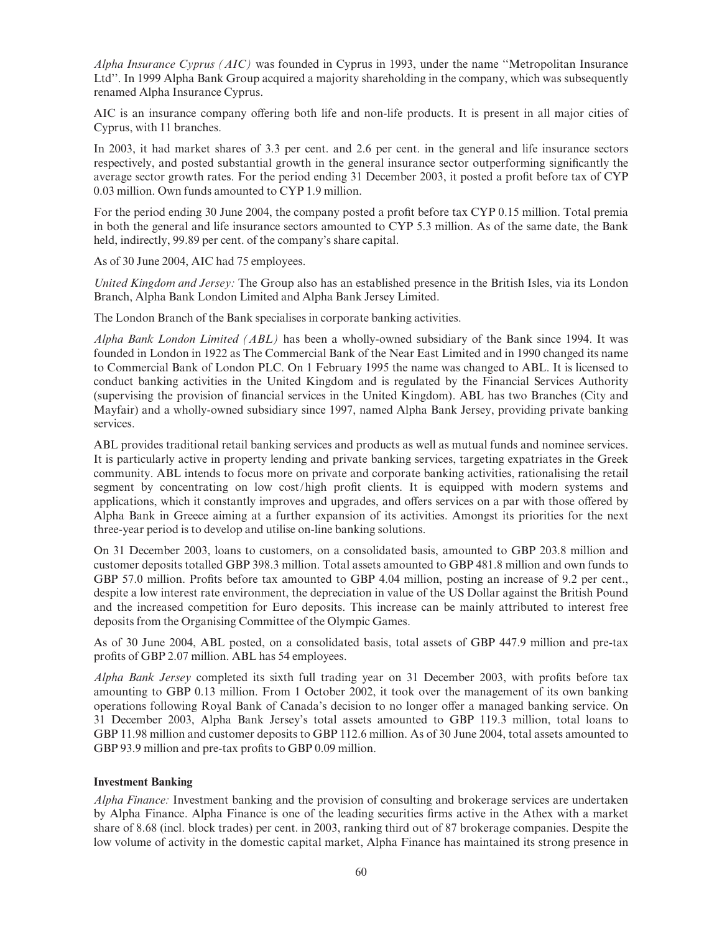Alpha Insurance Cyprus (AIC) was founded in Cyprus in 1993, under the name "Metropolitan Insurance Ltd''. In 1999 Alpha Bank Group acquired a majority shareholding in the company, which was subsequently renamed Alpha Insurance Cyprus.

AIC is an insurance company offering both life and non-life products. It is present in all major cities of Cyprus, with 11 branches.

In 2003, it had market shares of 3.3 per cent. and 2.6 per cent. in the general and life insurance sectors respectively, and posted substantial growth in the general insurance sector outperforming significantly the average sector growth rates. For the period ending 31 December 2003, it posted a profit before tax of CYP 0.03 million. Own funds amounted to CYP 1.9 million.

For the period ending 30 June 2004, the company posted a profit before tax CYP 0.15 million. Total premia in both the general and life insurance sectors amounted to CYP 5.3 million. As of the same date, the Bank held, indirectly, 99.89 per cent. of the company's share capital.

As of 30 June 2004, AIC had 75 employees.

United Kingdom and Jersey: The Group also has an established presence in the British Isles, via its London Branch, Alpha Bank London Limited and Alpha Bank Jersey Limited.

The London Branch of the Bank specialises in corporate banking activities.

Alpha Bank London Limited (ABL) has been a wholly-owned subsidiary of the Bank since 1994. It was founded in London in 1922 as The Commercial Bank of the Near East Limited and in 1990 changed its name to Commercial Bank of London PLC. On 1 February 1995 the name was changed to ABL. It is licensed to conduct banking activities in the United Kingdom and is regulated by the Financial Services Authority (supervising the provision of financial services in the United Kingdom). ABL has two Branches (City and Mayfair) and a wholly-owned subsidiary since 1997, named Alpha Bank Jersey, providing private banking services.

ABL provides traditional retail banking services and products as well as mutual funds and nominee services. It is particularly active in property lending and private banking services, targeting expatriates in the Greek community. ABL intends to focus more on private and corporate banking activities, rationalising the retail segment by concentrating on low cost/high profit clients. It is equipped with modern systems and applications, which it constantly improves and upgrades, and offers services on a par with those offered by Alpha Bank in Greece aiming at a further expansion of its activities. Amongst its priorities for the next three-year period is to develop and utilise on-line banking solutions.

On 31 December 2003, loans to customers, on a consolidated basis, amounted to GBP 203.8 million and customer deposits totalled GBP 398.3 million. Total assets amounted to GBP 481.8 million and own funds to GBP 57.0 million. Profits before tax amounted to GBP 4.04 million, posting an increase of 9.2 per cent., despite a low interest rate environment, the depreciation in value of the US Dollar against the British Pound and the increased competition for Euro deposits. This increase can be mainly attributed to interest free deposits from the Organising Committee of the Olympic Games.

As of 30 June 2004, ABL posted, on a consolidated basis, total assets of GBP 447.9 million and pre-tax profits of GBP 2.07 million. ABL has 54 employees.

Alpha Bank Jersey completed its sixth full trading year on 31 December 2003, with profits before tax amounting to GBP 0.13 million. From 1 October 2002, it took over the management of its own banking operations following Royal Bank of Canada's decision to no longer offer a managed banking service. On 31 December 2003, Alpha Bank Jersey's total assets amounted to GBP 119.3 million, total loans to GBP 11.98 million and customer deposits to GBP 112.6 million. As of 30 June 2004, total assets amounted to GBP 93.9 million and pre-tax profits to GBP 0.09 million.

### Investment Banking

Alpha Finance: Investment banking and the provision of consulting and brokerage services are undertaken by Alpha Finance. Alpha Finance is one of the leading securities firms active in the Athex with a market share of 8.68 (incl. block trades) per cent. in 2003, ranking third out of 87 brokerage companies. Despite the low volume of activity in the domestic capital market, Alpha Finance has maintained its strong presence in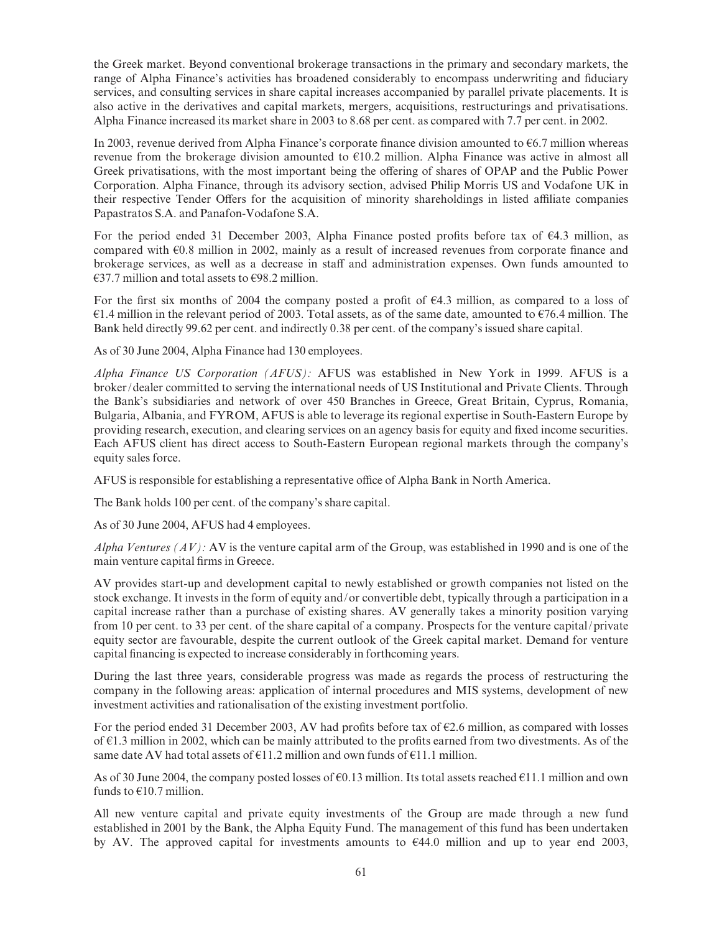the Greek market. Beyond conventional brokerage transactions in the primary and secondary markets, the range of Alpha Finance's activities has broadened considerably to encompass underwriting and fiduciary services, and consulting services in share capital increases accompanied by parallel private placements. It is also active in the derivatives and capital markets, mergers, acquisitions, restructurings and privatisations. Alpha Finance increased its market share in 2003 to 8.68 per cent. as compared with 7.7 per cent. in 2002.

In 2003, revenue derived from Alpha Finance's corporate finance division amounted to  $\epsilon$ 6.7 million whereas revenue from the brokerage division amounted to  $E10.2$  million. Alpha Finance was active in almost all Greek privatisations, with the most important being the offering of shares of OPAP and the Public Power Corporation. Alpha Finance, through its advisory section, advised Philip Morris US and Vodafone UK in their respective Tender Offers for the acquisition of minority shareholdings in listed affiliate companies Papastratos S.A. and Panafon-Vodafone S.A.

For the period ended 31 December 2003, Alpha Finance posted profits before tax of  $64.3$  million, as compared with  $\epsilon$ 0.8 million in 2002, mainly as a result of increased revenues from corporate finance and brokerage services, as well as a decrease in staff and administration expenses. Own funds amounted to  $\epsilon$ 37.7 million and total assets to  $\epsilon$ 98.2 million.

For the first six months of 2004 the company posted a profit of  $\epsilon$ 4.3 million, as compared to a loss of  $\epsilon$ 1.4 million in the relevant period of 2003. Total assets, as of the same date, amounted to  $\epsilon$ 76.4 million. The Bank held directly 99.62 per cent. and indirectly 0.38 per cent. of the company's issued share capital.

As of 30 June 2004, Alpha Finance had 130 employees.

Alpha Finance US Corporation (AFUS): AFUS was established in New York in 1999. AFUS is a broker/dealer committed to serving the international needs of US Institutional and Private Clients. Through the Bank's subsidiaries and network of over 450 Branches in Greece, Great Britain, Cyprus, Romania, Bulgaria, Albania, and FYROM, AFUS is able to leverage its regional expertise in South-Eastern Europe by providing research, execution, and clearing services on an agency basis for equity and ¢xed income securities. Each AFUS client has direct access to South-Eastern European regional markets through the company's equity sales force.

AFUS is responsible for establishing a representative office of Alpha Bank in North America.

The Bank holds 100 per cent. of the company's share capital.

As of 30 June 2004, AFUS had 4 employees.

Alpha Ventures  $(AV)$ : AV is the venture capital arm of the Group, was established in 1990 and is one of the main venture capital firms in Greece.

AV provides start-up and development capital to newly established or growth companies not listed on the stock exchange. It invests in the form of equity and/or convertible debt, typically through a participation in a capital increase rather than a purchase of existing shares. AV generally takes a minority position varying from 10 per cent. to 33 per cent. of the share capital of a company. Prospects for the venture capital/private equity sector are favourable, despite the current outlook of the Greek capital market. Demand for venture capital financing is expected to increase considerably in forthcoming years.

During the last three years, considerable progress was made as regards the process of restructuring the company in the following areas: application of internal procedures and MIS systems, development of new investment activities and rationalisation of the existing investment portfolio.

For the period ended 31 December 2003, AV had profits before tax of  $\epsilon$ 2.6 million, as compared with losses of  $\epsilon$ 1.3 million in 2002, which can be mainly attributed to the profits earned from two divestments. As of the same date AV had total assets of  $\epsilon$ 11.2 million and own funds of  $\epsilon$ 11.1 million.

As of 30 June 2004, the company posted losses of  $\epsilon$ 0.13 million. Its total assets reached  $\epsilon$ 11.1 million and own funds to  $€10.7$  million.

All new venture capital and private equity investments of the Group are made through a new fund established in 2001 by the Bank, the Alpha Equity Fund. The management of this fund has been undertaken by AV. The approved capital for investments amounts to  $644.0$  million and up to year end 2003,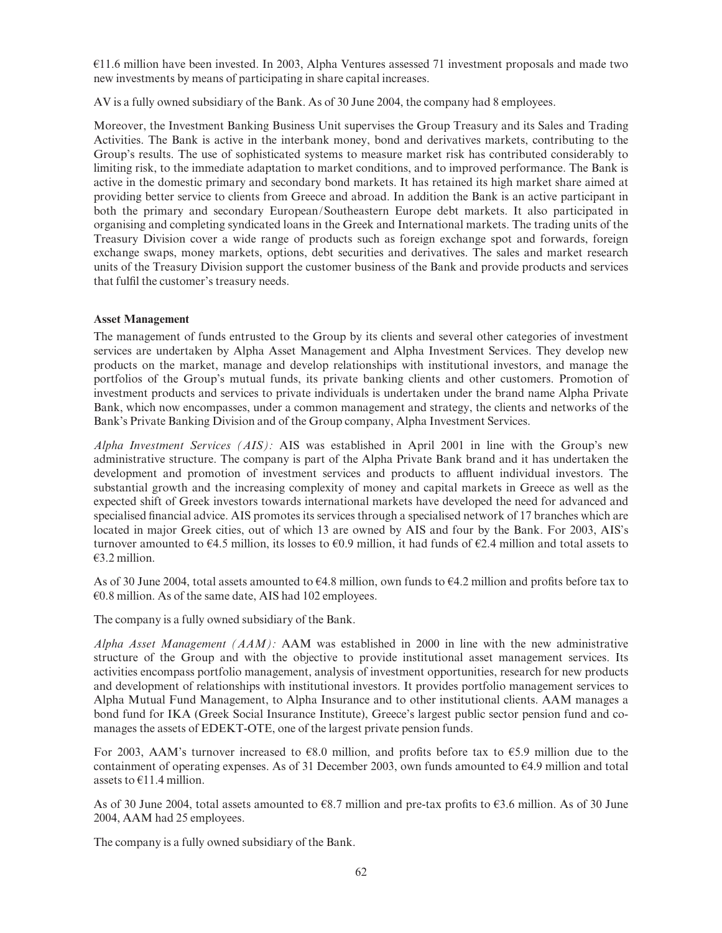$E11.6$  million have been invested. In 2003, Alpha Ventures assessed 71 investment proposals and made two new investments by means of participating in share capital increases.

AV is a fully owned subsidiary of the Bank. As of 30 June 2004, the company had 8 employees.

Moreover, the Investment Banking Business Unit supervises the Group Treasury and its Sales and Trading Activities. The Bank is active in the interbank money, bond and derivatives markets, contributing to the Group's results. The use of sophisticated systems to measure market risk has contributed considerably to limiting risk, to the immediate adaptation to market conditions, and to improved performance. The Bank is active in the domestic primary and secondary bond markets. It has retained its high market share aimed at providing better service to clients from Greece and abroad. In addition the Bank is an active participant in both the primary and secondary European/Southeastern Europe debt markets. It also participated in organising and completing syndicated loans in the Greek and International markets. The trading units of the Treasury Division cover a wide range of products such as foreign exchange spot and forwards, foreign exchange swaps, money markets, options, debt securities and derivatives. The sales and market research units of the Treasury Division support the customer business of the Bank and provide products and services that fulfil the customer's treasury needs.

# Asset Management

The management of funds entrusted to the Group by its clients and several other categories of investment services are undertaken by Alpha Asset Management and Alpha Investment Services. They develop new products on the market, manage and develop relationships with institutional investors, and manage the portfolios of the Group's mutual funds, its private banking clients and other customers. Promotion of investment products and services to private individuals is undertaken under the brand name Alpha Private Bank, which now encompasses, under a common management and strategy, the clients and networks of the Bank's Private Banking Division and of the Group company, Alpha Investment Services.

Alpha Investment Services  $(ALS)$ : AIS was established in April 2001 in line with the Group's new administrative structure. The company is part of the Alpha Private Bank brand and it has undertaken the development and promotion of investment services and products to affluent individual investors. The substantial growth and the increasing complexity of money and capital markets in Greece as well as the expected shift of Greek investors towards international markets have developed the need for advanced and specialised financial advice. AIS promotes its services through a specialised network of 17 branches which are located in major Greek cities, out of which 13 are owned by AIS and four by the Bank. For 2003, AIS's turnover amounted to  $64.5$  million, its losses to  $60.9$  million, it had funds of  $62.4$  million and total assets to  $E3.2$  million.

As of 30 June 2004, total assets amounted to  $64.8$  million, own funds to  $64.2$  million and profits before tax to  $E0.8$  million. As of the same date, AIS had 102 employees.

The company is a fully owned subsidiary of the Bank.

Alpha Asset Management  $(AAM)$ : AAM was established in 2000 in line with the new administrative structure of the Group and with the objective to provide institutional asset management services. Its activities encompass portfolio management, analysis of investment opportunities, research for new products and development of relationships with institutional investors. It provides portfolio management services to Alpha Mutual Fund Management, to Alpha Insurance and to other institutional clients. AAM manages a bond fund for IKA (Greek Social Insurance Institute), Greece's largest public sector pension fund and comanages the assets of EDEKT-OTE, one of the largest private pension funds.

For 2003, AAM's turnover increased to  $68.0$  million, and profits before tax to  $65.9$  million due to the containment of operating expenses. As of 31 December 2003, own funds amounted to  $64.9$  million and total assets to  $E11.4$  million.

As of 30 June 2004, total assets amounted to  $68.7$  million and pre-tax profits to  $63.6$  million. As of 30 June 2004, AAM had 25 employees.

The company is a fully owned subsidiary of the Bank.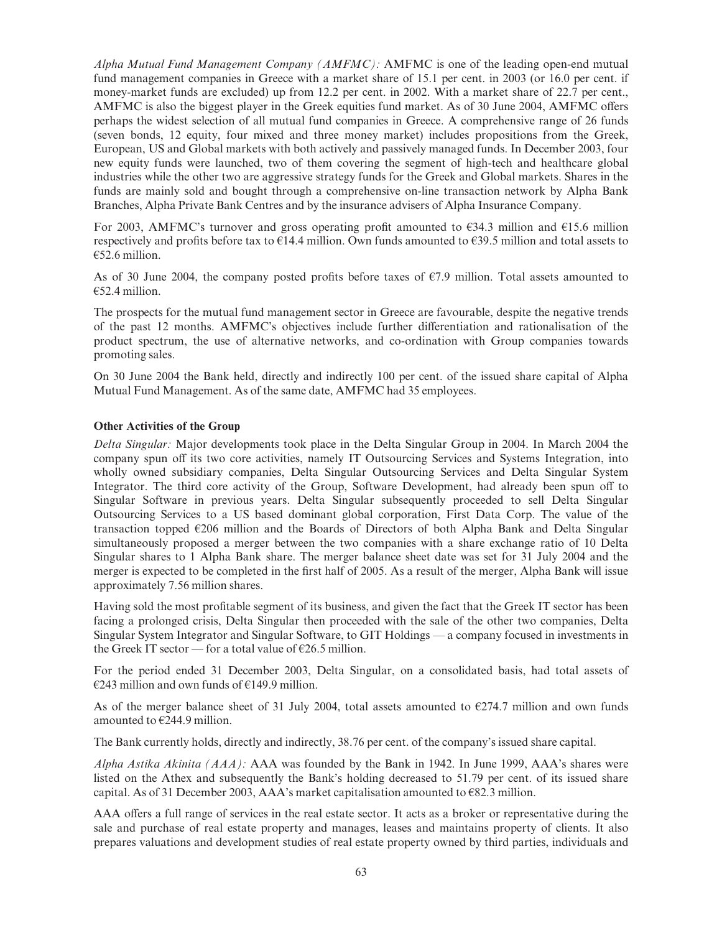Alpha Mutual Fund Management Company  $(AMFMC)$ : AMFMC is one of the leading open-end mutual fund management companies in Greece with a market share of 15.1 per cent. in 2003 (or 16.0 per cent. if money-market funds are excluded) up from 12.2 per cent. in 2002. With a market share of 22.7 per cent., AMFMC is also the biggest player in the Greek equities fund market. As of 30 June 2004, AMFMC offers perhaps the widest selection of all mutual fund companies in Greece. A comprehensive range of 26 funds (seven bonds, 12 equity, four mixed and three money market) includes propositions from the Greek, European, US and Global markets with both actively and passively managed funds. In December 2003, four new equity funds were launched, two of them covering the segment of high-tech and healthcare global industries while the other two are aggressive strategy funds for the Greek and Global markets. Shares in the funds are mainly sold and bought through a comprehensive on-line transaction network by Alpha Bank Branches, Alpha Private Bank Centres and by the insurance advisers of Alpha Insurance Company.

For 2003, AMFMC's turnover and gross operating profit amounted to  $\epsilon$ 34.3 million and  $\epsilon$ 15.6 million respectively and profits before tax to  $E14.4$  million. Own funds amounted to  $E39.5$  million and total assets to  $E$ 52.6 million.

As of 30 June 2004, the company posted profits before taxes of  $\epsilon$ 7.9 million. Total assets amounted to  $€52.4$  million.

The prospects for the mutual fund management sector in Greece are favourable, despite the negative trends of the past 12 months. AMFMC's objectives include further differentiation and rationalisation of the product spectrum, the use of alternative networks, and co-ordination with Group companies towards promoting sales.

On 30 June 2004 the Bank held, directly and indirectly 100 per cent. of the issued share capital of Alpha Mutual Fund Management. As of the same date, AMFMC had 35 employees.

#### Other Activities of the Group

Delta Singular: Major developments took place in the Delta Singular Group in 2004. In March 2004 the company spun off its two core activities, namely IT Outsourcing Services and Systems Integration, into wholly owned subsidiary companies, Delta Singular Outsourcing Services and Delta Singular System Integrator. The third core activity of the Group, Software Development, had already been spun off to Singular Software in previous years. Delta Singular subsequently proceeded to sell Delta Singular Outsourcing Services to a US based dominant global corporation, First Data Corp. The value of the transaction topped  $E206$  million and the Boards of Directors of both Alpha Bank and Delta Singular simultaneously proposed a merger between the two companies with a share exchange ratio of 10 Delta Singular shares to 1 Alpha Bank share. The merger balance sheet date was set for 31 July 2004 and the merger is expected to be completed in the first half of 2005. As a result of the merger, Alpha Bank will issue approximately 7.56 million shares.

Having sold the most profitable segment of its business, and given the fact that the Greek IT sector has been facing a prolonged crisis, Delta Singular then proceeded with the sale of the other two companies, Delta Singular System Integrator and Singular Software, to GIT Holdings — a company focused in investments in the Greek IT sector — for a total value of  $\epsilon$ 26.5 million.

For the period ended 31 December 2003, Delta Singular, on a consolidated basis, had total assets of  $E$ 243 million and own funds of  $E$ 149.9 million.

As of the merger balance sheet of 31 July 2004, total assets amounted to  $E$ 274.7 million and own funds amounted to  $E$ 244.9 million.

The Bank currently holds, directly and indirectly, 38.76 per cent. of the company's issued share capital.

Alpha Astika Akinita (AAA): AAA was founded by the Bank in 1942. In June 1999, AAA's shares were listed on the Athex and subsequently the Bank's holding decreased to 51.79 per cent. of its issued share capital. As of 31 December 2003, AAA's market capitalisation amounted to  $\epsilon$ 82.3 million.

AAA offers a full range of services in the real estate sector. It acts as a broker or representative during the sale and purchase of real estate property and manages, leases and maintains property of clients. It also prepares valuations and development studies of real estate property owned by third parties, individuals and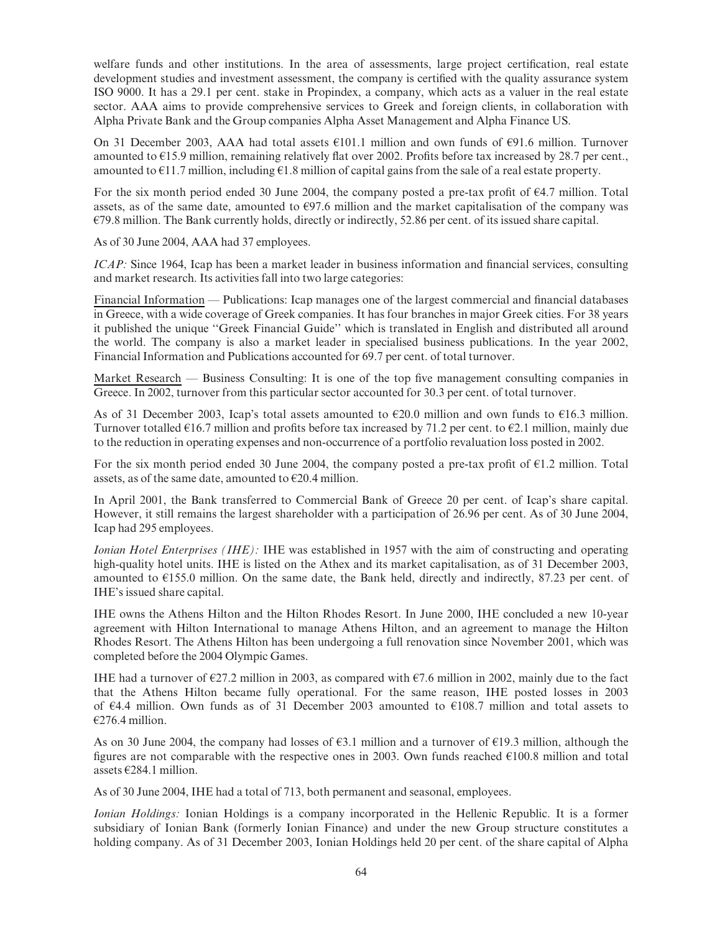welfare funds and other institutions. In the area of assessments, large project certification, real estate development studies and investment assessment, the company is certified with the quality assurance system ISO 9000. It has a 29.1 per cent. stake in Propindex, a company, which acts as a valuer in the real estate sector. AAA aims to provide comprehensive services to Greek and foreign clients, in collaboration with Alpha Private Bank and the Group companies Alpha Asset Management and Alpha Finance US.

On 31 December 2003, AAA had total assets  $E101.1$  million and own funds of  $E91.6$  million. Turnover amounted to  $\epsilon$ 15.9 million, remaining relatively flat over 2002. Profits before tax increased by 28.7 per cent. amounted to  $\epsilon$ 11.7 million, including  $\epsilon$ 1.8 million of capital gains from the sale of a real estate property.

For the six month period ended 30 June 2004, the company posted a pre-tax profit of  $\epsilon$ 4.7 million. Total assets, as of the same date, amounted to  $E97.6$  million and the market capitalisation of the company was  $E79.8$  million. The Bank currently holds, directly or indirectly, 52.86 per cent. of its issued share capital.

As of 30 June 2004, AAA had 37 employees.

 $ICAP$ : Since 1964, Icap has been a market leader in business information and financial services, consulting and market research. Its activities fall into two large categories:

Financial Information — Publications: Icap manages one of the largest commercial and financial databases in Greece, with a wide coverage of Greek companies. It has four branches in major Greek cities. For 38 years it published the unique ''Greek Financial Guide'' which is translated in English and distributed all around the world. The company is also a market leader in specialised business publications. In the year 2002, Financial Information and Publications accounted for 69.7 per cent. of total turnover.

Market Research — Business Consulting: It is one of the top five management consulting companies in Greece. In 2002, turnover from this particular sector accounted for 30.3 per cent. of total turnover.

As of 31 December 2003, Icap's total assets amounted to  $\epsilon$ 20.0 million and own funds to  $\epsilon$ 16.3 million. Turnover totalled  $\epsilon$ 16.7 million and profits before tax increased by 71.2 per cent. to  $\epsilon$ 2.1 million, mainly due to the reduction in operating expenses and non-occurrence of a portfolio revaluation loss posted in 2002.

For the six month period ended 30 June 2004, the company posted a pre-tax profit of  $E1.2$  million. Total assets, as of the same date, amounted to  $E20.4$  million.

In April 2001, the Bank transferred to Commercial Bank of Greece 20 per cent. of Icap's share capital. However, it still remains the largest shareholder with a participation of 26.96 per cent. As of 30 June 2004, Icap had 295 employees.

Ionian Hotel Enterprises *(IHE)*: IHE was established in 1957 with the aim of constructing and operating high-quality hotel units. IHE is listed on the Athex and its market capitalisation, as of 31 December 2003, amounted to  $E$ 155.0 million. On the same date, the Bank held, directly and indirectly, 87.23 per cent. of IHE's issued share capital.

IHE owns the Athens Hilton and the Hilton Rhodes Resort. In June 2000, IHE concluded a new 10-year agreement with Hilton International to manage Athens Hilton, and an agreement to manage the Hilton Rhodes Resort. The Athens Hilton has been undergoing a full renovation since November 2001, which was completed before the 2004 Olympic Games.

IHE had a turnover of  $\epsilon$ 27.2 million in 2003, as compared with  $\epsilon$ 7.6 million in 2002, mainly due to the fact that the Athens Hilton became fully operational. For the same reason, IHE posted losses in 2003 of  $64.4$  million. Own funds as of 31 December 2003 amounted to  $6108.7$  million and total assets to  $€276.4$  million.

As on 30 June 2004, the company had losses of  $\epsilon$ 3.1 million and a turnover of  $\epsilon$ 19.3 million, although the figures are not comparable with the respective ones in 2003. Own funds reached  $E100.8$  million and total assets  $\epsilon$ 284.1 million.

As of 30 June 2004, IHE had a total of 713, both permanent and seasonal, employees.

Ionian Holdings: Ionian Holdings is a company incorporated in the Hellenic Republic. It is a former subsidiary of Ionian Bank (formerly Ionian Finance) and under the new Group structure constitutes a holding company. As of 31 December 2003, Ionian Holdings held 20 per cent. of the share capital of Alpha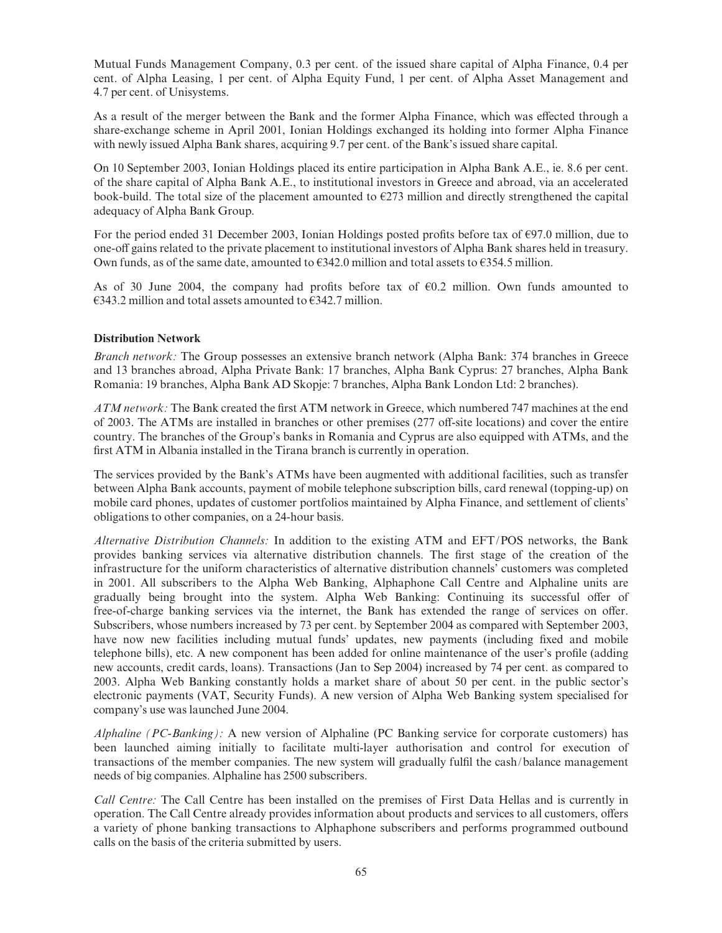Mutual Funds Management Company, 0.3 per cent. of the issued share capital of Alpha Finance, 0.4 per cent. of Alpha Leasing, 1 per cent. of Alpha Equity Fund, 1 per cent. of Alpha Asset Management and 4.7 per cent. of Unisystems.

As a result of the merger between the Bank and the former Alpha Finance, which was effected through a share-exchange scheme in April 2001, Ionian Holdings exchanged its holding into former Alpha Finance with newly issued Alpha Bank shares, acquiring 9.7 per cent. of the Bank's issued share capital.

On 10 September 2003, Ionian Holdings placed its entire participation in Alpha Bank A.E., ie. 8.6 per cent. of the share capital of Alpha Bank A.E., to institutional investors in Greece and abroad, via an accelerated book-build. The total size of the placement amounted to  $E273$  million and directly strengthened the capital adequacy of Alpha Bank Group.

For the period ended 31 December 2003, Ionian Holdings posted profits before tax of  $\epsilon$ 97.0 million, due to one-off gains related to the private placement to institutional investors of Alpha Bank shares held in treasury. Own funds, as of the same date, amounted to  $\varepsilon$ 342.0 million and total assets to  $\varepsilon$ 354.5 million.

As of 30 June 2004, the company had profits before tax of  $\epsilon$ 0.2 million. Own funds amounted to  $\epsilon$ 343.2 million and total assets amounted to  $\epsilon$ 342.7 million.

#### Distribution Network

Branch network: The Group possesses an extensive branch network (Alpha Bank: 374 branches in Greece and 13 branches abroad, Alpha Private Bank: 17 branches, Alpha Bank Cyprus: 27 branches, Alpha Bank Romania: 19 branches, Alpha Bank AD Skopje: 7 branches, Alpha Bank London Ltd: 2 branches).

ATM network: The Bank created the first ATM network in Greece, which numbered 747 machines at the end of 2003. The ATMs are installed in branches or other premises (277 off-site locations) and cover the entire country. The branches of the Group's banks in Romania and Cyprus are also equipped with ATMs, and the first ATM in Albania installed in the Tirana branch is currently in operation.

The services provided by the Bank's ATMs have been augmented with additional facilities, such as transfer between Alpha Bank accounts, payment of mobile telephone subscription bills, card renewal (topping-up) on mobile card phones, updates of customer portfolios maintained by Alpha Finance, and settlement of clients' obligations to other companies, on a 24-hour basis.

Alternative Distribution Channels: In addition to the existing ATM and EFT/POS networks, the Bank provides banking services via alternative distribution channels. The first stage of the creation of the infrastructure for the uniform characteristics of alternative distribution channels' customers was completed in 2001. All subscribers to the Alpha Web Banking, Alphaphone Call Centre and Alphaline units are gradually being brought into the system. Alpha Web Banking: Continuing its successful offer of free-of-charge banking services via the internet, the Bank has extended the range of services on offer. Subscribers, whose numbers increased by 73 per cent. by September 2004 as compared with September 2003, have now new facilities including mutual funds' updates, new payments (including fixed and mobile telephone bills), etc. A new component has been added for online maintenance of the user's profile (adding new accounts, credit cards, loans). Transactions (Jan to Sep 2004) increased by 74 per cent. as compared to 2003. Alpha Web Banking constantly holds a market share of about 50 per cent. in the public sector's electronic payments (VAT, Security Funds). A new version of Alpha Web Banking system specialised for company's use was launched June 2004.

Alphaline (PC-Banking): A new version of Alphaline (PC Banking service for corporate customers) has been launched aiming initially to facilitate multi-layer authorisation and control for execution of transactions of the member companies. The new system will gradually fulfil the cash/balance management needs of big companies. Alphaline has 2500 subscribers.

Call Centre: The Call Centre has been installed on the premises of First Data Hellas and is currently in operation. The Call Centre already provides information about products and services to all customers, offers a variety of phone banking transactions to Alphaphone subscribers and performs programmed outbound calls on the basis of the criteria submitted by users.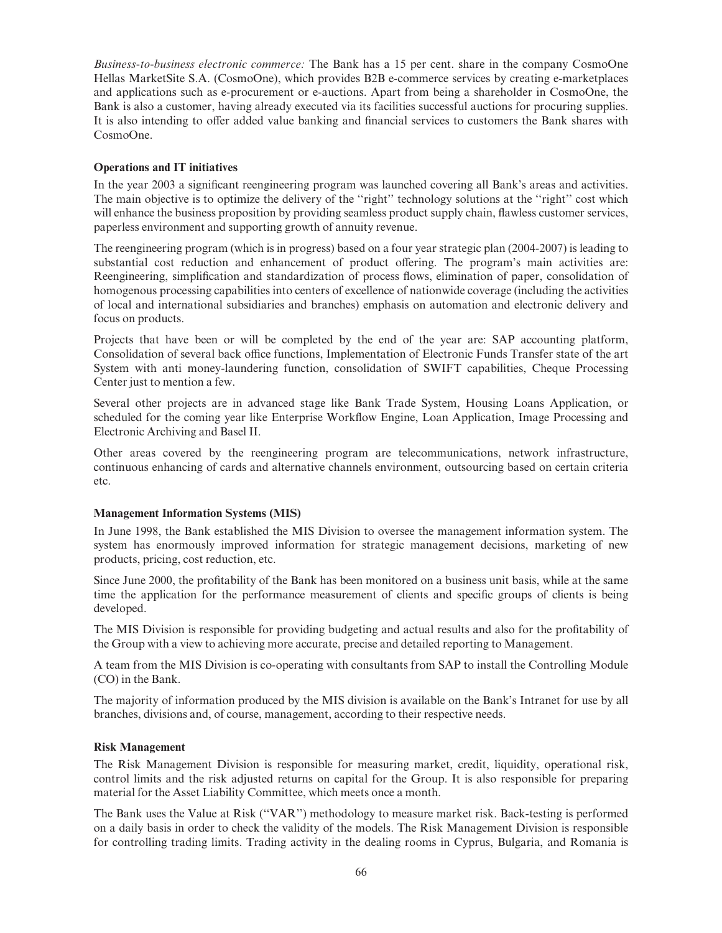Business-to-business electronic commerce: The Bank has a 15 per cent. share in the company CosmoOne Hellas MarketSite S.A. (CosmoOne), which provides B2B e-commerce services by creating e-marketplaces and applications such as e-procurement or e-auctions. Apart from being a shareholder in CosmoOne, the Bank is also a customer, having already executed via its facilities successful auctions for procuring supplies. It is also intending to offer added value banking and financial services to customers the Bank shares with CosmoOne.

### Operations and IT initiatives

In the year 2003 a significant reengineering program was launched covering all Bank's areas and activities. The main objective is to optimize the delivery of the "right" technology solutions at the "right" cost which will enhance the business proposition by providing seamless product supply chain, flawless customer services, paperless environment and supporting growth of annuity revenue.

The reengineering program (which is in progress) based on a four year strategic plan (2004-2007) is leading to substantial cost reduction and enhancement of product offering. The program's main activities are: Reengineering, simplification and standardization of process flows, elimination of paper, consolidation of homogenous processing capabilities into centers of excellence of nationwide coverage (including the activities of local and international subsidiaries and branches) emphasis on automation and electronic delivery and focus on products.

Projects that have been or will be completed by the end of the year are: SAP accounting platform, Consolidation of several back office functions, Implementation of Electronic Funds Transfer state of the art System with anti money-laundering function, consolidation of SWIFT capabilities, Cheque Processing Center just to mention a few.

Several other projects are in advanced stage like Bank Trade System, Housing Loans Application, or scheduled for the coming year like Enterprise Workflow Engine, Loan Application, Image Processing and Electronic Archiving and Basel II.

Other areas covered by the reengineering program are telecommunications, network infrastructure, continuous enhancing of cards and alternative channels environment, outsourcing based on certain criteria etc.

### Management Information Systems (MIS)

In June 1998, the Bank established the MIS Division to oversee the management information system. The system has enormously improved information for strategic management decisions, marketing of new products, pricing, cost reduction, etc.

Since June 2000, the profitability of the Bank has been monitored on a business unit basis, while at the same time the application for the performance measurement of clients and specific groups of clients is being developed.

The MIS Division is responsible for providing budgeting and actual results and also for the profitability of the Group with a view to achieving more accurate, precise and detailed reporting to Management.

A team from the MIS Division is co-operating with consultants from SAP to install the Controlling Module (CO) in the Bank.

The majority of information produced by the MIS division is available on the Bank's Intranet for use by all branches, divisions and, of course, management, according to their respective needs.

### Risk Management

The Risk Management Division is responsible for measuring market, credit, liquidity, operational risk, control limits and the risk adjusted returns on capital for the Group. It is also responsible for preparing material for the Asset Liability Committee, which meets once a month.

The Bank uses the Value at Risk (''VAR'') methodology to measure market risk. Back-testing is performed on a daily basis in order to check the validity of the models. The Risk Management Division is responsible for controlling trading limits. Trading activity in the dealing rooms in Cyprus, Bulgaria, and Romania is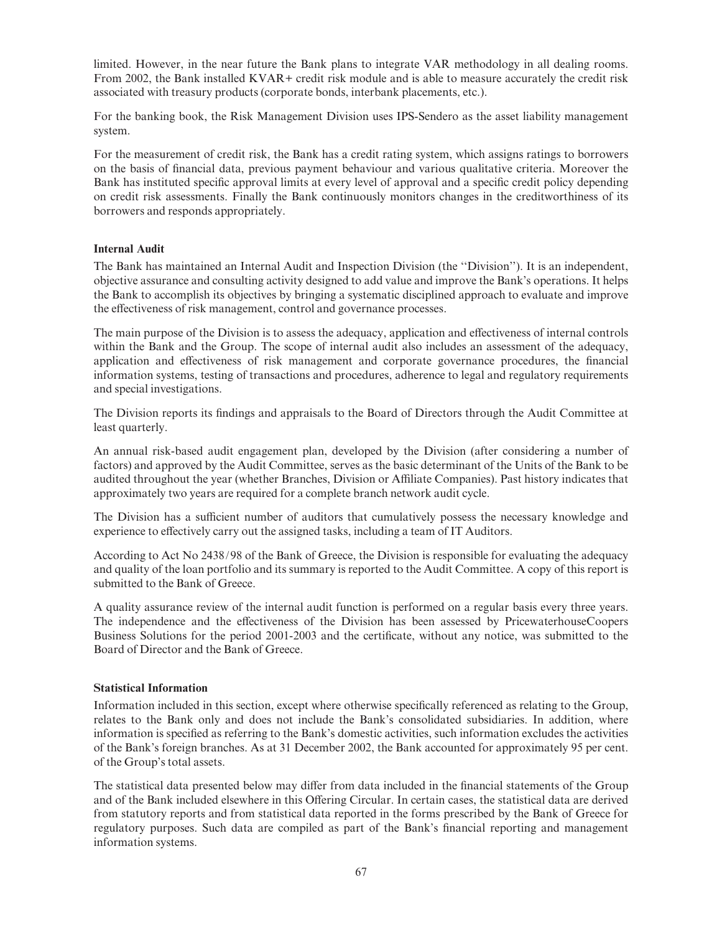limited. However, in the near future the Bank plans to integrate VAR methodology in all dealing rooms. From 2002, the Bank installed KVAR+ credit risk module and is able to measure accurately the credit risk associated with treasury products (corporate bonds, interbank placements, etc.).

For the banking book, the Risk Management Division uses IPS-Sendero as the asset liability management system.

For the measurement of credit risk, the Bank has a credit rating system, which assigns ratings to borrowers on the basis of ¢nancial data, previous payment behaviour and various qualitative criteria. Moreover the Bank has instituted specific approval limits at every level of approval and a specific credit policy depending on credit risk assessments. Finally the Bank continuously monitors changes in the creditworthiness of its borrowers and responds appropriately.

#### Internal Audit

The Bank has maintained an Internal Audit and Inspection Division (the ''Division''). It is an independent, objective assurance and consulting activity designed to add value and improve the Bank's operations. It helps the Bank to accomplish its objectives by bringing a systematic disciplined approach to evaluate and improve the effectiveness of risk management, control and governance processes.

The main purpose of the Division is to assess the adequacy, application and effectiveness of internal controls within the Bank and the Group. The scope of internal audit also includes an assessment of the adequacy, application and effectiveness of risk management and corporate governance procedures, the financial information systems, testing of transactions and procedures, adherence to legal and regulatory requirements and special investigations.

The Division reports its findings and appraisals to the Board of Directors through the Audit Committee at least quarterly.

An annual risk-based audit engagement plan, developed by the Division (after considering a number of factors) and approved by the Audit Committee, serves as the basic determinant of the Units of the Bank to be audited throughout the year (whether Branches, Division or Affiliate Companies). Past history indicates that approximately two years are required for a complete branch network audit cycle.

The Division has a sufficient number of auditors that cumulatively possess the necessary knowledge and experience to effectively carry out the assigned tasks, including a team of IT Auditors.

According to Act No 2438/98 of the Bank of Greece, the Division is responsible for evaluating the adequacy and quality of the loan portfolio and its summary is reported to the Audit Committee. A copy of this report is submitted to the Bank of Greece.

A quality assurance review of the internal audit function is performed on a regular basis every three years. The independence and the effectiveness of the Division has been assessed by PricewaterhouseCoopers Business Solutions for the period 2001-2003 and the certificate, without any notice, was submitted to the Board of Director and the Bank of Greece.

#### Statistical Information

Information included in this section, except where otherwise specifically referenced as relating to the Group, relates to the Bank only and does not include the Bank's consolidated subsidiaries. In addition, where information is specified as referring to the Bank's domestic activities, such information excludes the activities of the Bank's foreign branches. As at 31 December 2002, the Bank accounted for approximately 95 per cent. of the Group's total assets.

The statistical data presented below may differ from data included in the financial statements of the Group and of the Bank included elsewhere in this Offering Circular. In certain cases, the statistical data are derived from statutory reports and from statistical data reported in the forms prescribed by the Bank of Greece for regulatory purposes. Such data are compiled as part of the Bank's financial reporting and management information systems.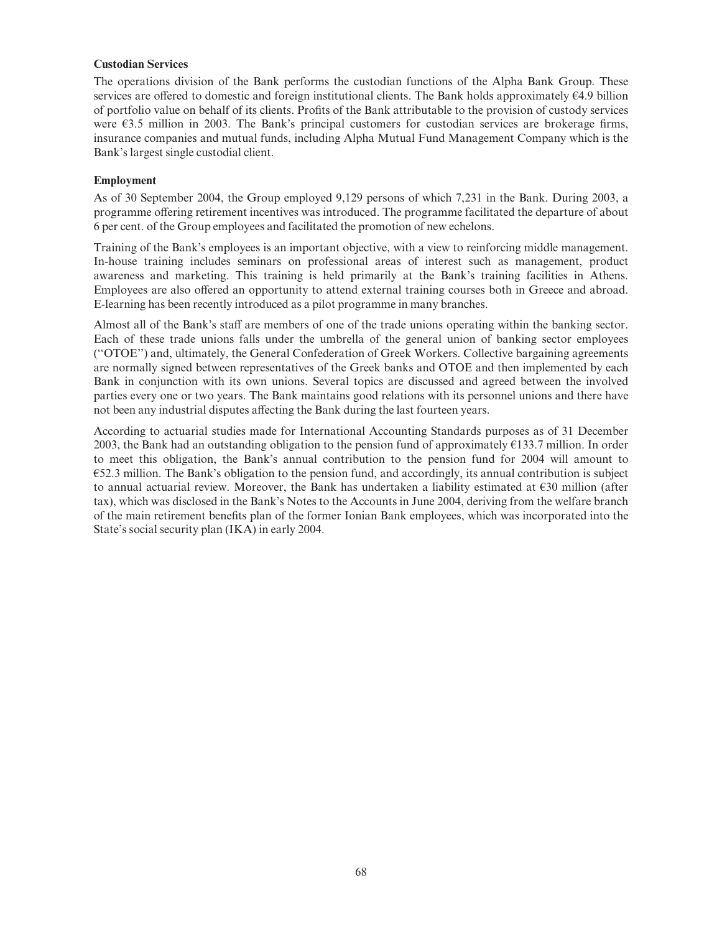### Custodian Services

The operations division of the Bank performs the custodian functions of the Alpha Bank Group. These services are offered to domestic and foreign institutional clients. The Bank holds approximately  $64.9$  billion of portfolio value on behalf of its clients. Profits of the Bank attributable to the provision of custody services were  $63.5$  million in 2003. The Bank's principal customers for custodian services are brokerage firms, insurance companies and mutual funds, including Alpha Mutual Fund Management Company which is the Bank's largest single custodial client.

#### Employment

As of 30 September 2004, the Group employed 9,129 persons of which 7,231 in the Bank. During 2003, a programme offering retirement incentives was introduced. The programme facilitated the departure of about 6 per cent. of the Group employees and facilitated the promotion of new echelons.

Training of the Bank's employees is an important objective, with a view to reinforcing middle management. In-house training includes seminars on professional areas of interest such as management, product awareness and marketing. This training is held primarily at the Bank's training facilities in Athens. Employees are also offered an opportunity to attend external training courses both in Greece and abroad. E-learning has been recently introduced as a pilot programme in many branches.

Almost all of the Bank's staff are members of one of the trade unions operating within the banking sector. Each of these trade unions falls under the umbrella of the general union of banking sector employees (''OTOE'') and, ultimately, the General Confederation of Greek Workers. Collective bargaining agreements are normally signed between representatives of the Greek banks and OTOE and then implemented by each Bank in conjunction with its own unions. Several topics are discussed and agreed between the involved parties every one or two years. The Bank maintains good relations with its personnel unions and there have not been any industrial disputes affecting the Bank during the last fourteen years.

According to actuarial studies made for International Accounting Standards purposes as of 31 December 2003, the Bank had an outstanding obligation to the pension fund of approximately  $\epsilon$ 133.7 million. In order to meet this obligation, the Bank's annual contribution to the pension fund for 2004 will amount to  $\epsilon$ 52.3 million. The Bank's obligation to the pension fund, and accordingly, its annual contribution is subject to annual actuarial review. Moreover, the Bank has undertaken a liability estimated at  $\epsilon$ 30 million (after tax), which was disclosed in the Bank's Notes to the Accounts in June 2004, deriving from the welfare branch of the main retirement bene¢ts plan of the former Ionian Bank employees, which was incorporated into the State's social security plan (IKA) in early 2004.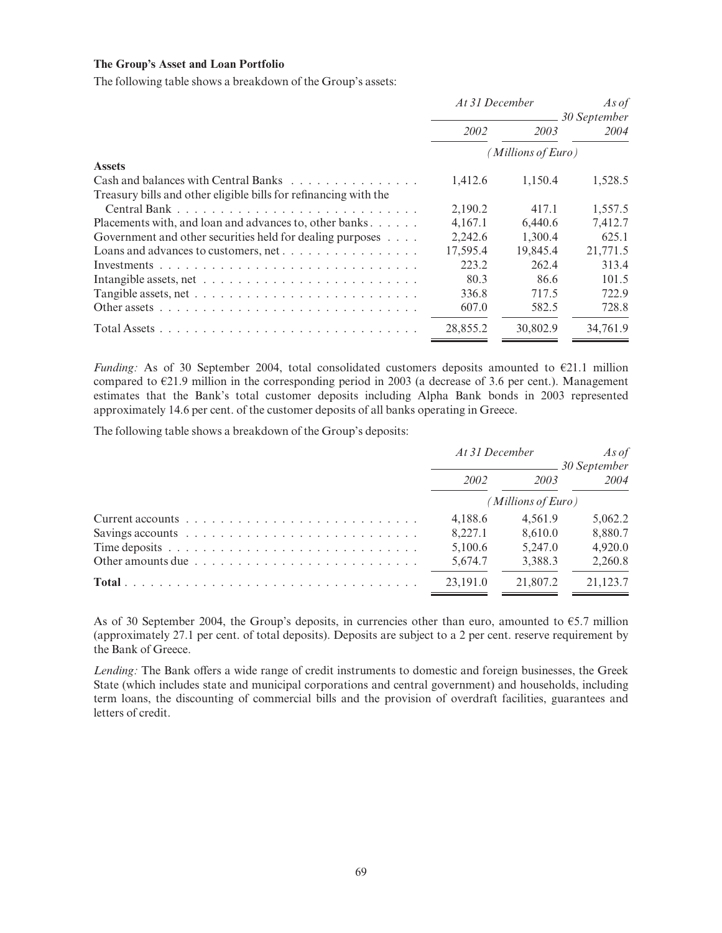#### The Group's Asset and Loan Portfolio

The following table shows a breakdown of the Group's assets:

|                                                                                      | At 31 December     |          | As of<br>30 September |  |
|--------------------------------------------------------------------------------------|--------------------|----------|-----------------------|--|
|                                                                                      | 2002               | 2003     | 2004                  |  |
|                                                                                      | (Millions of Euro) |          |                       |  |
| <b>Assets</b>                                                                        |                    |          |                       |  |
| Cash and balances with Central Banks $\ldots$ , $\ldots$ , $\ldots$ , $\ldots$       | 1,412.6            | 1,150.4  | 1,528.5               |  |
| Treasury bills and other eligible bills for refinancing with the                     |                    |          |                       |  |
|                                                                                      | 2,190.2            | 417.1    | 1,557.5               |  |
| Placements with, and loan and advances to, other banks                               | 4.167.1            | 6.440.6  | 7,412.7               |  |
| Government and other securities held for dealing purposes                            | 2,242.6            | 1,300.4  | 625.1                 |  |
|                                                                                      | 17,595.4           | 19,845.4 | 21,771.5              |  |
|                                                                                      | 223.2              | 262.4    | 313.4                 |  |
|                                                                                      | 80.3               | 86.6     | 101.5                 |  |
|                                                                                      | 336.8              | 717.5    | 722.9                 |  |
| Other assets $\ldots \ldots \ldots \ldots \ldots \ldots \ldots \ldots \ldots \ldots$ | 607.0              | 582.5    | 728.8                 |  |
|                                                                                      | 28,855.2           | 30,802.9 | 34,761.9              |  |

Funding: As of 30 September 2004, total consolidated customers deposits amounted to  $E21.1$  million compared to  $E$ 21.9 million in the corresponding period in 2003 (a decrease of 3.6 per cent.). Management estimates that the Bank's total customer deposits including Alpha Bank bonds in 2003 represented approximately 14.6 per cent. of the customer deposits of all banks operating in Greece.

The following table shows a breakdown of the Group's deposits:

|                                                                                                         | At 31 December     |          | As of<br><sub>-</sub> 30 September |  |
|---------------------------------------------------------------------------------------------------------|--------------------|----------|------------------------------------|--|
|                                                                                                         | 2002               | 2003     | 2004                               |  |
|                                                                                                         | (Millions of Euro) |          |                                    |  |
|                                                                                                         | 4.188.6            | 4.561.9  | 5.062.2                            |  |
| Savings accounts $\ldots \ldots \ldots \ldots \ldots \ldots \ldots \ldots \ldots$                       | 8.227.1            | 8.610.0  | 8.880.7                            |  |
|                                                                                                         | 5,100.6            | 5.247.0  | 4.920.0                            |  |
| Other amounts due $\ldots$ , $\ldots$ , $\ldots$ , $\ldots$ , $\ldots$ , $\ldots$ , $\ldots$ , $\ldots$ | 5,674.7            | 3,388.3  | 2.260.8                            |  |
|                                                                                                         | 23.191.0           | 21,807.2 | 21,123.7                           |  |

As of 30 September 2004, the Group's deposits, in currencies other than euro, amounted to  $\epsilon$ 5.7 million (approximately 27.1 per cent. of total deposits). Deposits are subject to a 2 per cent. reserve requirement by the Bank of Greece.

Lending: The Bank offers a wide range of credit instruments to domestic and foreign businesses, the Greek State (which includes state and municipal corporations and central government) and households, including term loans, the discounting of commercial bills and the provision of overdraft facilities, guarantees and letters of credit.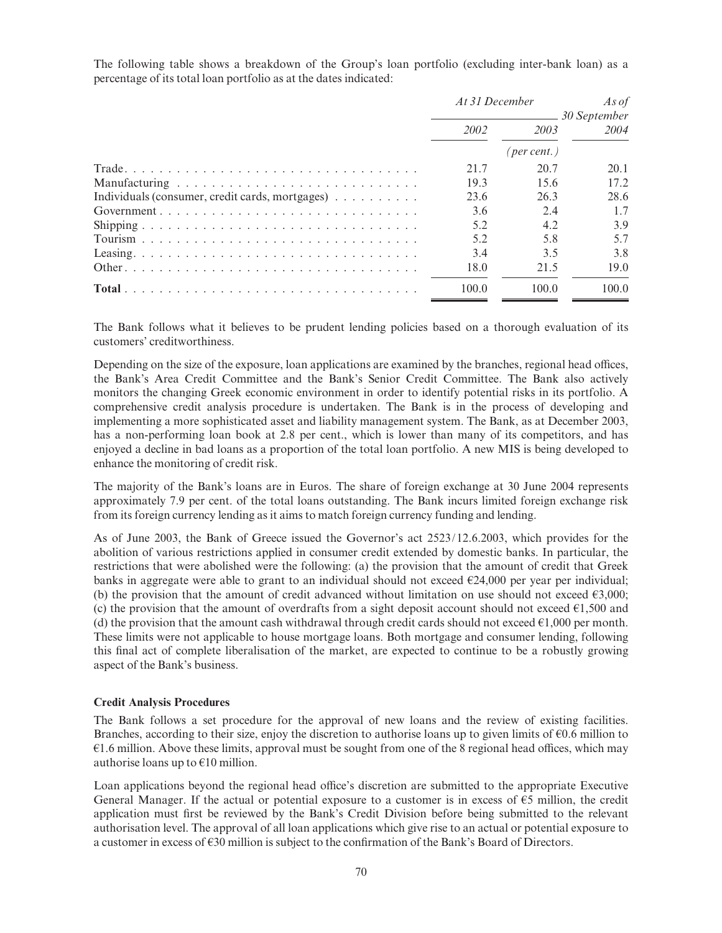The following table shows a breakdown of the Group's loan portfolio (excluding inter-bank loan) as a percentage of its total loan portfolio as at the dates indicated:

|                                                 | At 31 December |                      | As of                         |
|-------------------------------------------------|----------------|----------------------|-------------------------------|
|                                                 | 2002           | 2003                 | <b>■ 30 September</b><br>2004 |
|                                                 |                | ( <i>per cent.</i> ) |                               |
|                                                 | 21.7           | 20.7                 | 20.1                          |
|                                                 | 19.3           | 15.6                 | 17.2                          |
| Individuals (consumer, credit cards, mortgages) | 23.6           | 26.3                 | 28.6                          |
|                                                 | 3.6            | 2.4                  | 1.7                           |
|                                                 | 5.2            | 4.2                  | 3.9                           |
|                                                 | 5.2            | 5.8                  | 5.7                           |
|                                                 | 3.4            | 3.5                  | 3.8                           |
|                                                 | 18.0           | 21.5                 | 19.0                          |
|                                                 | 100.0          | 100.0                | 100.0                         |

The Bank follows what it believes to be prudent lending policies based on a thorough evaluation of its customers' creditworthiness.

Depending on the size of the exposure, loan applications are examined by the branches, regional head offices, the Bank's Area Credit Committee and the Bank's Senior Credit Committee. The Bank also actively monitors the changing Greek economic environment in order to identify potential risks in its portfolio. A comprehensive credit analysis procedure is undertaken. The Bank is in the process of developing and implementing a more sophisticated asset and liability management system. The Bank, as at December 2003, has a non-performing loan book at 2.8 per cent., which is lower than many of its competitors, and has enjoyed a decline in bad loans as a proportion of the total loan portfolio. A new MIS is being developed to enhance the monitoring of credit risk.

The majority of the Bank's loans are in Euros. The share of foreign exchange at 30 June 2004 represents approximately 7.9 per cent. of the total loans outstanding. The Bank incurs limited foreign exchange risk from its foreign currency lending as it aims to match foreign currency funding and lending.

As of June 2003, the Bank of Greece issued the Governor's act 2523/12.6.2003, which provides for the abolition of various restrictions applied in consumer credit extended by domestic banks. In particular, the restrictions that were abolished were the following: (a) the provision that the amount of credit that Greek banks in aggregate were able to grant to an individual should not exceed  $\epsilon$ 24,000 per year per individual; (b) the provision that the amount of credit advanced without limitation on use should not exceed  $\epsilon$ 3,000; (c) the provision that the amount of overdrafts from a sight deposit account should not exceed  $\epsilon$ 1,500 and (d) the provision that the amount cash withdrawal through credit cards should not exceed  $\epsilon$ 1,000 per month. These limits were not applicable to house mortgage loans. Both mortgage and consumer lending, following this final act of complete liberalisation of the market, are expected to continue to be a robustly growing aspect of the Bank's business.

#### Credit Analysis Procedures

The Bank follows a set procedure for the approval of new loans and the review of existing facilities. Branches, according to their size, enjoy the discretion to authorise loans up to given limits of  $\epsilon 0.6$  million to  $\epsilon$ 1.6 million. Above these limits, approval must be sought from one of the 8 regional head offices, which may authorise loans up to  $E10$  million.

Loan applications beyond the regional head office's discretion are submitted to the appropriate Executive General Manager. If the actual or potential exposure to a customer is in excess of  $\epsilon$ 5 million, the credit application must first be reviewed by the Bank's Credit Division before being submitted to the relevant authorisation level. The approval of all loan applications which give rise to an actual or potential exposure to a customer in excess of  $\varepsilon$ 30 million is subject to the confirmation of the Bank's Board of Directors.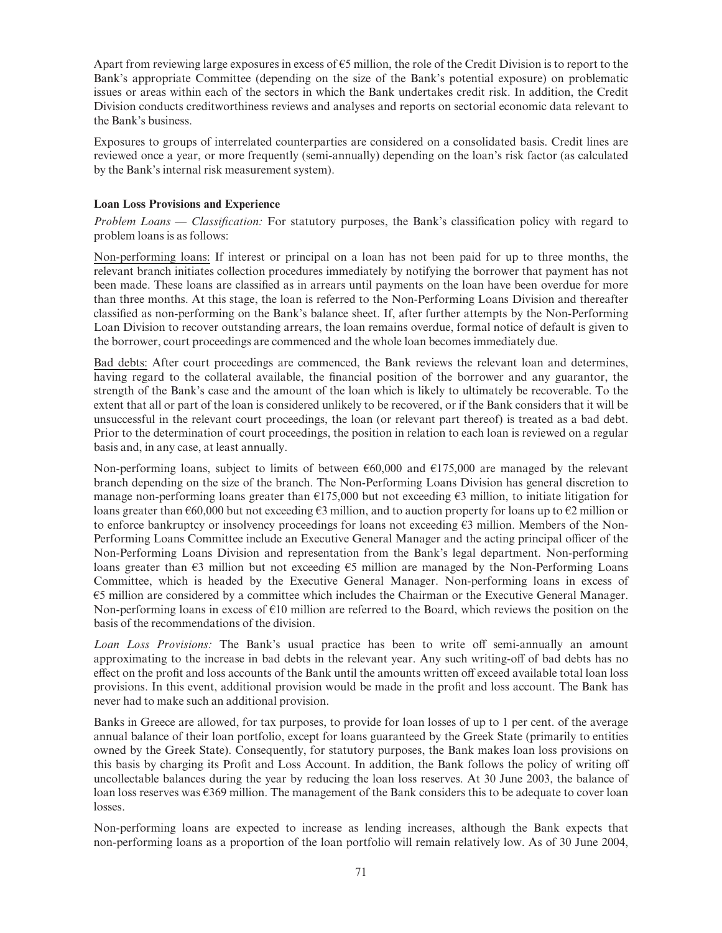Apart from reviewing large exposures in excess of  $\epsilon$ 5 million, the role of the Credit Division is to report to the Bank's appropriate Committee (depending on the size of the Bank's potential exposure) on problematic issues or areas within each of the sectors in which the Bank undertakes credit risk. In addition, the Credit Division conducts creditworthiness reviews and analyses and reports on sectorial economic data relevant to the Bank's business.

Exposures to groups of interrelated counterparties are considered on a consolidated basis. Credit lines are reviewed once a year, or more frequently (semi-annually) depending on the loan's risk factor (as calculated by the Bank's internal risk measurement system).

## Loan Loss Provisions and Experience

Problem Loans — Classification: For statutory purposes, the Bank's classification policy with regard to problem loans is as follows:

Non-performing loans: If interest or principal on a loan has not been paid for up to three months, the relevant branch initiates collection procedures immediately by notifying the borrower that payment has not been made. These loans are classified as in arrears until payments on the loan have been overdue for more than three months. At this stage, the loan is referred to the Non-Performing Loans Division and thereafter classi¢ed as non-performing on the Bank's balance sheet. If, after further attempts by the Non-Performing Loan Division to recover outstanding arrears, the loan remains overdue, formal notice of default is given to the borrower, court proceedings are commenced and the whole loan becomes immediately due.

Bad debts: After court proceedings are commenced, the Bank reviews the relevant loan and determines, having regard to the collateral available, the financial position of the borrower and any guarantor, the strength of the Bank's case and the amount of the loan which is likely to ultimately be recoverable. To the extent that all or part of the loan is considered unlikely to be recovered, or if the Bank considers that it will be unsuccessful in the relevant court proceedings, the loan (or relevant part thereof) is treated as a bad debt. Prior to the determination of court proceedings, the position in relation to each loan is reviewed on a regular basis and, in any case, at least annually.

Non-performing loans, subject to limits of between  $660,000$  and  $6175,000$  are managed by the relevant branch depending on the size of the branch. The Non-Performing Loans Division has general discretion to manage non-performing loans greater than  $\epsilon$ 175,000 but not exceeding  $\epsilon$ 3 million, to initiate litigation for loans greater than  $\epsilon$ 60,000 but not exceeding  $\epsilon$ 3 million, and to auction property for loans up to  $\epsilon$ 2 million or to enforce bankruptcy or insolvency proceedings for loans not exceeding  $\epsilon$ 3 million. Members of the Non-Performing Loans Committee include an Executive General Manager and the acting principal officer of the Non-Performing Loans Division and representation from the Bank's legal department. Non-performing loans greater than  $\epsilon$ 3 million but not exceeding  $\epsilon$ 5 million are managed by the Non-Performing Loans Committee, which is headed by the Executive General Manager. Non-performing loans in excess of  $\epsilon$ 5 million are considered by a committee which includes the Chairman or the Executive General Manager. Non-performing loans in excess of  $\epsilon$ 10 million are referred to the Board, which reviews the position on the basis of the recommendations of the division.

Loan Loss Provisions: The Bank's usual practice has been to write off semi-annually an amount approximating to the increase in bad debts in the relevant year. Any such writing-off of bad debts has no effect on the profit and loss accounts of the Bank until the amounts written off exceed available total loan loss provisions. In this event, additional provision would be made in the profit and loss account. The Bank has never had to make such an additional provision.

Banks in Greece are allowed, for tax purposes, to provide for loan losses of up to 1 per cent. of the average annual balance of their loan portfolio, except for loans guaranteed by the Greek State (primarily to entities owned by the Greek State). Consequently, for statutory purposes, the Bank makes loan loss provisions on this basis by charging its Profit and Loss Account. In addition, the Bank follows the policy of writing off uncollectable balances during the year by reducing the loan loss reserves. At 30 June 2003, the balance of loan loss reserves was  $\epsilon$ 369 million. The management of the Bank considers this to be adequate to cover loan losses.

Non-performing loans are expected to increase as lending increases, although the Bank expects that non-performing loans as a proportion of the loan portfolio will remain relatively low. As of 30 June 2004,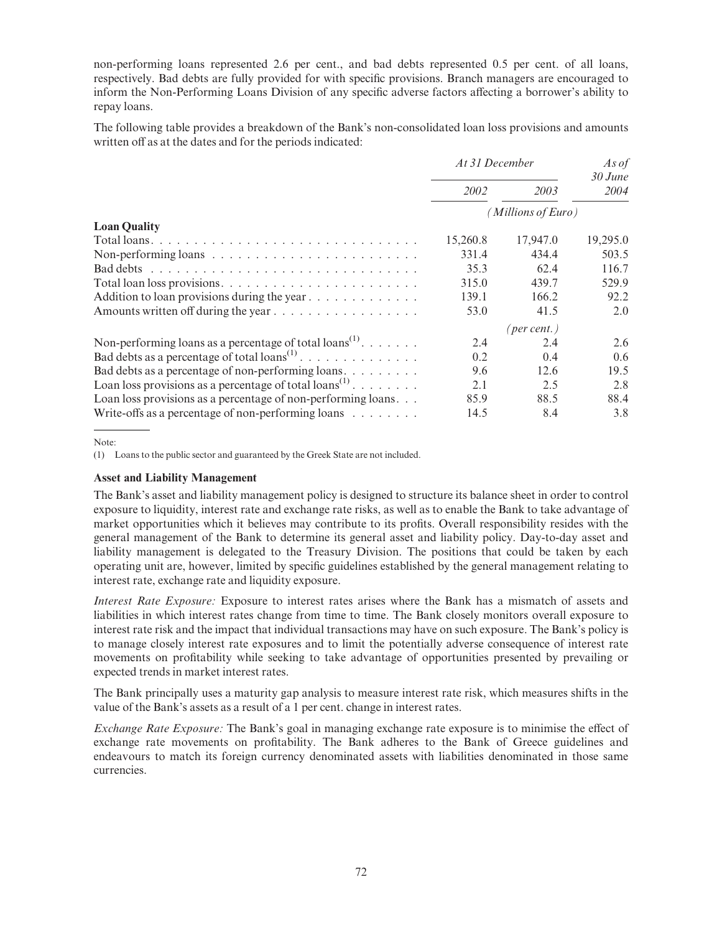non-performing loans represented 2.6 per cent., and bad debts represented 0.5 per cent. of all loans, respectively. Bad debts are fully provided for with specific provisions. Branch managers are encouraged to inform the Non-Performing Loans Division of any specific adverse factors affecting a borrower's ability to repay loans.

The following table provides a breakdown of the Bank's non-consolidated loan loss provisions and amounts written off as at the dates and for the periods indicated:

|                                                                              | At 31 December     |                      | As of<br>$30$ June |
|------------------------------------------------------------------------------|--------------------|----------------------|--------------------|
|                                                                              | 2002               | 2003                 | 2004               |
|                                                                              | (Millions of Euro) |                      |                    |
| <b>Loan Quality</b>                                                          |                    |                      |                    |
|                                                                              | 15,260.8           | 17,947.0             | 19,295.0           |
| Non-performing loans $\dots \dots \dots \dots \dots \dots \dots \dots \dots$ | 331.4              | 434.4                | 503.5              |
|                                                                              | 35.3               | 62.4                 | 116.7              |
|                                                                              | 315.0              | 439.7                | 529.9              |
| Addition to loan provisions during the year                                  | 139.1              | 166.2                | 92.2               |
|                                                                              | 53.0               | 41.5                 | 2.0                |
|                                                                              |                    | ( <i>per cent.</i> ) |                    |
| Non-performing loans as a percentage of total loans <sup>(1)</sup> .         | 2.4                | 2.4                  | 2.6                |
| Bad debts as a percentage of total $\text{loans}^{(1)}$                      | 0.2                | 0.4                  | 0.6                |
| Bad debts as a percentage of non-performing loans                            | 9.6                | 12.6                 | 19.5               |
| Loan loss provisions as a percentage of total loans <sup>(1)</sup>           | 2.1                | 2.5                  | 2.8                |
| Loan loss provisions as a percentage of non-performing loans                 | 85.9               | 88.5                 | 88.4               |
| Write-offs as a percentage of non-performing loans $\dots \dots$             | 14.5               | 8.4                  | 3.8                |

Note:

(1) Loans to the public sector and guaranteed by the Greek State are not included.

#### Asset and Liability Management

The Bank's asset and liability management policy is designed to structure its balance sheet in order to control exposure to liquidity, interest rate and exchange rate risks, as well as to enable the Bank to take advantage of market opportunities which it believes may contribute to its profits. Overall responsibility resides with the general management of the Bank to determine its general asset and liability policy. Day-to-day asset and liability management is delegated to the Treasury Division. The positions that could be taken by each operating unit are, however, limited by specific guidelines established by the general management relating to interest rate, exchange rate and liquidity exposure.

Interest Rate Exposure: Exposure to interest rates arises where the Bank has a mismatch of assets and liabilities in which interest rates change from time to time. The Bank closely monitors overall exposure to interest rate risk and the impact that individual transactions may have on such exposure. The Bank's policy is to manage closely interest rate exposures and to limit the potentially adverse consequence of interest rate movements on profitability while seeking to take advantage of opportunities presented by prevailing or expected trends in market interest rates.

The Bank principally uses a maturity gap analysis to measure interest rate risk, which measures shifts in the value of the Bank's assets as a result of a 1 per cent. change in interest rates.

Exchange Rate Exposure: The Bank's goal in managing exchange rate exposure is to minimise the effect of exchange rate movements on profitability. The Bank adheres to the Bank of Greece guidelines and endeavours to match its foreign currency denominated assets with liabilities denominated in those same currencies.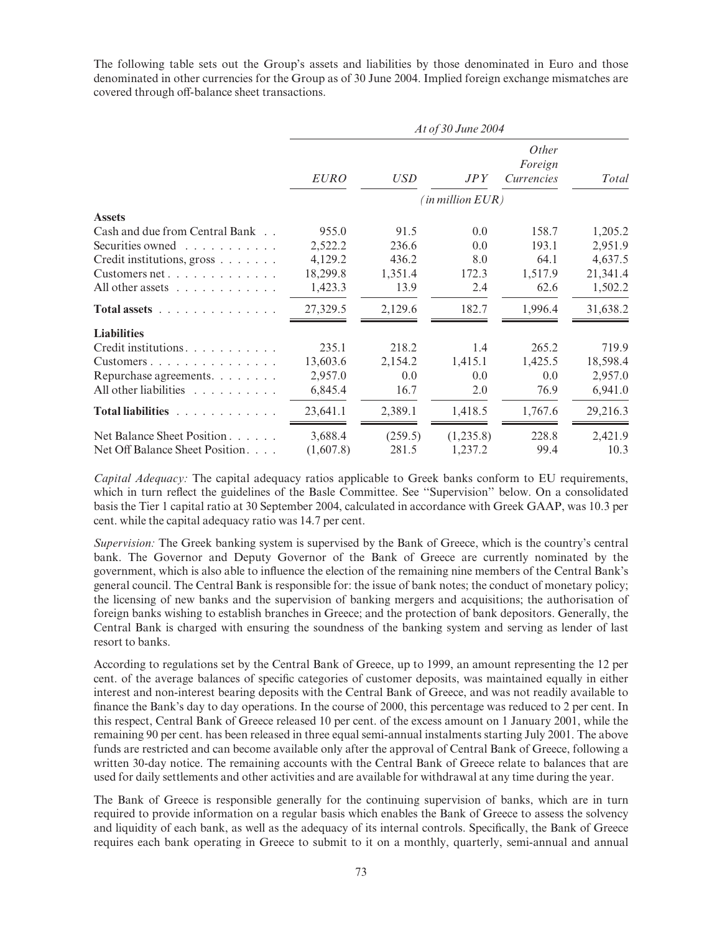The following table sets out the Group's assets and liabilities by those denominated in Euro and those denominated in other currencies for the Group as of 30 June 2004. Implied foreign exchange mismatches are covered through off-balance sheet transactions.

|                                 | At of 30 June 2004 |            |                                |                                       |          |  |  |
|---------------------------------|--------------------|------------|--------------------------------|---------------------------------------|----------|--|--|
|                                 | <b>EURO</b>        | <i>USD</i> | JPY                            | <i>Other</i><br>Foreign<br>Currencies | Total    |  |  |
|                                 |                    |            | $^{\prime}$ in million $EUR$ ) |                                       |          |  |  |
| <b>Assets</b>                   |                    |            |                                |                                       |          |  |  |
| Cash and due from Central Bank  | 955.0              | 91.5       | 0.0                            | 158.7                                 | 1,205.2  |  |  |
| Securities owned                | 2,522.2            | 236.6      | 0.0                            | 193.1                                 | 2,951.9  |  |  |
| Credit institutions, gross      | 4,129.2            | 436.2      | 8.0                            | 64.1                                  | 4,637.5  |  |  |
| Customers net                   | 18,299.8           | 1,351.4    | 172.3                          | 1,517.9                               | 21,341.4 |  |  |
| All other assets $\ldots$       | 1,423.3            | 13.9       | 2.4                            | 62.6                                  | 1,502.2  |  |  |
| Total assets                    | 27,329.5           | 2,129.6    | 182.7                          | 1,996.4                               | 31,638.2 |  |  |
| <b>Liabilities</b>              |                    |            |                                |                                       |          |  |  |
| Credit institutions.            | 235.1              | 218.2      | 1.4                            | 265.2                                 | 719.9    |  |  |
| Customers                       | 13,603.6           | 2,154.2    | 1,415.1                        | 1,425.5                               | 18,598.4 |  |  |
| Repurchase agreements.          | 2,957.0            | 0.0        | 0.0                            | 0.0                                   | 2,957.0  |  |  |
| All other liabilities           | 6,845.4            | 16.7       | 2.0                            | 76.9                                  | 6,941.0  |  |  |
| Total liabilities               | 23,641.1           | 2,389.1    | 1.418.5                        | 1,767.6                               | 29,216.3 |  |  |
| Net Balance Sheet Position      | 3,688.4            | (259.5)    | (1,235.8)                      | 228.8                                 | 2,421.9  |  |  |
| Net Off Balance Sheet Position. | (1,607.8)          | 281.5      | 1,237.2                        | 99.4                                  | 10.3     |  |  |

Capital Adequacy: The capital adequacy ratios applicable to Greek banks conform to EU requirements, which in turn reflect the guidelines of the Basle Committee. See "Supervision" below. On a consolidated basis the Tier 1 capital ratio at 30 September 2004, calculated in accordance with Greek GAAP, was 10.3 per cent. while the capital adequacy ratio was 14.7 per cent.

Supervision: The Greek banking system is supervised by the Bank of Greece, which is the country's central bank. The Governor and Deputy Governor of the Bank of Greece are currently nominated by the government, which is also able to influence the election of the remaining nine members of the Central Bank's general council. The Central Bank is responsible for: the issue of bank notes; the conduct of monetary policy; the licensing of new banks and the supervision of banking mergers and acquisitions; the authorisation of foreign banks wishing to establish branches in Greece; and the protection of bank depositors. Generally, the Central Bank is charged with ensuring the soundness of the banking system and serving as lender of last resort to banks.

According to regulations set by the Central Bank of Greece, up to 1999, an amount representing the 12 per cent. of the average balances of specific categories of customer deposits, was maintained equally in either interest and non-interest bearing deposits with the Central Bank of Greece, and was not readily available to finance the Bank's day to day operations. In the course of 2000, this percentage was reduced to 2 per cent. In this respect, Central Bank of Greece released 10 per cent. of the excess amount on 1 January 2001, while the remaining 90 per cent. has been released in three equal semi-annual instalments starting July 2001. The above funds are restricted and can become available only after the approval of Central Bank of Greece, following a written 30-day notice. The remaining accounts with the Central Bank of Greece relate to balances that are used for daily settlements and other activities and are available for withdrawal at any time during the year.

The Bank of Greece is responsible generally for the continuing supervision of banks, which are in turn required to provide information on a regular basis which enables the Bank of Greece to assess the solvency and liquidity of each bank, as well as the adequacy of its internal controls. Specifically, the Bank of Greece requires each bank operating in Greece to submit to it on a monthly, quarterly, semi-annual and annual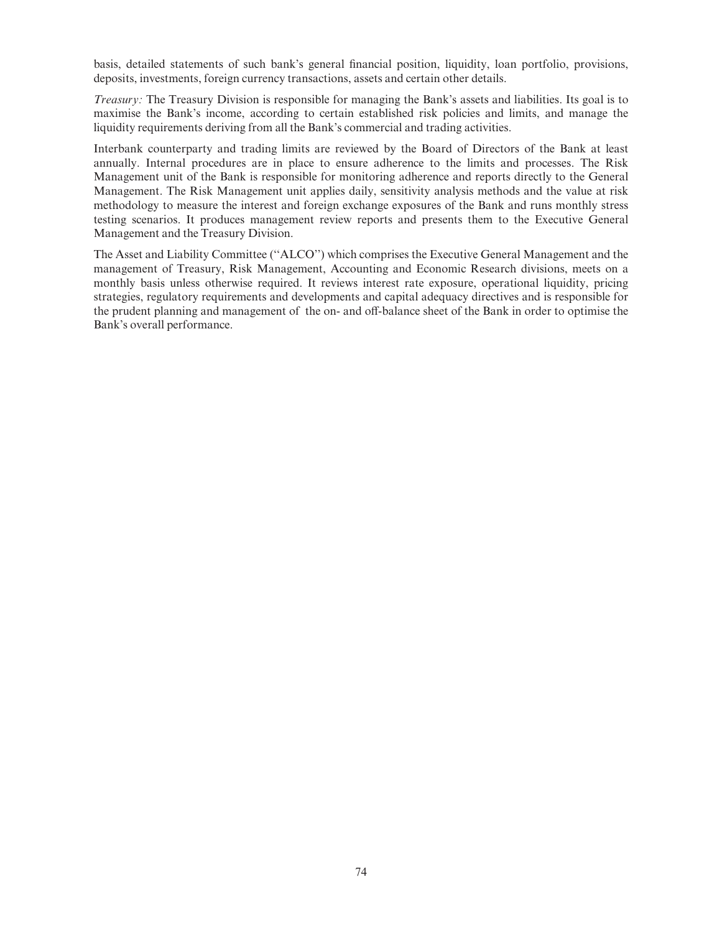basis, detailed statements of such bank's general financial position, liquidity, loan portfolio, provisions, deposits, investments, foreign currency transactions, assets and certain other details.

Treasury: The Treasury Division is responsible for managing the Bank's assets and liabilities. Its goal is to maximise the Bank's income, according to certain established risk policies and limits, and manage the liquidity requirements deriving from all the Bank's commercial and trading activities.

Interbank counterparty and trading limits are reviewed by the Board of Directors of the Bank at least annually. Internal procedures are in place to ensure adherence to the limits and processes. The Risk Management unit of the Bank is responsible for monitoring adherence and reports directly to the General Management. The Risk Management unit applies daily, sensitivity analysis methods and the value at risk methodology to measure the interest and foreign exchange exposures of the Bank and runs monthly stress testing scenarios. It produces management review reports and presents them to the Executive General Management and the Treasury Division.

The Asset and Liability Committee (''ALCO'') which comprises the Executive General Management and the management of Treasury, Risk Management, Accounting and Economic Research divisions, meets on a monthly basis unless otherwise required. It reviews interest rate exposure, operational liquidity, pricing strategies, regulatory requirements and developments and capital adequacy directives and is responsible for the prudent planning and management of the on- and off-balance sheet of the Bank in order to optimise the Bank's overall performance.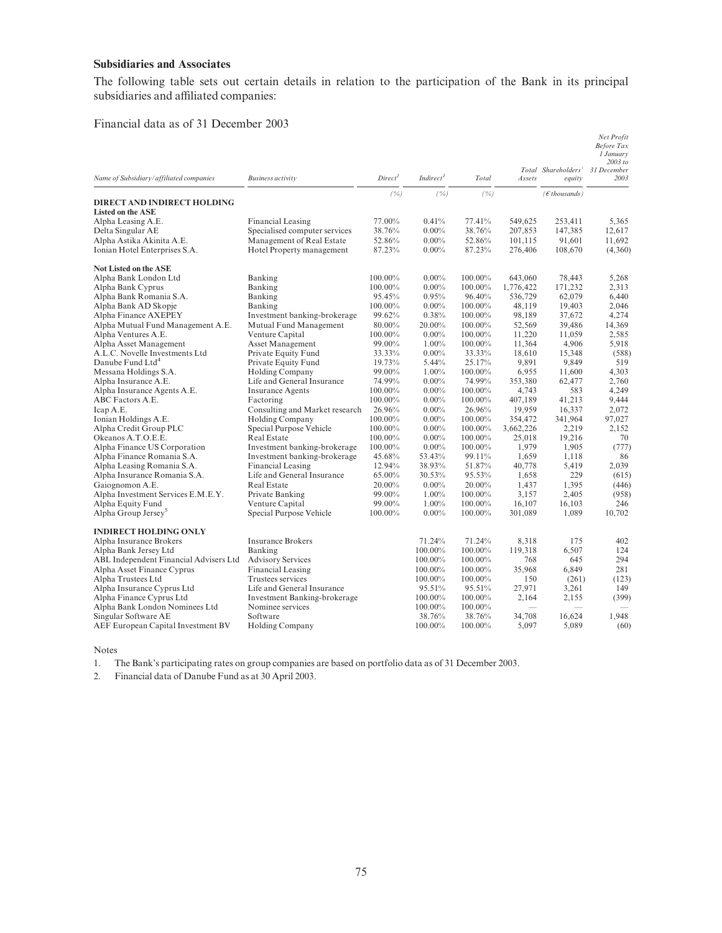# Subsidiaries and Associates

The following table sets out certain details in relation to the participation of the Bank in its principal subsidiaries and affiliated companies:

#### Financial data as of 31 December 2003

| Name of Subsidiary/affiliated companies | <b>Business activity</b>       | Direct <sup>1</sup> | Indirect <sup>I</sup> | Total   | Assets    | Total Shareholders'<br>equity | Net Profit<br><b>Before Tax</b><br>1 January<br>2003 to<br>31 December<br>2003 |
|-----------------------------------------|--------------------------------|---------------------|-----------------------|---------|-----------|-------------------------------|--------------------------------------------------------------------------------|
|                                         |                                | (%)                 | (%)                   | (%)     |           | $(\epsilon$ thousands)        |                                                                                |
| DIRECT AND INDIRECT HOLDING             |                                |                     |                       |         |           |                               |                                                                                |
| <b>Listed on the ASE</b>                |                                |                     |                       |         |           |                               |                                                                                |
| Alpha Leasing A.E.                      | <b>Financial Leasing</b>       | 77.00%              | 0.41%                 | 77.41%  | 549,625   | 253,411                       | 5,365                                                                          |
| Delta Singular AE                       | Specialised computer services  | 38.76%              | $0.00\%$              | 38.76%  | 207,853   | 147,385                       | 12,617                                                                         |
| Alpha Astika Akinita A.E.               | Management of Real Estate      | 52.86%              | $0.00\%$              | 52.86%  | 101,115   | 91,601                        | 11,692                                                                         |
| Ionian Hotel Enterprises S.A.           | Hotel Property management      | 87.23%              | $0.00\%$              | 87.23%  | 276,406   | 108,670                       | (4,360)                                                                        |
| <b>Not Listed on the ASE</b>            |                                |                     |                       |         |           |                               |                                                                                |
| Alpha Bank London Ltd                   | Banking                        | 100.00%             | $0.00\%$              | 100.00% | 643,060   | 78,443                        | 5,268                                                                          |
| Alpha Bank Cyprus                       | Banking                        | 100.00%             | $0.00\%$              | 100.00% | 1,776,422 | 171,232                       | 2,313                                                                          |
| Alpha Bank Romania S.A.                 | Banking                        | 95.45%              | 0.95%                 | 96.40%  | 536,729   | 62,079                        | 6,440                                                                          |
| Alpha Bank AD Skopje                    | Banking                        | 100.00%             | $0.00\%$              | 100.00% | 48,119    | 19,403                        | 2,046                                                                          |
| Alpha Finance AXEPEY                    | Investment banking-brokerage   | 99.62%              | 0.38%                 | 100.00% | 98,189    | 37,672                        | 4,274                                                                          |
| Alpha Mutual Fund Management A.E.       | Mutual Fund Management         | 80.00%              | 20.00%                | 100.00% | 52,569    | 39,486                        | 14,369                                                                         |
| Alpha Ventures A.E.                     | Venture Capital                | 100.00%             | $0.00\%$              | 100.00% | 11,220    | 11,059                        | 2,585                                                                          |
| Alpha Asset Management                  | <b>Asset Management</b>        | 99.00%              | $1.00\%$              | 100.00% | 11,364    | 4,906                         | 5,918                                                                          |
| A.L.C. Novelle Investments Ltd          | Private Equity Fund            | 33.33%              | $0.00\%$              | 33.33%  | 18,610    | 15,348                        | (588)                                                                          |
| Danube Fund Ltd <sup>4</sup>            | Private Equity Fund            | 19.73%              | 5.44%                 | 25.17%  | 9,891     | 9.849                         | 519                                                                            |
| Messana Holdings S.A.                   | <b>Holding Company</b>         | 99.00%              | 1.00%                 | 100.00% | 6,955     | 11,600                        | 4,303                                                                          |
| Alpha Insurance A.E.                    | Life and General Insurance     | 74.99%              | $0.00\%$              | 74.99%  | 353,380   | 62,477                        | 2,760                                                                          |
| Alpha Insurance Agents A.E.             | <b>Insurance Agents</b>        | 100.00%             | $0.00\%$              | 100.00% | 4,743     | 583                           | 4,249                                                                          |
| ABC Factors A.E.                        | Factoring                      | 100.00%             | $0.00\%$              | 100.00% | 407,189   | 41,213                        | 9,444                                                                          |
| Icap A.E.                               | Consulting and Market research | 26.96%              | $0.00\%$              | 26.96%  | 19,959    | 16,337                        | 2,072                                                                          |
| Ionian Holdings A.E.                    | <b>Holding Company</b>         | $100.00\%$          | $0.00\%$              | 100.00% | 354,472   | 341,964                       | 97,027                                                                         |
| Alpha Credit Group PLC                  | Special Purpose Vehicle        | 100.00%             | $0.00\%$              | 100.00% | 3,662,226 | 2,219                         | 2,152                                                                          |
| Okeanos A.T.O.E.E.                      | <b>Real Estate</b>             | 100.00%             | $0.00\%$              | 100.00% | 25.018    | 19,216                        | 70                                                                             |
| Alpha Finance US Corporation            | Investment banking-brokerage   | 100.00%             | $0.00\%$              | 100.00% | 1,979     | 1,905                         | (777)                                                                          |
| Alpha Finance Romania S.A.              | Investment banking-brokerage   | 45.68%              | 53.43%                | 99.11%  | 1,659     | 1,118                         | 86                                                                             |
| Alpha Leasing Romania S.A.              | Financial Leasing              | 12.94%              | 38.93%                | 51.87%  | 40,778    | 5,419                         | 2,039                                                                          |
| Alpha Insurance Romania S.A.            | Life and General Insurance     | 65.00%              | 30.53%                | 95.53%  | 1,658     | 229                           | (615)                                                                          |
| Gaiognomon A.E.                         | <b>Real Estate</b>             | 20.00%              | $0.00\%$              | 20.00%  | 1,437     | 1,395                         | (446)                                                                          |
| Alpha Investment Services E.M.E.Y.      | Private Banking                | 99.00%              | $1.00\%$              | 100.00% | 3,157     | 2,405                         | (958)                                                                          |
| Alpha Equity Fund                       | Venture Capital                | 99.00%              | 1.00%                 | 100.00% | 16,107    | 16,103                        | 246                                                                            |
| Alpha Group Jersey <sup>5</sup>         | Special Purpose Vehicle        | 100.00%             | $0.00\%$              | 100.00% | 301,089   | 1,089                         | 10.702                                                                         |
| <b>INDIRECT HOLDING ONLY</b>            |                                |                     |                       |         |           |                               |                                                                                |
| Alpha Insurance Brokers                 | <b>Insurance Brokers</b>       |                     | 71.24%                | 71.24%  | 8,318     | 175                           | 402                                                                            |
| Alpha Bank Jersey Ltd                   | Banking                        |                     | 100.00%               | 100.00% | 119,318   | 6,507                         | 124                                                                            |
| ABL Independent Financial Advisers Ltd  | <b>Advisory Services</b>       |                     | 100.00%               | 100.00% | 768       | 645                           | 294                                                                            |
| Alpha Asset Finance Cyprus              | <b>Financial Leasing</b>       |                     | 100.00%               | 100.00% | 35,968    | 6,849                         | 281                                                                            |
| Alpha Trustees Ltd                      | Trustees services              |                     | 100.00%               | 100.00% | 150       | (261)                         | (123)                                                                          |
| Alpha Insurance Cyprus Ltd              | Life and General Insurance     |                     | 95.51%                | 95.51%  | 27,971    | 3,261                         | 149                                                                            |
| Alpha Finance Cyprus Ltd                | Investment Banking-brokerage   |                     | 100.00%               | 100.00% | 2,164     | 2,155                         | (399)                                                                          |
| Alpha Bank London Nominees Ltd          | Nominee services               |                     | 100.00%               | 100.00% |           |                               |                                                                                |
| Singular Software AE                    | Software                       |                     | 38.76%                | 38.76%  | 34.708    | 16.624                        | 1.948                                                                          |
| AEF European Capital Investment BV      | <b>Holding Company</b>         |                     | 100.00%               | 100.00% | 5,097     | 5,089                         | (60)                                                                           |

Notes

1. The Bank's participating rates on group companies are based on portfolio data as of 31 December 2003.

2. Financial data of Danube Fund as at 30 April 2003.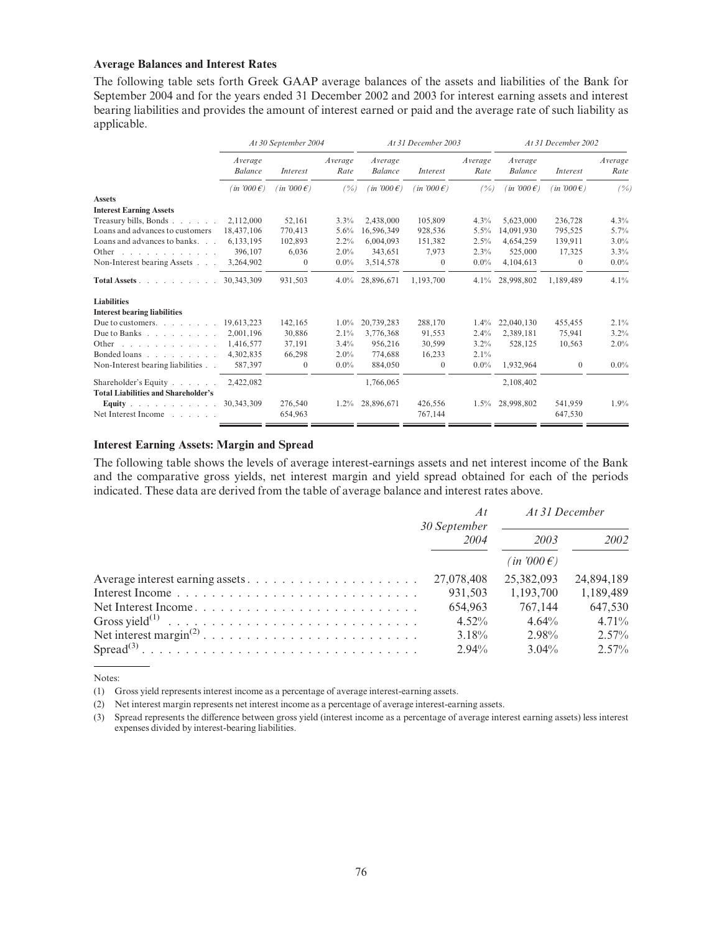#### Average Balances and Interest Rates

The following table sets forth Greek GAAP average balances of the assets and liabilities of the Bank for September 2004 and for the years ended 31 December 2002 and 2003 for interest earning assets and interest bearing liabilities and provides the amount of interest earned or paid and the average rate of such liability as applicable.

|                                                                    | At 30 September 2004      |                      | At 31 December 2003 |                           |                      | At 31 December 2002 |                           |                    |                 |
|--------------------------------------------------------------------|---------------------------|----------------------|---------------------|---------------------------|----------------------|---------------------|---------------------------|--------------------|-----------------|
|                                                                    | Average<br><b>Balance</b> | <i>Interest</i>      | Average<br>Rate     | Average<br><b>Balance</b> | Interest             | Average<br>Rate     | Average<br><b>Balance</b> | Interest           | Average<br>Rate |
|                                                                    | $(in 7000 \epsilon)$      | $(in 7000 \epsilon)$ | (%)                 | $(in 7000 \epsilon)$      | $(in 7000 \epsilon)$ | (%)                 | $(in 7000 \epsilon)$      | $(in 7000 \in )$   | (%)             |
| <b>Assets</b>                                                      |                           |                      |                     |                           |                      |                     |                           |                    |                 |
| <b>Interest Earning Assets</b>                                     |                           |                      |                     |                           |                      |                     |                           |                    |                 |
| Treasury bills, Bonds                                              | 2,112,000                 | 52,161               | 3.3%                | 2,438,000                 | 105,809              | 4.3%                | 5,623,000                 | 236,728            | 4.3%            |
| Loans and advances to customers                                    | 18,437,106                | 770,413              | 5.6%                | 16.596.349                | 928,536              | $5.5\%$             | 14,091,930                | 795,525            | 5.7%            |
| Loans and advances to banks                                        | 6,133,195                 | 102,893              | 2.2%                | 6,004,093                 | 151,382              | 2.5%                | 4,654,259                 | 139,911            | $3.0\%$         |
| Other<br>and a series of the contract of                           | 396,107                   | 6,036                | 2.0%                | 343,651                   | 7,973                | 2.3%                | 525,000                   | 17,325             | 3.3%            |
| Non-Interest bearing Assets                                        | 3,264,902                 | $\Omega$             | $0.0\%$             | 3,514,578                 | $\theta$             | $0.0\%$             | 4,104,613                 | $\mathbf{0}$       | $0.0\%$         |
| Total Assets                                                       | 30.343.309                | 931,503              | $4.0\%$             | 28,896,671                | 1,193,700            | 4.1%                | 28,998,802                | 1,189,489          | 4.1%            |
| <b>Liabilities</b>                                                 |                           |                      |                     |                           |                      |                     |                           |                    |                 |
| <b>Interest bearing liabilities</b>                                |                           |                      |                     |                           |                      |                     |                           |                    |                 |
| Due to customers. $\ldots$ $\ldots$ $\ldots$                       | 19,613,223                | 142,165              | $1.0\%$             | 20,739,283                | 288,170              | $1.4\%$             | 22,040,130                | 455,455            | 2.1%            |
| Due to Banks                                                       | 2,001,196                 | 30,886               | 2.1%                | 3,776,368                 | 91,553               | 2.4%                | 2,389,181                 | 75,941             | $3.2\%$         |
| Other<br>and a series of the control of                            | 1,416,577                 | 37,191               | 3.4%                | 956,216                   | 30,599               | $3.2\%$             | 528,125                   | 10,563             | $2.0\%$         |
| Bonded loans                                                       | 4,302,835                 | 66,298               | $2.0\%$             | 774,688                   | 16,233               | 2.1%                |                           |                    |                 |
| Non-Interest bearing liabilities                                   | 587,397                   | $\mathbf{0}$         | $0.0\%$             | 884,050                   | $\mathbf{0}$         | $0.0\%$             | 1,932,964                 | $\mathbf{0}$       | $0.0\%$         |
| Shareholder's Equity<br><b>Total Liabilities and Shareholder's</b> | 2,422,082                 |                      |                     | 1,766,065                 |                      |                     | 2,108,402                 |                    |                 |
| Equity $\ldots$ $\ldots$ $\ldots$<br>Net Interest Income           | 30, 343, 309              | 276,540<br>654,963   | $1.2\%$             | 28,896,671                | 426,556<br>767,144   | $1.5\%$             | 28,998,802                | 541,959<br>647,530 | $1.9\%$         |

#### Interest Earning Assets: Margin and Spread

The following table shows the levels of average interest-earnings assets and net interest income of the Bank and the comparative gross yields, net interest margin and yield spread obtained for each of the periods indicated. These data are derived from the table of average balance and interest rates above.

| A t<br>30 September | At 31 December      |            |
|---------------------|---------------------|------------|
| 2004<br>2003        |                     | 2002       |
|                     | $(in 000 \epsilon)$ |            |
|                     | 25,382,093          | 24,894,189 |
| 931.503             | 1.193.700           | 1,189,489  |
| 654.963             | 767,144             | 647.530    |
| $4.52\%$            | 4.64%               | $4.71\%$   |
| $3.18\%$            | 2.98%               | $2.57\%$   |
| $2.94\%$            | $3.04\%$            | $2.57\%$   |

Notes:

(1) Gross yield represents interest income as a percentage of average interest-earning assets.

(2) Net interest margin represents net interest income as a percentage of average interest-earning assets.

(3) Spread represents the difference between gross yield (interest income as a percentage of average interest earning assets) less interest expenses divided by interest-bearing liabilities.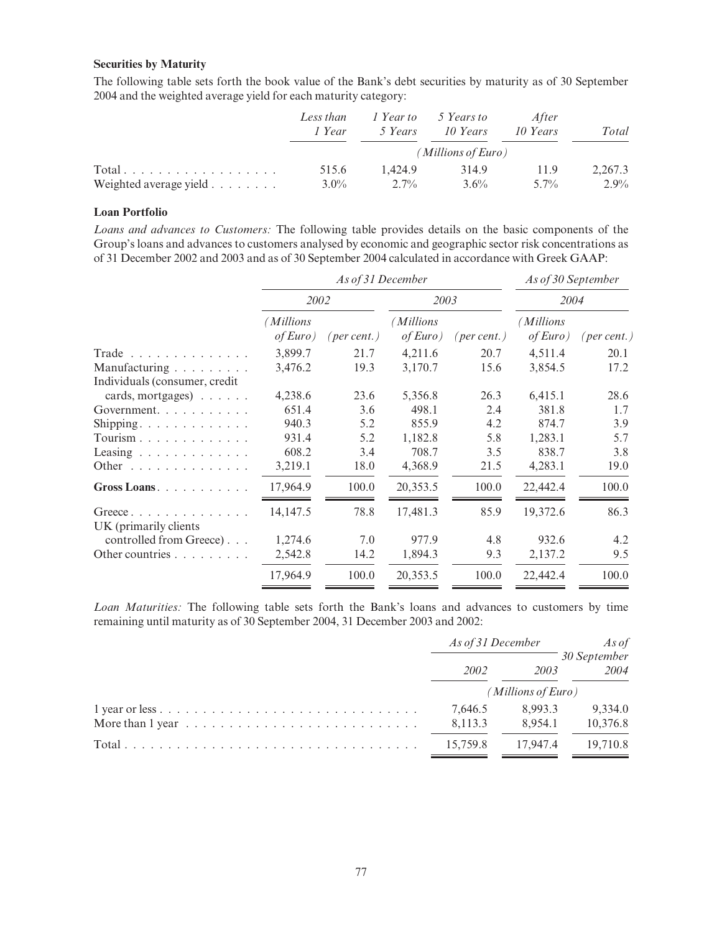# Securities by Maturity

The following table sets forth the book value of the Bank's debt securities by maturity as of 30 September 2004 and the weighted average yield for each maturity category:

|                        | Less than<br>1 Year | 5 Years | 1 Year to 5 Years to<br>10 Years | After<br>10 Years | Total   |  |  |
|------------------------|---------------------|---------|----------------------------------|-------------------|---------|--|--|
|                        | (Millions of Euro)  |         |                                  |                   |         |  |  |
| Total.                 | 515.6               | 1.424.9 | 314.9                            | 11.9              | 2,267.3 |  |  |
| Weighted average yield | $3.0\%$             | $2.7\%$ | $3.6\%$                          | $5.7\%$           | 2.9%    |  |  |

#### Loan Portfolio

Loans and advances to Customers: The following table provides details on the basic components of the Group's loans and advances to customers analysed by economic and geographic sector risk concentrations as of 31 December 2002 and 2003 and as of 30 September 2004 calculated in accordance with Greek GAAP:

|                                       | As of 31 December    |             |                       |             | As of 30 September    |             |  |
|---------------------------------------|----------------------|-------------|-----------------------|-------------|-----------------------|-------------|--|
|                                       | 2002                 |             |                       | 2003        |                       | 2004        |  |
|                                       | Millions<br>of Euro) | (per cent.) | (Millions<br>of Euro) | (per cent.) | (Millions<br>of Euro) | (per cent.) |  |
| Trade                                 | 3,899.7              | 21.7        | 4,211.6               | 20.7        | 4,511.4               | 20.1        |  |
| Manufacturing                         | 3,476.2              | 19.3        | 3,170.7               | 15.6        | 3,854.5               | 17.2        |  |
| Individuals (consumer, credit         |                      |             |                       |             |                       |             |  |
| cards, mortgages) $\ldots$ .          | 4,238.6              | 23.6        | 5,356.8               | 26.3        | 6,415.1               | 28.6        |  |
| Government.                           | 651.4                | 3.6         | 498.1                 | 2.4         | 381.8                 | 1.7         |  |
| Shipping.                             | 940.3                | 5.2         | 855.9                 | 4.2         | 874.7                 | 3.9         |  |
| Tourism                               | 931.4                | 5.2         | 1,182.8               | 5.8         | 1,283.1               | 5.7         |  |
| Leasing $\ldots \ldots \ldots \ldots$ | 608.2                | 3.4         | 708.7                 | 3.5         | 838.7                 | 3.8         |  |
| Other $\dots \dots \dots \dots \dots$ | 3,219.1              | 18.0        | 4,368.9               | 21.5        | 4,283.1               | 19.0        |  |
| Gross Loans. $\ldots$                 | 17,964.9             | 100.0       | 20,353.5              | 100.0       | 22,442.4              | 100.0       |  |
| Greece                                | 14,147.5             | 78.8        | 17,481.3              | 85.9        | 19,372.6              | 86.3        |  |
| UK (primarily clients)                |                      |             |                       |             |                       |             |  |
| controlled from Greece)               | 1,274.6              | 7.0         | 977.9                 | 4.8         | 932.6                 | 4.2         |  |
| Other countries                       | 2,542.8              | 14.2        | 1,894.3               | 9.3         | 2,137.2               | 9.5         |  |
|                                       | 17,964.9             | 100.0       | 20,353.5              | 100.0       | 22,442.4              | 100.0       |  |

Loan Maturities: The following table sets forth the Bank's loans and advances to customers by time remaining until maturity as of 30 September 2004, 31 December 2003 and 2002:

|                                                                                  | As of 31 December  |                    | As of                |
|----------------------------------------------------------------------------------|--------------------|--------------------|----------------------|
|                                                                                  | 2002               | 2003               | 30 September<br>2004 |
|                                                                                  | (Millions of Euro) |                    |                      |
| More than $1$ year $\dots \dots \dots \dots \dots \dots \dots \dots \dots \dots$ | 7.646.5<br>8,113.3 | 8.993.3<br>8.954.1 | 9.334.0<br>10,376.8  |
|                                                                                  | 15.759.8           | 17.947.4           | 19,710.8             |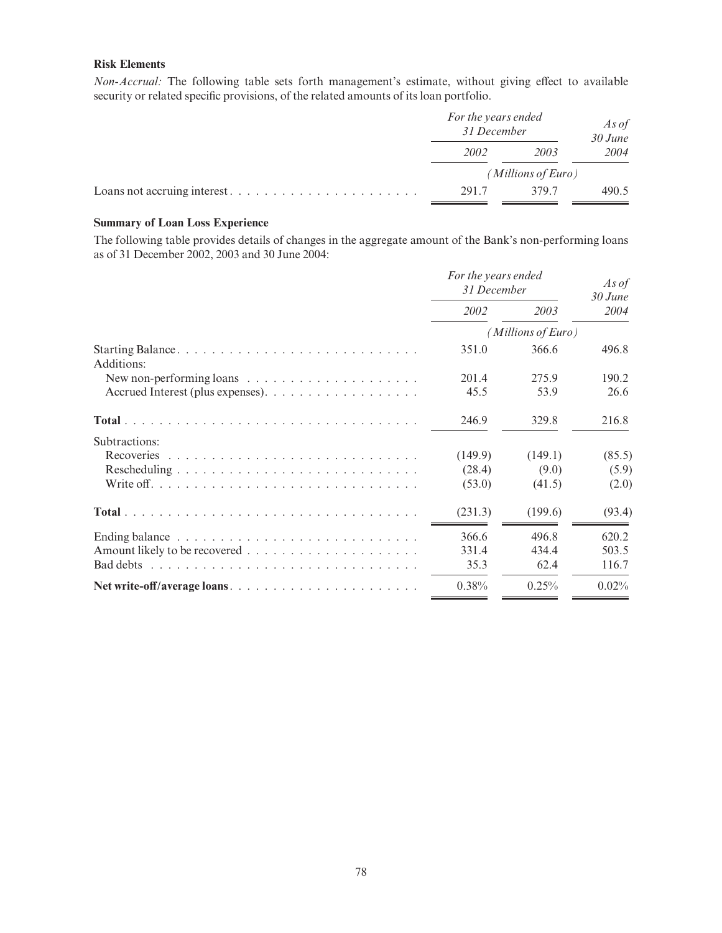# Risk Elements

Non-Accrual: The following table sets forth management's estimate, without giving effect to available security or related specific provisions, of the related amounts of its loan portfolio.

|                             | For the years ended<br>31 December | As of<br>$30$ June |       |
|-----------------------------|------------------------------------|--------------------|-------|
|                             | 2002                               | 2003               | 2004  |
|                             |                                    | (Millions of Euro) |       |
| Loans not accruing interest | 291.7                              | 379.7              | 490.5 |

#### Summary of Loan Loss Experience

The following table provides details of changes in the aggregate amount of the Bank's non-performing loans as of 31 December 2002, 2003 and 30 June 2004:

|                                                                      | For the years ended<br>31 December |                    | As of<br>$30$ June |  |
|----------------------------------------------------------------------|------------------------------------|--------------------|--------------------|--|
|                                                                      | 2002                               | 2003               | 2004               |  |
|                                                                      |                                    | (Millions of Euro) |                    |  |
| Additions:                                                           | 351.0                              | 366.6              | 496.8              |  |
| New non-performing loans $\dots \dots \dots \dots \dots \dots \dots$ | 201.4                              | 275.9              | 190.2              |  |
| Accrued Interest (plus expenses).                                    | 45.5                               | 53.9               | 26.6               |  |
|                                                                      | 246.9                              | 329.8              | 216.8              |  |
| Subtractions:                                                        |                                    |                    |                    |  |
|                                                                      | (149.9)                            | (149.1)            | (85.5)             |  |
|                                                                      | (28.4)                             | (9.0)              | (5.9)              |  |
|                                                                      | (53.0)                             | (41.5)             | (2.0)              |  |
|                                                                      | (231.3)                            | (199.6)            | (93.4)             |  |
|                                                                      | 366.6                              | 496.8              | 620.2              |  |
|                                                                      | 331.4                              | 434.4              | 503.5              |  |
|                                                                      | 35.3                               | 62.4               | 116.7              |  |
| Net write-off/average loans                                          | 0.38%                              | 0.25%              | 0.02%              |  |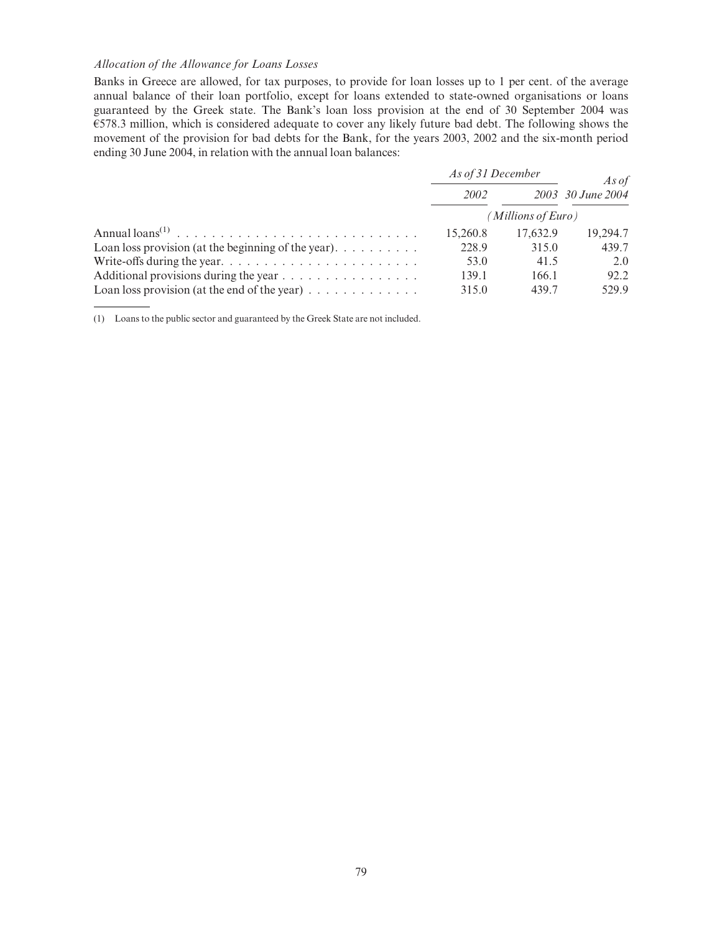#### Allocation of the Allowance for Loans Losses

Banks in Greece are allowed, for tax purposes, to provide for loan losses up to 1 per cent. of the average annual balance of their loan portfolio, except for loans extended to state-owned organisations or loans guaranteed by the Greek state. The Bank's loan loss provision at the end of 30 September 2004 was  $E$ 578.3 million, which is considered adequate to cover any likely future bad debt. The following shows the movement of the provision for bad debts for the Bank, for the years 2003, 2002 and the six-month period ending 30 June 2004, in relation with the annual loan balances:

|                                                                               | As of 31 December  |          | As of             |  |
|-------------------------------------------------------------------------------|--------------------|----------|-------------------|--|
|                                                                               | 2002               |          | 2003 30 June 2004 |  |
|                                                                               | (Millions of Euro) |          |                   |  |
|                                                                               | 15,260.8           | 17,632.9 | 19.294.7          |  |
| Loan loss provision (at the beginning of the year). $\dots \dots \dots$       | 228.9              | 315.0    | 439.7             |  |
| Write-offs during the year. $\dots \dots \dots \dots \dots \dots \dots \dots$ | 53.0               | 41.5     | 2.0               |  |
| Additional provisions during the year                                         | 139.1              | 166.1    | 92.2              |  |
| Loan loss provision (at the end of the year) $\dots \dots \dots \dots$        | 315.0              | 439.7    | 529.9             |  |

(1) Loans to the public sector and guaranteed by the Greek State are not included.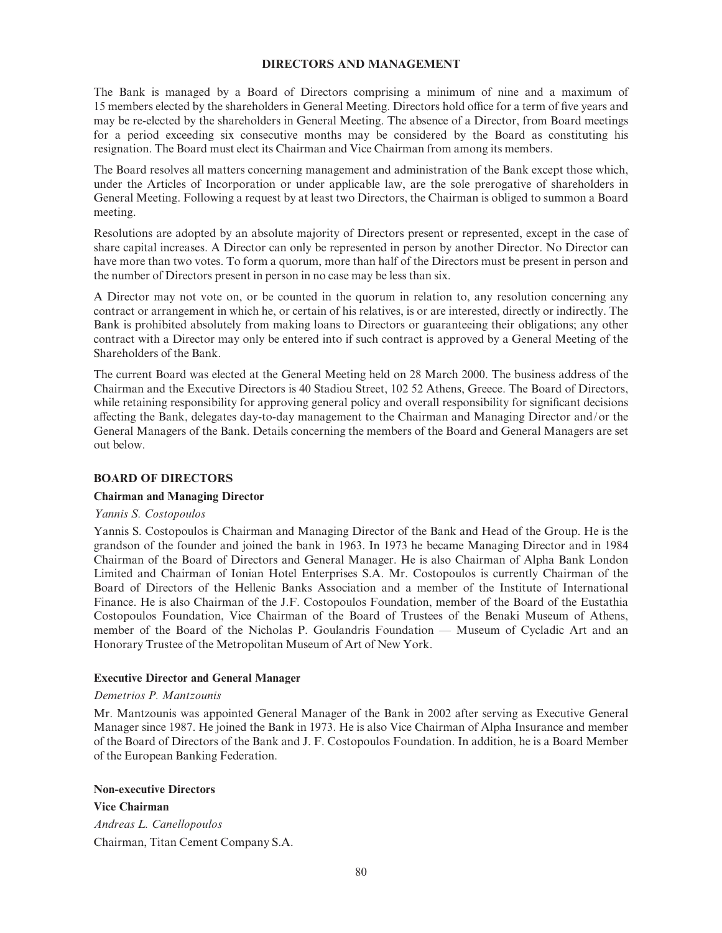#### DIRECTORS AND MANAGEMENT

The Bank is managed by a Board of Directors comprising a minimum of nine and a maximum of 15 members elected by the shareholders in General Meeting. Directors hold office for a term of five years and may be re-elected by the shareholders in General Meeting. The absence of a Director, from Board meetings for a period exceeding six consecutive months may be considered by the Board as constituting his resignation. The Board must elect its Chairman and Vice Chairman from among its members.

The Board resolves all matters concerning management and administration of the Bank except those which, under the Articles of Incorporation or under applicable law, are the sole prerogative of shareholders in General Meeting. Following a request by at least two Directors, the Chairman is obliged to summon a Board meeting.

Resolutions are adopted by an absolute majority of Directors present or represented, except in the case of share capital increases. A Director can only be represented in person by another Director. No Director can have more than two votes. To form a quorum, more than half of the Directors must be present in person and the number of Directors present in person in no case may be less than six.

A Director may not vote on, or be counted in the quorum in relation to, any resolution concerning any contract or arrangement in which he, or certain of his relatives, is or are interested, directly or indirectly. The Bank is prohibited absolutely from making loans to Directors or guaranteeing their obligations; any other contract with a Director may only be entered into if such contract is approved by a General Meeting of the Shareholders of the Bank.

The current Board was elected at the General Meeting held on 28 March 2000. The business address of the Chairman and the Executive Directors is 40 Stadiou Street, 102 52 Athens, Greece. The Board of Directors, while retaining responsibility for approving general policy and overall responsibility for significant decisions affecting the Bank, delegates day-to-day management to the Chairman and Managing Director and/or the General Managers of the Bank. Details concerning the members of the Board and General Managers are set out below.

#### BOARD OF DIRECTORS

#### Chairman and Managing Director

#### Yannis S. Costopoulos

Yannis S. Costopoulos is Chairman and Managing Director of the Bank and Head of the Group. He is the grandson of the founder and joined the bank in 1963. In 1973 he became Managing Director and in 1984 Chairman of the Board of Directors and General Manager. He is also Chairman of Alpha Bank London Limited and Chairman of Ionian Hotel Enterprises S.A. Mr. Costopoulos is currently Chairman of the Board of Directors of the Hellenic Banks Association and a member of the Institute of International Finance. He is also Chairman of the J.F. Costopoulos Foundation, member of the Board of the Eustathia Costopoulos Foundation, Vice Chairman of the Board of Trustees of the Benaki Museum of Athens, member of the Board of the Nicholas P. Goulandris Foundation — Museum of Cycladic Art and an Honorary Trustee of the Metropolitan Museum of Art of New York.

#### Executive Director and General Manager

#### Demetrios P. Mantzounis

Mr. Mantzounis was appointed General Manager of the Bank in 2002 after serving as Executive General Manager since 1987. He joined the Bank in 1973. He is also Vice Chairman of Alpha Insurance and member of the Board of Directors of the Bank and J. F. Costopoulos Foundation. In addition, he is a Board Member of the European Banking Federation.

#### Non-executive Directors

Vice Chairman Andreas L. Canellopoulos Chairman, Titan Cement Company S.A.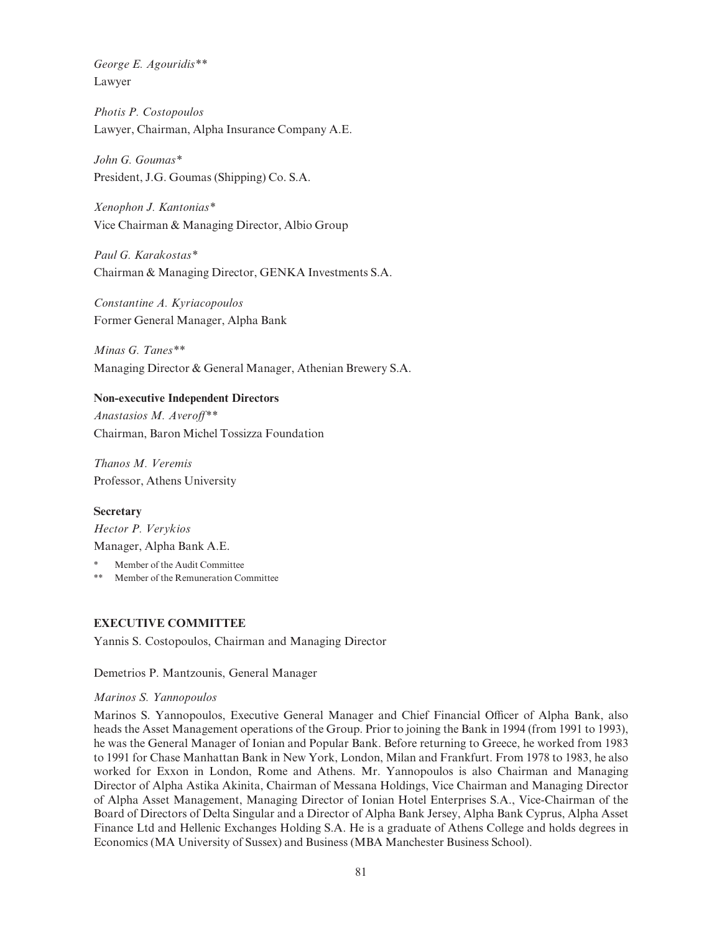George E. Agouridis\*\* Lawyer

Photis P. Costopoulos Lawyer, Chairman, Alpha Insurance Company A.E.

John G. Goumas\* President, J.G. Goumas (Shipping) Co. S.A.

Xenophon J. Kantonias\* Vice Chairman & Managing Director, Albio Group

Paul G. Karakostas\* Chairman & Managing Director, GENKA Investments S.A.

Constantine A. Kyriacopoulos Former General Manager, Alpha Bank

Minas G. Tanes\*\* Managing Director & General Manager, Athenian Brewery S.A.

# Non-executive Independent Directors

Anastasios M. Averoff\*\* Chairman, Baron Michel Tossizza Foundation

Thanos M. Veremis Professor, Athens University

**Secretary** 

Hector P. Verykios Manager, Alpha Bank A.E.

- Member of the Audit Committee
- \*\* Member of the Remuneration Committee

# EXECUTIVE COMMITTEE

Yannis S. Costopoulos, Chairman and Managing Director

Demetrios P. Mantzounis, General Manager

#### Marinos S. Yannopoulos

Marinos S. Yannopoulos, Executive General Manager and Chief Financial Officer of Alpha Bank, also heads the Asset Management operations of the Group. Prior to joining the Bank in 1994 (from 1991 to 1993), he was the General Manager of Ionian and Popular Bank. Before returning to Greece, he worked from 1983 to 1991 for Chase Manhattan Bank in New York, London, Milan and Frankfurt. From 1978 to 1983, he also worked for Exxon in London, Rome and Athens. Mr. Yannopoulos is also Chairman and Managing Director of Alpha Astika Akinita, Chairman of Messana Holdings, Vice Chairman and Managing Director of Alpha Asset Management, Managing Director of Ionian Hotel Enterprises S.A., Vice-Chairman of the Board of Directors of Delta Singular and a Director of Alpha Bank Jersey, Alpha Bank Cyprus, Alpha Asset Finance Ltd and Hellenic Exchanges Holding S.A. He is a graduate of Athens College and holds degrees in Economics (MA University of Sussex) and Business (MBA Manchester Business School).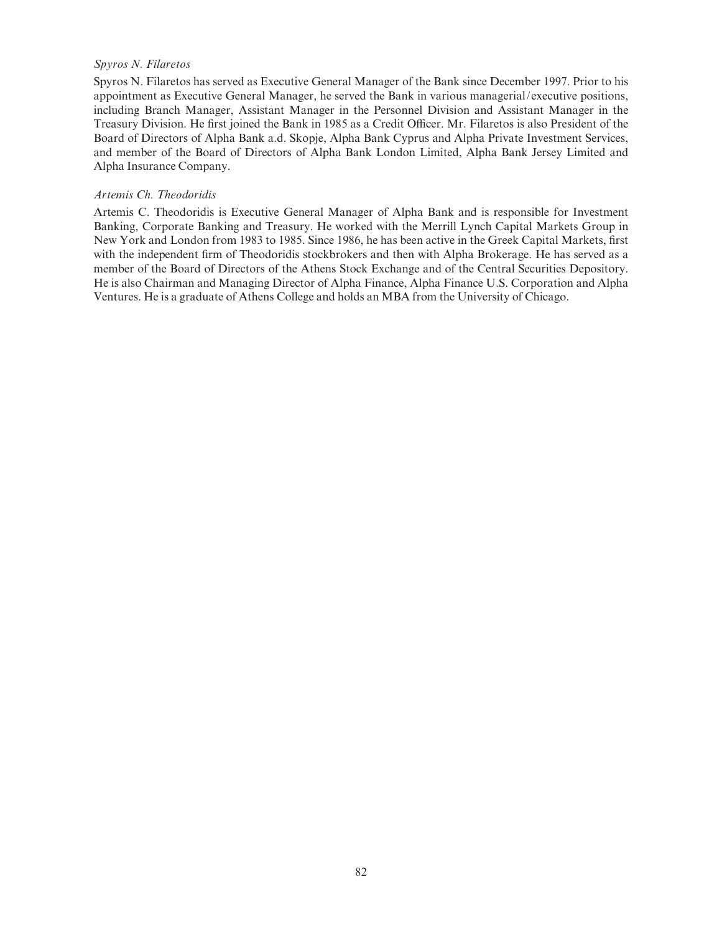# Spyros N. Filaretos

Spyros N. Filaretos has served as Executive General Manager of the Bank since December 1997. Prior to his appointment as Executive General Manager, he served the Bank in various managerial/executive positions, including Branch Manager, Assistant Manager in the Personnel Division and Assistant Manager in the Treasury Division. He first joined the Bank in 1985 as a Credit Officer. Mr. Filaretos is also President of the Board of Directors of Alpha Bank a.d. Skopje, Alpha Bank Cyprus and Alpha Private Investment Services, and member of the Board of Directors of Alpha Bank London Limited, Alpha Bank Jersey Limited and Alpha Insurance Company.

#### Artemis Ch. Theodoridis

Artemis C. Theodoridis is Executive General Manager of Alpha Bank and is responsible for Investment Banking, Corporate Banking and Treasury. He worked with the Merrill Lynch Capital Markets Group in New York and London from 1983 to 1985. Since 1986, he has been active in the Greek Capital Markets, first with the independent firm of Theodoridis stockbrokers and then with Alpha Brokerage. He has served as a member of the Board of Directors of the Athens Stock Exchange and of the Central Securities Depository. He is also Chairman and Managing Director of Alpha Finance, Alpha Finance U.S. Corporation and Alpha Ventures. He is a graduate of Athens College and holds an MBA from the University of Chicago.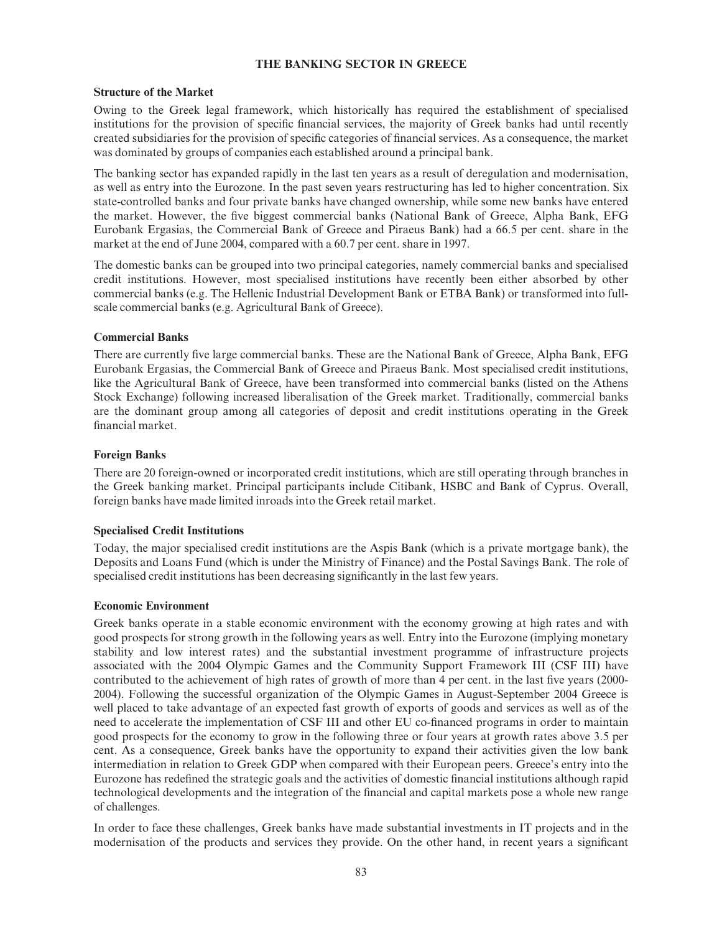# THE BANKING SECTOR IN GREECE

#### Structure of the Market

Owing to the Greek legal framework, which historically has required the establishment of specialised institutions for the provision of specific financial services, the majority of Greek banks had until recently created subsidiaries for the provision of specific categories of financial services. As a consequence, the market was dominated by groups of companies each established around a principal bank.

The banking sector has expanded rapidly in the last ten years as a result of deregulation and modernisation, as well as entry into the Eurozone. In the past seven years restructuring has led to higher concentration. Six state-controlled banks and four private banks have changed ownership, while some new banks have entered the market. However, the five biggest commercial banks (National Bank of Greece, Alpha Bank, EFG Eurobank Ergasias, the Commercial Bank of Greece and Piraeus Bank) had a 66.5 per cent. share in the market at the end of June 2004, compared with a 60.7 per cent. share in 1997.

The domestic banks can be grouped into two principal categories, namely commercial banks and specialised credit institutions. However, most specialised institutions have recently been either absorbed by other commercial banks (e.g. The Hellenic Industrial Development Bank or ETBA Bank) or transformed into fullscale commercial banks (e.g. Agricultural Bank of Greece).

## Commercial Banks

There are currently five large commercial banks. These are the National Bank of Greece, Alpha Bank, EFG Eurobank Ergasias, the Commercial Bank of Greece and Piraeus Bank. Most specialised credit institutions, like the Agricultural Bank of Greece, have been transformed into commercial banks (listed on the Athens Stock Exchange) following increased liberalisation of the Greek market. Traditionally, commercial banks are the dominant group among all categories of deposit and credit institutions operating in the Greek financial market.

#### Foreign Banks

There are 20 foreign-owned or incorporated credit institutions, which are still operating through branches in the Greek banking market. Principal participants include Citibank, HSBC and Bank of Cyprus. Overall, foreign banks have made limited inroads into the Greek retail market.

#### Specialised Credit Institutions

Today, the major specialised credit institutions are the Aspis Bank (which is a private mortgage bank), the Deposits and Loans Fund (which is under the Ministry of Finance) and the Postal Savings Bank. The role of specialised credit institutions has been decreasing significantly in the last few years.

#### Economic Environment

Greek banks operate in a stable economic environment with the economy growing at high rates and with good prospects for strong growth in the following years as well. Entry into the Eurozone (implying monetary stability and low interest rates) and the substantial investment programme of infrastructure projects associated with the 2004 Olympic Games and the Community Support Framework III (CSF III) have contributed to the achievement of high rates of growth of more than 4 per cent. in the last five years (2000-2004). Following the successful organization of the Olympic Games in August-September 2004 Greece is well placed to take advantage of an expected fast growth of exports of goods and services as well as of the need to accelerate the implementation of CSF III and other EU co-financed programs in order to maintain good prospects for the economy to grow in the following three or four years at growth rates above 3.5 per cent. As a consequence, Greek banks have the opportunity to expand their activities given the low bank intermediation in relation to Greek GDP when compared with their European peers. Greece's entry into the Eurozone has redefined the strategic goals and the activities of domestic financial institutions although rapid technological developments and the integration of the financial and capital markets pose a whole new range of challenges.

In order to face these challenges, Greek banks have made substantial investments in IT projects and in the modernisation of the products and services they provide. On the other hand, in recent years a significant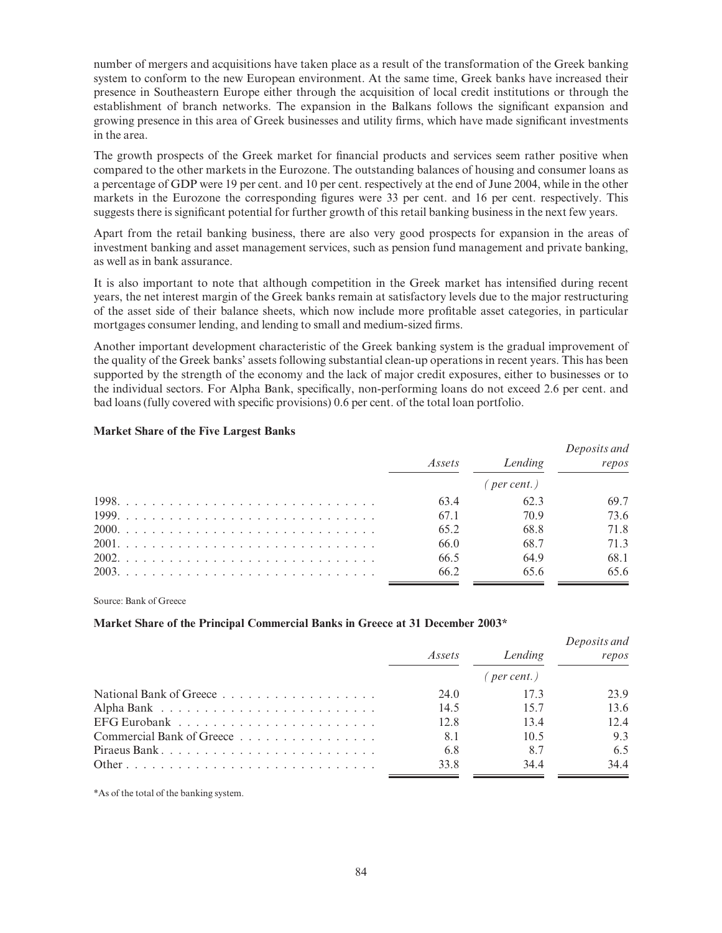number of mergers and acquisitions have taken place as a result of the transformation of the Greek banking system to conform to the new European environment. At the same time, Greek banks have increased their presence in Southeastern Europe either through the acquisition of local credit institutions or through the establishment of branch networks. The expansion in the Balkans follows the significant expansion and growing presence in this area of Greek businesses and utility firms, which have made significant investments in the area.

The growth prospects of the Greek market for financial products and services seem rather positive when compared to the other markets in the Eurozone. The outstanding balances of housing and consumer loans as a percentage of GDP were 19 per cent. and 10 per cent. respectively at the end of June 2004, while in the other markets in the Eurozone the corresponding figures were 33 per cent. and 16 per cent. respectively. This suggests there is significant potential for further growth of this retail banking business in the next few years.

Apart from the retail banking business, there are also very good prospects for expansion in the areas of investment banking and asset management services, such as pension fund management and private banking, as well as in bank assurance.

It is also important to note that although competition in the Greek market has intensified during recent years, the net interest margin of the Greek banks remain at satisfactory levels due to the major restructuring of the asset side of their balance sheets, which now include more profitable asset categories, in particular mortgages consumer lending, and lending to small and medium-sized firms.

Another important development characteristic of the Greek banking system is the gradual improvement of the quality of the Greek banks' assets following substantial clean-up operations in recent years. This has been supported by the strength of the economy and the lack of major credit exposures, either to businesses or to the individual sectors. For Alpha Bank, specifically, non-performing loans do not exceed 2.6 per cent. and bad loans (fully covered with specific provisions) 0.6 per cent. of the total loan portfolio.

#### Market Share of the Five Largest Banks

| Assets | Lending        | Deposits and<br>repos |
|--------|----------------|-----------------------|
|        | $($ per cent.) |                       |
| 63.4   | 62.3           | 69.7                  |
| 67.1   | 70.9           | 73.6                  |
| 65.2   | 68.8           | 71.8                  |
| 66.0   | 68.7           | 71.3                  |
| 66.5   | 64.9           | 68.1                  |
| 66.2   | 65.6           | 65.6                  |

Source: Bank of Greece

#### Market Share of the Principal Commercial Banks in Greece at 31 December 2003\*

|                           | Assets | Lending           | Deposits and<br>repos |
|---------------------------|--------|-------------------|-----------------------|
|                           |        | $($ per cent. $)$ |                       |
|                           | 24.0   | 17.3              | 23.9                  |
|                           | 14.5   | 15.7              | 13.6                  |
|                           | 12.8   | 13.4              | 12.4                  |
| Commercial Bank of Greece | 8.1    | 10.5              | 9.3                   |
| Piraeus Bank              | 6.8    | 8.7               | 6.5                   |
|                           | 33.8   | 34.4              | 34.4                  |

\*As of the total of the banking system.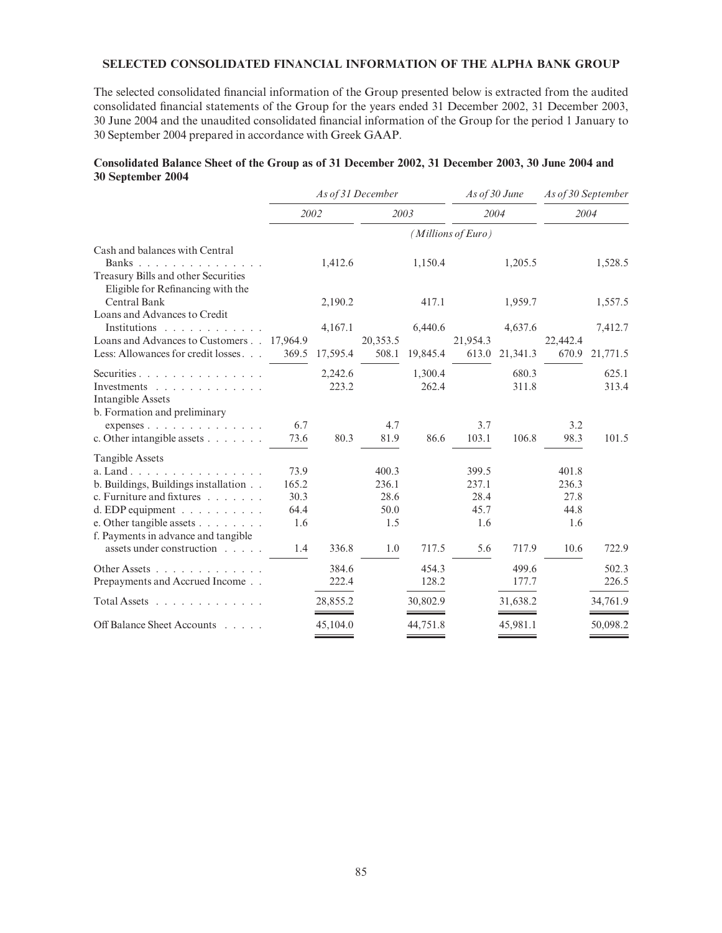# SELECTED CONSOLIDATED FINANCIAL INFORMATION OF THE ALPHA BANK GROUP

The selected consolidated financial information of the Group presented below is extracted from the audited consolidated financial statements of the Group for the years ended 31 December 2002, 31 December 2003, 30 June 2004 and the unaudited consolidated ¢nancial information of the Group for the period 1 January to 30 September 2004 prepared in accordance with Greek GAAP.

#### Consolidated Balance Sheet of the Group as of 31 December 2002, 31 December 2003, 30 June 2004 and 30 September 2004

|                                                                                                                                                                                                                 |                                      | As of 31 December |                                       |                  |                                       | As of 30 June  | As of 30 September                    |                |
|-----------------------------------------------------------------------------------------------------------------------------------------------------------------------------------------------------------------|--------------------------------------|-------------------|---------------------------------------|------------------|---------------------------------------|----------------|---------------------------------------|----------------|
|                                                                                                                                                                                                                 | 2002                                 |                   | 2003                                  |                  | 2004                                  |                | 2004                                  |                |
|                                                                                                                                                                                                                 |                                      |                   |                                       |                  | (Millions of Euro)                    |                |                                       |                |
| Cash and balances with Central<br>Banks<br>Treasury Bills and other Securities                                                                                                                                  |                                      | 1,412.6           |                                       | 1,150.4          |                                       | 1,205.5        |                                       | 1,528.5        |
| Eligible for Refinancing with the<br><b>Central Bank</b><br>Loans and Advances to Credit                                                                                                                        |                                      | 2,190.2           |                                       | 417.1            |                                       | 1,959.7        |                                       | 1,557.5        |
| Institutions<br>Loans and Advances to Customers 17,964.9                                                                                                                                                        |                                      | 4,167.1           | 20,353.5                              | 6,440.6          | 21,954.3                              | 4,637.6        | 22,442.4                              | 7,412.7        |
| Less: Allowances for credit losses                                                                                                                                                                              | 369.5                                | 17,595.4          | 508.1                                 | 19,845.4         | 613.0                                 | 21,341.3       | 670.9                                 | 21,771.5       |
| Securities<br>Investments<br><b>Intangible Assets</b>                                                                                                                                                           |                                      | 2,242.6<br>223.2  |                                       | 1,300.4<br>262.4 |                                       | 680.3<br>311.8 |                                       | 625.1<br>313.4 |
| b. Formation and preliminary<br>expenses<br>c. Other intangible assets                                                                                                                                          | 6.7<br>73.6                          | 80.3              | 4.7<br>81.9                           | 86.6             | 3.7<br>103.1                          | 106.8          | 3.2<br>98.3                           | 101.5          |
| <b>Tangible Assets</b><br>a. Land<br>b. Buildings, Buildings installation<br>c. Furniture and fixtures $\ldots$<br>d. EDP equipment<br>e. Other tangible assets $\ldots$<br>f. Payments in advance and tangible | 73.9<br>165.2<br>30.3<br>64.4<br>1.6 |                   | 400.3<br>236.1<br>28.6<br>50.0<br>1.5 |                  | 399.5<br>237.1<br>28.4<br>45.7<br>1.6 |                | 401.8<br>236.3<br>27.8<br>44.8<br>1.6 |                |
| assets under construction                                                                                                                                                                                       | 1.4                                  | 336.8             | 1.0                                   | 717.5            | 5.6                                   | 717.9          | 10.6                                  | 722.9          |
| Other Assets<br>Prepayments and Accrued Income                                                                                                                                                                  |                                      | 384.6<br>222.4    |                                       | 454.3<br>128.2   |                                       | 499.6<br>177.7 |                                       | 502.3<br>226.5 |
| $Total Assets$                                                                                                                                                                                                  |                                      | 28,855.2          |                                       | 30,802.9         |                                       | 31,638.2       |                                       | 34,761.9       |
| Off Balance Sheet Accounts                                                                                                                                                                                      |                                      | 45,104.0          |                                       | 44,751.8         |                                       | 45,981.1       |                                       | 50,098.2       |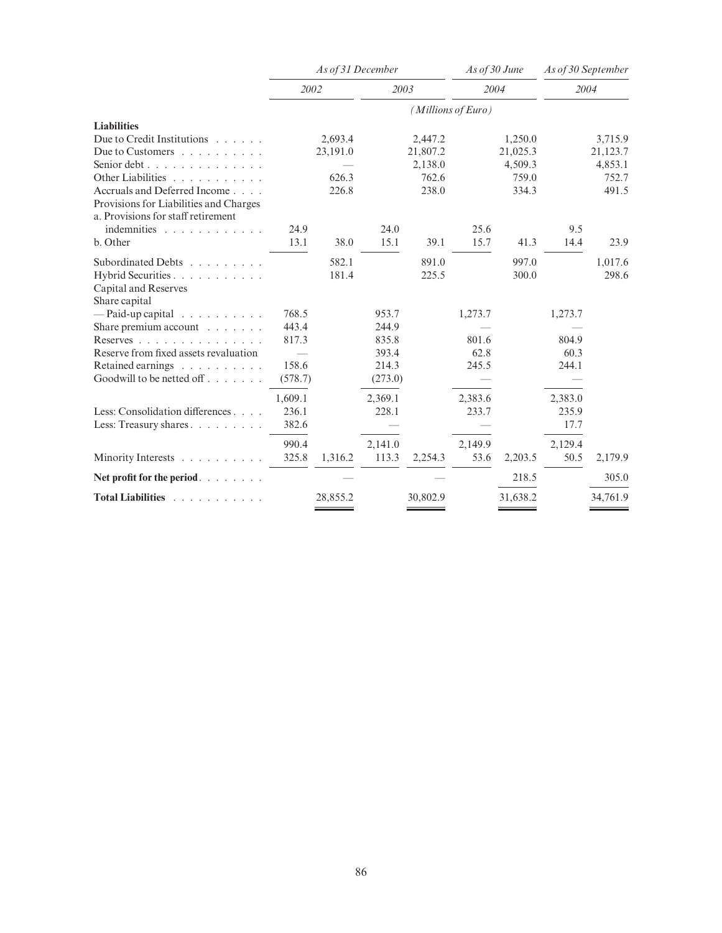|                                            |         | As of 31 December |         |          | As of 30 June      |          | As of 30 September |          |  |
|--------------------------------------------|---------|-------------------|---------|----------|--------------------|----------|--------------------|----------|--|
|                                            | 2002    |                   | 2003    |          |                    | 2004     | 2004               |          |  |
|                                            |         |                   |         |          | (Millions of Euro) |          |                    |          |  |
| <b>Liabilities</b>                         |         |                   |         |          |                    |          |                    |          |  |
| Due to Credit Institutions                 |         | 2,693.4           |         | 2,447.2  |                    | 1,250.0  |                    | 3,715.9  |  |
| Due to Customers $\ldots$ ,                |         | 23,191.0          |         | 21,807.2 |                    | 21,025.3 |                    | 21,123.7 |  |
| Senior debt $\ldots$ , $\ldots$ , $\ldots$ |         |                   |         | 2,138.0  |                    | 4,509.3  |                    | 4,853.1  |  |
| Other Liabilities                          |         | 626.3             |         | 762.6    |                    | 759.0    |                    | 752.7    |  |
| Accruals and Deferred Income               |         | 226.8             |         | 238.0    |                    | 334.3    |                    | 491.5    |  |
| Provisions for Liabilities and Charges     |         |                   |         |          |                    |          |                    |          |  |
| a. Provisions for staff retirement         |         |                   |         |          |                    |          |                    |          |  |
| indemnities                                | 24.9    |                   | 24.0    |          | 25.6               |          | 9.5                |          |  |
| b. Other                                   | 13.1    | 38.0              | 15.1    | 39.1     | 15.7               | 41.3     | 14.4               | 23.9     |  |
| Subordinated Debts                         |         | 582.1             |         | 891.0    |                    | 997.0    |                    | 1,017.6  |  |
| Hybrid Securities                          |         | 181.4             |         | 225.5    |                    | 300.0    |                    | 298.6    |  |
| Capital and Reserves                       |         |                   |         |          |                    |          |                    |          |  |
| Share capital                              |         |                   |         |          |                    |          |                    |          |  |
| $-$ Paid-up capital                        | 768.5   |                   | 953.7   |          | 1,273.7            |          | 1,273.7            |          |  |
| Share premium account                      | 443.4   |                   | 244.9   |          |                    |          |                    |          |  |
| Reserves                                   | 817.3   |                   | 835.8   |          | 801.6              |          | 804.9              |          |  |
| Reserve from fixed assets revaluation      |         |                   | 393.4   |          | 62.8               |          | 60.3               |          |  |
| Retained earnings                          | 158.6   |                   | 214.3   |          | 245.5              |          | 244.1              |          |  |
| Goodwill to be netted off                  | (578.7) |                   | (273.0) |          |                    |          |                    |          |  |
|                                            | 1,609.1 |                   | 2,369.1 |          | 2,383.6            |          | 2,383.0            |          |  |
| Less: Consolidation differences            | 236.1   |                   | 228.1   |          | 233.7              |          | 235.9              |          |  |
| Less: Treasury shares                      | 382.6   |                   |         |          |                    |          | 17.7               |          |  |
|                                            | 990.4   |                   | 2,141.0 |          | 2,149.9            |          | 2,129.4            |          |  |
| Minority Interests                         | 325.8   | 1,316.2           | 113.3   | 2,254.3  | 53.6               | 2,203.5  | 50.5               | 2,179.9  |  |
| Net profit for the period. $\ldots$        |         |                   |         |          |                    | 218.5    |                    | 305.0    |  |
| Total Liabilities                          |         | 28,855.2          |         | 30,802.9 |                    | 31,638.2 |                    | 34,761.9 |  |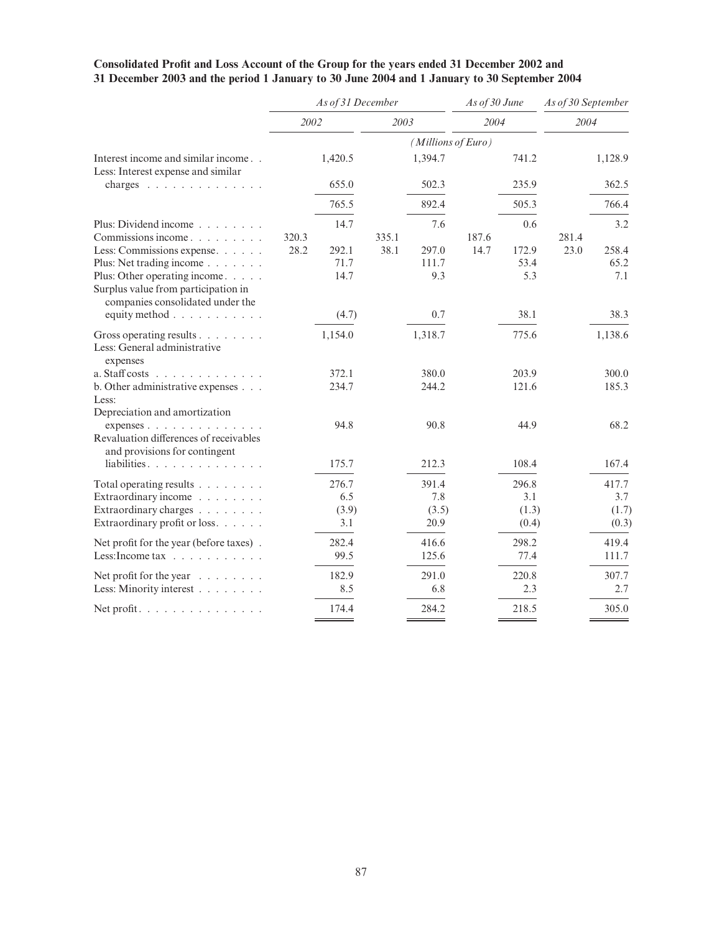|                                                                                                                                                                    |       | As of 31 December            |       |                               | As of 30 June |                                | As of 30 September |                                |
|--------------------------------------------------------------------------------------------------------------------------------------------------------------------|-------|------------------------------|-------|-------------------------------|---------------|--------------------------------|--------------------|--------------------------------|
|                                                                                                                                                                    | 2002  |                              | 2003  |                               | 2004          |                                | 2004               |                                |
|                                                                                                                                                                    |       |                              |       | (Millions of Euro)            |               |                                |                    |                                |
| Interest income and similar income<br>Less: Interest expense and similar                                                                                           |       | 1,420.5                      |       | 1,394.7                       |               | 741.2                          |                    | 1,128.9                        |
| charges $\ldots$                                                                                                                                                   |       | 655.0                        |       | 502.3                         |               | 235.9                          |                    | 362.5                          |
|                                                                                                                                                                    |       | 765.5                        |       | 892.4                         |               | 505.3                          |                    | 766.4                          |
| Plus: Dividend income $\ldots$ , $\ldots$<br>Commissions income                                                                                                    | 320.3 | 14.7                         | 335.1 | 7.6                           | 187.6         | 0.6                            | 281.4              | 3.2                            |
| Less: Commissions expense.<br>Plus: Net trading income<br>Plus: Other operating income.<br>Surplus value from participation in<br>companies consolidated under the | 28.2  | 292.1<br>71.7<br>14.7        | 38.1  | 297.0<br>111.7<br>9.3         | 14.7          | 172.9<br>53.4<br>5.3           | 23.0               | 258.4<br>65.2<br>7.1           |
| equity method                                                                                                                                                      |       | (4.7)                        |       | 0.7                           |               | 38.1                           |                    | 38.3                           |
| Gross operating results<br>Less: General administrative<br>expenses                                                                                                |       | 1,154.0                      |       | 1,318.7                       |               | 775.6                          |                    | 1,138.6                        |
| a. Staff costs $\ldots$<br>b. Other administrative expenses<br>Less:<br>Depreciation and amortization                                                              |       | 372.1<br>234.7               |       | 380.0<br>244.2                |               | 203.9<br>121.6                 |                    | 300.0<br>185.3                 |
| expenses $\ldots$ $\ldots$ $\ldots$<br>Revaluation differences of receivables<br>and provisions for contingent                                                     |       | 94.8                         |       | 90.8                          |               | 44.9                           |                    | 68.2                           |
| liabilities.                                                                                                                                                       |       | 175.7                        |       | 212.3                         |               | 108.4                          |                    | 167.4                          |
| Total operating results<br>Extraordinary income<br>Extraordinary charges<br>Extraordinary profit or loss.                                                          |       | 276.7<br>6.5<br>(3.9)<br>3.1 |       | 391.4<br>7.8<br>(3.5)<br>20.9 |               | 296.8<br>3.1<br>(1.3)<br>(0.4) |                    | 417.7<br>3.7<br>(1.7)<br>(0.3) |
| Net profit for the year (before taxes).<br>Less: Income tax $\ldots$ $\ldots$ $\ldots$ $\ldots$                                                                    |       | 282.4<br>99.5                |       | 416.6<br>125.6                |               | 298.2<br>77.4                  |                    | 419.4<br>111.7                 |
| Net profit for the year $\dots \dots$<br>Less: Minority interest                                                                                                   |       | 182.9<br>8.5                 |       | 291.0<br>6.8                  |               | 220.8<br>2.3                   |                    | 307.7<br>2.7                   |
| Net profit. $\ldots$                                                                                                                                               |       | 174.4                        |       | 284.2                         |               | 218.5                          |                    | 305.0                          |

#### Consolidated Profit and Loss Account of the Group for the years ended 31 December 2002 and 31 December 2003 and the period 1 January to 30 June 2004 and 1 January to 30 September 2004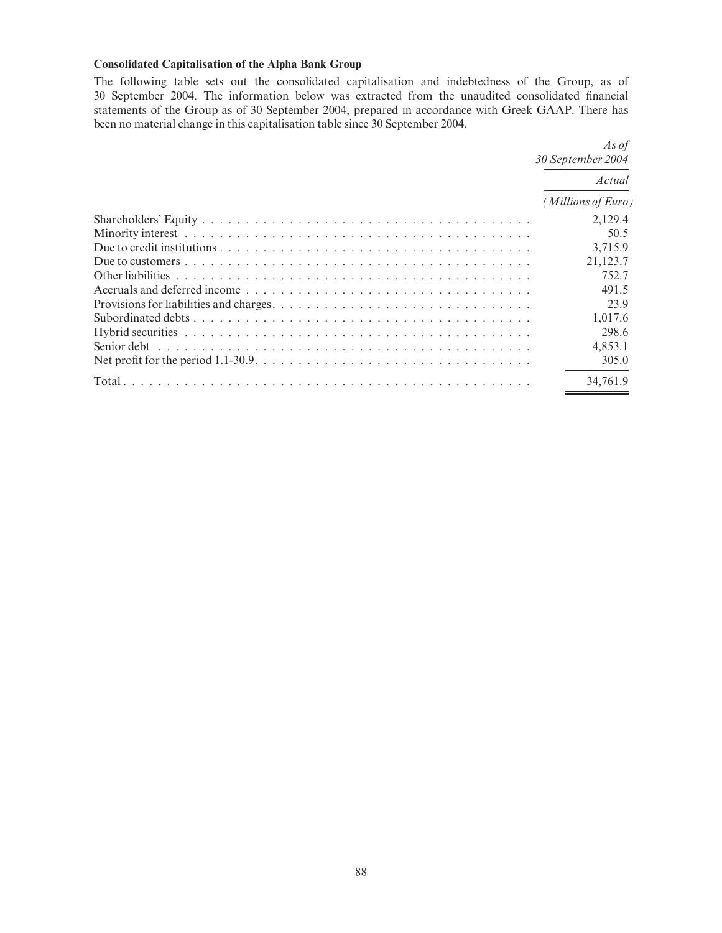# Consolidated Capitalisation of the Alpha Bank Group

The following table sets out the consolidated capitalisation and indebtedness of the Group, as of 30 September 2004. The information below was extracted from the unaudited consolidated ¢nancial statements of the Group as of 30 September 2004, prepared in accordance with Greek GAAP. There has been no material change in this capitalisation table since 30 September 2004.

| As of<br>30 September 2004 |  |  |
|----------------------------|--|--|
| Actual                     |  |  |
| (Millions of Euro)         |  |  |
| 2,129.4                    |  |  |
| 50.5                       |  |  |
| 3,715.9                    |  |  |
| 21,123.7                   |  |  |
| 752.7                      |  |  |
| 491.5                      |  |  |
| 23.9                       |  |  |
| 1.017.6                    |  |  |
| 298.6                      |  |  |
| 4,853.1                    |  |  |
| 305.0                      |  |  |
| 34.761.9                   |  |  |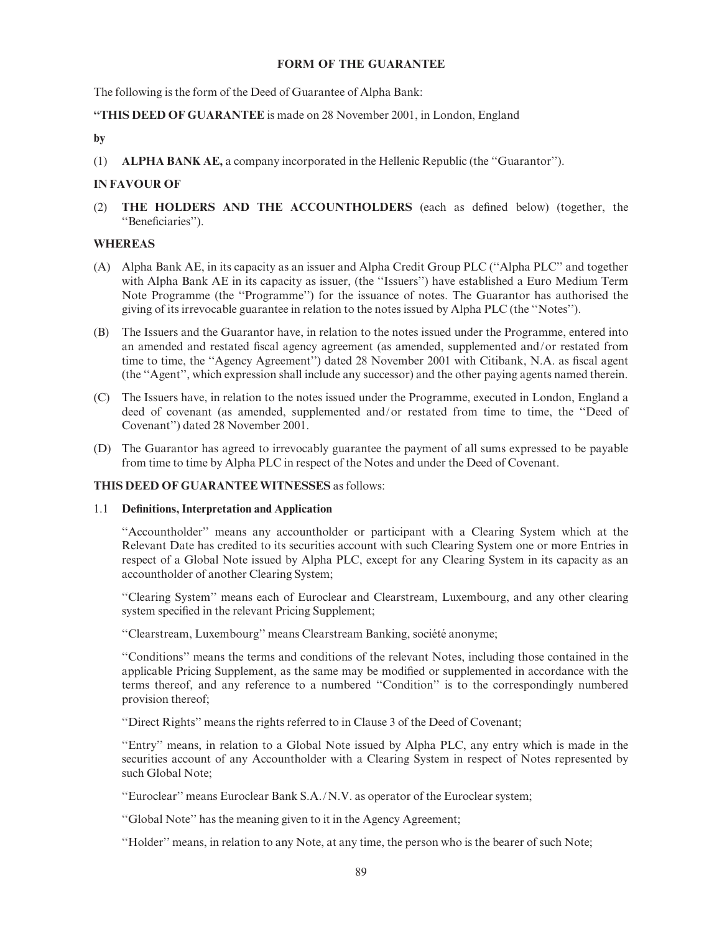#### FORM OF THE GUARANTEE

The following is the form of the Deed of Guarantee of Alpha Bank:

# ''THIS DEED OF GUARANTEE is made on 28 November 2001, in London, England

# by

(1) ALPHA BANK AE, a company incorporated in the Hellenic Republic (the ''Guarantor'').

# IN FAVOUR OF

(2) THE HOLDERS AND THE ACCOUNTHOLDERS (each as de¢ned below) (together, the "Beneficiaries").

# WHEREAS

- (A) Alpha Bank AE, in its capacity as an issuer and Alpha Credit Group PLC (''Alpha PLC'' and together with Alpha Bank AE in its capacity as issuer, (the ''Issuers'') have established a Euro Medium Term Note Programme (the ''Programme'') for the issuance of notes. The Guarantor has authorised the giving of its irrevocable guarantee in relation to the notes issued by Alpha PLC (the ''Notes'').
- (B) The Issuers and the Guarantor have, in relation to the notes issued under the Programme, entered into an amended and restated fiscal agency agreement (as amended, supplemented and/or restated from time to time, the "Agency Agreement") dated 28 November 2001 with Citibank, N.A. as fiscal agent (the ''Agent'', which expression shall include any successor) and the other paying agents named therein.
- (C) The Issuers have, in relation to the notes issued under the Programme, executed in London, England a deed of covenant (as amended, supplemented and/or restated from time to time, the ''Deed of Covenant'') dated 28 November 2001.
- (D) The Guarantor has agreed to irrevocably guarantee the payment of all sums expressed to be payable from time to time by Alpha PLC in respect of the Notes and under the Deed of Covenant.

#### THIS DEED OF GUARANTEE WITNESSES as follows:

#### 1.1 Definitions, Interpretation and Application

''Accountholder'' means any accountholder or participant with a Clearing System which at the Relevant Date has credited to its securities account with such Clearing System one or more Entries in respect of a Global Note issued by Alpha PLC, except for any Clearing System in its capacity as an accountholder of another Clearing System;

''Clearing System'' means each of Euroclear and Clearstream, Luxembourg, and any other clearing system specified in the relevant Pricing Supplement;

"Clearstream, Luxembourg" means Clearstream Banking, société anonyme;

''Conditions'' means the terms and conditions of the relevant Notes, including those contained in the applicable Pricing Supplement, as the same may be modified or supplemented in accordance with the terms thereof, and any reference to a numbered ''Condition'' is to the correspondingly numbered provision thereof;

''Direct Rights'' means the rights referred to in Clause 3 of the Deed of Covenant;

''Entry'' means, in relation to a Global Note issued by Alpha PLC, any entry which is made in the securities account of any Accountholder with a Clearing System in respect of Notes represented by such Global Note;

''Euroclear'' means Euroclear Bank S.A./N.V. as operator of the Euroclear system;

''Global Note'' has the meaning given to it in the Agency Agreement;

''Holder'' means, in relation to any Note, at any time, the person who is the bearer of such Note;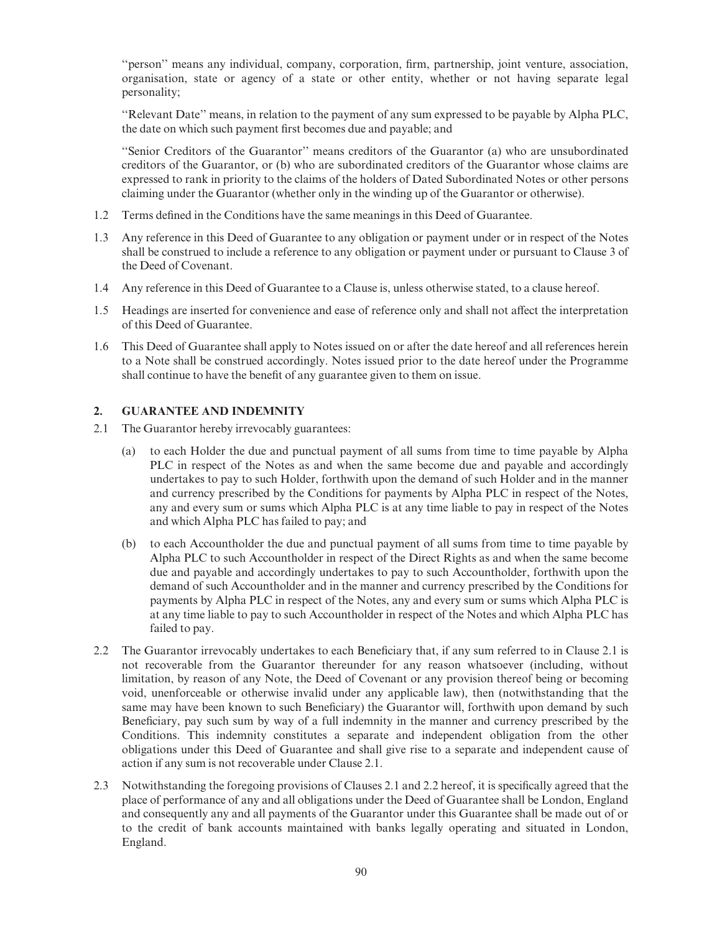"person" means any individual, company, corporation, firm, partnership, joint venture, association, organisation, state or agency of a state or other entity, whether or not having separate legal personality;

''Relevant Date'' means, in relation to the payment of any sum expressed to be payable by Alpha PLC, the date on which such payment first becomes due and payable; and

''Senior Creditors of the Guarantor'' means creditors of the Guarantor (a) who are unsubordinated creditors of the Guarantor, or (b) who are subordinated creditors of the Guarantor whose claims are expressed to rank in priority to the claims of the holders of Dated Subordinated Notes or other persons claiming under the Guarantor (whether only in the winding up of the Guarantor or otherwise).

- 1.2 Terms defined in the Conditions have the same meanings in this Deed of Guarantee.
- 1.3 Any reference in this Deed of Guarantee to any obligation or payment under or in respect of the Notes shall be construed to include a reference to any obligation or payment under or pursuant to Clause 3 of the Deed of Covenant.
- 1.4 Any reference in this Deed of Guarantee to a Clause is, unless otherwise stated, to a clause hereof.
- 1.5 Headings are inserted for convenience and ease of reference only and shall not affect the interpretation of this Deed of Guarantee.
- 1.6 This Deed of Guarantee shall apply to Notes issued on or after the date hereof and all references herein to a Note shall be construed accordingly. Notes issued prior to the date hereof under the Programme shall continue to have the benefit of any guarantee given to them on issue.

#### 2. GUARANTEE AND INDEMNITY

- 2.1 The Guarantor hereby irrevocably guarantees:
	- (a) to each Holder the due and punctual payment of all sums from time to time payable by Alpha PLC in respect of the Notes as and when the same become due and payable and accordingly undertakes to pay to such Holder, forthwith upon the demand of such Holder and in the manner and currency prescribed by the Conditions for payments by Alpha PLC in respect of the Notes, any and every sum or sums which Alpha PLC is at any time liable to pay in respect of the Notes and which Alpha PLC has failed to pay; and
	- (b) to each Accountholder the due and punctual payment of all sums from time to time payable by Alpha PLC to such Accountholder in respect of the Direct Rights as and when the same become due and payable and accordingly undertakes to pay to such Accountholder, forthwith upon the demand of such Accountholder and in the manner and currency prescribed by the Conditions for payments by Alpha PLC in respect of the Notes, any and every sum or sums which Alpha PLC is at any time liable to pay to such Accountholder in respect of the Notes and which Alpha PLC has failed to pay.
- 2.2 The Guarantor irrevocably undertakes to each Beneficiary that, if any sum referred to in Clause 2.1 is not recoverable from the Guarantor thereunder for any reason whatsoever (including, without limitation, by reason of any Note, the Deed of Covenant or any provision thereof being or becoming void, unenforceable or otherwise invalid under any applicable law), then (notwithstanding that the same may have been known to such Beneficiary) the Guarantor will, forthwith upon demand by such Beneficiary, pay such sum by way of a full indemnity in the manner and currency prescribed by the Conditions. This indemnity constitutes a separate and independent obligation from the other obligations under this Deed of Guarantee and shall give rise to a separate and independent cause of action if any sum is not recoverable under Clause 2.1.
- 2.3 Notwithstanding the foregoing provisions of Clauses 2.1 and 2.2 hereof, it is specifically agreed that the place of performance of any and all obligations under the Deed of Guarantee shall be London, England and consequently any and all payments of the Guarantor under this Guarantee shall be made out of or to the credit of bank accounts maintained with banks legally operating and situated in London, England.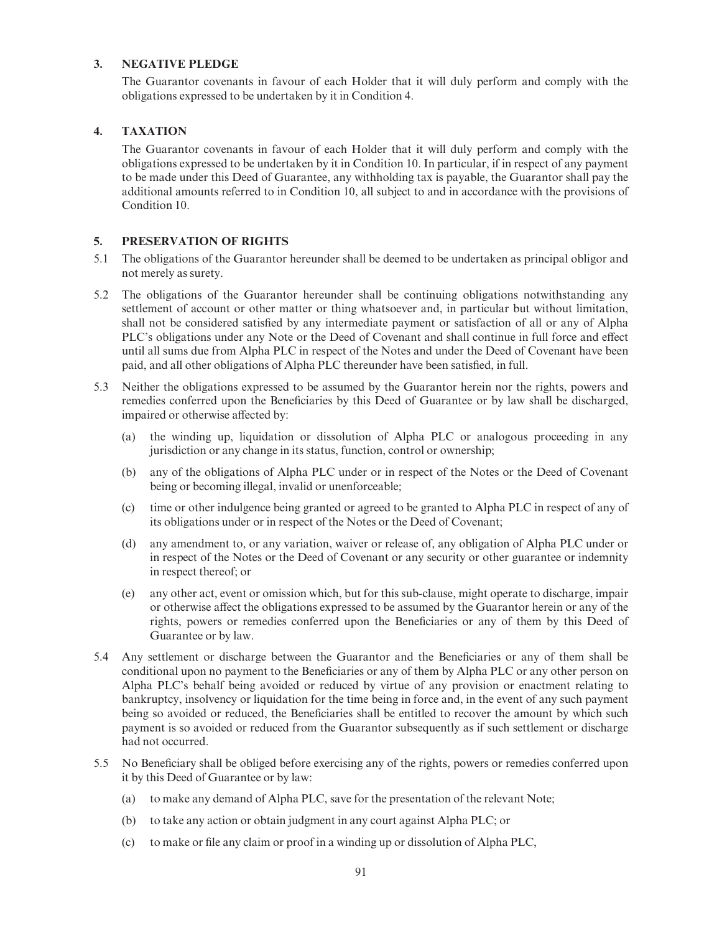# 3. NEGATIVE PLEDGE

The Guarantor covenants in favour of each Holder that it will duly perform and comply with the obligations expressed to be undertaken by it in Condition 4.

# 4. TAXATION

The Guarantor covenants in favour of each Holder that it will duly perform and comply with the obligations expressed to be undertaken by it in Condition 10. In particular, if in respect of any payment to be made under this Deed of Guarantee, any withholding tax is payable, the Guarantor shall pay the additional amounts referred to in Condition 10, all subject to and in accordance with the provisions of Condition 10.

# 5. PRESERVATION OF RIGHTS

- 5.1 The obligations of the Guarantor hereunder shall be deemed to be undertaken as principal obligor and not merely as surety.
- 5.2 The obligations of the Guarantor hereunder shall be continuing obligations notwithstanding any settlement of account or other matter or thing whatsoever and, in particular but without limitation, shall not be considered satisfied by any intermediate payment or satisfaction of all or any of Alpha PLC's obligations under any Note or the Deed of Covenant and shall continue in full force and effect until all sums due from Alpha PLC in respect of the Notes and under the Deed of Covenant have been paid, and all other obligations of Alpha PLC thereunder have been satisfied, in full.
- 5.3 Neither the obligations expressed to be assumed by the Guarantor herein nor the rights, powers and remedies conferred upon the Beneficiaries by this Deed of Guarantee or by law shall be discharged, impaired or otherwise affected by:
	- (a) the winding up, liquidation or dissolution of Alpha PLC or analogous proceeding in any jurisdiction or any change in its status, function, control or ownership;
	- (b) any of the obligations of Alpha PLC under or in respect of the Notes or the Deed of Covenant being or becoming illegal, invalid or unenforceable;
	- (c) time or other indulgence being granted or agreed to be granted to Alpha PLC in respect of any of its obligations under or in respect of the Notes or the Deed of Covenant;
	- (d) any amendment to, or any variation, waiver or release of, any obligation of Alpha PLC under or in respect of the Notes or the Deed of Covenant or any security or other guarantee or indemnity in respect thereof; or
	- (e) any other act, event or omission which, but for this sub-clause, might operate to discharge, impair or otherwise a¡ect the obligations expressed to be assumed by the Guarantor herein or any of the rights, powers or remedies conferred upon the Beneficiaries or any of them by this Deed of Guarantee or by law.
- 5.4 Any settlement or discharge between the Guarantor and the Beneficiaries or any of them shall be conditional upon no payment to the Beneficiaries or any of them by Alpha PLC or any other person on Alpha PLC's behalf being avoided or reduced by virtue of any provision or enactment relating to bankruptcy, insolvency or liquidation for the time being in force and, in the event of any such payment being so avoided or reduced, the Beneficiaries shall be entitled to recover the amount by which such payment is so avoided or reduced from the Guarantor subsequently as if such settlement or discharge had not occurred.
- 5.5 No Beneficiary shall be obliged before exercising any of the rights, powers or remedies conferred upon it by this Deed of Guarantee or by law:
	- (a) to make any demand of Alpha PLC, save for the presentation of the relevant Note;
	- (b) to take any action or obtain judgment in any court against Alpha PLC; or
	- (c) to make or ¢le any claim or proof in a winding up or dissolution of Alpha PLC,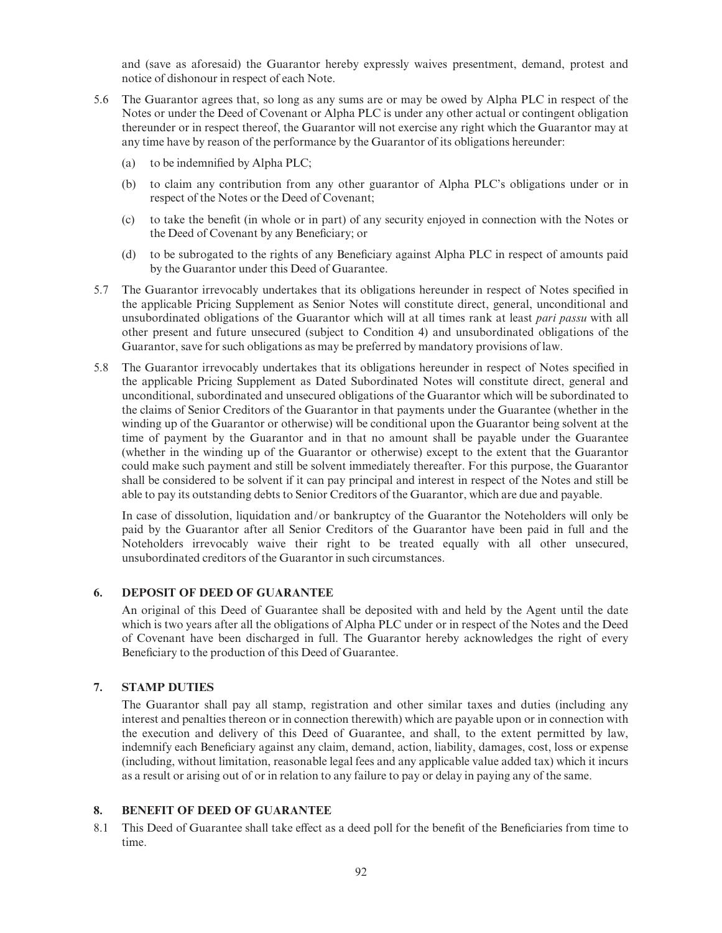and (save as aforesaid) the Guarantor hereby expressly waives presentment, demand, protest and notice of dishonour in respect of each Note.

- 5.6 The Guarantor agrees that, so long as any sums are or may be owed by Alpha PLC in respect of the Notes or under the Deed of Covenant or Alpha PLC is under any other actual or contingent obligation thereunder or in respect thereof, the Guarantor will not exercise any right which the Guarantor may at any time have by reason of the performance by the Guarantor of its obligations hereunder:
	- (a) to be indemnified by Alpha PLC;
	- (b) to claim any contribution from any other guarantor of Alpha PLC's obligations under or in respect of the Notes or the Deed of Covenant;
	- (c) to take the bene¢t (in whole or in part) of any security enjoyed in connection with the Notes or the Deed of Covenant by any Beneficiary; or
	- (d) to be subrogated to the rights of any Beneficiary against Alpha PLC in respect of amounts paid by the Guarantor under this Deed of Guarantee.
- 5.7 The Guarantor irrevocably undertakes that its obligations hereunder in respect of Notes specified in the applicable Pricing Supplement as Senior Notes will constitute direct, general, unconditional and unsubordinated obligations of the Guarantor which will at all times rank at least pari passu with all other present and future unsecured (subject to Condition 4) and unsubordinated obligations of the Guarantor, save for such obligations as may be preferred by mandatory provisions of law.
- 5.8 The Guarantor irrevocably undertakes that its obligations hereunder in respect of Notes specified in the applicable Pricing Supplement as Dated Subordinated Notes will constitute direct, general and unconditional, subordinated and unsecured obligations of the Guarantor which will be subordinated to the claims of Senior Creditors of the Guarantor in that payments under the Guarantee (whether in the winding up of the Guarantor or otherwise) will be conditional upon the Guarantor being solvent at the time of payment by the Guarantor and in that no amount shall be payable under the Guarantee (whether in the winding up of the Guarantor or otherwise) except to the extent that the Guarantor could make such payment and still be solvent immediately thereafter. For this purpose, the Guarantor shall be considered to be solvent if it can pay principal and interest in respect of the Notes and still be able to pay its outstanding debts to Senior Creditors of the Guarantor, which are due and payable.

In case of dissolution, liquidation and/or bankruptcy of the Guarantor the Noteholders will only be paid by the Guarantor after all Senior Creditors of the Guarantor have been paid in full and the Noteholders irrevocably waive their right to be treated equally with all other unsecured, unsubordinated creditors of the Guarantor in such circumstances.

# 6. DEPOSIT OF DEED OF GUARANTEE

An original of this Deed of Guarantee shall be deposited with and held by the Agent until the date which is two years after all the obligations of Alpha PLC under or in respect of the Notes and the Deed of Covenant have been discharged in full. The Guarantor hereby acknowledges the right of every Beneficiary to the production of this Deed of Guarantee.

#### 7. STAMP DUTIES

The Guarantor shall pay all stamp, registration and other similar taxes and duties (including any interest and penalties thereon or in connection therewith) which are payable upon or in connection with the execution and delivery of this Deed of Guarantee, and shall, to the extent permitted by law, indemnify each Beneficiary against any claim, demand, action, liability, damages, cost, loss or expense (including, without limitation, reasonable legal fees and any applicable value added tax) which it incurs as a result or arising out of or in relation to any failure to pay or delay in paying any of the same.

# 8. BENEFIT OF DEED OF GUARANTEE

8.1 This Deed of Guarantee shall take effect as a deed poll for the benefit of the Beneficiaries from time to time.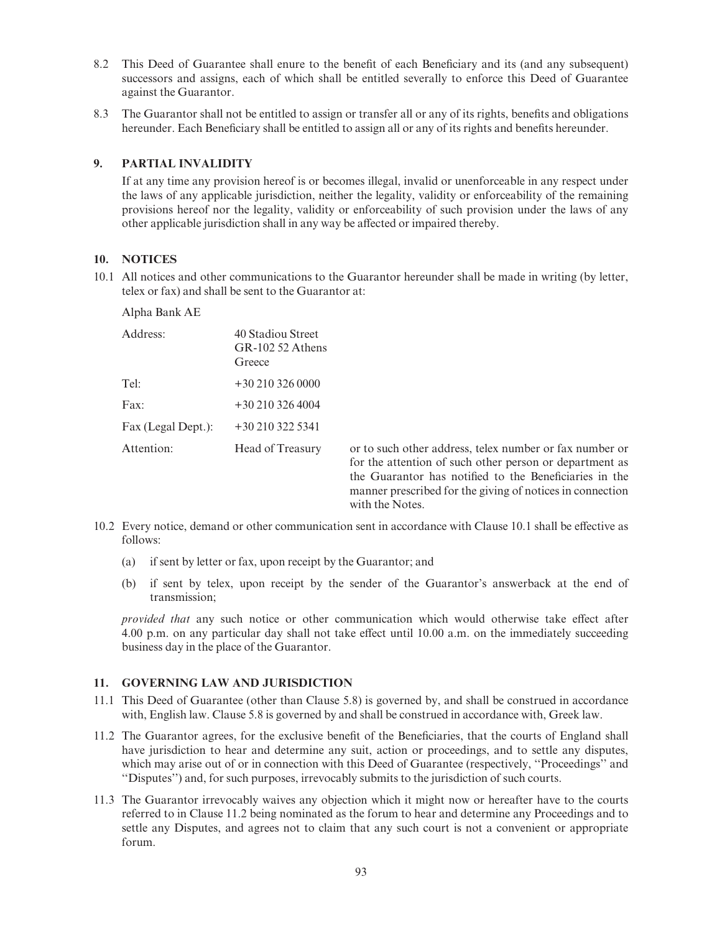- 8.2 This Deed of Guarantee shall enure to the benefit of each Beneficiary and its (and any subsequent) successors and assigns, each of which shall be entitled severally to enforce this Deed of Guarantee against the Guarantor.
- 8.3 The Guarantor shall not be entitled to assign or transfer all or any of its rights, benefits and obligations hereunder. Each Beneficiary shall be entitled to assign all or any of its rights and benefits hereunder.

#### 9. PARTIAL INVALIDITY

If at any time any provision hereof is or becomes illegal, invalid or unenforceable in any respect under the laws of any applicable jurisdiction, neither the legality, validity or enforceability of the remaining provisions hereof nor the legality, validity or enforceability of such provision under the laws of any other applicable jurisdiction shall in any way be affected or impaired thereby.

# 10. NOTICES

10.1 All notices and other communications to the Guarantor hereunder shall be made in writing (by letter, telex or fax) and shall be sent to the Guarantor at:

#### Alpha Bank AE

| Address:           | 40 Stadiou Street<br>$GR-10252$ Athens<br>Greece |
|--------------------|--------------------------------------------------|
| Tel:               | $+302103260000$                                  |
| $\text{Fax}:$      | $+302103264004$                                  |
| Fax (Legal Dept.): | $+302103225341$                                  |
| Attention:         | Head of Treasury                                 |
|                    |                                                  |

or to such other address, telex number or fax number or for the attention of such other person or department as the Guarantor has notified to the Beneficiaries in the manner prescribed for the giving of notices in connection with the Notes.

- 10.2 Every notice, demand or other communication sent in accordance with Clause 10.1 shall be effective as follows:
	- (a) if sent by letter or fax, upon receipt by the Guarantor; and
	- (b) if sent by telex, upon receipt by the sender of the Guarantor's answerback at the end of transmission;

provided that any such notice or other communication which would otherwise take effect after 4.00 p.m. on any particular day shall not take effect until  $10.00$  a.m. on the immediately succeeding business day in the place of the Guarantor.

#### 11. GOVERNING LAW AND JURISDICTION

- 11.1 This Deed of Guarantee (other than Clause 5.8) is governed by, and shall be construed in accordance with, English law. Clause 5.8 is governed by and shall be construed in accordance with, Greek law.
- 11.2 The Guarantor agrees, for the exclusive bene¢t of the Bene¢ciaries, that the courts of England shall have jurisdiction to hear and determine any suit, action or proceedings, and to settle any disputes, which may arise out of or in connection with this Deed of Guarantee (respectively, "Proceedings" and ''Disputes'') and, for such purposes, irrevocably submits to the jurisdiction of such courts.
- 11.3 The Guarantor irrevocably waives any objection which it might now or hereafter have to the courts referred to in Clause 11.2 being nominated as the forum to hear and determine any Proceedings and to settle any Disputes, and agrees not to claim that any such court is not a convenient or appropriate forum.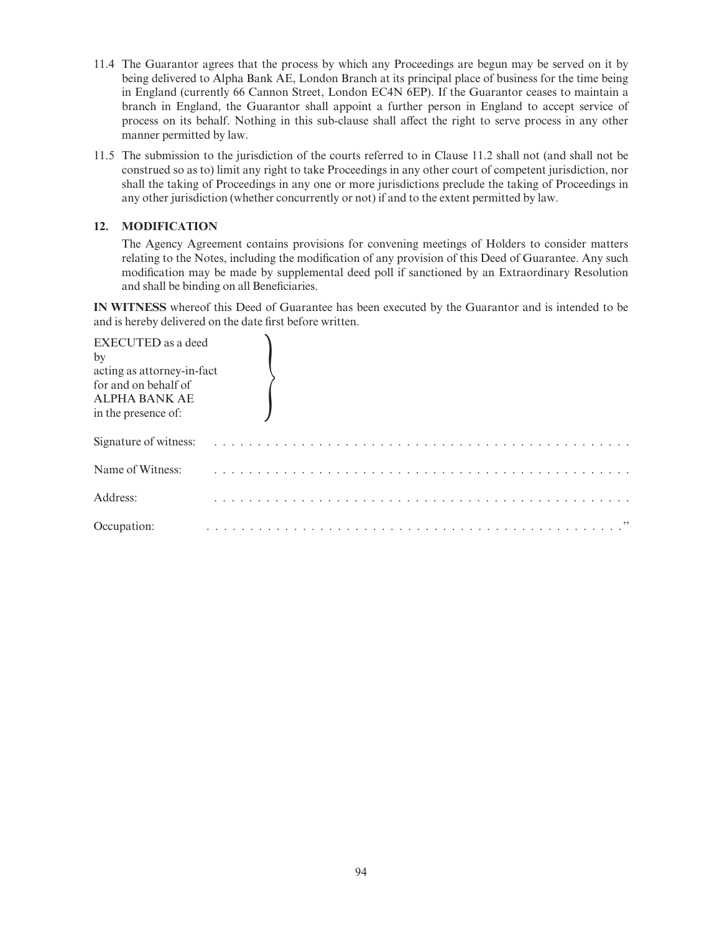- 11.4 The Guarantor agrees that the process by which any Proceedings are begun may be served on it by being delivered to Alpha Bank AE, London Branch at its principal place of business for the time being in England (currently 66 Cannon Street, London EC4N 6EP). If the Guarantor ceases to maintain a branch in England, the Guarantor shall appoint a further person in England to accept service of process on its behalf. Nothing in this sub-clause shall affect the right to serve process in any other manner permitted by law.
- 11.5 The submission to the jurisdiction of the courts referred to in Clause 11.2 shall not (and shall not be construed so as to) limit any right to take Proceedings in any other court of competent jurisdiction, nor shall the taking of Proceedings in any one or more jurisdictions preclude the taking of Proceedings in any other jurisdiction (whether concurrently or not) if and to the extent permitted by law.

# 12. MODIFICATION

The Agency Agreement contains provisions for convening meetings of Holders to consider matters relating to the Notes, including the modification of any provision of this Deed of Guarantee. Any such modification may be made by supplemental deed poll if sanctioned by an Extraordinary Resolution and shall be binding on all Beneficiaries.

IN WITNESS whereof this Deed of Guarantee has been executed by the Guarantor and is intended to be and is hereby delivered on the date first before written.

| <b>EXECUTED</b> as a deed<br>by<br>acting as attorney-in-fact<br>for and on behalf of |  |  |  |  |  |  |
|---------------------------------------------------------------------------------------|--|--|--|--|--|--|
| <b>ALPHA BANK AE</b><br>in the presence of:                                           |  |  |  |  |  |  |
| Signature of witness:                                                                 |  |  |  |  |  |  |
| Name of Witness:                                                                      |  |  |  |  |  |  |
| Address:                                                                              |  |  |  |  |  |  |
| Occupation:                                                                           |  |  |  |  |  |  |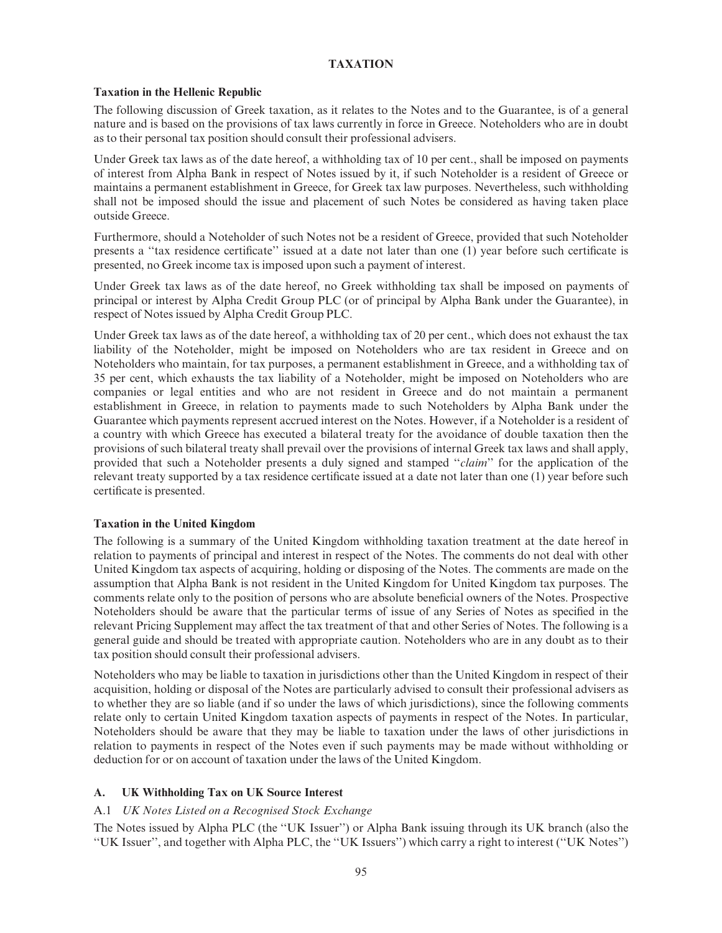#### TAXATION

#### Taxation in the Hellenic Republic

The following discussion of Greek taxation, as it relates to the Notes and to the Guarantee, is of a general nature and is based on the provisions of tax laws currently in force in Greece. Noteholders who are in doubt as to their personal tax position should consult their professional advisers.

Under Greek tax laws as of the date hereof, a withholding tax of 10 per cent., shall be imposed on payments of interest from Alpha Bank in respect of Notes issued by it, if such Noteholder is a resident of Greece or maintains a permanent establishment in Greece, for Greek tax law purposes. Nevertheless, such withholding shall not be imposed should the issue and placement of such Notes be considered as having taken place outside Greece.

Furthermore, should a Noteholder of such Notes not be a resident of Greece, provided that such Noteholder presents a "tax residence certificate" issued at a date not later than one (1) year before such certificate is presented, no Greek income tax is imposed upon such a payment of interest.

Under Greek tax laws as of the date hereof, no Greek withholding tax shall be imposed on payments of principal or interest by Alpha Credit Group PLC (or of principal by Alpha Bank under the Guarantee), in respect of Notes issued by Alpha Credit Group PLC.

Under Greek tax laws as of the date hereof, a withholding tax of 20 per cent., which does not exhaust the tax liability of the Noteholder, might be imposed on Noteholders who are tax resident in Greece and on Noteholders who maintain, for tax purposes, a permanent establishment in Greece, and a withholding tax of 35 per cent, which exhausts the tax liability of a Noteholder, might be imposed on Noteholders who are companies or legal entities and who are not resident in Greece and do not maintain a permanent establishment in Greece, in relation to payments made to such Noteholders by Alpha Bank under the Guarantee which payments represent accrued interest on the Notes. However, if a Noteholder is a resident of a country with which Greece has executed a bilateral treaty for the avoidance of double taxation then the provisions of such bilateral treaty shall prevail over the provisions of internal Greek tax laws and shall apply, provided that such a Noteholder presents a duly signed and stamped ''claim'' for the application of the relevant treaty supported by a tax residence certificate issued at a date not later than one (1) year before such certificate is presented.

#### Taxation in the United Kingdom

The following is a summary of the United Kingdom withholding taxation treatment at the date hereof in relation to payments of principal and interest in respect of the Notes. The comments do not deal with other United Kingdom tax aspects of acquiring, holding or disposing of the Notes. The comments are made on the assumption that Alpha Bank is not resident in the United Kingdom for United Kingdom tax purposes. The comments relate only to the position of persons who are absolute beneficial owners of the Notes. Prospective Noteholders should be aware that the particular terms of issue of any Series of Notes as specified in the relevant Pricing Supplement may affect the tax treatment of that and other Series of Notes. The following is a general guide and should be treated with appropriate caution. Noteholders who are in any doubt as to their tax position should consult their professional advisers.

Noteholders who may be liable to taxation in jurisdictions other than the United Kingdom in respect of their acquisition, holding or disposal of the Notes are particularly advised to consult their professional advisers as to whether they are so liable (and if so under the laws of which jurisdictions), since the following comments relate only to certain United Kingdom taxation aspects of payments in respect of the Notes. In particular, Noteholders should be aware that they may be liable to taxation under the laws of other jurisdictions in relation to payments in respect of the Notes even if such payments may be made without withholding or deduction for or on account of taxation under the laws of the United Kingdom.

# A. UK Withholding Tax on UK Source Interest

#### A.1 UK Notes Listed on a Recognised Stock Exchange

The Notes issued by Alpha PLC (the ''UK Issuer'') or Alpha Bank issuing through its UK branch (also the ''UK Issuer'', and together with Alpha PLC, the ''UK Issuers'') which carry a right to interest (''UK Notes'')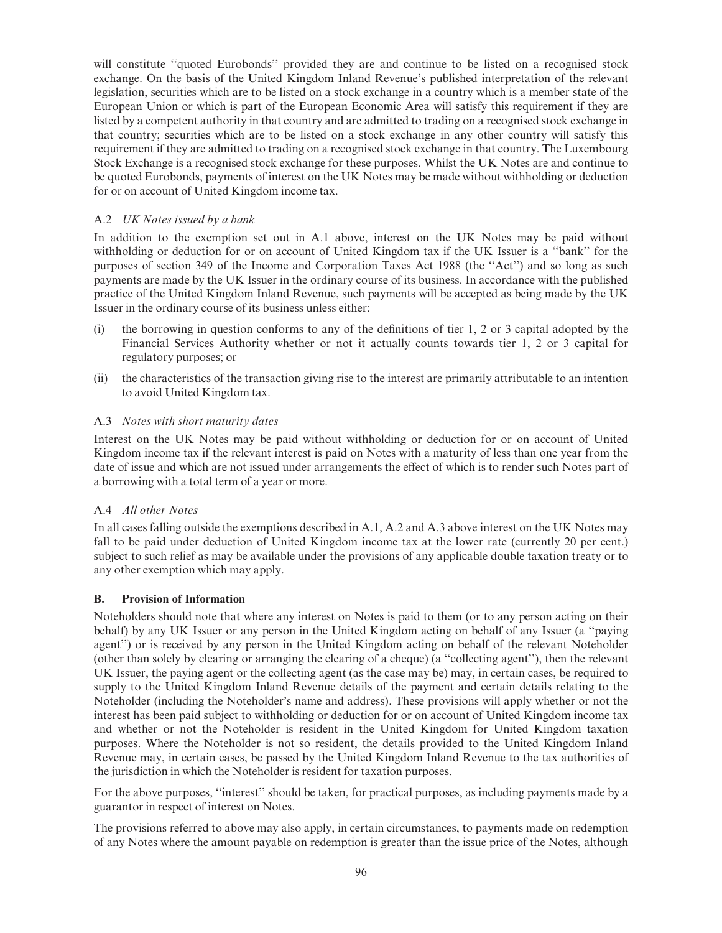will constitute ''quoted Eurobonds'' provided they are and continue to be listed on a recognised stock exchange. On the basis of the United Kingdom Inland Revenue's published interpretation of the relevant legislation, securities which are to be listed on a stock exchange in a country which is a member state of the European Union or which is part of the European Economic Area will satisfy this requirement if they are listed by a competent authority in that country and are admitted to trading on a recognised stock exchange in that country; securities which are to be listed on a stock exchange in any other country will satisfy this requirement if they are admitted to trading on a recognised stock exchange in that country. The Luxembourg Stock Exchange is a recognised stock exchange for these purposes. Whilst the UK Notes are and continue to be quoted Eurobonds, payments of interest on the UK Notes may be made without withholding or deduction for or on account of United Kingdom income tax.

# A.2 UK Notes issued by a bank

In addition to the exemption set out in A.1 above, interest on the UK Notes may be paid without withholding or deduction for or on account of United Kingdom tax if the UK Issuer is a ''bank'' for the purposes of section 349 of the Income and Corporation Taxes Act 1988 (the ''Act'') and so long as such payments are made by the UK Issuer in the ordinary course of its business. In accordance with the published practice of the United Kingdom Inland Revenue, such payments will be accepted as being made by the UK Issuer in the ordinary course of its business unless either:

- (i) the borrowing in question conforms to any of the definitions of tier  $1, 2$  or 3 capital adopted by the Financial Services Authority whether or not it actually counts towards tier 1, 2 or 3 capital for regulatory purposes; or
- (ii) the characteristics of the transaction giving rise to the interest are primarily attributable to an intention to avoid United Kingdom tax.

# A.3 Notes with short maturity dates

Interest on the UK Notes may be paid without withholding or deduction for or on account of United Kingdom income tax if the relevant interest is paid on Notes with a maturity of less than one year from the date of issue and which are not issued under arrangements the effect of which is to render such Notes part of a borrowing with a total term of a year or more.

#### A.4 All other Notes

In all cases falling outside the exemptions described in A.1, A.2 and A.3 above interest on the UK Notes may fall to be paid under deduction of United Kingdom income tax at the lower rate (currently 20 per cent.) subject to such relief as may be available under the provisions of any applicable double taxation treaty or to any other exemption which may apply.

#### B. Provision of Information

Noteholders should note that where any interest on Notes is paid to them (or to any person acting on their behalf) by any UK Issuer or any person in the United Kingdom acting on behalf of any Issuer (a ''paying agent'') or is received by any person in the United Kingdom acting on behalf of the relevant Noteholder (other than solely by clearing or arranging the clearing of a cheque) (a ''collecting agent''), then the relevant UK Issuer, the paying agent or the collecting agent (as the case may be) may, in certain cases, be required to supply to the United Kingdom Inland Revenue details of the payment and certain details relating to the Noteholder (including the Noteholder's name and address). These provisions will apply whether or not the interest has been paid subject to withholding or deduction for or on account of United Kingdom income tax and whether or not the Noteholder is resident in the United Kingdom for United Kingdom taxation purposes. Where the Noteholder is not so resident, the details provided to the United Kingdom Inland Revenue may, in certain cases, be passed by the United Kingdom Inland Revenue to the tax authorities of the jurisdiction in which the Noteholder is resident for taxation purposes.

For the above purposes, ''interest'' should be taken, for practical purposes, as including payments made by a guarantor in respect of interest on Notes.

The provisions referred to above may also apply, in certain circumstances, to payments made on redemption of any Notes where the amount payable on redemption is greater than the issue price of the Notes, although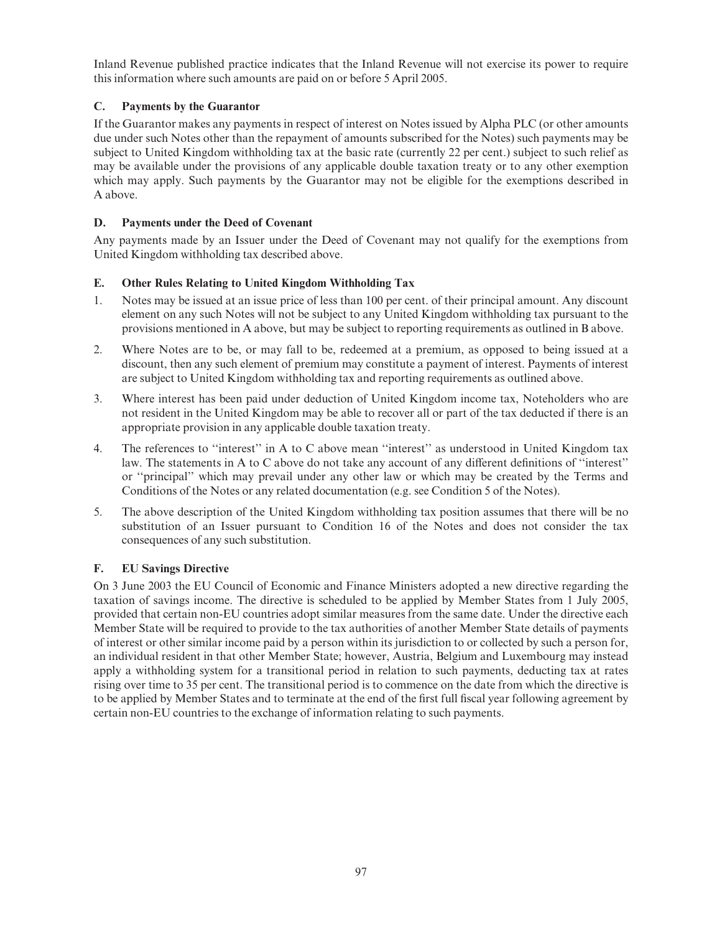Inland Revenue published practice indicates that the Inland Revenue will not exercise its power to require this information where such amounts are paid on or before 5 April 2005.

# C. Payments by the Guarantor

If the Guarantor makes any payments in respect of interest on Notes issued by Alpha PLC (or other amounts due under such Notes other than the repayment of amounts subscribed for the Notes) such payments may be subject to United Kingdom withholding tax at the basic rate (currently 22 per cent.) subject to such relief as may be available under the provisions of any applicable double taxation treaty or to any other exemption which may apply. Such payments by the Guarantor may not be eligible for the exemptions described in A above.

# D. Payments under the Deed of Covenant

Any payments made by an Issuer under the Deed of Covenant may not qualify for the exemptions from United Kingdom withholding tax described above.

# E. Other Rules Relating to United Kingdom Withholding Tax

- 1. Notes may be issued at an issue price of less than 100 per cent. of their principal amount. Any discount element on any such Notes will not be subject to any United Kingdom withholding tax pursuant to the provisions mentioned in A above, but may be subject to reporting requirements as outlined in B above.
- 2. Where Notes are to be, or may fall to be, redeemed at a premium, as opposed to being issued at a discount, then any such element of premium may constitute a payment of interest. Payments of interest are subject to United Kingdom withholding tax and reporting requirements as outlined above.
- 3. Where interest has been paid under deduction of United Kingdom income tax, Noteholders who are not resident in the United Kingdom may be able to recover all or part of the tax deducted if there is an appropriate provision in any applicable double taxation treaty.
- 4. The references to ''interest'' in A to C above mean ''interest'' as understood in United Kingdom tax law. The statements in A to C above do not take any account of any different definitions of "interest" or ''principal'' which may prevail under any other law or which may be created by the Terms and Conditions of the Notes or any related documentation (e.g. see Condition 5 of the Notes).
- 5. The above description of the United Kingdom withholding tax position assumes that there will be no substitution of an Issuer pursuant to Condition 16 of the Notes and does not consider the tax consequences of any such substitution.

# F. EU Savings Directive

On 3 June 2003 the EU Council of Economic and Finance Ministers adopted a new directive regarding the taxation of savings income. The directive is scheduled to be applied by Member States from 1 July 2005, provided that certain non-EU countries adopt similar measures from the same date. Under the directive each Member State will be required to provide to the tax authorities of another Member State details of payments of interest or other similar income paid by a person within its jurisdiction to or collected by such a person for, an individual resident in that other Member State; however, Austria, Belgium and Luxembourg may instead apply a withholding system for a transitional period in relation to such payments, deducting tax at rates rising over time to 35 per cent. The transitional period is to commence on the date from which the directive is to be applied by Member States and to terminate at the end of the first full fiscal year following agreement by certain non-EU countries to the exchange of information relating to such payments.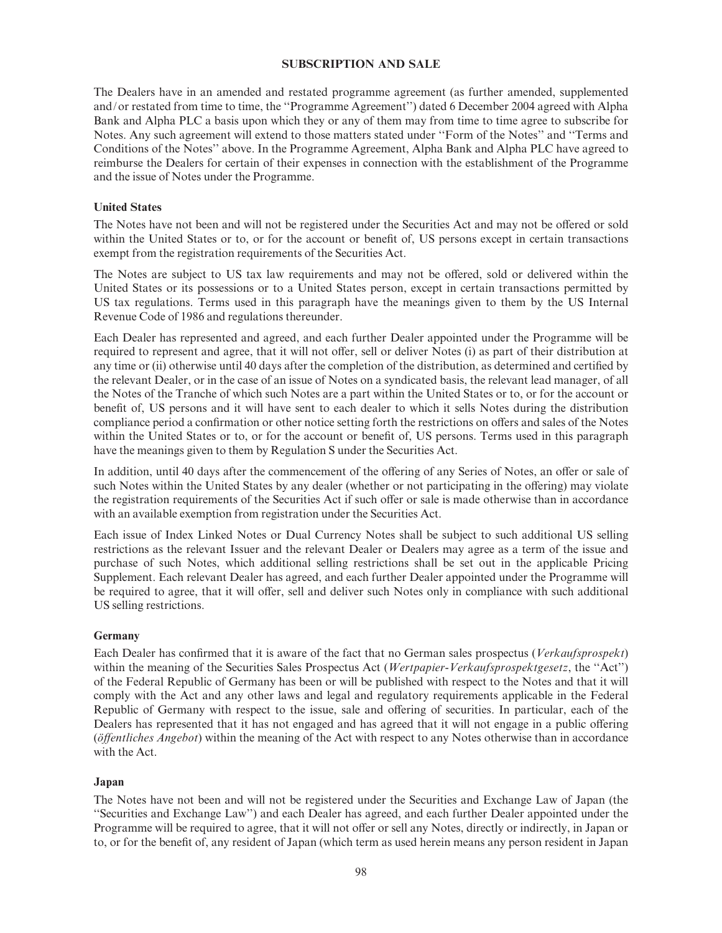#### SUBSCRIPTION AND SALE

The Dealers have in an amended and restated programme agreement (as further amended, supplemented and/or restated from time to time, the ''Programme Agreement'') dated 6 December 2004 agreed with Alpha Bank and Alpha PLC a basis upon which they or any of them may from time to time agree to subscribe for Notes. Any such agreement will extend to those matters stated under ''Form of the Notes'' and ''Terms and Conditions of the Notes'' above. In the Programme Agreement, Alpha Bank and Alpha PLC have agreed to reimburse the Dealers for certain of their expenses in connection with the establishment of the Programme and the issue of Notes under the Programme.

#### United States

The Notes have not been and will not be registered under the Securities Act and may not be offered or sold within the United States or to, or for the account or benefit of, US persons except in certain transactions exempt from the registration requirements of the Securities Act.

The Notes are subject to US tax law requirements and may not be offered, sold or delivered within the United States or its possessions or to a United States person, except in certain transactions permitted by US tax regulations. Terms used in this paragraph have the meanings given to them by the US Internal Revenue Code of 1986 and regulations thereunder.

Each Dealer has represented and agreed, and each further Dealer appointed under the Programme will be required to represent and agree, that it will not offer, sell or deliver Notes (i) as part of their distribution at any time or (ii) otherwise until 40 days after the completion of the distribution, as determined and certified by the relevant Dealer, or in the case of an issue of Notes on a syndicated basis, the relevant lead manager, of all the Notes of the Tranche of which such Notes are a part within the United States or to, or for the account or benefit of, US persons and it will have sent to each dealer to which it sells Notes during the distribution compliance period a confirmation or other notice setting forth the restrictions on offers and sales of the Notes within the United States or to, or for the account or benefit of, US persons. Terms used in this paragraph have the meanings given to them by Regulation S under the Securities Act.

In addition, until 40 days after the commencement of the offering of any Series of Notes, an offer or sale of such Notes within the United States by any dealer (whether or not participating in the offering) may violate the registration requirements of the Securities Act if such offer or sale is made otherwise than in accordance with an available exemption from registration under the Securities Act.

Each issue of Index Linked Notes or Dual Currency Notes shall be subject to such additional US selling restrictions as the relevant Issuer and the relevant Dealer or Dealers may agree as a term of the issue and purchase of such Notes, which additional selling restrictions shall be set out in the applicable Pricing Supplement. Each relevant Dealer has agreed, and each further Dealer appointed under the Programme will be required to agree, that it will offer, sell and deliver such Notes only in compliance with such additional US selling restrictions.

#### Germany

Each Dealer has confirmed that it is aware of the fact that no German sales prospectus (Verkaufsprospekt) within the meaning of the Securities Sales Prospectus Act (Wertpapier-Verkaufsprospektgesetz, the "Act") of the Federal Republic of Germany has been or will be published with respect to the Notes and that it will comply with the Act and any other laws and legal and regulatory requirements applicable in the Federal Republic of Germany with respect to the issue, sale and offering of securities. In particular, each of the Dealers has represented that it has not engaged and has agreed that it will not engage in a public offering  $(\delta$ ffentliches Angebot) within the meaning of the Act with respect to any Notes otherwise than in accordance with the Act.

#### Japan

The Notes have not been and will not be registered under the Securities and Exchange Law of Japan (the ''Securities and Exchange Law'') and each Dealer has agreed, and each further Dealer appointed under the Programme will be required to agree, that it will not offer or sell any Notes, directly or indirectly, in Japan or to, or for the benefit of, any resident of Japan (which term as used herein means any person resident in Japan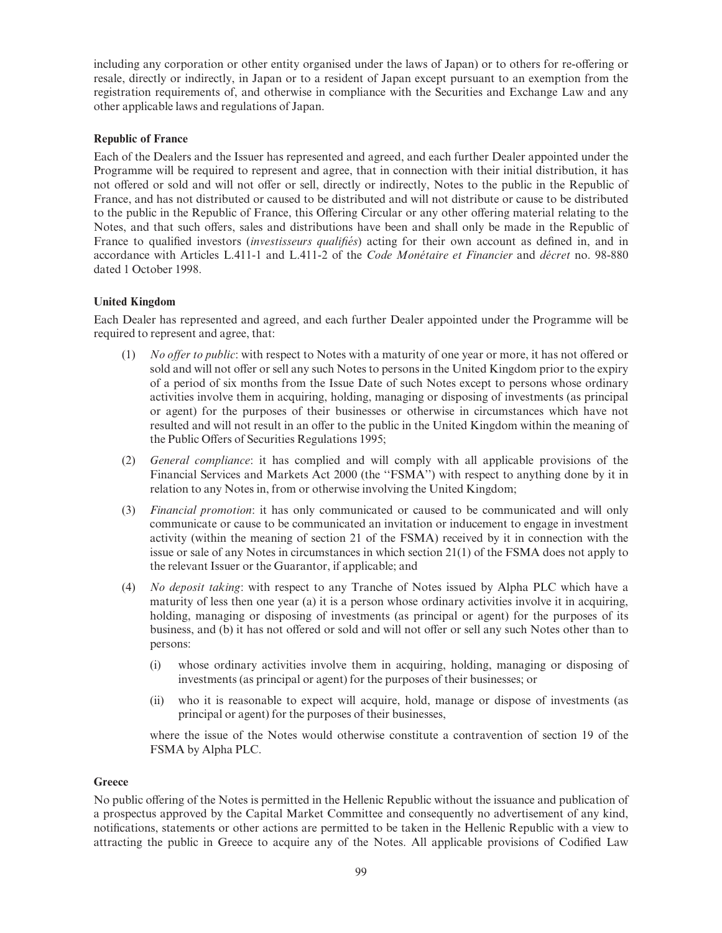including any corporation or other entity organised under the laws of Japan) or to others for re-offering or resale, directly or indirectly, in Japan or to a resident of Japan except pursuant to an exemption from the registration requirements of, and otherwise in compliance with the Securities and Exchange Law and any other applicable laws and regulations of Japan.

# Republic of France

Each of the Dealers and the Issuer has represented and agreed, and each further Dealer appointed under the Programme will be required to represent and agree, that in connection with their initial distribution, it has not offered or sold and will not offer or sell, directly or indirectly, Notes to the public in the Republic of France, and has not distributed or caused to be distributed and will not distribute or cause to be distributed to the public in the Republic of France, this Offering Circular or any other offering material relating to the Notes, and that such offers, sales and distributions have been and shall only be made in the Republic of France to qualified investors *(investisseurs qualifiés)* acting for their own account as defined in, and in accordance with Articles L.411-1 and L.411-2 of the *Code Monétaire et Financier* and *décret* no. 98-880 dated 1 October 1998.

# United Kingdom

Each Dealer has represented and agreed, and each further Dealer appointed under the Programme will be required to represent and agree, that:

- $(1)$  No offer to public: with respect to Notes with a maturity of one year or more, it has not offered or sold and will not offer or sell any such Notes to persons in the United Kingdom prior to the expiry of a period of six months from the Issue Date of such Notes except to persons whose ordinary activities involve them in acquiring, holding, managing or disposing of investments (as principal or agent) for the purposes of their businesses or otherwise in circumstances which have not resulted and will not result in an offer to the public in the United Kingdom within the meaning of the Public Offers of Securities Regulations 1995;
- (2) General compliance: it has complied and will comply with all applicable provisions of the Financial Services and Markets Act 2000 (the "FSMA") with respect to anything done by it in relation to any Notes in, from or otherwise involving the United Kingdom;
- (3) Financial promotion: it has only communicated or caused to be communicated and will only communicate or cause to be communicated an invitation or inducement to engage in investment activity (within the meaning of section 21 of the FSMA) received by it in connection with the issue or sale of any Notes in circumstances in which section 21(1) of the FSMA does not apply to the relevant Issuer or the Guarantor, if applicable; and
- (4) No deposit taking: with respect to any Tranche of Notes issued by Alpha PLC which have a maturity of less then one year (a) it is a person whose ordinary activities involve it in acquiring, holding, managing or disposing of investments (as principal or agent) for the purposes of its business, and (b) it has not offered or sold and will not offer or sell any such Notes other than to persons:
	- (i) whose ordinary activities involve them in acquiring, holding, managing or disposing of investments (as principal or agent) for the purposes of their businesses; or
	- (ii) who it is reasonable to expect will acquire, hold, manage or dispose of investments (as principal or agent) for the purposes of their businesses,

where the issue of the Notes would otherwise constitute a contravention of section 19 of the FSMA by Alpha PLC.

#### **Greece**

No public offering of the Notes is permitted in the Hellenic Republic without the issuance and publication of a prospectus approved by the Capital Market Committee and consequently no advertisement of any kind, notifications, statements or other actions are permitted to be taken in the Hellenic Republic with a view to attracting the public in Greece to acquire any of the Notes. All applicable provisions of Codified Law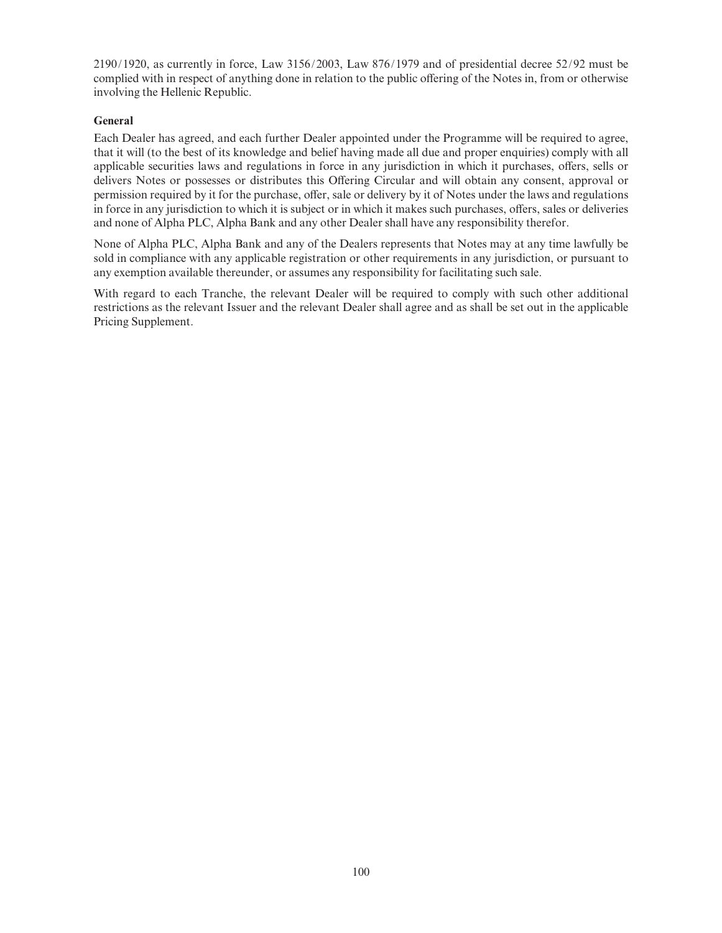2190/1920, as currently in force, Law 3156/2003, Law 876/1979 and of presidential decree 52/92 must be complied with in respect of anything done in relation to the public offering of the Notes in, from or otherwise involving the Hellenic Republic.

# General

Each Dealer has agreed, and each further Dealer appointed under the Programme will be required to agree, that it will (to the best of its knowledge and belief having made all due and proper enquiries) comply with all applicable securities laws and regulations in force in any jurisdiction in which it purchases, offers, sells or delivers Notes or possesses or distributes this Offering Circular and will obtain any consent, approval or permission required by it for the purchase, offer, sale or delivery by it of Notes under the laws and regulations in force in any jurisdiction to which it is subject or in which it makes such purchases, offers, sales or deliveries and none of Alpha PLC, Alpha Bank and any other Dealer shall have any responsibility therefor.

None of Alpha PLC, Alpha Bank and any of the Dealers represents that Notes may at any time lawfully be sold in compliance with any applicable registration or other requirements in any jurisdiction, or pursuant to any exemption available thereunder, or assumes any responsibility for facilitating such sale.

With regard to each Tranche, the relevant Dealer will be required to comply with such other additional restrictions as the relevant Issuer and the relevant Dealer shall agree and as shall be set out in the applicable Pricing Supplement.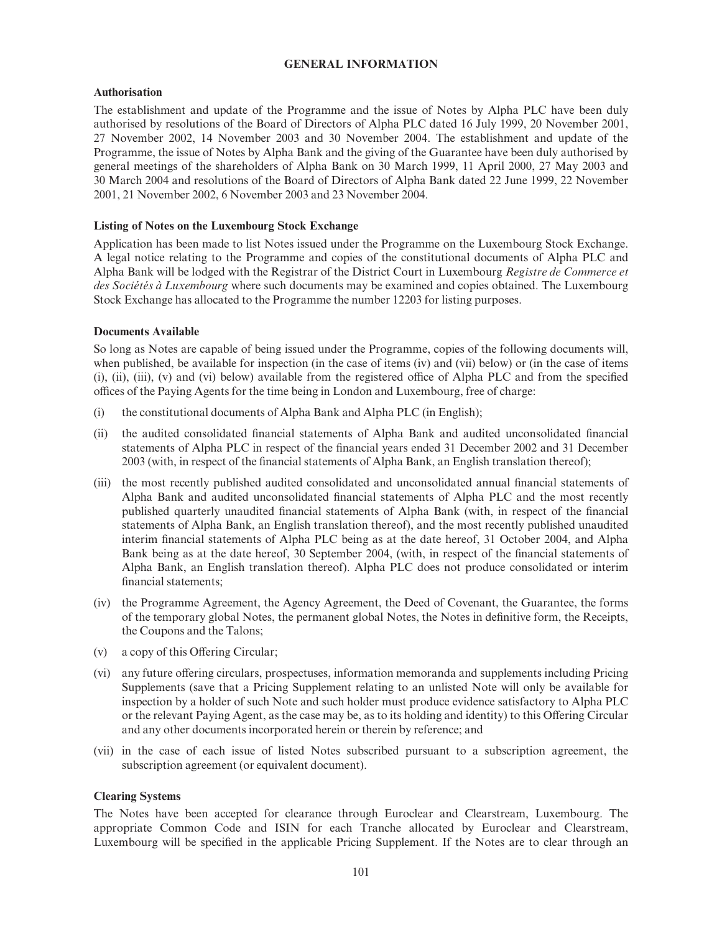# GENERAL INFORMATION

#### Authorisation

The establishment and update of the Programme and the issue of Notes by Alpha PLC have been duly authorised by resolutions of the Board of Directors of Alpha PLC dated 16 July 1999, 20 November 2001, 27 November 2002, 14 November 2003 and 30 November 2004. The establishment and update of the Programme, the issue of Notes by Alpha Bank and the giving of the Guarantee have been duly authorised by general meetings of the shareholders of Alpha Bank on 30 March 1999, 11 April 2000, 27 May 2003 and 30 March 2004 and resolutions of the Board of Directors of Alpha Bank dated 22 June 1999, 22 November 2001, 21 November 2002, 6 November 2003 and 23 November 2004.

# Listing of Notes on the Luxembourg Stock Exchange

Application has been made to list Notes issued under the Programme on the Luxembourg Stock Exchange. A legal notice relating to the Programme and copies of the constitutional documents of Alpha PLC and Alpha Bank will be lodged with the Registrar of the District Court in Luxembourg Registre de Commerce et des Sociétés à Luxembourg where such documents may be examined and copies obtained. The Luxembourg Stock Exchange has allocated to the Programme the number 12203 for listing purposes.

# Documents Available

So long as Notes are capable of being issued under the Programme, copies of the following documents will, when published, be available for inspection (in the case of items (iv) and (vii) below) or (in the case of items  $(i)$ ,  $(ii)$ ,  $(iii)$ ,  $(v)$  and  $(vi)$  below) available from the registered office of Alpha PLC and from the specified offices of the Paying Agents for the time being in London and Luxembourg, free of charge:

- (i) the constitutional documents of Alpha Bank and Alpha PLC (in English);
- (ii) the audited consolidated ¢nancial statements of Alpha Bank and audited unconsolidated ¢nancial statements of Alpha PLC in respect of the financial years ended 31 December 2002 and 31 December 2003 (with, in respect of the financial statements of Alpha Bank, an English translation thereof);
- (iii) the most recently published audited consolidated and unconsolidated annual ¢nancial statements of Alpha Bank and audited unconsolidated ¢nancial statements of Alpha PLC and the most recently published quarterly unaudited financial statements of Alpha Bank (with, in respect of the financial statements of Alpha Bank, an English translation thereof), and the most recently published unaudited interim financial statements of Alpha PLC being as at the date hereof, 31 October 2004, and Alpha Bank being as at the date hereof, 30 September 2004, (with, in respect of the financial statements of Alpha Bank, an English translation thereof). Alpha PLC does not produce consolidated or interim financial statements:
- (iv) the Programme Agreement, the Agency Agreement, the Deed of Covenant, the Guarantee, the forms of the temporary global Notes, the permanent global Notes, the Notes in de¢nitive form, the Receipts, the Coupons and the Talons;
- $(v)$  a copy of this Offering Circular;
- (vi) any future offering circulars, prospectuses, information memoranda and supplements including Pricing Supplements (save that a Pricing Supplement relating to an unlisted Note will only be available for inspection by a holder of such Note and such holder must produce evidence satisfactory to Alpha PLC or the relevant Paying Agent, as the case may be, as to its holding and identity) to this Offering Circular and any other documents incorporated herein or therein by reference; and
- (vii) in the case of each issue of listed Notes subscribed pursuant to a subscription agreement, the subscription agreement (or equivalent document).

# Clearing Systems

The Notes have been accepted for clearance through Euroclear and Clearstream, Luxembourg. The appropriate Common Code and ISIN for each Tranche allocated by Euroclear and Clearstream, Luxembourg will be specified in the applicable Pricing Supplement. If the Notes are to clear through an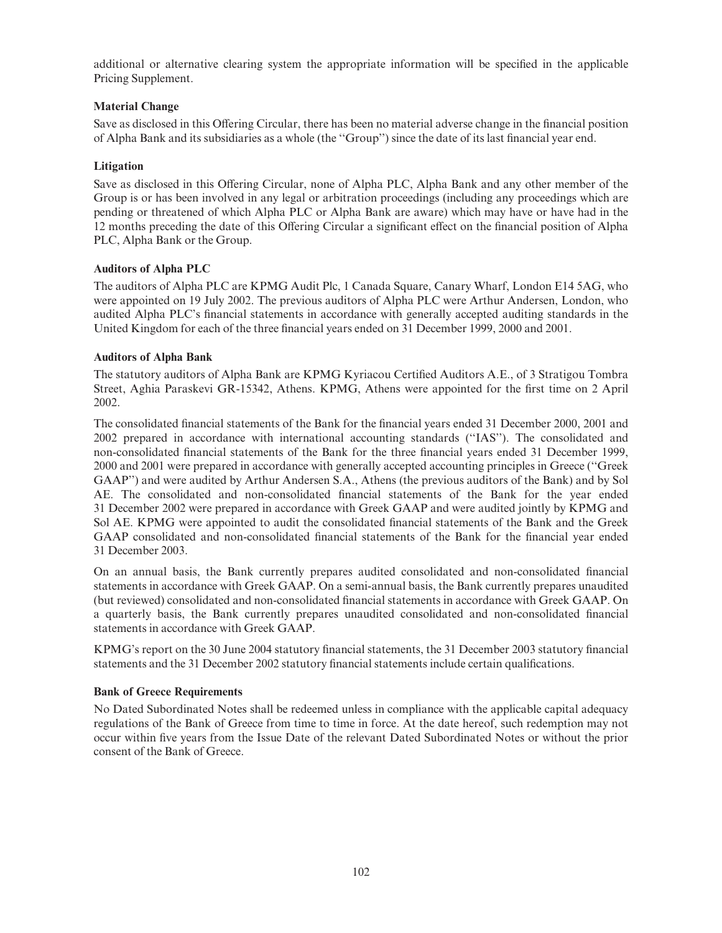additional or alternative clearing system the appropriate information will be specified in the applicable Pricing Supplement.

# Material Change

Save as disclosed in this Offering Circular, there has been no material adverse change in the financial position of Alpha Bank and its subsidiaries as a whole (the "Group") since the date of its last financial year end.

# Litigation

Save as disclosed in this Offering Circular, none of Alpha PLC, Alpha Bank and any other member of the Group is or has been involved in any legal or arbitration proceedings (including any proceedings which are pending or threatened of which Alpha PLC or Alpha Bank are aware) which may have or have had in the 12 months preceding the date of this Offering Circular a significant effect on the financial position of Alpha PLC, Alpha Bank or the Group.

# Auditors of Alpha PLC

The auditors of Alpha PLC are KPMG Audit Plc, 1 Canada Square, Canary Wharf, London E14 5AG, who were appointed on 19 July 2002. The previous auditors of Alpha PLC were Arthur Andersen, London, who audited Alpha PLC's financial statements in accordance with generally accepted auditing standards in the United Kingdom for each of the three financial years ended on 31 December 1999, 2000 and 2001.

# Auditors of Alpha Bank

The statutory auditors of Alpha Bank are KPMG Kyriacou Certified Auditors A.E., of 3 Stratigou Tombra Street, Aghia Paraskevi GR-15342, Athens. KPMG, Athens were appointed for the first time on 2 April 2002.

The consolidated financial statements of the Bank for the financial years ended 31 December 2000, 2001 and 2002 prepared in accordance with international accounting standards (''IAS''). The consolidated and non-consolidated financial statements of the Bank for the three financial years ended 31 December 1999, 2000 and 2001 were prepared in accordance with generally accepted accounting principles in Greece (''Greek GAAP'') and were audited by Arthur Andersen S.A., Athens (the previous auditors of the Bank) and by Sol AE. The consolidated and non-consolidated ¢nancial statements of the Bank for the year ended 31 December 2002 were prepared in accordance with Greek GAAP and were audited jointly by KPMG and Sol AE. KPMG were appointed to audit the consolidated financial statements of the Bank and the Greek GAAP consolidated and non-consolidated financial statements of the Bank for the financial year ended 31 December 2003.

On an annual basis, the Bank currently prepares audited consolidated and non-consolidated ¢nancial statements in accordance with Greek GAAP. On a semi-annual basis, the Bank currently prepares unaudited (but reviewed) consolidated and non-consolidated ¢nancial statements in accordance with Greek GAAP. On a quarterly basis, the Bank currently prepares unaudited consolidated and non-consolidated ¢nancial statements in accordance with Greek GAAP.

KPMG's report on the 30 June 2004 statutory financial statements, the 31 December 2003 statutory financial statements and the 31 December 2002 statutory financial statements include certain qualifications.

#### Bank of Greece Requirements

No Dated Subordinated Notes shall be redeemed unless in compliance with the applicable capital adequacy regulations of the Bank of Greece from time to time in force. At the date hereof, such redemption may not occur within ¢ve years from the Issue Date of the relevant Dated Subordinated Notes or without the prior consent of the Bank of Greece.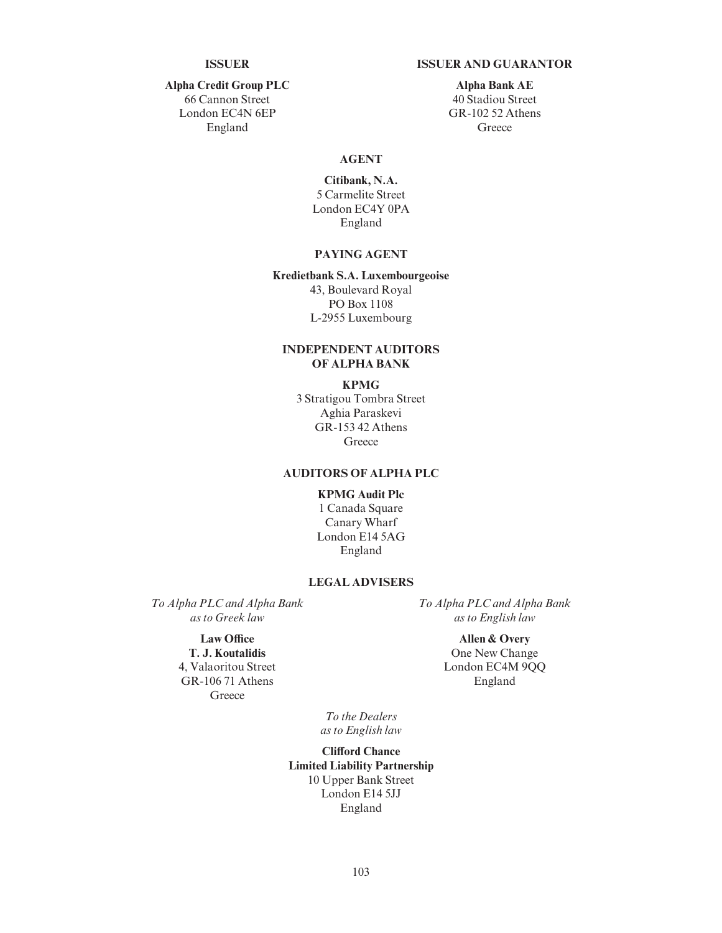#### ISSUER ISSUER AND GUARANTOR

Alpha Credit Group PLC 66 Cannon Street London EC4N 6EP England

Alpha Bank AE 40 Stadiou Street GR-102 52 Athens **Greece** 

#### AGENT

Citibank, N.A. 5 Carmelite Street London EC4Y 0PA England

## PAYING AGENT

#### Kredietbank S.A. Luxembourgeoise 43, Boulevard Royal PO Box 1108 L-2955 Luxembourg

# INDEPENDENT AUDITORS OF ALPHA BANK

#### KPMG

3 Stratigou Tombra Street Aghia Paraskevi GR-153 42 Athens **Greece** 

#### AUDITORS OF ALPHA PLC

#### KPMG Audit Plc

1 Canada Square Canary Wharf London E14 5AG England

#### LEGAL ADVISERS

To Alpha PLC and Alpha Bank as to Greek law

#### Law Office

T. J. Koutalidis 4, Valaoritou Street GR-106 71 Athens **Greece** 

To Alpha PLC and Alpha Bank as to English law

> Allen & Overy One New Change London EC4M 9QQ England

To the Dealers as to English law

**Clifford Chance** Limited Liability Partnership 10 Upper Bank Street London E14 5JJ England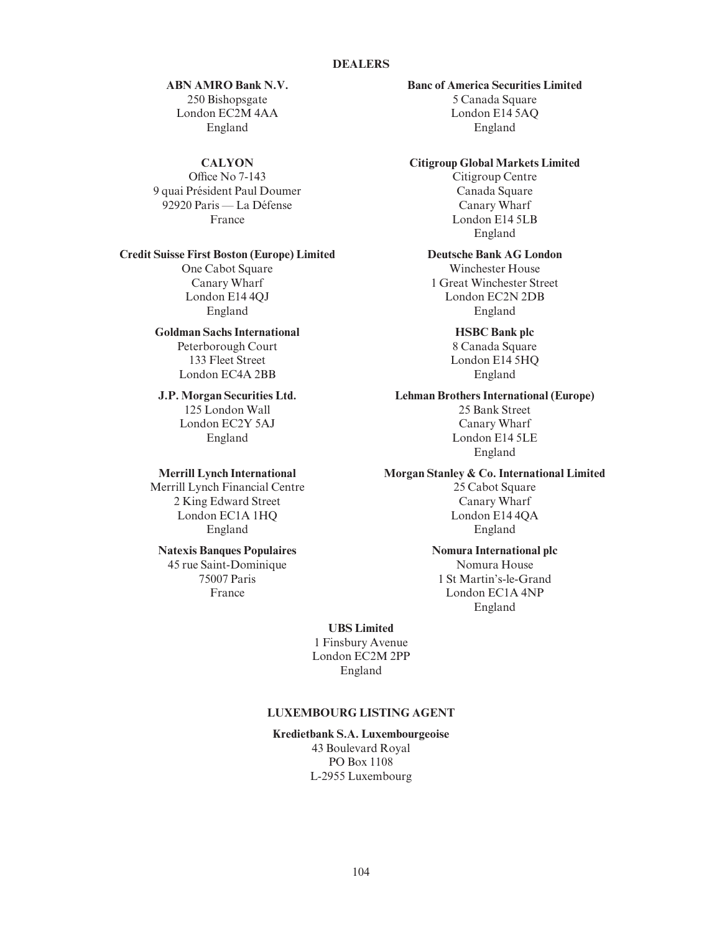#### DEALERS

ABN AMRO Bank N.V. 250 Bishopsgate London EC2M 4AA England

#### **CALYON**

Office No  $7-143$ 9 quai Président Paul Doumer 92920 Paris — La Défense France

#### Credit Suisse First Boston (Europe) Limited

One Cabot Square Canary Wharf London E14 4QJ England

#### Goldman Sachs International

Peterborough Court 133 Fleet Street London EC4A 2BB

#### J.P. Morgan Securities Ltd. 125 London Wall London EC2Y 5AJ England

#### Merrill Lynch International

Merrill Lynch Financial Centre 2 King Edward Street London EC1A 1HQ England

# Natexis Banques Populaires

45 rue Saint-Dominique 75007 Paris France

# Banc of America Securities Limited

5 Canada Square London E14 5AQ England

#### Citigroup Global Markets Limited

Citigroup Centre Canada Square Canary Wharf London E14 5LB England

#### Deutsche Bank AG London

Winchester House 1 Great Winchester Street London EC2N 2DB England

# HSBC Bank plc

8 Canada Square London E14 5HQ England

### Lehman Brothers International (Europe)

25 Bank Street Canary Wharf London E14 5LE England

#### Morgan Stanley & Co. International Limited

25 Cabot Square Canary Wharf London E14 4QA England

#### Nomura International plc

Nomura House 1 St Martin's-le-Grand London EC1A 4NP England

#### UBS Limited

1 Finsbury Avenue London EC2M 2PP England

#### LUXEMBOURG LISTING AGENT

Kredietbank S.A. Luxembourgeoise 43 Boulevard Royal PO Box 1108 L-2955 Luxembourg